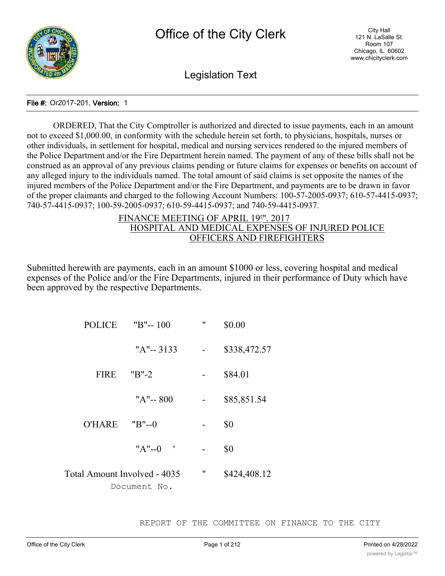

Legislation Text

#### File #: Or2017-201, Version: 1

ORDERED, That the City Comptroller is authorized and directed to issue payments, each in an amount not to exceed \$1,000.00, in conformity with the schedule herein set forth, to physicians, hospitals, nurses or other individuals, in settlement for hospital, medical and nursing services rendered to the injured members of the Police Department and/or the Fire Department herein named. The payment of any of these bills shall not be construed as an approval of any previous claims pending or future claims for expenses or benefits on account of any alleged injury to the individuals named. The total amount of said claims is set opposite the names of the injured members of the Police Department and/or the Fire Department, and payments are to be drawn in favor of the proper claimants and charged to the following Account Numbers: 100-57-2005-0937; 610-57-4415-0937; 740-57-4415-0937; 100-59-2005-0937; 610-59-4415-0937; and 740-59-4415-0937.

# FINANCE MEETING OF APRIL 19<sup>r</sup>". 2017 HOSPITAL AND MEDICAL EXPENSES OF INJURED POLICE OFFICERS AND FIREFIGHTERS

Submitted herewith are payments, each in an amount \$1000 or less, covering hospital and medical expenses of the Police and/or the Fire Departments, injured in their performance of Duty which have been approved by the respective Departments.

| <b>POLICE</b>                | "B"-- 100    | $^{\prime \prime}$ | \$0.00       |  |  |  |  |
|------------------------------|--------------|--------------------|--------------|--|--|--|--|
|                              | "A"-- 3133   |                    | \$338,472.57 |  |  |  |  |
| <b>FIRE</b>                  | $"B" - 2"$   |                    | \$84.01      |  |  |  |  |
|                              | "A"-- 800    |                    | \$85,851.54  |  |  |  |  |
| <b>O'HARE</b>                | $"B"$ --0    |                    | \$0          |  |  |  |  |
|                              | " $A$ "--0   |                    | \$0          |  |  |  |  |
| Total Amount Involved - 4035 | Document No. | 11                 | \$424,408.12 |  |  |  |  |
|                              |              |                    |              |  |  |  |  |

REPORT OF THE COMMITTEE ON FINANCE TO THE CITY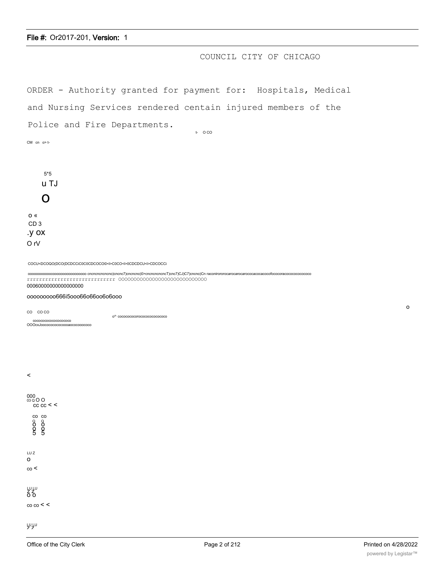COUNCIL CITY OF CHICAGO ORDER - Authority granted for payment for: Hospitals, Medical and Nursing Services rendered centain injured members of the Police and Fire Departments.  $t-0$  CO  $CM$  cn  $o$ >t- $5*5$ u TJ  $\Omega$ o « CD<sub>3</sub> .y ox O rV COCU<DCOQO(DCO(DCDCC)C0C0CDCOCO©<l>C0CO<l>0CDCDCU<l>CDCOCOC) 00060000000000000000 000000000666i50006606600606000 co co co  $0^{\text{A}^+}$  cococococorococococococococo  $\,<$  $000$ <br>  $000$ <br>  $000$ <br>  $00 < 0$ း<br>၁၀၀၀<br>၁၀၀၀ LU Z  $\circ$ 

 $_{\text{co}}$  <

 $\frac{10}{2}$   $\frac{10}{2}$ 

 $\cos$  co  $\lt$   $\lt$ 

뱃분

 $\mathsf{o}$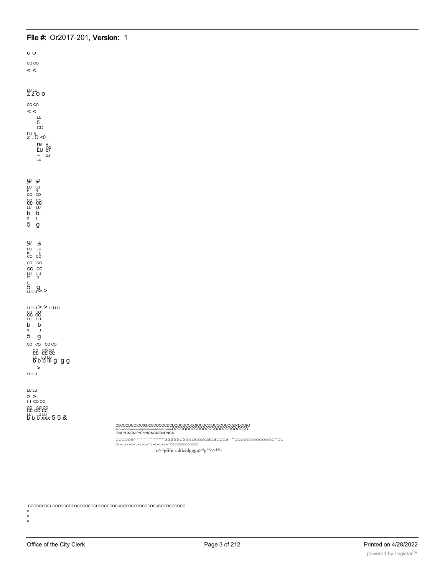| υu                                                                                                                                                                                                                                                                                               |                                                                                                |
|--------------------------------------------------------------------------------------------------------------------------------------------------------------------------------------------------------------------------------------------------------------------------------------------------|------------------------------------------------------------------------------------------------|
| $\cos$<br>$\,<$ $<$                                                                                                                                                                                                                                                                              |                                                                                                |
|                                                                                                                                                                                                                                                                                                  |                                                                                                |
| <b>EULU</b><br>ZZOO                                                                                                                                                                                                                                                                              |                                                                                                |
| $\cos$<br>$\,<$ $<$                                                                                                                                                                                                                                                                              |                                                                                                |
| $\frac{LU}{5}$<br>cc<br>$L^{\text{U}}$ ijo $<0$                                                                                                                                                                                                                                                  |                                                                                                |
| re «<br>Eu &<br>$\frac{1}{2}$ UJ                                                                                                                                                                                                                                                                 |                                                                                                |
|                                                                                                                                                                                                                                                                                                  |                                                                                                |
| $\begin{array}{c} 0 \\ 0 \\ 0 \\ \hline \end{array}$ And $\begin{array}{c} 0 \\ 0 \\ 0 \\ \hline \end{array}$                                                                                                                                                                                    |                                                                                                |
| $\begin{matrix} 53 \\[-4pt] 58 \end{matrix}$                                                                                                                                                                                                                                                     |                                                                                                |
| $\frac{b}{x}$ b<br>5 g                                                                                                                                                                                                                                                                           |                                                                                                |
|                                                                                                                                                                                                                                                                                                  |                                                                                                |
| SP-LU<br>CO CO<br>CO CO                                                                                                                                                                                                                                                                          |                                                                                                |
| $\cos$ $\cos$                                                                                                                                                                                                                                                                                    |                                                                                                |
| $\frac{1}{2}$ or $\frac{1}{2}$ or $\frac{1}{2}$ or $\frac{1}{2}$ or $\frac{1}{2}$ or $\frac{1}{2}$ or $\frac{1}{2}$ or $\frac{1}{2}$ or $\frac{1}{2}$ or $\frac{1}{2}$ or $\frac{1}{2}$ or $\frac{1}{2}$ or $\frac{1}{2}$ or $\frac{1}{2}$ or $\frac{1}{2}$ or $\frac{1}{2}$ or $\frac{1}{2}$ or |                                                                                                |
|                                                                                                                                                                                                                                                                                                  |                                                                                                |
| n m<br>88 88<br>Ford > > Ford                                                                                                                                                                                                                                                                    |                                                                                                |
| b b<br>$\frac{x}{5}$<br>$\blacksquare$                                                                                                                                                                                                                                                           |                                                                                                |
| g<br>co co co co                                                                                                                                                                                                                                                                                 |                                                                                                |
| a 83 83<br>88 88 88<br>80 80 81 81 81 81                                                                                                                                                                                                                                                         |                                                                                                |
| $\rightarrow$<br>LU LU                                                                                                                                                                                                                                                                           |                                                                                                |
| LU LU                                                                                                                                                                                                                                                                                            |                                                                                                |
| $>$ $>$<br>$I - I - CO CO$<br>88 c8 c8<br>88 c8 c8<br>bb b xxx 5 5 &                                                                                                                                                                                                                             |                                                                                                |
|                                                                                                                                                                                                                                                                                                  |                                                                                                |
|                                                                                                                                                                                                                                                                                                  | CNC^CNCNC^C^rNCNCNCNCNCNCN<br>oocooe^^^^^^^^^^^\$\$\$\$\$c\$\$cDco\$cBcBcDcB ^ooooooooooooc^co |
|                                                                                                                                                                                                                                                                                                  | $\sim$ ACC 111111 $\sim$ ALATM                                                                 |

o>^gSfeiriddcidgggo>°g^'<>TM\_

- $\begin{matrix} 0 \\ 0 \\ 0 \end{matrix}$
-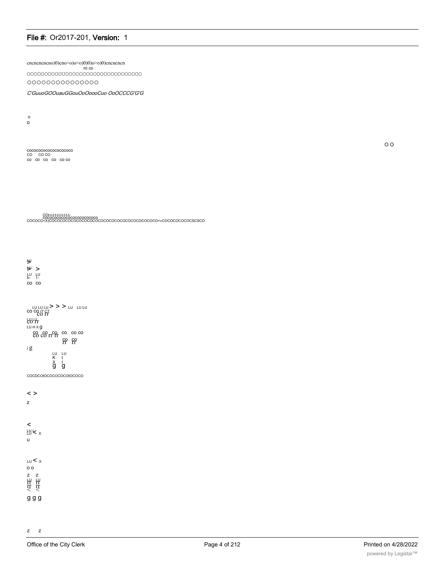#### cncncncncno)0)cno>o)o>o)0)0)o>o)0)cncncncn

 $roco$ 00000000000000

#### C'GuuoGOOuauGGouOoOoooCuo OoOCCCG'G'G

 $\circ$  $\circ$ 

COCOCOCOCOCOCOCOCO<br>CO CO CO<br>CO CO CO CO CO CO

 $\overline{O}$ 

**ツ**  $\mathbb{R}$  >

 $L^U$   $L^U$ <br> $L^ \cos$  co

 $\frac{101010}{10000}$  =  $\frac{101010}{100}$  =  $\frac{101010}{100}$  $88\frac{60}{11}$  rco  $10\frac{1}{11}$ co co  $\mathrm{i}\,g$  $\begin{array}{ccc} \scriptscriptstyle\begin{array}{ccc} \scriptscriptstyle\begin{array}{ccc} \scriptscriptstyle\begin{array}{ccc} \scriptscriptstyle\begin{array}{ccc} \scriptscriptstyle\begin{array}{ccc} \scriptscriptstyle\begin{array}{ccc} \scriptscriptstyle\begin{array}{ccc} \scriptscriptstyle\begin{array}{ccc} \scriptscriptstyle\begin{array}{ccc} \scriptscriptstyle\begin{array}{ccc} \scriptscriptstyle\begin{array}{ccc} \scriptscriptstyle\end{array} \end{array}} \end{array}} \end{array}\\\scriptstyle \scriptstyle\begin{array}{ccc} \scriptscriptstyle\begin{array}{ccc} \scriptscriptstyle\begin{array}{ccc} \scriptscriptstyle\begin{array}{ccc} \scriptscriptstyle\end{array} \end{array}} \end{array}} \end{$ 

 ${\tt COCDCO} to {\tt COCO} CO \hbox{CO} CO \hbox{CO} CO \hbox{CO} CO \hbox{CO} CO \hbox{CO} CO \hbox{CO} CO \hbox{CO} CO \hbox{CO} CO \hbox{CO} CO \hbox{CO} CO \hbox{CO} CO \hbox{CO} CO \hbox{CO} CO \hbox{CO} CO \hbox{CO} CO \hbox{CO} CO \hbox{CO} CO \hbox{CO} CO \hbox{CO} CO \hbox{CO} CO \hbox{CO} CO \hbox{CO} CO \hbox{CO} CO \hbox{CO} CO \hbox{CO} CO \hbox{CO} CO \hbox{CO} CO \hbox{CO} CO \hbox{CO} CO \hbox{$ 

#### $\,<$   $>$

 $\mathsf z$ 

 $\,<$  $HZ_x$ 

 $\mathsf{u}$ 

 $_{LU}$   $< x$  $\circ$   $\circ$  $\begin{array}{cc} z & z \\ H' & H' \\ \Pi & \Pi \\ \zeta & \zeta \end{array}$ 

**ggg** 

 $Z$   $Z$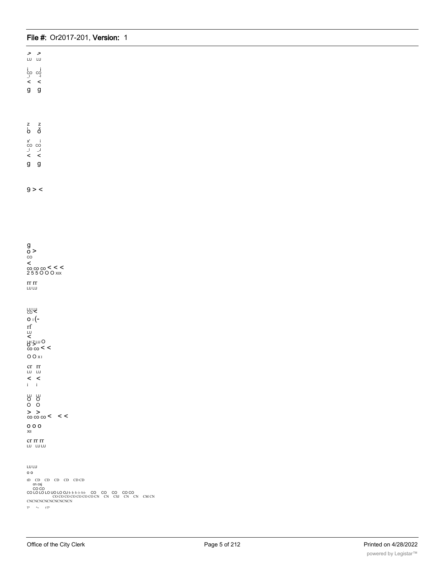| $>$ >                                                                                                                                                                                                                                                                                                                                                                                                                                                                                              |  |
|----------------------------------------------------------------------------------------------------------------------------------------------------------------------------------------------------------------------------------------------------------------------------------------------------------------------------------------------------------------------------------------------------------------------------------------------------------------------------------------------------|--|
| LU LU                                                                                                                                                                                                                                                                                                                                                                                                                                                                                              |  |
|                                                                                                                                                                                                                                                                                                                                                                                                                                                                                                    |  |
|                                                                                                                                                                                                                                                                                                                                                                                                                                                                                                    |  |
| $\begin{array}{ccc}\ni & \text{if } & \text{if } & \text{if } & \text{if } & \text{if } & \text{if } & \text{if } & \text{if } & \text{if } & \text{if } & \text{if } & \text{if } & \text{if } & \text{if } & \text{if } & \text{if } & \text{if } & \text{if } & \text{if } & \text{if } & \text{if } & \text{if } & \text{if } & \text{if } & \text{if } & \text{if } & \text{if } & \text{if } & \text{if } & \text{if } & \text{if } & \text{if } & \text{if } & \text{if } & \text{if } & \$ |  |
|                                                                                                                                                                                                                                                                                                                                                                                                                                                                                                    |  |
|                                                                                                                                                                                                                                                                                                                                                                                                                                                                                                    |  |
|                                                                                                                                                                                                                                                                                                                                                                                                                                                                                                    |  |
| $g$ $g$                                                                                                                                                                                                                                                                                                                                                                                                                                                                                            |  |
|                                                                                                                                                                                                                                                                                                                                                                                                                                                                                                    |  |
|                                                                                                                                                                                                                                                                                                                                                                                                                                                                                                    |  |
|                                                                                                                                                                                                                                                                                                                                                                                                                                                                                                    |  |
|                                                                                                                                                                                                                                                                                                                                                                                                                                                                                                    |  |
|                                                                                                                                                                                                                                                                                                                                                                                                                                                                                                    |  |
|                                                                                                                                                                                                                                                                                                                                                                                                                                                                                                    |  |
| $\overline{\phantom{a}}$                                                                                                                                                                                                                                                                                                                                                                                                                                                                           |  |

 $\begin{matrix} z & z \\ b & \delta \end{matrix}$ 

 $\begin{array}{ccc}\nx' & 1 \\
\text{CO} & \text{CO} \\
\downarrow & \downarrow \\
\text{C} & \text{CO} \\
\downarrow & \downarrow\n\end{array}$  $g$   $g$ 

 $9 > 5$ 

 $\frac{9}{10}$  $\frac{2}{\cos \cos 60}$  < < <  $\mathop{\rm rr}_{\text{LU}}\mathop{\rm rr}_{\text{LU}}$ EU LU<br>CO  $O(1)$  $^{\rm rf}$  $\frac{1}{2}$ <br> $\frac{1}{2}$ <br> $\frac{1}{2}$ <br> $\frac{1}{2}$ <br> $\frac{1}{2}$ <br> $\frac{1}{2}$ <br> $\frac{1}{2}$  $O O XI$  $\begin{array}{cc} cr & rr \\ \text{LU} & \text{LU} \end{array}$  $\langle \ \ \langle$  $\mathbf{i}=\mathbf{i}$  $\begin{matrix} U & U \\ O & O \end{matrix}$  $\overline{0}$   $\overline{0}$  $>$  >  $>$   $\infty$  $000$  $\mathsf{XII}$  $\begin{array}{ll} \mbox{cr}\text{rr}\text{ tr} \\ \mbox{L} \cup \text{L} \cup \text{L} \cup \end{array}$ 

LU LU  $\circ$   $\circ$  $T^* = \pm \omega = f T^*$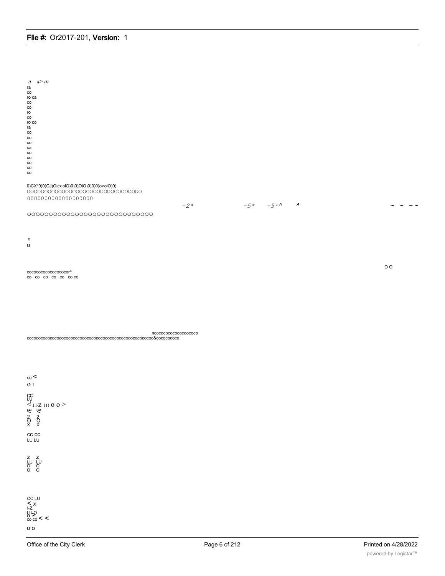| a>m<br>$\boldsymbol{a}$<br>ra<br>$_{\rm co}$<br>ro ca<br>$_{\rm CO}$<br>$_{\rm co}$<br>$\mathop{\rm ro}\nolimits$<br>$_{\rm co}$<br>ro co<br>ra<br>$_{\rm co}$<br>$_{\rm co}$<br>$_{\rm co}$<br>ca<br>$_{\rm CO}$<br>$_{\rm co}$<br>$_{\rm CO}$<br>$_{\rm co}$<br>$_{\rm co}$ |                |
|-------------------------------------------------------------------------------------------------------------------------------------------------------------------------------------------------------------------------------------------------------------------------------|----------------|
| 0)CX*0)0)CJ)Oicx·oiO)0)0)OiO)0)0)0)o>oiO)0)                                                                                                                                                                                                                                   |                |
| 0000000000000000000                                                                                                                                                                                                                                                           |                |
| $\overline{A}$<br>$-5*$ $-5*$<br>$-2*$                                                                                                                                                                                                                                        |                |
| $\circ$<br>$\mathsf{o}$                                                                                                                                                                                                                                                       |                |
| cococococococococor^<br>co co co co co co co                                                                                                                                                                                                                                  | 0 <sub>0</sub> |
| ncococococococoococo                                                                                                                                                                                                                                                          |                |
|                                                                                                                                                                                                                                                                               |                |
| $_{\rm co}$ <<br>0 <sub>1</sub>                                                                                                                                                                                                                                               |                |
| <b>CC</b><br>$x \leq \frac{1}{2}$<br>$x \leq \frac{1}{2}$<br>$x \leq \frac{2}{3}$<br>$x \leq x$                                                                                                                                                                               |                |
| CC CC<br>LU LU                                                                                                                                                                                                                                                                |                |
| <b>z z</b><br>LU LU<br>O O<br>O O                                                                                                                                                                                                                                             |                |
|                                                                                                                                                                                                                                                                               |                |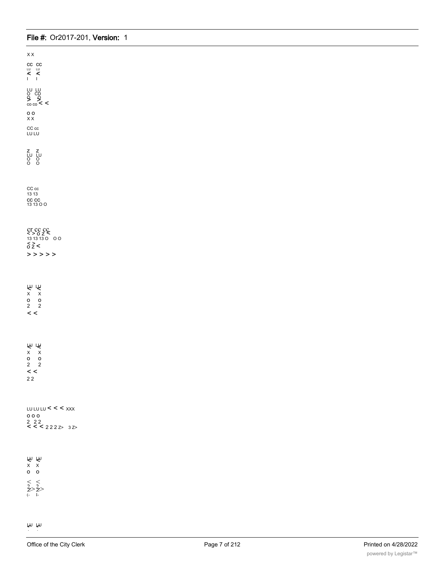| $\times\times$                                                                                                                                                                                                                                                                                                                                                                                                                                                                                 |  |
|------------------------------------------------------------------------------------------------------------------------------------------------------------------------------------------------------------------------------------------------------------------------------------------------------------------------------------------------------------------------------------------------------------------------------------------------------------------------------------------------|--|
|                                                                                                                                                                                                                                                                                                                                                                                                                                                                                                |  |
| $ k \in \mathbb{C}$<br>$k \in \mathbb{C}$                                                                                                                                                                                                                                                                                                                                                                                                                                                      |  |
|                                                                                                                                                                                                                                                                                                                                                                                                                                                                                                |  |
|                                                                                                                                                                                                                                                                                                                                                                                                                                                                                                |  |
|                                                                                                                                                                                                                                                                                                                                                                                                                                                                                                |  |
| $\circ$ $\circ$                                                                                                                                                                                                                                                                                                                                                                                                                                                                                |  |
| $\times\times$                                                                                                                                                                                                                                                                                                                                                                                                                                                                                 |  |
| CC cc<br>LU LU                                                                                                                                                                                                                                                                                                                                                                                                                                                                                 |  |
|                                                                                                                                                                                                                                                                                                                                                                                                                                                                                                |  |
|                                                                                                                                                                                                                                                                                                                                                                                                                                                                                                |  |
| $\begin{array}{cc} Z & Z \\ LU & U \\ 0 & 0 \\ 0 & 0 \end{array}$                                                                                                                                                                                                                                                                                                                                                                                                                              |  |
|                                                                                                                                                                                                                                                                                                                                                                                                                                                                                                |  |
|                                                                                                                                                                                                                                                                                                                                                                                                                                                                                                |  |
| CC cc<br>13 13                                                                                                                                                                                                                                                                                                                                                                                                                                                                                 |  |
|                                                                                                                                                                                                                                                                                                                                                                                                                                                                                                |  |
| CC CC<br>13 13 0 0                                                                                                                                                                                                                                                                                                                                                                                                                                                                             |  |
|                                                                                                                                                                                                                                                                                                                                                                                                                                                                                                |  |
|                                                                                                                                                                                                                                                                                                                                                                                                                                                                                                |  |
| cr cc cc<br>$50 Z$<br>$13 13 13 0 00$<br>$6 Z$<br>$50 Z$<br>$50 Z$<br>$50 Z$                                                                                                                                                                                                                                                                                                                                                                                                                   |  |
|                                                                                                                                                                                                                                                                                                                                                                                                                                                                                                |  |
|                                                                                                                                                                                                                                                                                                                                                                                                                                                                                                |  |
|                                                                                                                                                                                                                                                                                                                                                                                                                                                                                                |  |
|                                                                                                                                                                                                                                                                                                                                                                                                                                                                                                |  |
|                                                                                                                                                                                                                                                                                                                                                                                                                                                                                                |  |
| と<br>X<br>X<br>X                                                                                                                                                                                                                                                                                                                                                                                                                                                                               |  |
|                                                                                                                                                                                                                                                                                                                                                                                                                                                                                                |  |
| $\begin{array}{ccc} 0 & 0 \\ 2 & 2 \\ < 1 \end{array}$                                                                                                                                                                                                                                                                                                                                                                                                                                         |  |
|                                                                                                                                                                                                                                                                                                                                                                                                                                                                                                |  |
|                                                                                                                                                                                                                                                                                                                                                                                                                                                                                                |  |
|                                                                                                                                                                                                                                                                                                                                                                                                                                                                                                |  |
|                                                                                                                                                                                                                                                                                                                                                                                                                                                                                                |  |
| $\begin{array}{ccc}\n & \mathbf{w} & \mathbf{w} \\  & \mathbf{x} & \mathbf{x} \\  & \mathbf{0} & \mathbf{0} \\  & \mathbf{0} & \mathbf{0} \\  & \mathbf{0} & \mathbf{0}\n\end{array}$                                                                                                                                                                                                                                                                                                          |  |
|                                                                                                                                                                                                                                                                                                                                                                                                                                                                                                |  |
| $\lt$ $\lt$                                                                                                                                                                                                                                                                                                                                                                                                                                                                                    |  |
| $2\,2$                                                                                                                                                                                                                                                                                                                                                                                                                                                                                         |  |
|                                                                                                                                                                                                                                                                                                                                                                                                                                                                                                |  |
|                                                                                                                                                                                                                                                                                                                                                                                                                                                                                                |  |
| $\mathop{\rm LU}\nolimits\mathop{\rm LU}\nolimits<\mathop{<}\nolimits<\mathop{\rm XXX}\nolimits$                                                                                                                                                                                                                                                                                                                                                                                               |  |
|                                                                                                                                                                                                                                                                                                                                                                                                                                                                                                |  |
| 0 0 0<br>2 2 2<br>< < < 2 2 2 2 > 3 2 >                                                                                                                                                                                                                                                                                                                                                                                                                                                        |  |
|                                                                                                                                                                                                                                                                                                                                                                                                                                                                                                |  |
|                                                                                                                                                                                                                                                                                                                                                                                                                                                                                                |  |
|                                                                                                                                                                                                                                                                                                                                                                                                                                                                                                |  |
| $\begin{array}{c}\n\text{A} \\ \text{B} \\ \text{C} \\ \text{D} \\ \text{D} \\ \text{D} \\ \text{D} \\ \text{D} \\ \text{D} \\ \text{D} \\ \text{D} \\ \text{D} \\ \text{D} \\ \text{D} \\ \text{D} \\ \text{D} \\ \text{D} \\ \text{D} \\ \text{D} \\ \text{D} \\ \text{D} \\ \text{D} \\ \text{D} \\ \text{D} \\ \text{D} \\ \text{D} \\ \text{D} \\ \text{D} \\ \text{D} \\ \text{D} \\ \text{D} \\ \text{D} \\ \text{D} \\ \text{D} \\ \text{D} \\ \text$                                  |  |
|                                                                                                                                                                                                                                                                                                                                                                                                                                                                                                |  |
| $\begin{array}{c}\n<\\ \n\searrow\\ \n\searrow\\ \n\swarrow\\ \n\swarrow\\ \n\swarrow\\ \n\swarrow\\ \n\swarrow\\ \n\swarrow\\ \n\swarrow\\ \n\swarrow\\ \n\swarrow\\ \n\swarrow\\ \n\swarrow\\ \n\swarrow\\ \n\swarrow\\ \n\swarrow\\ \n\swarrow\\ \n\swarrow\\ \n\swarrow\\ \n\swarrow\\ \n\swarrow\\ \n\swarrow\\ \n\swarrow\\ \n\swarrow\\ \n\swarrow\\ \n\swarrow\\ \n\swarrow\\ \n\swarrow\\ \n\swarrow\\ \n\swarrow\\ \n\swarrow\\ \n\swarrow\\ \n\swarrow\\ \n\swarrow\\ \n\swarrow\\$ |  |
|                                                                                                                                                                                                                                                                                                                                                                                                                                                                                                |  |
|                                                                                                                                                                                                                                                                                                                                                                                                                                                                                                |  |
|                                                                                                                                                                                                                                                                                                                                                                                                                                                                                                |  |
|                                                                                                                                                                                                                                                                                                                                                                                                                                                                                                |  |

 $\upmu$   $\upmu$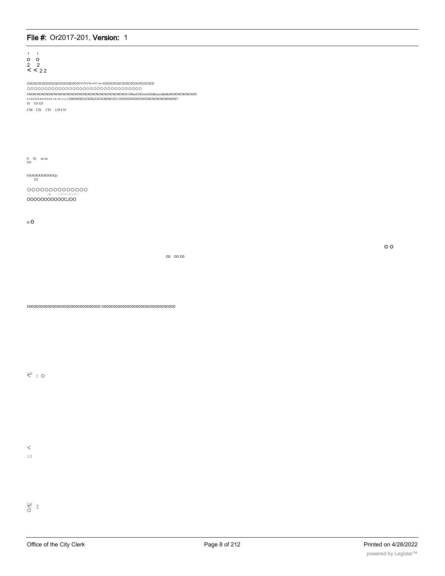1 I o o 2<br>**< <** 2 2

COCQCOCOCDCDCQCOCDCQCOCOI^I^r^l^r^h~r^r\*~h~COCDCDCQCOCDCOCOCOCOCOCD ooooooooooooooooooooooooooooooooo CNCNCNCNCNCNCNCNCNCNCNCNCNCNCNCNCNCNCNCNCNCNCNCN OlScoCOCncnCDcBcocncBcBcNCNCNCNCNCNCN t--i-t-t-t-t-t-t-t-t-t-t-t-t--i-t--i-t--i--i--i-CNCNCNC\|C\ICNJC\IC\ICNCNC\IC\I OOOOOOOOOOOOCNCNCNCNCNCNCNC^

cocococococococococococococococo cocococococococococococococococo

Oi CO CD CM CD CD LD CO

0 0) m rn CO

OiOOlOOOlOOOQ) CO

oooooooooooooo

>, >. >N >. >\*>4 >4 >, >4 >,,>, '>, >,,>,, OOOOOOOOOOOCJOO

<sup>o</sup> o

co co co

o o

 $\mathsf{R}_{\mathrm{I}}$  i o

LU< I o

 $\,<$ 13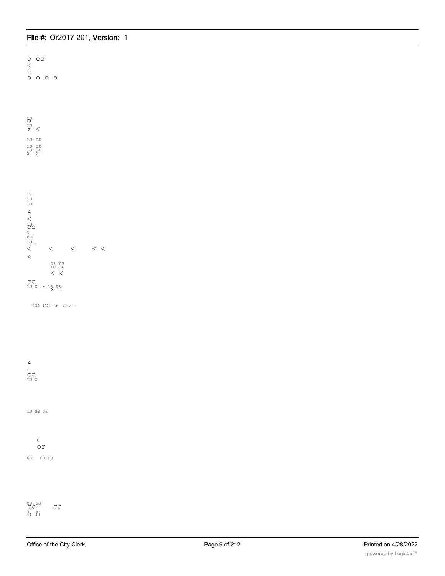| $\begin{array}{c} 0 & CC \\ \mathbb{R} \\ 0 \\ 0 & 0 & 0 & 0 \end{array}$                                                                                                                                                                                                                                                                                                                                                                                                                                                                                                                       |
|-------------------------------------------------------------------------------------------------------------------------------------------------------------------------------------------------------------------------------------------------------------------------------------------------------------------------------------------------------------------------------------------------------------------------------------------------------------------------------------------------------------------------------------------------------------------------------------------------|
| $\begin{array}{c}\n\frac{1}{2} & \text{if } \\ \frac{1}{2} & \text{if } \\ \frac{1}{2} & \text{if } \\ \frac{1}{2} & \text{if } \\ \frac{1}{2} & \text{if } \\ \frac{1}{2} & \text{if } \\ \frac{1}{2} & \text{if } \\ \frac{1}{2} & \text{if } \\ \frac{1}{2} & \text{if } \\ \frac{1}{2} & \text{if } \\ \frac{1}{2} & \text{if } \\ \frac{1}{2} & \text{if } \\ \frac{1}{2} & \text{if } \\ \frac{1}{2} & \text{if } \\ \frac{1}{2} & \text{if } \\ \frac$<br>${\rm LU}-{\rm LU}$<br>$\begin{array}{cc} X & X \\ \Gamma \Omega & \Gamma \Omega \\ \Gamma \Omega & \Gamma \Omega \end{array}$ |
| $1-$<br>$\mathbb{L} \mathbb{U}$<br>$\mathbb{L} \mathbb{U}$<br>$\rm{Z}$<br>$\,<$<br>$\begin{array}{c}\n\lambda \\ \lambda \\ \lambda \\ \lambda \\ \lambda\n\end{array}$<br>$<\qquad \  <\quad \  <\  \  <$<br>$\,<$<br>$\begin{array}{cc} 03 & 03 \\ \text{LU} & \text{LU} \end{array}$<br>$\,<\,$ $\,<$<br>$\begin{array}{l} \text{CC} \\ \text{LU} \, \text{X} \, \text{t-} \, \, \, 1\frac{3}{X} \, \, \, 0\frac{3}{L} \end{array}$<br>$CC \quad CC \quad \text{LU} \quad \text{LU} \quad \text{x I}$                                                                                        |
| $\mathbf{Z}% _{0}=\mathbf{Z}_{0}=\mathbf{Z}_{0}=\mathbf{Z}_{0}=\mathbf{Z}_{0}=\mathbf{Z}_{0}=\mathbf{Z}_{0}=\mathbf{Z}_{0}=\mathbf{Z}_{0}=\mathbf{Z}_{0}=\mathbf{Z}_{0}=\mathbf{Z}_{0}=\mathbf{Z}_{0}=\mathbf{Z}_{0}=\mathbf{Z}_{0}=\mathbf{Z}_{0}=\mathbf{Z}_{0}=\mathbf{Z}_{0}=\mathbf{Z}_{0}=\mathbf{Z}_{0}=\mathbf{Z}_{0}=\mathbf{Z}_{0}=\mathbf{Z}_{0}=\mathbf{Z}_{0}=\mathbf{Z}_{0}=\mathbf{Z}_{0}=\mathbf{Z}_{0}=\math$<br>$\mathbf{L}$<br>$\rm _{LU}^{\rm CC}$                                                                                                                          |
| LU 03 03                                                                                                                                                                                                                                                                                                                                                                                                                                                                                                                                                                                        |
| $\mathsf Q$<br>$\circ$ $\,$<br>03 CO CO                                                                                                                                                                                                                                                                                                                                                                                                                                                                                                                                                         |
| $\overset{co}{\circ} \overset{co}{\circ}$<br>$\mathop{\rm CC}$                                                                                                                                                                                                                                                                                                                                                                                                                                                                                                                                  |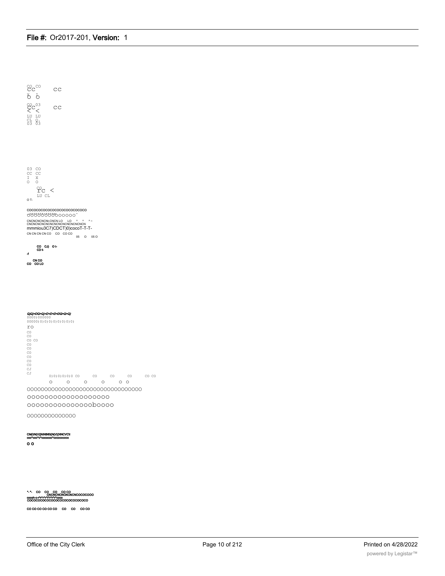

# CM(IN(V)(NINtNtV(N(V)(NNCVCV<br>CM(IN(V)(NINtNtV(N(V)(NNCVCV

 $\mathbf{o}\,\mathbf{o}$ 

\*\*\* co co co co co<br>este e concepto che che che cococooo<br>cocococococococococococococo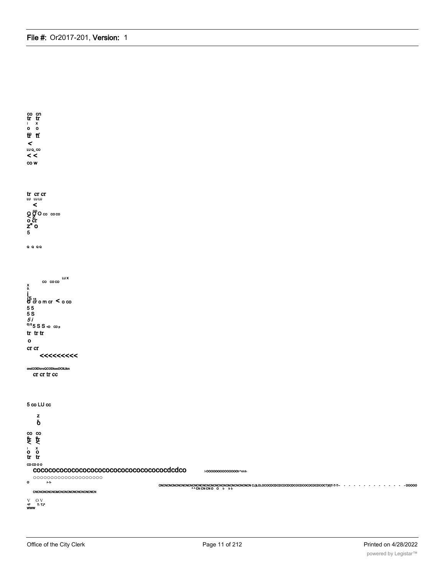$\begin{array}{c} \begin{array}{c} \text{co~cn} \\ \text{tr~tr} \\ \text{o} \end{array} \\ \text{ft} \end{array}$  $\,<$ mo co  $\lt$ co w  $\begin{array}{l} \mbox{tr} \hspace{0.1cm} \mbox{cr} \\ \mbox{\tiny \text{tr}} \hspace{0.1cm} \mbox{cm} \\ \mbox{\tiny \text{cm}} \hspace{1.25cm} \mbox{\tiny \text{cm}} \\ \mbox{\tiny \text{c}} \end{array}$  $Q_{\text{C}r}^{\text{eq}}$ <br>  $Q_{\text{C}r}^{\text{eq}}$ <br>  $Z^{\text{H}}$  O<br>  $5$  $Q$   $Q$   $Q$  $\frac{1}{2}$  as  $\frac{1}{2}$  $_\mathrm{o}^\mathrm{x}$ e.<br>| 5 18<br>55<br>55<br>55<br>56<br>| 5880 ∞p<br>| 4 πtr  $\mathbf{o}$  $cr$   $cr$ cnclODID ocon cDCIILlicn cr cr tr cc 5 co LU cc z ð  $\overset{\circ}{\mathfrak{p}}\overset{\circ}{\mathfrak{k}}$  $\begin{matrix} 1 \\ 0 \\ 0 \\ t \end{matrix}$  or  $CDCDOO$  $\bullet$ CNCNCNCNCNCMCNCNCNCNCNCNCNCNCNCN  $V$  O  $V$ <br> $V$  T-TJ<br>www

H0000000000000004\*444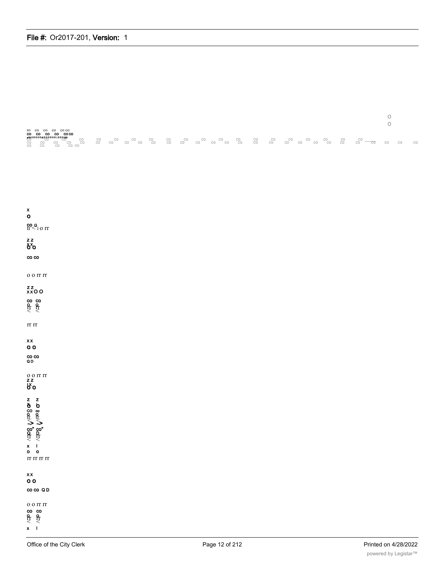|                                                                                                                                                                                                                                                                                                                                                                                                                                    |  |  |  |  |  |  |  |                                    | $\circ$<br>$\circ$ |             |
|------------------------------------------------------------------------------------------------------------------------------------------------------------------------------------------------------------------------------------------------------------------------------------------------------------------------------------------------------------------------------------------------------------------------------------|--|--|--|--|--|--|--|------------------------------------|--------------------|-------------|
| $\begin{array}{ccccccccc} \mathbb{C} & \mathbb{C} & \mathbb{C} & \mathbb{C} & \mathbb{C} & \mathbb{C} & \mathbb{C} & \mathbb{C} & \mathbb{C} & \mathbb{C} & \mathbb{C} & \mathbb{C} & \mathbb{C} & \mathbb{C} & \mathbb{C} & \mathbb{C} & \mathbb{C} & \mathbb{C} & \mathbb{C} & \mathbb{C} & \mathbb{C} & \mathbb{C} & \mathbb{C} & \mathbb{C} & \mathbb{C} & \mathbb{C} & \mathbb{C} & \mathbb{C} & \mathbb{C} & \mathbb{C} & \$ |  |  |  |  |  |  |  | $_{\rm CO}^{\rm CO}$ — $_{\rm CO}$ | $CO$ $CO$          | $_{\rm CO}$ |
|                                                                                                                                                                                                                                                                                                                                                                                                                                    |  |  |  |  |  |  |  |                                    |                    |             |
|                                                                                                                                                                                                                                                                                                                                                                                                                                    |  |  |  |  |  |  |  |                                    |                    |             |
|                                                                                                                                                                                                                                                                                                                                                                                                                                    |  |  |  |  |  |  |  |                                    |                    |             |
| x<br>$\mathbf{o}$                                                                                                                                                                                                                                                                                                                                                                                                                  |  |  |  |  |  |  |  |                                    |                    |             |
| $_{\mathrm{tr}}^{\mathrm{co}}$ q $_{\mathrm{Io}}$                                                                                                                                                                                                                                                                                                                                                                                  |  |  |  |  |  |  |  |                                    |                    |             |
| $\frac{zz}{\delta \delta}$<br>$_{\rm CO}$ $_{\rm CO}$                                                                                                                                                                                                                                                                                                                                                                              |  |  |  |  |  |  |  |                                    |                    |             |
| $\,$ o o rr $\,$ rr                                                                                                                                                                                                                                                                                                                                                                                                                |  |  |  |  |  |  |  |                                    |                    |             |
| $x \times 0$                                                                                                                                                                                                                                                                                                                                                                                                                       |  |  |  |  |  |  |  |                                    |                    |             |
| 80 00<br>0 0<br>2 ∑                                                                                                                                                                                                                                                                                                                                                                                                                |  |  |  |  |  |  |  |                                    |                    |             |
| $\operatorname{rr}$ $\operatorname{rr}$                                                                                                                                                                                                                                                                                                                                                                                            |  |  |  |  |  |  |  |                                    |                    |             |
| XX<br>$\mathbf{o}$                                                                                                                                                                                                                                                                                                                                                                                                                 |  |  |  |  |  |  |  |                                    |                    |             |
| $_{\mathsf{QD}}^{\mathsf{CO}}$                                                                                                                                                                                                                                                                                                                                                                                                     |  |  |  |  |  |  |  |                                    |                    |             |
| o o rr rr<br>z z<br><b>B</b> o                                                                                                                                                                                                                                                                                                                                                                                                     |  |  |  |  |  |  |  |                                    |                    |             |
| ×<br>se⊭⁄\ Šek<br>x Sex                                                                                                                                                                                                                                                                                                                                                                                                            |  |  |  |  |  |  |  |                                    |                    |             |
|                                                                                                                                                                                                                                                                                                                                                                                                                                    |  |  |  |  |  |  |  |                                    |                    |             |
| $\mathbf{x} \in \mathbf{I}$                                                                                                                                                                                                                                                                                                                                                                                                        |  |  |  |  |  |  |  |                                    |                    |             |
| $0$ 0<br>$\operatorname{rr}\operatorname{rr}\operatorname{rr}\operatorname{rr}$                                                                                                                                                                                                                                                                                                                                                    |  |  |  |  |  |  |  |                                    |                    |             |
| $\pmb{\mathsf{x}}\pmb{\mathsf{x}}$<br>$\circ$ $\circ$                                                                                                                                                                                                                                                                                                                                                                              |  |  |  |  |  |  |  |                                    |                    |             |
| $\cos$ co QD                                                                                                                                                                                                                                                                                                                                                                                                                       |  |  |  |  |  |  |  |                                    |                    |             |
| $\,$ o o rr $\,$ rr<br>$\begin{array}{c} 60 & 60 \\ 60 & 60 \\ 80 & 10 \\ x & 1 \end{array}$                                                                                                                                                                                                                                                                                                                                       |  |  |  |  |  |  |  |                                    |                    |             |
|                                                                                                                                                                                                                                                                                                                                                                                                                                    |  |  |  |  |  |  |  |                                    |                    |             |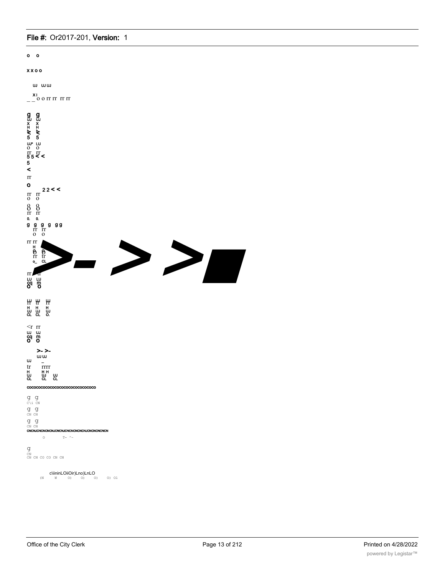

 $\overline{\mathcal{L}}$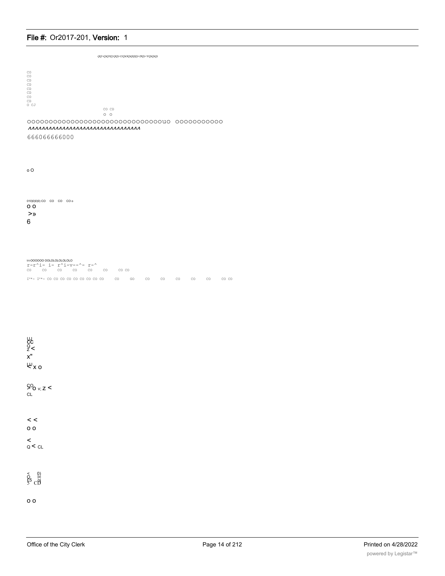$QQ \!\!\geq\!\! Q) Q3 Q) \! \times \! U Q) O Q) Q Q Q) \! \times \! D Q) \! \times \! V Q) Q) Q)$ 

 $\begin{array}{c} \text{CO} \\ \text{O} \end{array}$ 

#### 

#### 

666066666000

 $\circ$  O

 $010)0)0)00$  CO CO CO CO o  $0<sub>0</sub>$  $>$   $\!y$  $\,6\,$ 

 $\begin{array}{lllllll} & r + {\rm{000000~001010101000}} & & \\ & r - r \, ^{\wedge}{\rm{i}} - {\rm{i}} - r \, ^{\wedge}{\rm{i}} - {\rm{v}} - ^{\wedge} - r - ^{\wedge} & & \\ & {\rm{co}} & {\rm{co}} & {\rm{co}} & {\rm{co}} & {\rm{co}} & {\rm{co}} \\ \end{array}$  $CO CO$ 

 $I^{s*}-I^{s*}-$  CO CO CO CO CO CO CO CO CO CO CO  $GO$  $co$  $CO$  $_{\rm CO}$  $CO$   $CO$  $CO CO$ 

 $\mathsf{S^0}\!_{0 \textrm{ v};\, \mathsf{Z}} <$  $CL$ 

 $\,<$   $<$  $\circ$   $\circ$ 

 $<$ <sub>Q</sub> < CL

 $\begin{array}{cc}\n\delta & \frac{0}{2} \\
\frac{5}{5} & \text{CB}\n\end{array}$ 

 $\circ$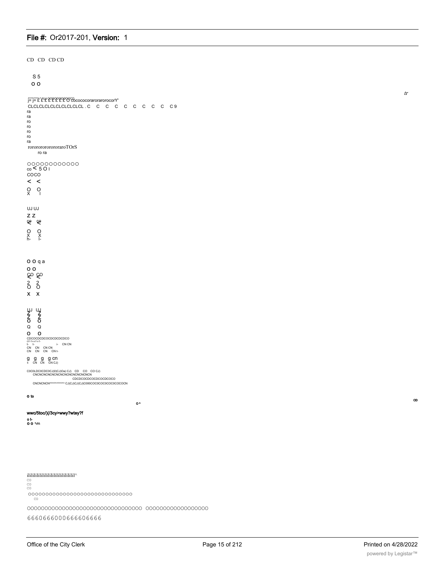CD CD CD CD  $\ensuremath{\mathsf{S}}\xspace$ 5  $\mathsf{o}\,\mathsf{o}$  $ra$ ra<br>ro<br>ro<br>ro ra  $\label{eq:2} \begin{aligned} &\text{rororororor} &\text{orororor} &\text{arco} \text{TOrS} \end{aligned}$ ro ra 00000000000<br>∞ < 501  $\rm{coco}$  $\,<\,$   $\,<\,$  $\underset{X}{\mathrm{O}}$  $\overline{Q}$ UJ UJ Z Z <u>୧</u> ୧ O<br>X<br>h- $\begin{matrix} 0 \\ X \\ Y \end{matrix}$  $00qa$  $\circ$   $\circ$ ණ හ  $rac{2}{6}$   $rac{2}{6}$  $x \times$ BANO O O  $\underset{t-}{\mathbf{g}}\ \underset{C\mathsf{N}}{\mathbf{g}}\ \underset{C\mathsf{N}}{\mathbf{g}}\ \underset{C\mathsf{N}}{\mathbf{g}}\ \underset{C\mathsf{N}}{\mathbf{c}}\ \underset{C\mathsf{N}}{\mathbf{g}}\ \underset{D}{\mathbf{c}}$ COCOLDCOCDCOCJ)O(CJ)Oa) CJ) CD CO CO CJ)<br>CNCNCNCNCNCNCNCNCNCNCNCNCNCNCNCNC

CDCDCOCDCOCDCOCDCOCOCOCOCOCOCOCO

#### o to

wwc/5toc/)(/3cy>wwy?wtey?f

 $0046$ 

 $\begin{array}{c}\n111 \\
00 \\
00 \\
00\n\end{array}$ 

 $_{\rm co}$ 

 $\mathbf{o}$ 

6660666000666606666

<sub>co</sub>

 $\sqrt{t}$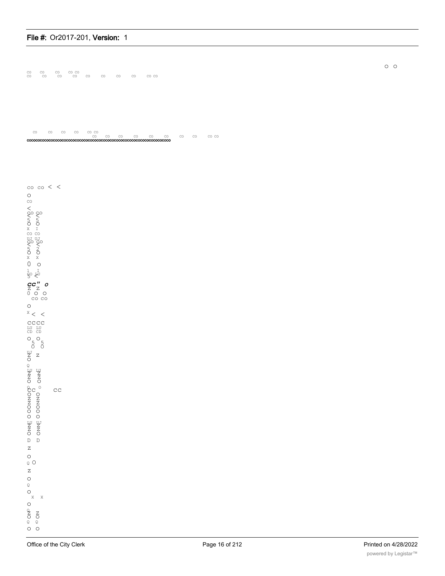CO CO CO CO CO CO CO CO CO CO CO CO CO CO CO

CO CO CO CO CO CO CO CO CO CO CO CO CO CO CO CO COCOCOCOCOCOCOCOCOCOCOCOCOCOCOCOCOCOCOCOCOCOCOCOCOCOCOCOCOCOCOCOCO

o o

# $\cos$  co  $\lt$   $\lt$ x oo xee 8 xoo xee 8 0<br>xoo co xoo co xoo xaala x<br>xoo xaas 8 xoo xa 0 o  $rac{1}{5}$   $\zeta$ <sup>1</sup> *cc" 0*<br>0 0 0<br>co co o  $x <$  < CCCC<br>LU LU<br>CD CD o o 5 5 O O UJ z z o Q LU LU z z z z o o  $\begin{array}{ccc} 0 & 0 & 0 \\ 0 & 0 & 0 \\ 0 & 0 & 0 \\ 0 & 0 & 0 \end{array}$ LU UJ z z z z o o D D z o <sup>Q</sup> O z o Q o  $\mathbf{x}$ o Q z z o o Q Q o o Office of the City Clerk **Page 16 of 212** Printed on 4/28/2022 Printed on 4/28/2022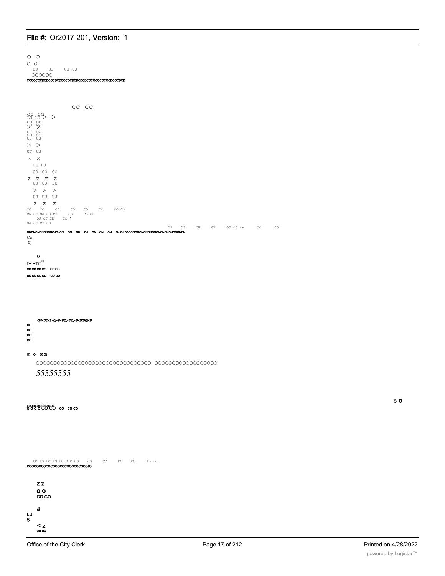o o O OUJ UJ UJ UJ

OOOOOO COCOCOCDCDCOCDCDCOCOCDCDCDCDCDCOCOCOCOCDCOCDCD

cc cc co co<br>Co co<br>Co Co Co<br>En Lu <sub>U</sub><br>Lu <sub>U</sub>U<br>Lu UJ > > > UJ UJ z z LU LU CO CO CO  $Z$   $Z$   $Z$   $Z$ <br> $UJ$   $UJ$   $LU$  $>$  > > UJ UJ UJ z z z CO CO CO CD CO CO CO CO CN OJ OJ CN CD CD CO CD OJ OJ CD CO ' OJ OJ CD CD CN CN CN CN OJ OJ t- CO CO ' CNCNCNCNCNCNOJOJCN CN CN OJ CN CN CN OJ OJ ^COCOCOCNCNCNCNCNCNCNCNCNCNCN Cu 0) o t- -nt" CD CD CD CO CD CO CO CN CN CO CO CO

|   | Q)0 <do<l>Q)<d<dq)<dq)<d<d<d(dq)<d< th=""></d<dq)<dq)<d<d<d(dq)<d<></do<l> |
|---|----------------------------------------------------------------------------|
| œ |                                                                            |
| ൦ |                                                                            |
| œ |                                                                            |
| ၸ |                                                                            |

O) O) O) O)

OOOOOOOOOOOOOOOOOOOOOOOOOOOOOOOOO OOOOOOOOOOOOOOOOOO

#### 55555555

LOUDLOlOlOlOlOLO o o o o CO CO co co co

o o

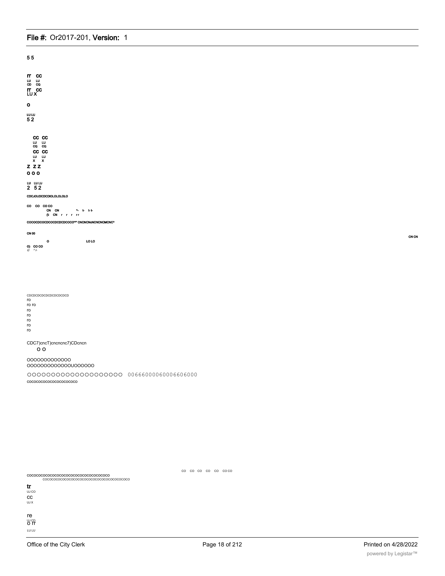| 55                                                                                                                                                                                                                                                                                                                                                                                                                                                                           |              |
|------------------------------------------------------------------------------------------------------------------------------------------------------------------------------------------------------------------------------------------------------------------------------------------------------------------------------------------------------------------------------------------------------------------------------------------------------------------------------|--------------|
| $\begin{array}{cc}\n\frac{1}{2} & \text{or} \\ \frac{1}{2} & \text{or} \\ \frac{1}{2} & \text{or} \\ \frac{1}{2} & \text{or} \\ \frac{1}{2} & \text{or} \\ \frac{1}{2} & \text{or} \\ \frac{1}{2} & \text{or} \\ \frac{1}{2} & \text{or} \\ \frac{1}{2} & \text{or} \\ \frac{1}{2} & \text{or} \\ \frac{1}{2} & \text{or} \\ \frac{1}{2} & \text{or} \\ \frac{1}{2} & \text{or} \\ \frac{1}{2} & \text{or} \\ \frac{1}{2} & \text{or} \\ \frac$<br>$\lim_{\text{LU} \times}$ |              |
| $\mathbf{o}$                                                                                                                                                                                                                                                                                                                                                                                                                                                                 |              |
| $\frac{10}{5}$                                                                                                                                                                                                                                                                                                                                                                                                                                                               |              |
| $\begin{array}{cc} \hbox{cc} & \hbox{cc} \\ \hbox{cc} & \hbox{cc} \\ \hbox{cc} & \hbox{cc} \end{array}$<br>$x \over x$ is<br>Z Z Z<br>000                                                                                                                                                                                                                                                                                                                                    |              |
| $\begin{array}{c} 0 \\ 2 \end{array}$                                                                                                                                                                                                                                                                                                                                                                                                                                        |              |
| CDCJOUDCDCDIOLOLOLOLO                                                                                                                                                                                                                                                                                                                                                                                                                                                        |              |
| co co coco<br>CN CN<br>$\sim$ + ++<br>(VCN FFFFF                                                                                                                                                                                                                                                                                                                                                                                                                             |              |
| COCOCDCOCDCOCDCDCDCOCO <sup>AM</sup> CNCNCNcNCNCNCMCNC <sup>A</sup>                                                                                                                                                                                                                                                                                                                                                                                                          |              |
| CN 00                                                                                                                                                                                                                                                                                                                                                                                                                                                                        | <b>CN CN</b> |
| LOLO<br>$\bullet$<br>0) COCO                                                                                                                                                                                                                                                                                                                                                                                                                                                 |              |
|                                                                                                                                                                                                                                                                                                                                                                                                                                                                              |              |

| CDCDCDCDCDCDCDCDCDCD      |
|---------------------------|
| ro                        |
| ro ro                     |
| ro                        |
| ro                        |
| ro                        |
| ro                        |
| ro                        |
|                           |
| CDC7)cncT)cncncnc7)CDcncn |

 $0<sub>0</sub>$ 

0000000000000 000000000000000000000

 ${\tt cocococococococococococococ}$ 

 $\mathbf{tr}$  where  $\frac{CC}{U}$ 

 $re$ o fr LU LU co co co co co coco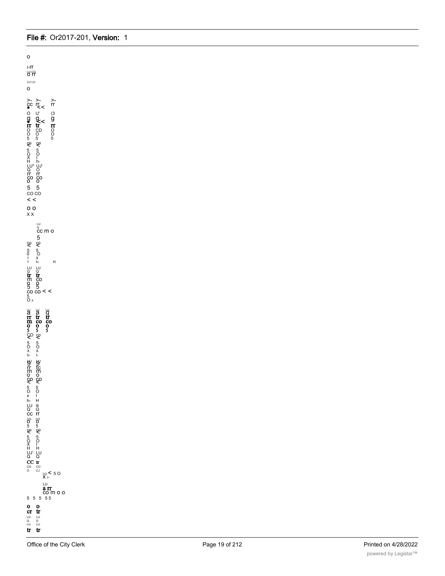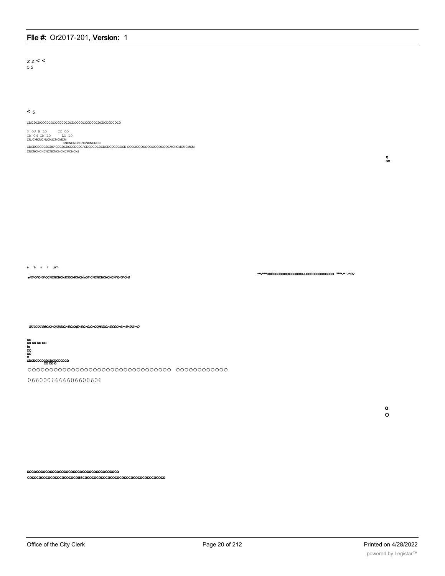$z <$ 5 5

 $\leq$  5

CDiCDCDCOCDCOCOCDCDCDCDCOCOCOCDCOCDCDCDCDCDCD

N OJ N LO CO CO CM CM CM LO LO LO CNJCMCMCNJCNJCMCMCM CNCNCNCNCNCNCNCNCN CDCDCDCDCDCDC^CDCDCDCDCDCDC^CDCDCDCDCDCDCDCDCOCD OOOOOOOOOOOOOOOOOOCMCNCMCMCMCM

CNCNCNCNCNCNCNCNCNCNCNCNJ

o CM

^"V"^"COCDCOCOCOCOCOCDC\JLOCDCDCDCOCOCO WU'A "' 1-"CV

1- T- f- f- LO T-

■^O^O^O^O^OCNCNCNCNJCOCNlCNCNlcOT-CNCNCNCNCNCN^O^O^O'-tf

QiC0COCO®O)Q>Q)G)G)Q)<DQ)Ql(D<DQ>Q)Q>QQ)®Q)Q)<DCDO>G><D<DQ><D

CO CD CD CO CO to CO CO O CDCDCDCDCDCDCDCDCDCD CO CO O

ooooooooooooooooooooooooooooooooo oooooooooooo 0660006666606600606

> o O

cocococococococococococococococococococo

cococococococococococoascocococococococococococococococococo

z z z z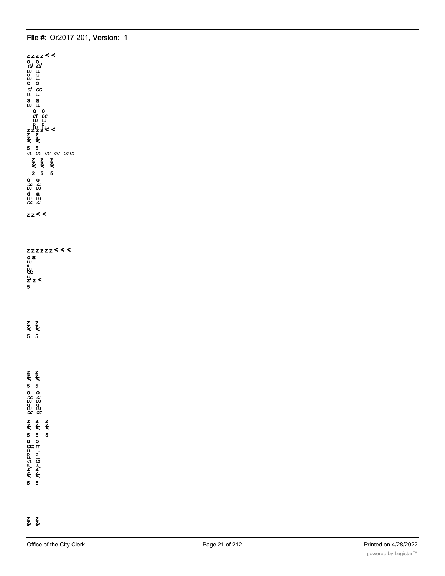| $\begin{bmatrix} a & a \\ w & w \end{bmatrix}$<br>5 5<br>a cc cc cc cc a<br>$\begin{array}{ccc} 2 & 2 & 2 \\ 2 & 5 & 5 \end{array}$<br>0 이 이 이 이 있<br>이 이 이 이 이 있<br>이 이 이 이 있<br>zz < 1 |  |  |
|------------------------------------------------------------------------------------------------------------------------------------------------------------------------------------------|--|--|
| zzzzzz<<<<br>$\frac{1}{2}$ a:<br>$\frac{1}{2}$ z <<br>5                                                                                                                                  |  |  |
| <b>そそう</b>                                                                                                                                                                               |  |  |
| 8문이들 이 WW<br>8도이드 이 MW<br>AM ANYFREPERS of the Mark<br>AMYFREPERS of the Mark<br>5<br>$\frac{z}{5}$                                                                                      |  |  |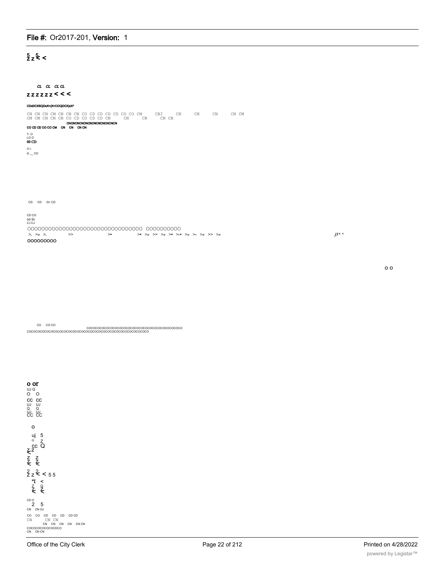# 5 5 z z < <

CL CL CL CL

z z z z z z < < <

CDcDCX5CjOcX>(X>COCjOCX)cX^

CN CN CN CM CN CN CN CO CD CD CD CD CO CO CM CNI CN CN CN CN CM CM CM CN CN CN CO CD CO CD CD CN CN CN CN CN

### CNCNCNCNCNCNCNCNCNCNCNCNCNCNCN<br>CO CD CD CO CO CM CN CN CN CN CN

T- 0<br>LO 0<br>**00 CD** 

O i-o ,\_ CO

CD CD Q> CD

CD CO co to CJ CJ

OOOOOOOOOOOOOOOOOOOOOOOOOOOOOOOOO OOOOOOOOOO *>. >» >. >> >• >• >» >> >» >• >-• >» >- >» >> >» j5\* ^* ooooooooo

o o

CO CO CO COCOCOCOCOCOCOCOCOCOCOCOCOCOCOCOCOCOCOCOCOCO COCOCOCOCOCOCOCOCOCOCOCOCOCOCOCOCOCOCOCOCOCOCOCOCOCOCOCO

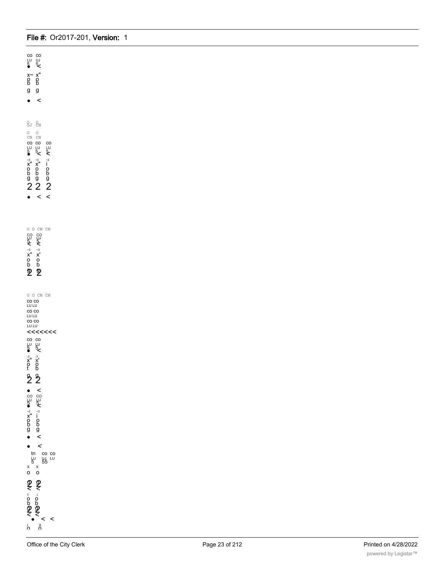|                                                                                                                                                                                                                                                                       | File #: Or2017-201, Version: 1 |  |  |  |
|-----------------------------------------------------------------------------------------------------------------------------------------------------------------------------------------------------------------------------------------------------------------------|--------------------------------|--|--|--|
| $\begin{array}{c} 1000 \\ 2000 \\ 2000 \\ \hline 500 \end{array}$                                                                                                                                                                                                     |                                |  |  |  |
| $\mathop{\mathrm{g}}\nolimits^ \mathop{\mathrm{g}}\nolimits^{\mathrm{w}}$<br>g g<br>$\bullet$ <                                                                                                                                                                       |                                |  |  |  |
| $00$ $CN$<br>$\circ$ $\circ$<br>$\mathbb{C}\mathbb{N}$ – $\mathbb{C}\mathbb{N}$<br>CO CO<br>$\mathsf{co}$<br>$rac{10}{3}$ $rac{10}{5}$<br>$\tilde{\xi}$<br><b>SASES</b><br>BODDE<br>DODDE<br>$\tilde{i}$<br>$b^{\circ}$<br>$\frac{9}{2}$<br>$\bullet \quad < \quad <$ |                                |  |  |  |
| $\circ$ $\circ$ $\circ$ $\circ$ $\circ$ $\circ$ $\circ$<br>S3M TAO X TOOK<br>22                                                                                                                                                                                       |                                |  |  |  |
| O O CN CN<br>co co<br>LU LU<br>CO CO<br>LU LU<br>co co<br>LU LU<br><<<<<<<br>CO CO<br>$rac{1}{2}$                                                                                                                                                                     |                                |  |  |  |
| V<br>"Xoa ch V 832V ?_oaon V V 326<br>"Xoa ch V 832V ?_oaon V V 326<br>"Xoa ch V 8300 % V V D V X O GN -oaGN "                                                                                                                                                        |                                |  |  |  |
|                                                                                                                                                                                                                                                                       |                                |  |  |  |
|                                                                                                                                                                                                                                                                       |                                |  |  |  |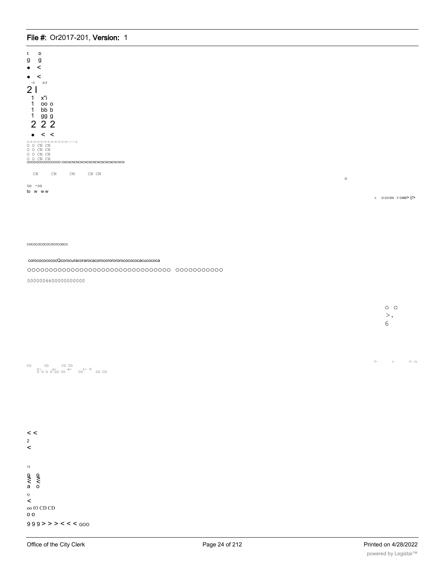| τ<br>D<br>g<br>g                                                                                     |
|------------------------------------------------------------------------------------------------------|
| $\prec$<br>$\bullet$                                                                                 |
| ≺                                                                                                    |
| $-3-3$<br>$\sim3$                                                                                    |
| 21                                                                                                   |
| x"i<br>$\mathbf{1}$                                                                                  |
| $\mathbf{1}$<br>00 0                                                                                 |
| 1<br>bb b                                                                                            |
| 1<br>gg g                                                                                            |
| 222                                                                                                  |
|                                                                                                      |
| $\bullet$ < <                                                                                        |
| $T - T - T - T - T - T - T - T - T - T - T - T - - - - - - 0$<br>O O CN CN<br>O O CN CN<br>O O CN CN |
| O O CN CN                                                                                            |
|                                                                                                      |
| CN<br>CN<br><b>CN</b><br>CN CN                                                                       |
| CO ^CO                                                                                               |

to w w w

 $t-$  O CO EN  $t$ " CMO $>$  (/>

o o  $>$  . 6

O

#### COCOCOCOCOCOCOCO0CO

#### corocococococQcorocuracorarocacorocororororococococacucococa

#### ooooooooooooooooooooooooooooooooo ooooooooooo

0000006600000000000

 $T^+$  1-  $T^+$  0) CO CO CO CO t- y- »- 1- O O O O O LO CO CO CO CO

2  $\,<$ 13 9 9 > > < < a o Q < oo 03 CD CD o o 9 9 9 > > > < < < GOO

 $\,<$   $<$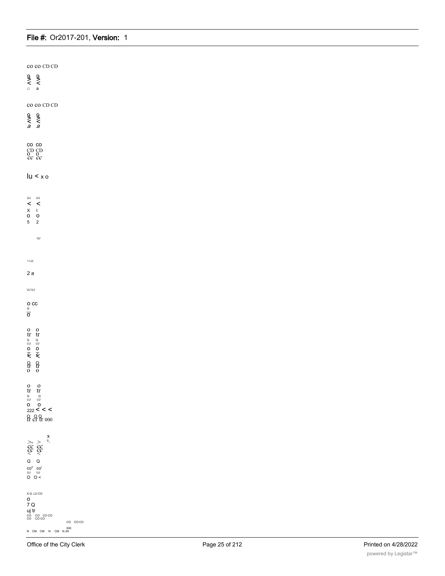| co co CD CD                                                                                                                                                                                                                                                                                                                                    |                |                      |
|------------------------------------------------------------------------------------------------------------------------------------------------------------------------------------------------------------------------------------------------------------------------------------------------------------------------------------------------|----------------|----------------------|
| $\begin{matrix} 1 \\ 1 \\ 0 \\ 0 \\ 0 \end{matrix}$                                                                                                                                                                                                                                                                                            |                |                      |
| co co CD CD                                                                                                                                                                                                                                                                                                                                    |                |                      |
| $\begin{array}{c}\n 9 \\  \times \\  2 \\  4\n \end{array}$                                                                                                                                                                                                                                                                                    |                |                      |
| $\begin{array}{c} \text{co} \ \text{co} \\ \text{CD} \ \text{CD} \\ \text{O} \\ \text{C} \\ \text{C} \\ \text{C} \\ \end{array}$                                                                                                                                                                                                               |                |                      |
| lu < x o                                                                                                                                                                                                                                                                                                                                       |                |                      |
| $\mathsf{U}\mathsf{J} \qquad \mathsf{U}\mathsf{J}$<br>$\langle \ \ \times$<br>$X \cup$<br>$0$ 0<br>5 <sub>2</sub>                                                                                                                                                                                                                              |                |                      |
| ${\sf U}{\sf J}$                                                                                                                                                                                                                                                                                                                               |                |                      |
| $<$ LU $\,$                                                                                                                                                                                                                                                                                                                                    |                |                      |
| 2a                                                                                                                                                                                                                                                                                                                                             |                |                      |
| UJ UJ                                                                                                                                                                                                                                                                                                                                          |                |                      |
| $\mathop{\mathsf{G}}^\mathsf{G}_\mathfrak{g}$                                                                                                                                                                                                                                                                                                  |                |                      |
| $\begin{matrix} 0 & 0 \end{matrix}$<br>$\begin{array}{ccc}\n\text{tr} & \text{tr} \\ \text{c} & \text{a} \\ \text{w} & \text{w}\n\end{array}$<br>$0$ 0<br>$z \overline{z}$<br>$\begin{smallmatrix} \mathbf{Q} & \mathbf{Q} \\ \mathbf{f}\mathbf{r} & \mathbf{f}\mathbf{r} \\ \mathbf{O} & \mathbf{O} \end{smallmatrix}$                        |                |                      |
| $\frac{0}{\text{tr}}$<br>$\mathbf{o}$<br>$\mathop{\rm tr}\limits_{\mathop{\rm G}\limits_{\scriptscriptstyle{\rm LU}}}$<br>$\overset{\text{\tiny Q}}{\llcorner\!\! \uplus}$<br>$\begin{array}{c} 0 & 0 \\ 222 & < < < \end{array}$<br>$\overset{\mathsf{O}}{\mathrm{tr}}\overset{\mathsf{O}}{\mathrm{cr}}\overset{\mathsf{O}}{\mathrm{tr}}$ 000 |                |                      |
| $\begin{array}{c}\n\sum_{c\subset c\ c\in\mathcal{C}}\n\searrow c\infty\n\end{array}$                                                                                                                                                                                                                                                          |                |                      |
| $\begin{matrix} \mathsf{Q} & \mathsf{Q} \end{matrix}$<br>$\begin{matrix} 0 & 0 \\ 0 & 0 \\ 0 & 0 \end{matrix}$<br>0 0 <                                                                                                                                                                                                                        |                |                      |
| $\boldsymbol{\mathsf{X}}$ Q. LU CO<br>$\mathsf{o}$<br>7 Q<br>$\begin{array}{l} \text{uj tr} \\ \text{co} \quad \text{co} \quad \text{co} \text{co} \\ \text{co} \quad \text{co} \text{co} \end{array}$<br>CO <sub>CO</sub> CO<br>$_{000}$<br>N CM CM N CM N JN                                                                                 |                |                      |
| Office of the City Clerk                                                                                                                                                                                                                                                                                                                       | Page 25 of 212 | Printed on 4/28/2022 |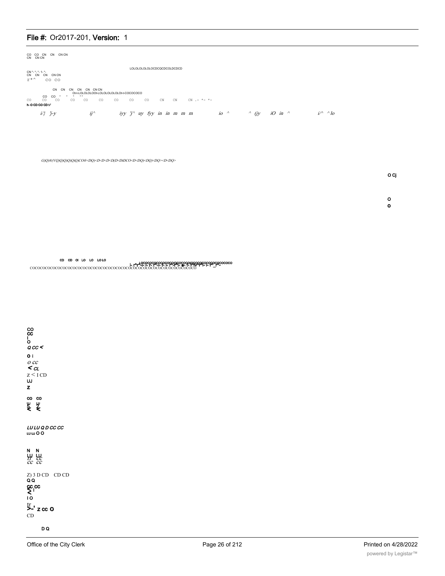| CN CN CN<br>CO CO CN<br>CN CN CN                                                                                                                                                                   |                                                                                    |                   |
|----------------------------------------------------------------------------------------------------------------------------------------------------------------------------------------------------|------------------------------------------------------------------------------------|-------------------|
| CN 1-1-1-1-1-<br>CN CN CN<br>CN CN<br>$r^{\star \wedge}$<br>CO CO                                                                                                                                  | LOLOLOLOLOLOCDCQCDCOLDCDCD                                                         |                   |
| CN<br>CN CN CN CN CN<br><b>CN</b><br>Ot-t-LOLOLOLOOt-LOLOLOLOLOLOt-t-COCOCOCO<br>$\cdots$<br>CO <sup>2</sup><br>CO.<br>$\bullet$<br>CO.<br>CO.<br>CO.<br>CO.<br>CO.<br>CO.<br>CO.<br>h-OCD COCD to | CO.<br>CN<br>CO.<br>CN<br>$CN - * - * -$                                           |                   |
| $jj^{\wedge}$<br>$i'$ } 'j-y                                                                                                                                                                       | $10^{-4}$<br>iyy 'j $\wedge$ uy fyy in in m m m<br>$\land$ (iy<br>$iO$ in $\wedge$ | $i^{\wedge}$ ^ lo |

G)Q)®(VQ)Q)Q)Q)Q)Q)CO®<DQ)<D<D<D<D(D<DtDCO<D<DQ)<DQ)<DQ><D<DQ>

O Cj

O

o

 $\begin{array}{l} {\textbf{0}} \textbf{10} \textbf{10} \textbf{10} \textbf{10} \textbf{10} \textbf{10} \textbf{10} \textbf{10} \textbf{10} \textbf{10} \textbf{10} \textbf{10} \textbf{10} \textbf{10} \textbf{10} \textbf{10} \textbf{10} \textbf{0} \textbf{0} \textbf{0} \textbf{0} \textbf{0} \textbf{1} \textbf{1} \textbf{1} \textbf{1} \textbf{1} \textbf{1} \textbf{1} \textbf{1} \textbf{1} \textbf{$ 



*LU LU Q D CC CC*<br>ພພ O O

# N N<br>LU LU<br>*CC CC*<br>CC CC

Z) 3 D CD CD CD<br>Q Q<br>Q CC<br>**Z** I<br>I O tr>-' z cc <sup>o</sup> CD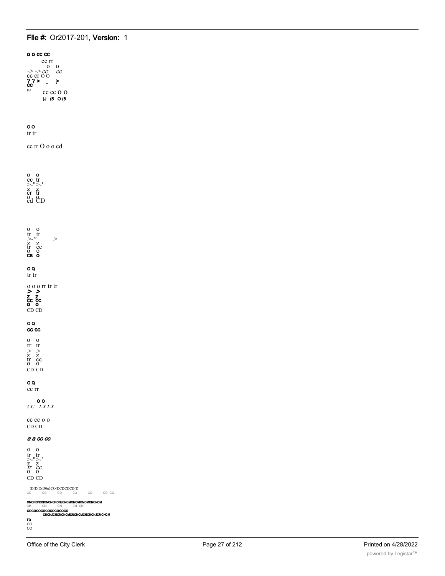| 00000                                                                                                                                                                                                                                                                                                                                                                                                                                                                                                                             |  |
|-----------------------------------------------------------------------------------------------------------------------------------------------------------------------------------------------------------------------------------------------------------------------------------------------------------------------------------------------------------------------------------------------------------------------------------------------------------------------------------------------------------------------------------|--|
| $c \text{ or } c \text{ or } c$<br>$c > 0$<br>$c > 0$<br>$c \text{ or } 0$<br>$c \text{ or } 0$<br>$c \text{ or } 0$<br>$c \text{ or } 0$                                                                                                                                                                                                                                                                                                                                                                                         |  |
|                                                                                                                                                                                                                                                                                                                                                                                                                                                                                                                                   |  |
| cc cc O O<br>(J (5 O(5                                                                                                                                                                                                                                                                                                                                                                                                                                                                                                            |  |
|                                                                                                                                                                                                                                                                                                                                                                                                                                                                                                                                   |  |
| $\circ$<br>$tr$ $tr$                                                                                                                                                                                                                                                                                                                                                                                                                                                                                                              |  |
| $\rm cc$ tr $\rm O$ o o $\rm cd$                                                                                                                                                                                                                                                                                                                                                                                                                                                                                                  |  |
|                                                                                                                                                                                                                                                                                                                                                                                                                                                                                                                                   |  |
|                                                                                                                                                                                                                                                                                                                                                                                                                                                                                                                                   |  |
| $\begin{array}{c} 0 & 0 \\ \text{cc tr} \\ \text{2. } \text{z} \\ \text{2. } \text{c} \\ \text{0. } \text{c} \\ \text{0. } \text{CD} \end{array}$                                                                                                                                                                                                                                                                                                                                                                                 |  |
|                                                                                                                                                                                                                                                                                                                                                                                                                                                                                                                                   |  |
|                                                                                                                                                                                                                                                                                                                                                                                                                                                                                                                                   |  |
| $0 \text{ tr }$<br>$\frac{1}{2}$<br>$\frac{1}{2}$<br>$\frac{1}{2}$<br>$\frac{1}{2}$<br>$\frac{1}{2}$<br>$\frac{1}{2}$<br>$\frac{1}{2}$<br>$\frac{1}{2}$<br>$\frac{1}{2}$<br>$\frac{1}{2}$<br>$\frac{1}{2}$<br>$\frac{1}{2}$<br>$\frac{1}{2}$<br>$\frac{1}{2}$<br>$\frac{1}{2}$<br>$\frac{1}{2}$<br>$\frac{1}{2}$<br>$\frac{1}{2}$<br>$\frac{1}{2}$<br>$\$<br>$\geq$                                                                                                                                                               |  |
|                                                                                                                                                                                                                                                                                                                                                                                                                                                                                                                                   |  |
| QQ                                                                                                                                                                                                                                                                                                                                                                                                                                                                                                                                |  |
| $\mathop{\mathrm{tr}}\nolimits$ tr                                                                                                                                                                                                                                                                                                                                                                                                                                                                                                |  |
| 0 0 0 m tr tr<br>> ><br>z<br>z<br>c<br>c<br>0 0<br>C<br>D C<br>D                                                                                                                                                                                                                                                                                                                                                                                                                                                                  |  |
|                                                                                                                                                                                                                                                                                                                                                                                                                                                                                                                                   |  |
| QQ<br>$_{\rm cc}$ $_{\rm cc}$                                                                                                                                                                                                                                                                                                                                                                                                                                                                                                     |  |
|                                                                                                                                                                                                                                                                                                                                                                                                                                                                                                                                   |  |
|                                                                                                                                                                                                                                                                                                                                                                                                                                                                                                                                   |  |
| $CD$ $CD$                                                                                                                                                                                                                                                                                                                                                                                                                                                                                                                         |  |
| QQ<br>cc rr                                                                                                                                                                                                                                                                                                                                                                                                                                                                                                                       |  |
| 0 <sub>o</sub><br>$CC\_LXLX$                                                                                                                                                                                                                                                                                                                                                                                                                                                                                                      |  |
| cc cc o o<br>CD CD                                                                                                                                                                                                                                                                                                                                                                                                                                                                                                                |  |
| a a cc cc                                                                                                                                                                                                                                                                                                                                                                                                                                                                                                                         |  |
| $0\quad 0$                                                                                                                                                                                                                                                                                                                                                                                                                                                                                                                        |  |
| $\begin{array}{c}\n\text{if } \text{if } \\ \text{or } \\ \text{if } \\ \text{if } \\ \text{if } \\ \text{if } \\ \text{if } \\ \text{if } \\ \text{if } \\ \text{if } \\ \text{if } \\ \text{if } \\ \text{if } \\ \text{if } \\ \text{if } \\ \text{if } \\ \text{if } \\ \text{if } \\ \text{if } \\ \text{if } \\ \text{if } \\ \text{if } \\ \text{if } \\ \text{if } \\ \text{if } \\ \text{if } \\ \text{if } \\ \text{if } \\ \text{if } \\ \text{if } \\ \text{if } \\ \text{if } \\ \text{if } \\ \text{if } \\ \text{$ |  |
| $\mathop{\rm CD}$ $\mathop{\rm CD}$                                                                                                                                                                                                                                                                                                                                                                                                                                                                                               |  |
| $\begin{array}{cc} (D(D(O(D0u3CO(DCDCDCDCD)) \\ CO & CO & CO & CO \end{array}$<br>CO<br>CO <sub>CO</sub><br>CMCNCNCNCNCNCNCNJCNCMCMCMCMCMCNCNCNCM                                                                                                                                                                                                                                                                                                                                                                                 |  |
| ${\tt CM} \qquad {\tt CM} \qquad {\tt CM} \qquad {\tt CM} \qquad {\tt CM} \qquad {\tt CM}$<br>CNCNJCNCNCNCMCNCNCNCNCNCNCNJCMCNCM                                                                                                                                                                                                                                                                                                                                                                                                  |  |
| ro<br>CO<br>$_{\rm CO}$                                                                                                                                                                                                                                                                                                                                                                                                                                                                                                           |  |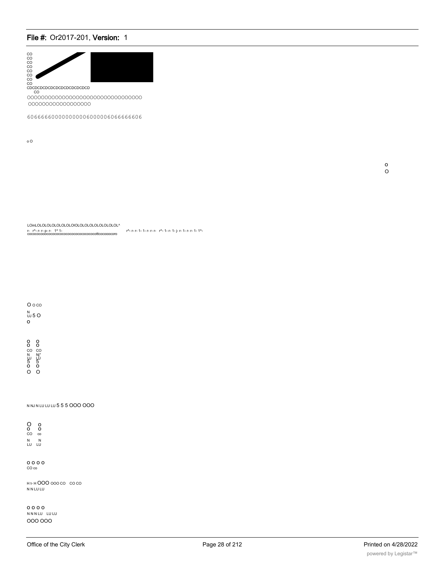

606666600000000006000006066666606

o O

o O

LOinLOLOLOLOLOLOLOLOIOLOLOLOLOLOLOLOLOL^ r- r^- r- r- p- r- 1^ 1- r^- r- r- 1- 1- r- r- r- r^- 1- r- 1- j- r- 1- r- r- 1- 1^- cocococooocococococococococococococottcocooocoro

O O CO N UJ 5 O o

**o o**<br>Co Co<br>UJ Nj"<br>UJ LU <sup>5</sup> <sup>5</sup> <sup>o</sup> <sup>o</sup> O O

N NJ N LU LU LU 5 5 5 OOO OOO

# <sup>O</sup> <sup>o</sup> <sup>o</sup> <sup>o</sup> CO co N N LU LU

o o o o CO co

H t- H OOO OOO CO CO CO N N LU LU

o o o o N N N LU LU LU OOO OOO

h- I-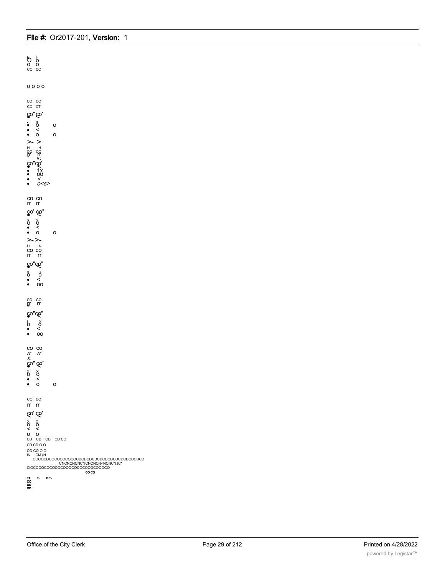| $\begin{array}{c} 0 \\ 0 \\ 0 \\ \hline \end{array}$                                                                                                                                                                                                                                                                                                                                                                                                               |
|--------------------------------------------------------------------------------------------------------------------------------------------------------------------------------------------------------------------------------------------------------------------------------------------------------------------------------------------------------------------------------------------------------------------------------------------------------------------|
| $0000$                                                                                                                                                                                                                                                                                                                                                                                                                                                             |
| $\begin{array}{ccc} \text{CO} & \text{CO} \\ \text{CC} & \text{CT} \end{array}$<br>$\mathsf{o}$<br>$\circ$<br>$\frac{1}{2}$<br>$\frac{1}{2}$<br>$\frac{1}{2}$<br>$\frac{1}{2}$<br>$\frac{1}{2}$<br>$\frac{1}{2}$<br>$\frac{1}{2}$<br>$\frac{1}{2}$<br>$\frac{1}{2}$<br>$\frac{1}{2}$<br>$\frac{1}{2}$<br>$\frac{1}{2}$<br>$\frac{1}{2}$<br>$\frac{1}{2}$<br>$\frac{1}{2}$<br>$\frac{1}{2}$<br>$\frac{1}{2}$<br>$\frac{1}{2}$<br>$\frac{1}{2}$<br>$\frac{1}{2}$<br> |
| co co<br>rr rr<br>$\begin{array}{c} 8^{\circ} \cdot 6^{\circ} \\ 8^{\circ} \cdot 8 \\ 1^{\circ} \cdot 8 \\ 0^{\circ} \end{array}$<br>$\circ$<br>$>->-$<br>$\frac{H}{C}$ of co<br>$\frac{F}{C}$ or $\frac{F}{C}$<br>$\begin{array}{ccc}\n & \circ & \circ & \circ \\  & \circ & \circ & \circ \\  & \circ & \circ & \circ \\  & \circ & \circ & \circ\n\end{array}$<br>$\bullet$ 00                                                                                 |
| $\overset{\text{co}}{\mathfrak{p}}\overset{\text{co}}{\mathfrak{r}}$<br>$\begin{array}{ccc} & \text{SO}^n\text{CO}^n \\ \text{O} & \text{O} & \text{O} \\ \text{O} & \text{O} & \text{O} \\ \text{O} & \text{O} & \text{O} \end{array}$                                                                                                                                                                                                                            |
| င္၀ င္၀ $\frac{rr}{r}$<br>$\frac{X}{\mathbf{S}^{\mathbf{O}}}$ " င္ဆစ"<br>$\sum_{i=1}^{x}$<br>$\overline{\mathbf{O}}$<br>$\mathsf{o}$<br>$\bullet$                                                                                                                                                                                                                                                                                                                  |
| CO CO<br>$rr$ $rr$<br>ණු, රු,<br>$\begin{matrix} \check{\circ} & \check{\circ} \\ \circ & \circ \end{matrix}$<br>$0$ 0<br>CD CD CD CD CO<br>CD CD O O<br>CO CO O O<br>IN CM (N<br>CNCNCNCNCNCNCNCN <ncncnjc^<br>CIOCOCOCOCOCOCOOOCOCOCOCOCOOOCO<br/><math>\cos</math><br/><math>T = 0T</math><br/><math>{}^{128}</math></ncncnjc^<br>                                                                                                                              |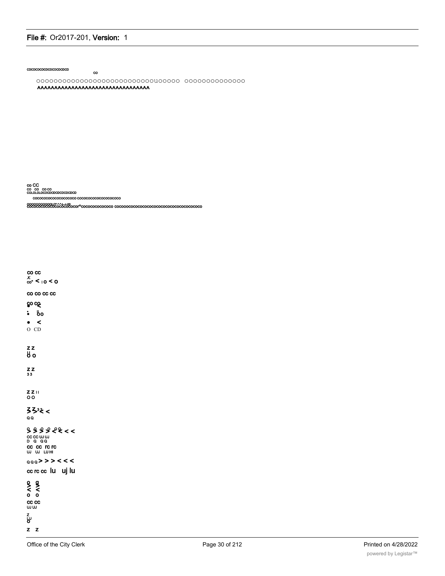$\infty$ 

 ${\tt COCDCDCDCDCDCDCDCDCD}$ 

 $\label{eq:10} \begin{minipage}{0.03\textwidth} \begin{tabular}{l} \multicolumn{1}{c} {\textbf{A}} & \multicolumn{1}{c} {\textbf{A}} & \multicolumn{1}{c} {\textbf{A}} \\ \multicolumn{1}{c} {\textbf{A}} & \multicolumn{1}{c} {\textbf{A}} & \multicolumn{1}{c} {\textbf{A}} \\ \multicolumn{1}{c} {\textbf{A}} & \multicolumn{1}{c} {\textbf{A}} & \multicolumn{1}{c} {\textbf{A}} \\ \multicolumn{1}{c} {\textbf{A}} & \multicolumn{1}{c} {\textbf{A}} & \multicolumn{1}{c} {\textbf{$ 

co CC<br>co co co co<br>colololocpcpcpcpcpcpcpcp 

 $\overline{\text{co}}$   $\overline{\text{cc}}$  $x^2$  < 10 < 0 co co cc cc ço co  $\cdot$  bo  $\bullet$  <  $O$  CD zz<br>bo  $\begin{array}{c} \mathsf{Z} \ \mathsf{Z} \\ 33 \end{array}$  $\begin{array}{c} 2 Z \parallel \\ O \vert 0 \end{array}$  $3332 <$  $\mathsf{Q}\,\mathsf{Q}$ D a da<br>CCCMM<br>D a da  $\begin{array}{l} {\rm cc} \hspace{0.2cm} {\rm cc} \hspace{0.2cm} {\rm cc} \hspace{0.2cm} {\rm rc} \hspace{0.2cm} {\rm rc} \hspace{0.2cm} \\ {\rm w} \hspace{0.2cm} \hspace{0.2cm} {\rm w} \hspace{0.2cm} {\rm L} \hspace{0.2cm} {\rm u} \hspace{0.2cm} {\rm m} \end{array}$  $_{\text{qqq}}$ >><<< cc rc cc lu uj lu avvo<br>ovvo **cc cc**<br>ພພ ے<br>و  $Z$   $Z$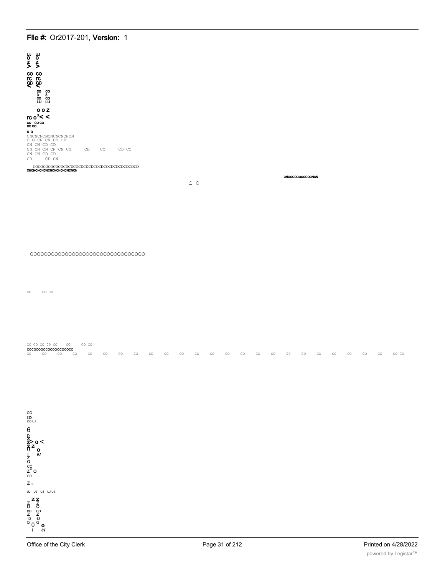| <b>BoxA</b>                                                          |     |                  |
|----------------------------------------------------------------------|-----|------------------|
| 828<br>828                                                           |     |                  |
| 8<br>83<br>10<br>10<br>10                                            |     |                  |
| 00Z<br>$\text{rc}\,\text{o}^3$ <<br>co coco                          |     |                  |
| $^{\circ}$<br>CNCNCNCNCNCNCNCNCN<br>O O CN CN CO CD<br>CN CN CD CD   |     |                  |
| CN CN CN CN CN CO<br>CD<br>CO<br>CD CO<br>CN CN CD CD<br>CD CN<br>CD |     |                  |
| CNCNCNCNCNCNCNCNCNCNCNCNCN                                           |     |                  |
|                                                                      | £ O | CNCOCOCOCOCOCNCN |
|                                                                      |     |                  |
|                                                                      |     |                  |

OOOOOOOOOOOOOOOOOOOOOOOOOOOOOOOOO

CO CO CO

| CO CO CO 00 CO       | CO |    | co co |    |  |  |  |  |  |  |    |     |    |     |    |       |
|----------------------|----|----|-------|----|--|--|--|--|--|--|----|-----|----|-----|----|-------|
| COCOCOOOCOCOOOCOCOCO |    |    |       |    |  |  |  |  |  |  |    |     |    |     |    |       |
| $CO$ $CO$ $CO$       |    | CO | CO.   | CO |  |  |  |  |  |  | CO | CO. | CO | CO. | CO | co co |

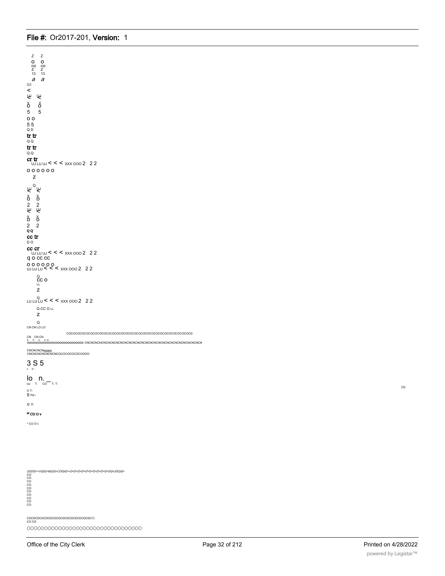$Z$   $Z$  $0 0$ <br>  $0 0$ <br>  $z$  2<br>  $13 13$  $a \quad a$  $UJ$ o ax 不  $\overline{\mathsf{K}}$ ð  $\overline{5}$  $\circ$   $\circ$  $\begin{array}{c} 5.5 \\ \text{\textcircled{\tiny{1}}} \\ \text{\textcircled{\tiny{1}}} \end{array}$  $tr$   $tr$  $\mathsf Q$   $\mathsf Q$  ${\rm tr}\,{\rm tr}$  $QQ$ **cr tr**<br> $UJLUUJ < 6K$  xxx 000 2 2 2  $000000$  $\mathsf{z}$ بو °<br>پ  $\frac{cc}{d}$  tr  $\frac{\text{cc}}{\text{w} \text{u} \text{u}} <$  < < xxx 000 2 2 2 4 0 cc cc  $0.00000$ <br>
UJLULU<2< xxx 000 2 2 2  $_{cc}^{\circ}$  o LL  $\mathsf{Z}% _{0}$  $22$  LU LU LU  $<$  <  $<$  xxx 000 2 2 2  $QCCOLL$  $\mathsf{Z}% _{0}$  $\mathsf Q$ CN CN LO LO CNCNCNCNggggg<br>CNCNCNCNCNCNCOCOCOCOCOCOCOOOO 3 S 5  $i-0$  $\underset{\circ\circ}{\text{lo}}\ n.$ от-<br>9 г«- $O Tf$ 

#### $M COOV$

 $^{\wedge}$  CO O t-

*(D(DQ><VQ)Q>\\\Q)Q>COQ|Q><D<D<D<D<D<D<D<D<D<D<D<D<D<DQ><DQ)Q>CQ<br>CQ<br>CQ<br>CQ<br>CQ<br>CQ<br>CQ<br>CQ<br>CQ<br>CQ* 

 $CD$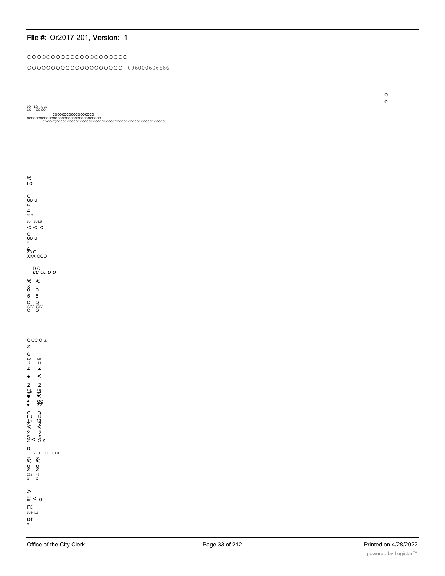0000000000000000000

00000000000000000000 006000606666

 $\begin{array}{cc} \text{LO} & \text{LO} & \text{loc} \ \text{CO} & \text{CO} & \text{CO} \end{array}$ 

cococococococococo 

 $\frac{1}{6}$  $\begin{array}{c}\n0 \\
C \\
L \\
Z \\
Z \\
13 Q\n\end{array}$  $rac{1}{2}$  $\mathop{\rm CC}_\text{LC}$ o L<br>Z<br>Z3 Q<br>XXX 000  $_{cc}^{DQ}$   $_{cc}$   $_{OQ}$  $_{0}^{0}$   $_{0}^{0}$   $_{0}^{0}$  $QCCO<sub>IL</sub>$  $\overline{z}$  $\begin{array}{c}\n0 \\
0 \\
\hline\n13 \\
\hline\nZ\n\end{array}$  $\begin{array}{c}\n\text{LU} \\
13\n\end{array}$  $\mathsf{z}$  $\bullet$  $\,<$  $\begin{array}{c}\n2 \\
\underline{\phantom{0}} \\
\underline{\phantom{0}} \\
\underline{\phantom{0}} \\
0\n\end{array}$  $\sum_{k=1}^{n}$  $\overline{22}$  $252$ <br> $252$ <br> $252$ <br> $252$  $\mathsf{o}$  $+LU$  -LU -LU LU  $\zeta$ <br> $2$ <br> $2$ <br> $\zeta$ <br> $2$ <br> $\zeta$ <br> $2$ <br><br> $\zeta$ <br> $2$ <br><br><br><br><br><br><br><br><br><br><br><br><br><br><br><br>  $\mathbf{L}$  $^{10}_{60} < 0$  $n;$  $\mathbf{or}$  $\mathsf Q$ 

 $\circ$  $\mathsf{o}$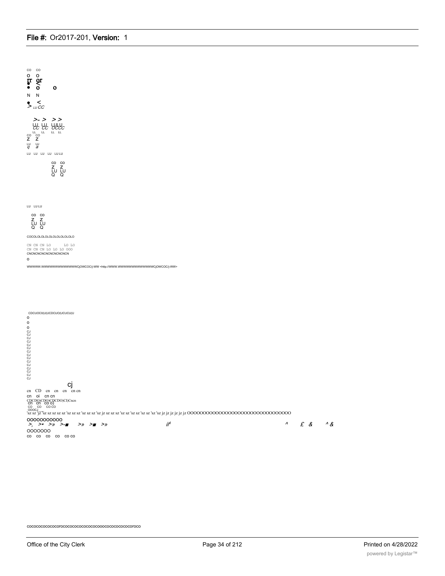

Office of the City Clerk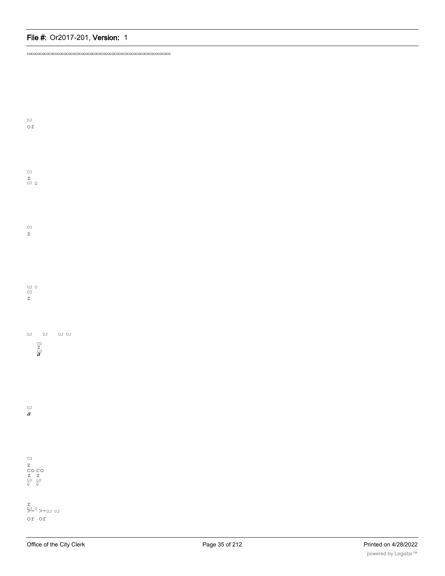COCOCOCOCOCOCOCOCOCOCOCOCOCOCOCOCOCOCOCOCOCOCOCOCOCOCOCOCOCOCOCOCO

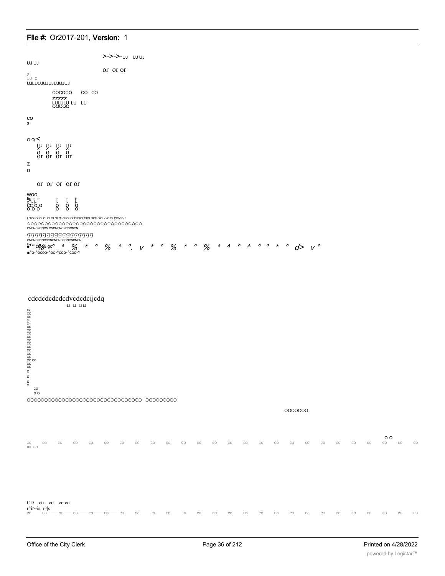| UJ UJ                                                                                                                                                                                                                                                                                                                                                                                                                                                                  | >->->-UJ UJUJ                                                                                                                                                                                       |  |  |  |
|------------------------------------------------------------------------------------------------------------------------------------------------------------------------------------------------------------------------------------------------------------------------------------------------------------------------------------------------------------------------------------------------------------------------------------------------------------------------|-----------------------------------------------------------------------------------------------------------------------------------------------------------------------------------------------------|--|--|--|
|                                                                                                                                                                                                                                                                                                                                                                                                                                                                        | or or or                                                                                                                                                                                            |  |  |  |
| Ζ<br>LU Q<br><b>UJLUUJUJUJUJUJUJ</b>                                                                                                                                                                                                                                                                                                                                                                                                                                   |                                                                                                                                                                                                     |  |  |  |
| COCOCO<br>CO CO<br>ZZZZZZ<br>LULULU LU LU<br>QQQQQ                                                                                                                                                                                                                                                                                                                                                                                                                     |                                                                                                                                                                                                     |  |  |  |
| CO<br>3                                                                                                                                                                                                                                                                                                                                                                                                                                                                |                                                                                                                                                                                                     |  |  |  |
| 0Q<<br>$\begin{array}{l} \mathbf{L}^{\mathbf{U}} \\ \mathbf{L}^{\mathbf{U}} \\ \mathbf{L}^{\mathbf{U}} \\ \mathbf{L}^{\mathbf{U}} \\ \mathbf{L}^{\mathbf{U}} \\ \mathbf{L}^{\mathbf{U}} \\ \mathbf{L}^{\mathbf{U}} \\ \mathbf{L}^{\mathbf{U}} \\ \mathbf{L}^{\mathbf{U}} \\ \mathbf{L}^{\mathbf{U}} \\ \mathbf{L}^{\mathbf{U}} \\ \mathbf{L}^{\mathbf{U}} \\ \mathbf{L}^{\mathbf{U}} \\ \mathbf{L}^{\mathbf{U}} \\ \mathbf{L}^{\mathbf{U}} \\ \mathbf$<br>z<br>$\circ$ |                                                                                                                                                                                                     |  |  |  |
| or or or or or                                                                                                                                                                                                                                                                                                                                                                                                                                                         |                                                                                                                                                                                                     |  |  |  |
| <b>WOO</b><br>$rac{1}{2}$<br>$rac{1}{2}$<br>$rac{1}{2}$<br>$rac{1}{2}$<br>$rac{1}{2}$<br>$rac{1}{2}$<br>$rac{1}{2}$<br>$rac{1}{2}$<br>$rac{1}{2}$<br>$rac{1}{2}$<br>$rac{1}{2}$<br>$rac{1}{\alpha}$<br>$\frac{1}{6}$                                                                                                                                                                                                                                                   |                                                                                                                                                                                                     |  |  |  |
| CNCNCNCNCN CNCNCNCNCNCNCN                                                                                                                                                                                                                                                                                                                                                                                                                                              |                                                                                                                                                                                                     |  |  |  |
| dddddddddddddddd<br>CNCNCNCNCSCNCNCNCNCNCNCNCNCN                                                                                                                                                                                                                                                                                                                                                                                                                       |                                                                                                                                                                                                     |  |  |  |
| $2d - 696990$<br>$\circ$<br>$\star$<br>%<br>$\ast$<br>■^o-^ocoo-^oo-^coo-^coo-^                                                                                                                                                                                                                                                                                                                                                                                        | $0$ 0 $*$<br>$\star$ 0<br>%<br>$\star$<br>$\circ$<br>$% \mathcal{B} \rightarrow \mathcal{B}$<br>ο<br>$\circ$<br>%<br>$\ast$<br>$\mathcal{O}$<br>$V^{\circ}$<br>$\pmb{\ast}$<br>$\Lambda$<br>V<br>d> |  |  |  |

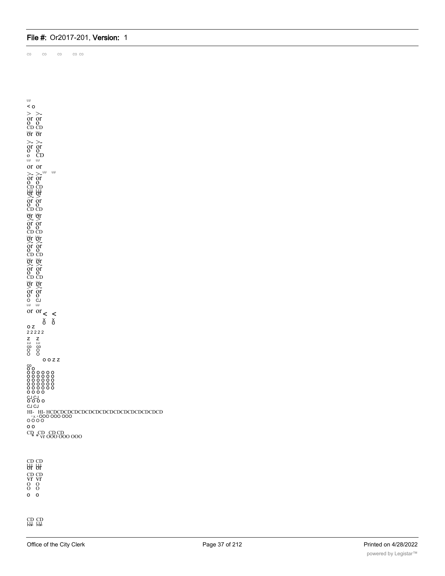$\circ$  $CO CO$  $_{\rm CO}$  $_{\rm CO}$ 

 $\bar{\omega}$  $\leq$  0  $>$ <br>  $>$ <br>
or or<br>
On CD<br>
CD CD<br>
Or Or  $>-\n 2\n or\n 0\n 0\n 0\n 0\n 0\n 0\n 0\n or\n or\n$ ‡ Godya±Gody<br>៖ Godya±Gody<br>៖ Godya=Gody<br>៖ Godya=Gody  $\frac{\partial f}{\partial r} = \frac{\partial f}{\partial r}$ <br>  $\frac{\partial f}{\partial r} = \frac{\partial f}{\partial r}$ <br>  $\frac{\partial f}{\partial r} = \frac{\partial f}{\partial r}$ <sub>Bo</sub>od Ial Bood<br>Bood Ial Bood<br>Ial Bood Ial Boo<sub>B</sub>  $\frac{10}{\sigma}$  or  $\sigma$   $\sigma$  $\delta$  $\delta$  $\begin{array}{c} 0 Z \\ 22222 \end{array}$  $2222$ <br>  $\frac{1}{2}$ <br>  $\frac{1}{2}$ <br>  $\frac{1}{2}$ <br>  $\frac{1}{2}$ <br>  $\frac{1}{2}$ <br>  $\frac{1}{2}$ <br>  $\frac{1}{2}$ <br>  $\frac{1}{2}$ <br>  $\frac{1}{2}$ <br>  $\frac{1}{2}$ <br>  $\frac{1}{2}$ <br>  $\frac{1}{2}$ <br>  $\frac{1}{2}$ <br>  $\frac{1}{2}$ <br>  $\frac{1}{2}$ <br>  $\frac{1}{2}$ <br>  $\frac{1}{2}$ <br>  $\frac{1}{2}$ 0 0 Z Z  $\circ$   $\circ$  $\text{C}\text{D}_{\ast}$   $\text{C}\text{D}_{\ast}$  CD CD CD OOO OOO OOO

- $\begin{array}{c}\nCD & CD \\
U & U\n\end{array}$
- $\begin{array}{c}\nCD & CD \\
VT & VT \\
0 & 0 \\
0 & 0\n\end{array}$
- 
- $0$  0

CD CD<br>LU LU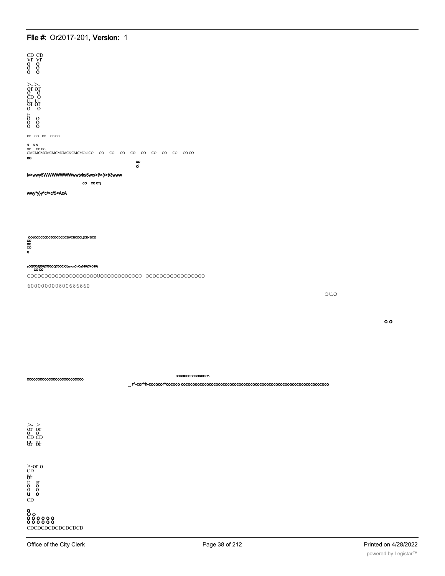| iv>wwy5WWWWWWWwwtvic/5wc/>i/>(/>t/3www<br>CO CT)<br>co                                                                                |             |             |    |             |    |             |    |             |       |  |  |
|---------------------------------------------------------------------------------------------------------------------------------------|-------------|-------------|----|-------------|----|-------------|----|-------------|-------|--|--|
|                                                                                                                                       | co<br>oi    |             |    |             |    |             |    |             |       |  |  |
| N <sub>N</sub><br>N<br>CO CO<br>CO.<br>CMCMCMCMCMCMCMCMCMCMCsl CO<br>co                                                               | $_{\rm CO}$ | $_{\rm CO}$ | CO | $_{\rm CO}$ | CO | $_{\rm CO}$ | CO | $_{\rm CO}$ | CO CO |  |  |
| CD CO CD CD CO                                                                                                                        |             |             |    |             |    |             |    |             |       |  |  |
| >->-<br>or or<br>0<br>0<br>ČD Ŏ<br>₩ ₩<br>$\Omega$<br>$\Omega$<br>ig<br>O<br>O<br>$\begin{smallmatrix} 0 \\ 0 \\ 0 \end{smallmatrix}$ |             |             |    |             |    |             |    |             |       |  |  |
| CD CD<br>vr vr<br>$\rm{^o_{o}}$<br>0<br>0<br>$\mathbf{o}$<br>0                                                                        |             |             |    |             |    |             |    |             |       |  |  |

wwy\*y}y\*c/>c/5<AcA

00AGCDC0CDC0CDCDCDCDVCUCDCL)CD-0CD<br>CO<br>CO<br>O

aOQCQ0)Q0)CQQCQC0O0)Cl)ancnCnCn010)C4C40)<br>CO CO

600000000600666660

ouo

 $\overline{\mathbf{o}}$ 

cDCDOCDCDCDCOCO\*-

 $> 0$ <br>
or or<br>
OD CD<br>
CD CD<br>
Ur Ur

 $\frac{\text{S}-\text{or o}}{\text{G}}$ <br>  $\frac{\text{G}}{\text{G}}$ <br>  $\frac{\text{G}}{\text{G}}$ <br>  $\frac{\text{G}}{\text{G}}$ <br>  $\frac{\text{G}}{\text{G}}$ <br>  $\frac{\text{G}}{\text{G}}$ 8<br>888888

CDCDCDCDCDCDCDCD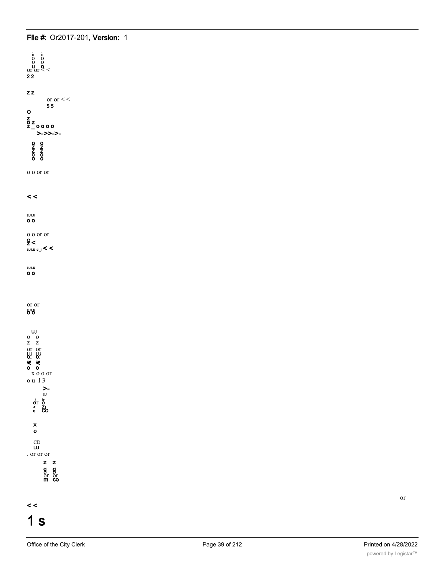

Office of the City Clerk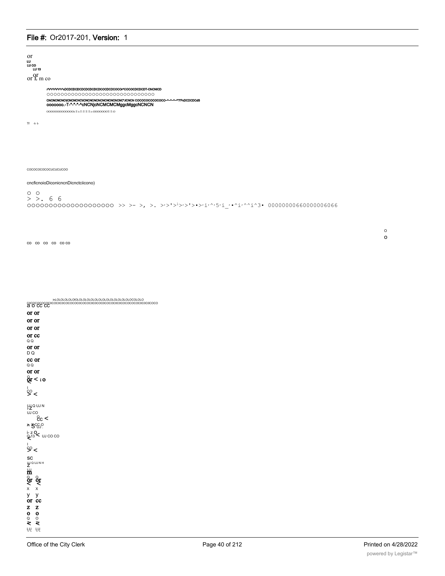Or<br>
W<br>
W<br>
W<br>
W<br>
13  $\sigma_{\rm L}^{\rm Qr}$  m co rtrivininininingDCDCDCDCDCDCDCDCOCDCDCOCOrCOCCOCDCDCDT-CNCNICD  $Tf = -t$ cocococococucucucoo cncficnoioDiconicncnDicnctciicono)  $O$   $O$  $>$  >. 6 6

co co co co co co

or or or or or or or cc  $QQ$ or or D Q  $\frac{\text{cc}}{\text{c}\,\text{o}}$ or or  $\delta r < i \, o$  $\frac{1}{5}$  $rac{6c}{\sin \alpha}$ ∗ §<sup>с</sup>წე∘  $\frac{1}{2}$  =  $\frac{2}{3}$  =  $\frac{1}{2}$  =  $\frac{1}{2}$  $\overset{\shortmid }{\mathcal{S}}$ SC<br>WQWNH μ<br>ΘΦχ×γα<br>Σοος<br>Σοος

LU LU

 $\circ$  $\mathsf{o}$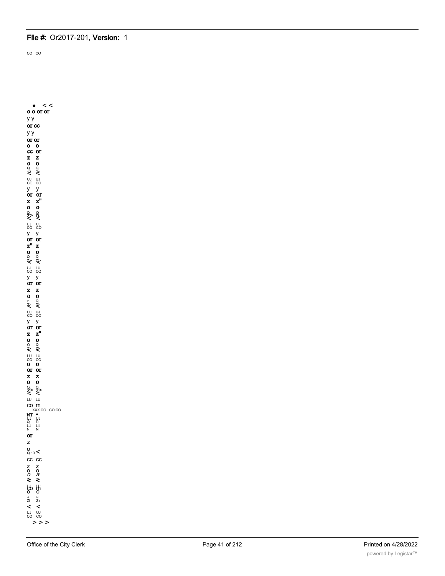$CO$   $CO$ 

 $\bullet \quad \lt \lt$  $\,$  o or or  $\,$ y y or cc y y α ο α ο α ε ω ⊗ε ω⊗ γ σ z' ο οιλ ω δ γ σ z' ο οιλ ω δ γ σ z' ο οιλ ω δ γ σ z' ο οιλ ω δ γ σ τ' ο οιλ ω δ γ στ  $Z$   $Z$   $Q$   $Q$   $Q$   $Q$ co co y or z z" o <sub>o d d</sub> z y or<br>
z o o d d d ω c o α d α α α α α α α α α α α φ<br>
l ω ω ο α α α α α φ φ ζ  $LU - LU$  $\begin{array}{c}\n 20000 \\
 20000 \\
 20000 \\
 2000\n \end{array}$ or  $\mathsf{z}$  $_{\mathrm{Q_{13}}<}^{\mathrm{O}}$  $cc$   $cc$ NONDER V38<br>SENDER V38  $>$  > >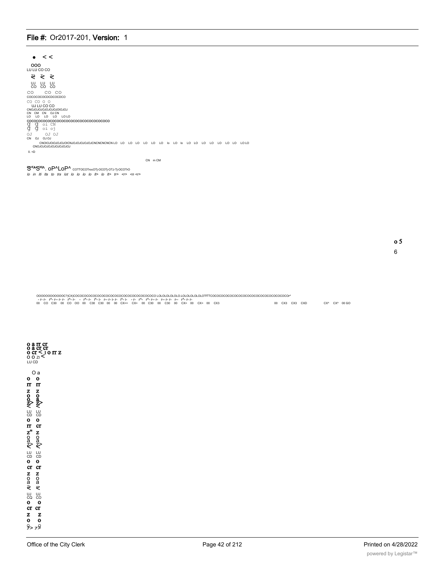| - < <                                                                                                                       |
|-----------------------------------------------------------------------------------------------------------------------------|
| 000<br>LU LU CO CO                                                                                                          |
| でくしょう ひょうしょう そうしょう<br>æ                                                                                                     |
| LU.<br>UJ<br>LU<br>CO.<br>CO CO                                                                                             |
| CO CO<br>CO.<br>COCOCOCOCDCDCOCDCO                                                                                          |
| COCOO<br>UJ LU CO CO                                                                                                        |
| CNO1010101010101010101<br>CN CM CN OJCN<br>$\overline{0}$<br>$\overline{10}$<br>LO <sub>1</sub><br>LO LO<br>$\overline{10}$ |
| COCOCOCOCOCOCOCOCOCOCOCOCOCOCOCOCOCO                                                                                        |
| α<br>g<br>oi CN<br>ā<br>oi oj                                                                                               |
| OJ OJ<br>O <sub>1</sub>                                                                                                     |
| CN OJ OJOJ                                                                                                                  |
| CNOIOJOIOJOJOJOICNJOJOJOJOJOJCNCNCNCNCNLO LO LO LO LO LO LO IO LO LO LO LO LO LO LO LO LO LO LO LO<br>CNO10101010101010101  |
| $0 \leq D$                                                                                                                  |
| CN m CM                                                                                                                     |

STASTIN. OPALOPA COTTOCOTrocOTJ-OCOTJ-OTJ-TJ-OCOTrO lo in Iti Its to trs lot lo lo lo lo It> lo It> tr> <r> <n <r>

> $0<sub>5</sub>$  $\,6$

00 CX3 CX3 CXD  $CX^A$   $CX^A$  00 GO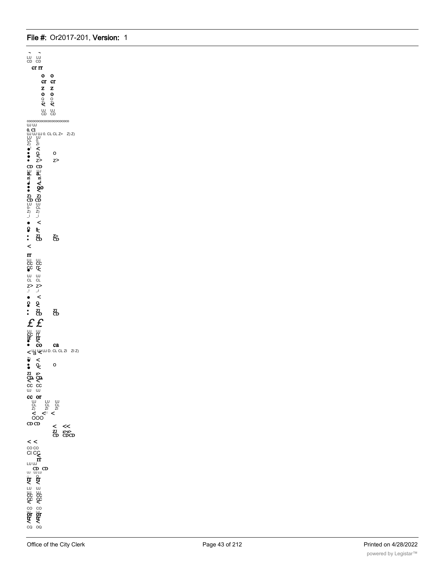|                                                                                                                                                                                                                                                                                                                                                                                          |                                                                                              | File #: Or2017-201, Version: 1 |
|------------------------------------------------------------------------------------------------------------------------------------------------------------------------------------------------------------------------------------------------------------------------------------------------------------------------------------------------------------------------------------------|----------------------------------------------------------------------------------------------|--------------------------------|
| $\sim$ $\sim$<br>LU LU<br>CD CD<br>$cr$ $rr$<br>$0$ 0<br>cr cr<br>$\mathbf{z}$<br>$\begin{bmatrix} 0 & 0 \\ 0 & 0 \\ \mathbb{Q} & \mathbb{Q} \end{bmatrix}$<br>CD CD                                                                                                                                                                                                                     | $\mathbf{z}$                                                                                 |                                |
| UJ UJ                                                                                                                                                                                                                                                                                                                                                                                    |                                                                                              |                                |
|                                                                                                                                                                                                                                                                                                                                                                                          |                                                                                              |                                |
| $(1)$ $(2)$ $(3)$ $(4)$ $(5)$ $(6)$ $(7)$ $(8)$ $(9)$ $(1)$ $(1)$ $(1)$ $(1)$ $(1)$ $(1)$ $(1)$ $(1)$ $(1)$ $(1)$ $(1)$ $(1)$ $(1)$ $(1)$ $(1)$ $(1)$ $(1)$ $(1)$ $(1)$ $(1)$ $(1)$ $(1)$ $(1)$ $(1)$ $(1)$ $(1)$ $(1)$ $(1)$                                                                                                                                                            |                                                                                              |                                |
|                                                                                                                                                                                                                                                                                                                                                                                          |                                                                                              |                                |
| $\,<$                                                                                                                                                                                                                                                                                                                                                                                    |                                                                                              |                                |
| $\ddot{\cdot}$<br>१<br>ट्यू                                                                                                                                                                                                                                                                                                                                                              | $\mathcal{E}_{\mathbf{D}}$                                                                   |                                |
| $\,<$                                                                                                                                                                                                                                                                                                                                                                                    |                                                                                              |                                |
| $\begin{array}{c} 13328 \\ \text{1332} \\ \text{2326} \end{array}$<br>UJ UJ<br>CL CL<br>Z > Z >                                                                                                                                                                                                                                                                                          |                                                                                              |                                |
| $\frac{1}{2}$<br>$\frac{1}{2}$<br>$\frac{1}{2}$<br>$\frac{1}{2}$<br>$\frac{1}{2}$                                                                                                                                                                                                                                                                                                        |                                                                                              |                                |
|                                                                                                                                                                                                                                                                                                                                                                                          | $\Phi$                                                                                       |                                |
|                                                                                                                                                                                                                                                                                                                                                                                          |                                                                                              |                                |
| $E$<br>$\mathcal{E}$<br>$\mathcal{E}$<br>$\mathcal{E}$<br>$\mathcal{E}$<br>$\mathcal{E}$<br>$\mathcal{E}$<br>$\mathcal{E}$<br>$\mathcal{E}$<br>$\mathcal{E}$<br>$\mathcal{E}$<br>$\mathcal{E}$<br>$\mathcal{E}$<br>$\mathcal{E}$<br>$\mathcal{E}$<br>$\mathcal{E}$<br>$\mathcal{E}$<br>$\mathcal{E}$<br>$\mathcal{E}$<br>$\mathcal{E}$<br>$\mathcal{E}$<br>$\mathcal{E}$<br>$\mathcal{E$ |                                                                                              |                                |
|                                                                                                                                                                                                                                                                                                                                                                                          |                                                                                              |                                |
|                                                                                                                                                                                                                                                                                                                                                                                          |                                                                                              |                                |
| $\begin{array}{l} \mathcal{B}^{\mathcal{O}}_{\mathcal{S}} \vee_{\mathcal{D}} \varepsilon \varepsilon \otimes_{\mathcal{A}} \mathcal{B} \mathbf{N} \quad \mathcal{B}^{\mathcal{O}}_{\mathcal{S}} \\ \mathcal{B}^{\mathcal{O}}_{\mathcal{S}} \varepsilon \varepsilon \otimes_{\mathcal{A}} \varepsilon \varepsilon \otimes_{\mathcal{A}} \mathcal{B} \varepsilon \end{array}$              |                                                                                              |                                |
|                                                                                                                                                                                                                                                                                                                                                                                          | $\begin{array}{ccc} < & < < \\ \text{ZJ} & \text{ZZ} \\ \text{CD} & \text{CDCD} \end{array}$ |                                |
|                                                                                                                                                                                                                                                                                                                                                                                          |                                                                                              |                                |
|                                                                                                                                                                                                                                                                                                                                                                                          |                                                                                              |                                |
|                                                                                                                                                                                                                                                                                                                                                                                          |                                                                                              |                                |
|                                                                                                                                                                                                                                                                                                                                                                                          |                                                                                              |                                |
|                                                                                                                                                                                                                                                                                                                                                                                          |                                                                                              |                                |
| 8<br>8 MB4≣8 A88≷∈ MB⊧E E _ 0.8 V<br>8 MB4 8 A88€E MB°E E _ 0.8 V                                                                                                                                                                                                                                                                                                                        |                                                                                              |                                |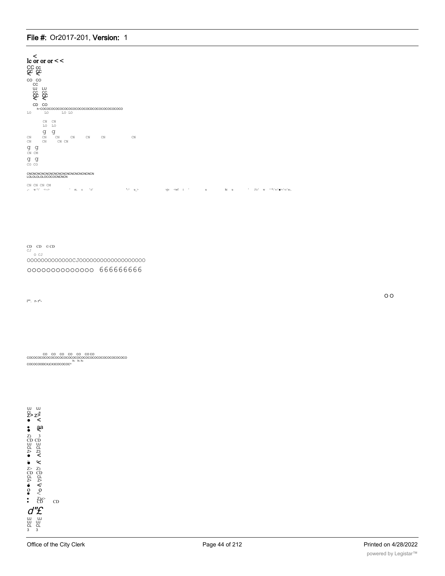| ≺<br>င္ဇင်<br>ဇွင်<br>CO CO<br>cc<br><b>ASSE</b><br>CD | LU<br><b>cc</b><br>CO           | $\frac{1}{x}$ or or $\frac{1}{x}$ |                                    |              |    |                  |                             |              |      |                                              |  |
|--------------------------------------------------------|---------------------------------|-----------------------------------|------------------------------------|--------------|----|------------------|-----------------------------|--------------|------|----------------------------------------------|--|
| LO                                                     | LO                              |                                   | LO LO                              |              |    |                  |                             |              |      |                                              |  |
| <b>CN</b><br>CN<br>g<br>g<br>CN CM                     | CN<br>LO<br>g<br>CN<br>CN       | CN<br>LO<br>g<br>CN<br>CN CN      | CN                                 | CN           | CN | CN               |                             |              |      |                                              |  |
| g<br>g<br>CO CO                                        |                                 |                                   |                                    |              |    |                  |                             |              |      |                                              |  |
|                                                        |                                 | LOLOLOLOLOCOCOCNCNCN              | CNCNCNCNCNCNCNCNCNCNCNCNCNCNCNCNCN |              |    |                  |                             |              |      |                                              |  |
| CN CN CN CM<br>÷                                       | $W \wedge'$ < $\Leftrightarrow$ |                                   | $\cdot$ $\pi$ , s                  | $\mathbf{u}$ |    | $" - \wedge$ u > | $viv$ <wf <math="">i '</wf> | $\mathbf{u}$ | hi u | ٠<br>$\wedge$ *2 y2 m>2 y2 n-.<br>J i-'<br>w |  |

 $\mathop{\rm CD}_{\mathbb{C}\mathbb{J}}\quad\mathop{\rm CD}\quad\mathbb{C}\mathop{\rm CD}$  $O<sub>CJ</sub>$ 0000000000000 666666666

 $\mathbf{i}^{\star\star},\ \mathbf{r}\text{-}\mathbf{r}^{\star\downarrow}$ 



 $\circ$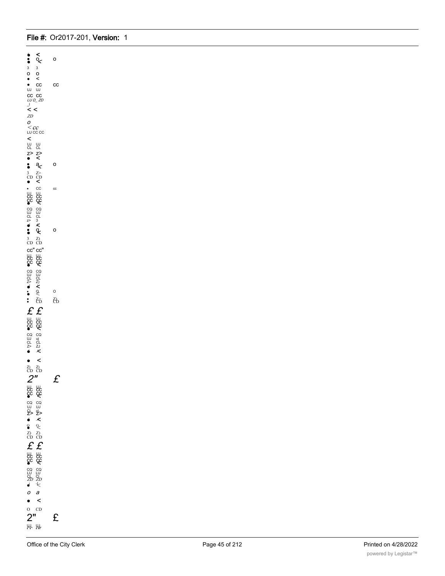| $\zeta^{\mathbf{A}}$<br>$\bullet$                                                                                                                                                                                                                                                                                                                                                                                | o                      |  |  |
|------------------------------------------------------------------------------------------------------------------------------------------------------------------------------------------------------------------------------------------------------------------------------------------------------------------------------------------------------------------------------------------------------------------|------------------------|--|--|
|                                                                                                                                                                                                                                                                                                                                                                                                                  |                        |  |  |
| $\mathbf{3}$<br>3<br>о                                                                                                                                                                                                                                                                                                                                                                                           |                        |  |  |
| $\frac{0}{5}$<br>٠                                                                                                                                                                                                                                                                                                                                                                                               |                        |  |  |
| $\frac{1}{2}$ cc                                                                                                                                                                                                                                                                                                                                                                                                 | cc                     |  |  |
|                                                                                                                                                                                                                                                                                                                                                                                                                  |                        |  |  |
| $\begin{array}{c}\n\text{CC} & \text{CC} \\ \text{LO} & \text{LO} \\ \text{LO} & \text{LO} \\ \text{LO} & \text{LO} \\ \text{LO} & \text{LO} \\ \text{LO} & \text{LO} \\ \text{LO} & \text{LO} \\ \text{LO} & \text{LO} \\ \text{LO} & \text{LO} \\ \text{LO} & \text{LO} \\ \text{LO} & \text{LO} \\ \text{LO} & \text{LO} \\ \text{LO} & \text{LO} \\ \text{LO} & \text{LO} \\ \text{LO} & \text{LO} \\ \text$ |                        |  |  |
|                                                                                                                                                                                                                                                                                                                                                                                                                  |                        |  |  |
| ZD                                                                                                                                                                                                                                                                                                                                                                                                               |                        |  |  |
|                                                                                                                                                                                                                                                                                                                                                                                                                  |                        |  |  |
| $\frac{c}{\omega}$                                                                                                                                                                                                                                                                                                                                                                                               |                        |  |  |
|                                                                                                                                                                                                                                                                                                                                                                                                                  |                        |  |  |
| $\begin{array}{ccc}\n & \mathbf{C} & \mathbf{C} & \mathbf{C} \\  & \mathbf{C} & \mathbf{C} & \mathbf{C} \\  & \mathbf{C} & \mathbf{C} & \mathbf{C}\n\end{array}$                                                                                                                                                                                                                                                 |                        |  |  |
|                                                                                                                                                                                                                                                                                                                                                                                                                  |                        |  |  |
| $\sum_{\bullet}^{Z>} \leq$                                                                                                                                                                                                                                                                                                                                                                                       |                        |  |  |
| $\ddot{\bullet}$<br>ą                                                                                                                                                                                                                                                                                                                                                                                            | o                      |  |  |
|                                                                                                                                                                                                                                                                                                                                                                                                                  |                        |  |  |
|                                                                                                                                                                                                                                                                                                                                                                                                                  |                        |  |  |
| $-835$<br>$-835$<br>$-835$                                                                                                                                                                                                                                                                                                                                                                                       | cc                     |  |  |
|                                                                                                                                                                                                                                                                                                                                                                                                                  |                        |  |  |
|                                                                                                                                                                                                                                                                                                                                                                                                                  |                        |  |  |
|                                                                                                                                                                                                                                                                                                                                                                                                                  |                        |  |  |
|                                                                                                                                                                                                                                                                                                                                                                                                                  |                        |  |  |
|                                                                                                                                                                                                                                                                                                                                                                                                                  |                        |  |  |
|                                                                                                                                                                                                                                                                                                                                                                                                                  | $\circ$                |  |  |
|                                                                                                                                                                                                                                                                                                                                                                                                                  |                        |  |  |
|                                                                                                                                                                                                                                                                                                                                                                                                                  |                        |  |  |
|                                                                                                                                                                                                                                                                                                                                                                                                                  |                        |  |  |
|                                                                                                                                                                                                                                                                                                                                                                                                                  |                        |  |  |
|                                                                                                                                                                                                                                                                                                                                                                                                                  |                        |  |  |
|                                                                                                                                                                                                                                                                                                                                                                                                                  |                        |  |  |
|                                                                                                                                                                                                                                                                                                                                                                                                                  |                        |  |  |
|                                                                                                                                                                                                                                                                                                                                                                                                                  | $\circ$                |  |  |
|                                                                                                                                                                                                                                                                                                                                                                                                                  | $\stackrel{Z}{\rm cb}$ |  |  |
|                                                                                                                                                                                                                                                                                                                                                                                                                  |                        |  |  |
|                                                                                                                                                                                                                                                                                                                                                                                                                  |                        |  |  |
|                                                                                                                                                                                                                                                                                                                                                                                                                  |                        |  |  |
|                                                                                                                                                                                                                                                                                                                                                                                                                  |                        |  |  |
|                                                                                                                                                                                                                                                                                                                                                                                                                  |                        |  |  |
| $\begin{array}{c}\n0 \\ 0 \\ 0 \\ 0 \\ 0 \\ 0\n\end{array}$                                                                                                                                                                                                                                                                                                                                                      |                        |  |  |
|                                                                                                                                                                                                                                                                                                                                                                                                                  |                        |  |  |
| $\prec$<br>$\bullet$                                                                                                                                                                                                                                                                                                                                                                                             |                        |  |  |
| $\overset{Z)}{\text{CD}}$ $\overset{Z)}{\text{CD}}$                                                                                                                                                                                                                                                                                                                                                              |                        |  |  |
|                                                                                                                                                                                                                                                                                                                                                                                                                  | $\pounds$              |  |  |
|                                                                                                                                                                                                                                                                                                                                                                                                                  |                        |  |  |
|                                                                                                                                                                                                                                                                                                                                                                                                                  |                        |  |  |
|                                                                                                                                                                                                                                                                                                                                                                                                                  |                        |  |  |
|                                                                                                                                                                                                                                                                                                                                                                                                                  |                        |  |  |
|                                                                                                                                                                                                                                                                                                                                                                                                                  |                        |  |  |
|                                                                                                                                                                                                                                                                                                                                                                                                                  |                        |  |  |
|                                                                                                                                                                                                                                                                                                                                                                                                                  |                        |  |  |
|                                                                                                                                                                                                                                                                                                                                                                                                                  |                        |  |  |
|                                                                                                                                                                                                                                                                                                                                                                                                                  |                        |  |  |
|                                                                                                                                                                                                                                                                                                                                                                                                                  |                        |  |  |
|                                                                                                                                                                                                                                                                                                                                                                                                                  |                        |  |  |
|                                                                                                                                                                                                                                                                                                                                                                                                                  |                        |  |  |
|                                                                                                                                                                                                                                                                                                                                                                                                                  |                        |  |  |
|                                                                                                                                                                                                                                                                                                                                                                                                                  |                        |  |  |
|                                                                                                                                                                                                                                                                                                                                                                                                                  |                        |  |  |
|                                                                                                                                                                                                                                                                                                                                                                                                                  |                        |  |  |
|                                                                                                                                                                                                                                                                                                                                                                                                                  |                        |  |  |
|                                                                                                                                                                                                                                                                                                                                                                                                                  |                        |  |  |
|                                                                                                                                                                                                                                                                                                                                                                                                                  | £                      |  |  |
|                                                                                                                                                                                                                                                                                                                                                                                                                  |                        |  |  |
|                                                                                                                                                                                                                                                                                                                                                                                                                  |                        |  |  |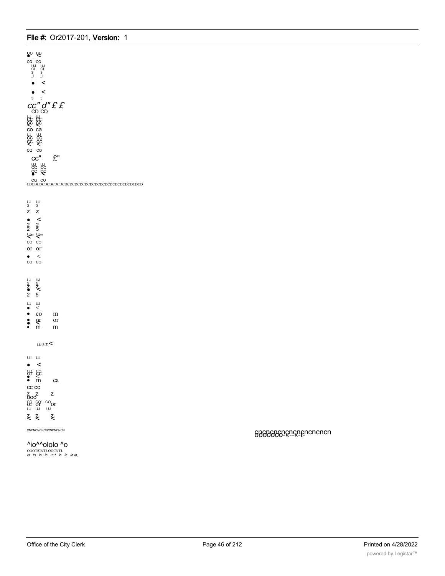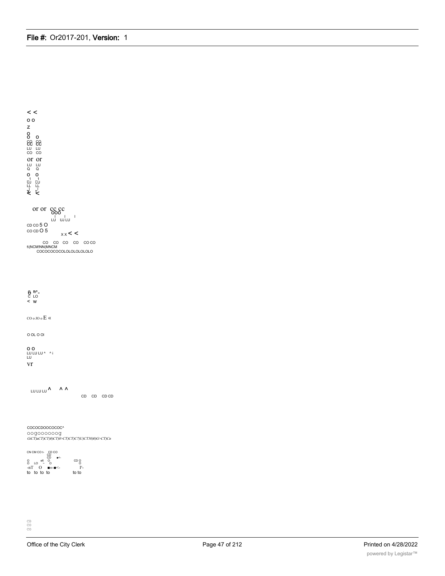$\,<$   $<$ 

 $\circ$   $\circ$ KHE5700000<br>KHE5700Ed 8E8800 or or cc cc  $\overline{\phantom{a}}$ rn กาг  $CD CO 5 O$  $\overline{CO}$  CD  $\overline{O}$  5  $_{\text{xx}}$  < < CO CO CO CO CO CO<br>t\(NCMINN(MNCM<br>COCOCOCOCOLOLOLOLOLOLOLO  $6^{80}$ -<br>< w со  $_{\rm 0}$  јо <br/>  $\rm E$  «  $0$  OL  $0$  Ol 0 0<br>LU LU LU ^ ^i<br>LU  $\mathbf{v}\mathbf{r}$ LULULU<sup>A</sup> AA CD CD CD CD

 ${\tt COCOCDOOCOCOCOC}^{\wedge}$ oogooooog  $\label{eq:GICT} \begin{array}{lll} GicT) aCT) C T) 0) C T) 0> C T) C T (C7) C (C) U) C T 30) 0) G> C T) C n \end{array}$ 

 $\begin{array}{lll} \texttt{CNCMCO} & \texttt{CDCO} \\ \texttt{CD} & \texttt{CD} \\ \texttt{O} & \texttt{LO} & \texttt{eff} \\ \texttt{O} & \texttt{LO} & \texttt{CDC} \\ \texttt{-nT} & \texttt{O} & \texttt{M}\ll-\texttt{M}\ll-\texttt{D} \\ \texttt{to} & \texttt{O} & \texttt{to} & \texttt{to} \end{array}$  $\overset{\text{CD O}}{\underset{\text{I}^s}{\circ}}$ to to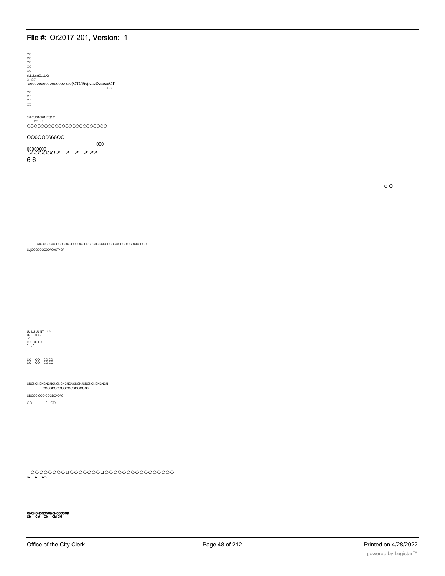### CNCNCNCNCNCNCNCDCDCD<br>CM CM CN CM CM

 $CN$   $T$   $T$ 

cDCOCjCOOjCOCDO^O^O;  $\mathsf{CD} \qquad \quad \wedge \ \mathsf{CD}$ 

COCOCOCOCOCOCOOOOOTO

 $\begin{array}{ccc} \text{co} & \text{co} & \text{co} & \text{co} \\ \text{co} & \text{co} & \text{co} & \text{co} & \text{co} \end{array}$ 

v !f' \*<br>rn m rn<br>x<br>m m m m v v \*

CJjOOO0OOC0O^C0CT>O^

000

66

00000000000000000000000

 $0<sub>0</sub>$ 

## File #: Or2017-201, Version: 1

 $\begin{array}{c} {\rm CO} \\ {\rm CD} \\ {\rm CD} \\ {\rm CD} \\ {\rm CD} \end{array}$ 

000CJ101C10117Q101

00600666600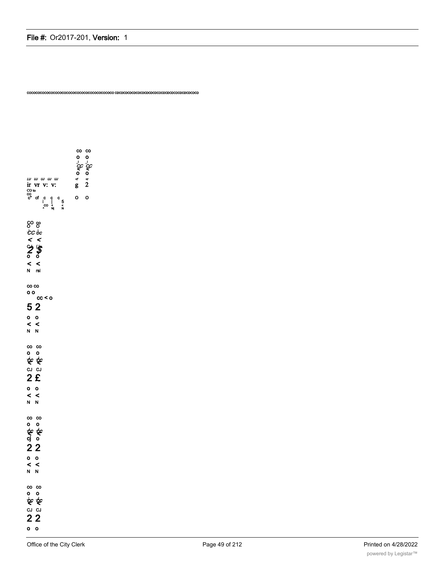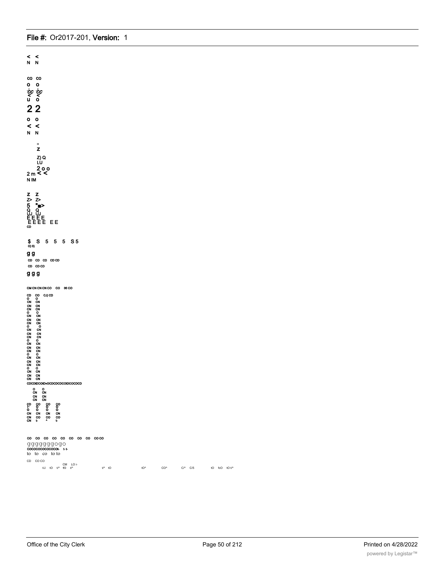| $\langle \ \rangle$<br>$\,$ N $\,$ N                                                                                                                             |
|------------------------------------------------------------------------------------------------------------------------------------------------------------------|
| $\cos$ co<br>$rac{1}{2}$<br>22<br>0 <sub>o</sub><br>$\langle \ \rangle$<br>$\mathsf{N}$ $\mathsf{N}$                                                             |
| $\blacksquare$<br>$\mathbf{z}$<br>$\frac{z}{\text{LU}}$<br>2m < 200<br><b>N</b> IM                                                                               |
|                                                                                                                                                                  |
| $\int_{\Omega(0)}$ S<br>5 5 5 8 5<br>g g<br>CD CD CD CDCD<br>$CD$ $CDCD$<br>999                                                                                  |
| CM CN CN CN CO CO 00 CO<br>8<br>ទី<br>ទី 8αទីថ6α ទី៩៩°៩៩៩១៩៩៨០៩៩៩០៩៩<br>គឺ 8αទីថីសតីតទី៩៩០៩៩៩០៩៩៩៩៩៩<br>CN CN<br>CN CN<br>${\tt CDCDID COID COD CDCO CDCO CDCO}$ |
| 8000 801<br> - 06 858 800 802<br> - 06 858 800 802<br> -<br> - 850 800 868                                                                                       |
| co co co co co co co co coco<br>cococococococor ++<br>ddddddddodo<br>to to co to to<br>$CD$ $CO$ $CO$                                                            |
| CO<br>t/J tO t/^ €0 t/^<br>$t/\wedge$ $\hphantom{1}$ tO<br>tO <sup>^</sup><br>$CO^{\wedge}$ $C/\wedge$ $C/5$<br>tO fcO tO t/^                                    |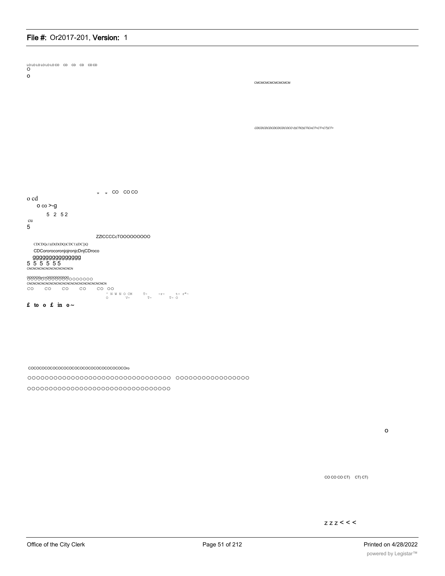# $\mathsf{o}$ смомомомомомом CDCDCDCDCDCDCDCOCO 0)CTIO)CTICnCT>CT>CT)CT> w w CO COCO o cd  $o co$  >-g 5 2 5 2  $_{\rm cu}$  $\,$  5  $\,$ ZZICCCCcTOOOOOOOOO  $\mathrm{CDCDQc1})(\mathrm{D}(\mathrm{D}(\mathrm{D} \mathrm{Q})\mathrm{CDC1})(\mathrm{D}\mathrm{C}])\mathrm{Q}$ CDCororocoronjojronjcDnjCDroco ggggggggggggggggg<br>5 5 5 5 5 5<br><sub>cисисисисисисисисиси</sub>

CONCINCIONS<br>
CONCINCIONS<br>
CONCINCIONS<br>
CO CO CO CO CO CO <sup>A</sup> N W N O CM T-<br>
<sup>-----</sup> T- <sup>---</sup> T- <sup>---</sup> T- <sup>---</sup> T- <sup>---</sup> T- <sup>---</sup> T- <sup>---</sup> T- <sup>---</sup> T- <sup>---</sup> T- <sup>---</sup> T- <sup>--</sup>

 ${\tt COCOCO COCO COCO CO CO CO CO CO CO CO CO CO CO CO} {\tt CO}$ 

 ${\tt0000000000000000000000000000000}$ 

 $\circ$ 

CO CO CO CT) CT) CT)

 $zzz<<$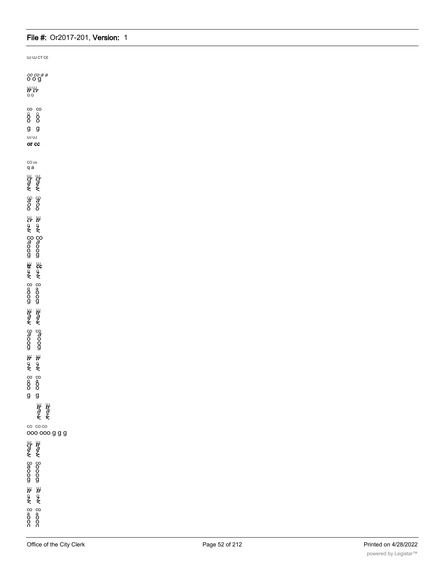| UJ UJ CT C£                                                     |  |  |
|-----------------------------------------------------------------|--|--|
| <i>co co a a</i><br>O O g                                       |  |  |
| tr'cr<br>QQ                                                     |  |  |
| $\begin{smallmatrix} 0 & 0 \\ 0 & 0 \\ 0 & 0 \end{smallmatrix}$ |  |  |
| $g$ $g$                                                         |  |  |
| UJ UJ<br>or cc                                                  |  |  |
| $\rm CO$ co<br>q a                                              |  |  |
| ซี ซี<br>ฮิ รี<br><<br><                                        |  |  |
| မှ မှ<br>၁၀၀                                                    |  |  |
|                                                                 |  |  |
| <b>As of Secom</b><br>おow Secom                                 |  |  |
|                                                                 |  |  |
| s second<br>Becomes<br>Bacco                                    |  |  |
| Wad<br>Q                                                        |  |  |
| stanx 8cooo<br>34 Marx                                          |  |  |
| ₩<br>2 2<br>2 >                                                 |  |  |
| 8<br>8<br>8<br>8<br>8<br>8<br>8<br>8                            |  |  |
|                                                                 |  |  |
|                                                                 |  |  |
| ထ ထလ<br><b>၀၀၀ ၀၀၀ g g g</b>                                    |  |  |
|                                                                 |  |  |
|                                                                 |  |  |
|                                                                 |  |  |
|                                                                 |  |  |
| <b>Alger Second Art Secord</b><br>お見て Second Secord             |  |  |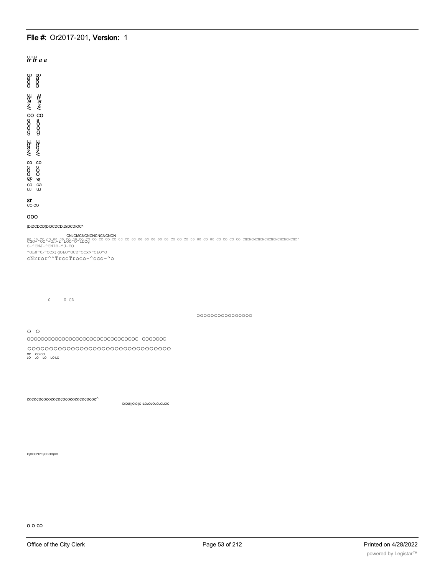| $\overleftrightarrow{u}$ $\overleftrightarrow{u}$ $\overleftrightarrow{u}$ $\overleftrightarrow{u}$                                                                                                                                                                         |  |
|-----------------------------------------------------------------------------------------------------------------------------------------------------------------------------------------------------------------------------------------------------------------------------|--|
| ၁၀<br>၁၀<br>၁၀                                                                                                                                                                                                                                                              |  |
| wa<br>Z<br>the gr                                                                                                                                                                                                                                                           |  |
|                                                                                                                                                                                                                                                                             |  |
| ₩<br>a<br>K<br>and≩                                                                                                                                                                                                                                                         |  |
| $co$ $co$<br>8000<br>co ca<br>UJ UJ                                                                                                                                                                                                                                         |  |
| sr<br>CO <sub>CO</sub>                                                                                                                                                                                                                                                      |  |
| 000                                                                                                                                                                                                                                                                         |  |
| (DtDCDCD(DIDCDCDtD(DCDtOC^                                                                                                                                                                                                                                                  |  |
| CNJCMCNCNCNCNCNCNCN<br>ende con control por consideration of the control of the control of the control of control of the control of the control of control of control of control of control of control of control of control of control of control of<br>0-^CNJ-^CNIO-^J-CO |  |
| ^0L0^00^OCX)gOL0^OCD^Ocx>^OL0^O<br>cNrror^^TrcoTroco-^oco-^o                                                                                                                                                                                                                |  |
|                                                                                                                                                                                                                                                                             |  |

0 0 CD

oooooooooooooooo

o o OOOOOOOOOOOOOOOOOOOOOOOOOOOOOOOO OOOOOOO

## ooooooooooooooooooooooooooooooooo

CO CO CO LO LO LO LO LO

cocococococococococococococoe^

lOlOUj-jOlO-jO -LOuOLOLOLOLOIO

OjOOO^C^CjOCOOjCO

o o co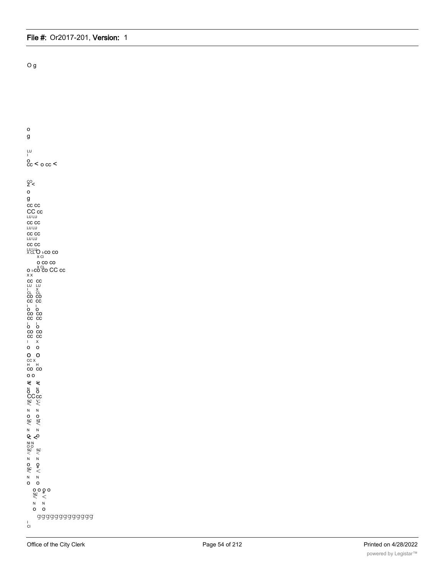$\hbox{O g}$ 

 $\mathsf{o}$  $\boldsymbol{g}$  $\begin{array}{c}\n\vdots \\
\downarrow\n\end{array}$  $\frac{0}{2}$  co cc <  $\frac{C_0}{Z}$  $\mathsf{o}$  $\boldsymbol{g}$  $cc$   $cc$ CC cc LU LU<br>CC CC CC CC<br>LU LU  $-8.35 - 6.8$ <br>  $-8.35 - 6.8$ <br>  $-8.35 - 6.8$ <br>  $-8.35 - 6.8$  $\begin{smallmatrix}0&&|\\0&&0\\0&\text{CO}\end{smallmatrix}$  co co  $0 - 0$ <br>  $0 - 0$ <br>  $0 - 0$  $\begin{array}{ccc} 0 & 0 & 0 \\ 0 & 0 & 0 \end{array}$  $\begin{array}{c} \mathbf{O} \\ \mathbf{C} \circ \mathbf{X} \\ \mathbf{C} \circ \mathbf{C} \\ \mathbf{E} \circ \mathbf{C} \circ \mathbf{C} \end{array}$  $\circ$   $\circ$ **ह्ह** श्च  $\begin{array}{l} \mathcal{A} \subset \mathcal{B} \subset \mathcal{B} \subset \mathcal{B} \subset \mathcal{B} \subset \mathcal{B} \subset \mathcal{B} \subset \mathcal{B} \subset \mathcal{B} \subset \mathcal{B} \subset \mathcal{B} \subset \mathcal{B} \subset \mathcal{B} \subset \mathcal{B} \subset \mathcal{B} \subset \mathcal{B} \subset \mathcal{B} \subset \mathcal{B} \subset \mathcal{B} \subset \mathcal{B} \subset \mathcal{B} \subset \mathcal{B} \subset \mathcal{B} \subset \mathcal{B} \subset \mathcal{B} \subset \mathcal{B} \subset \mathcal{B$  $\frac{1}{2}$ <br>  $\frac{1}{2}$ <br>  $\frac{1}{2}$ <br>  $\frac{1}{2}$ <br>  $\frac{1}{2}$ <br>  $\frac{1}{2}$ <br>  $\frac{1}{2}$ <br>  $\frac{1}{2}$ <br>  $\frac{1}{2}$ dddddddddddd  $\frac{1}{C}$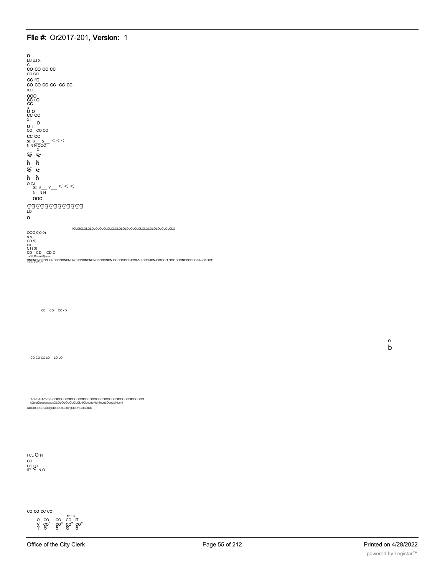$\frac{\text{CC CC}}{\text{ST S}} \text{S} << \text{NNN} \overline{\text{N} \overline{\text{O}} \text{O} \overline{\text{O}}} << \text{NNN} \overline{\text{N} \overline{\text{O}} \text{O} \overline{\text{O}}}$  $\begin{array}{c}\n\ast \\
\ast \\
\ast \\
\ast\n\end{array}$  $\begin{matrix} 2 & 3 \end{matrix}$  $\frac{8}{8}$ <br>  $\frac{8}{8}$ <br>  $\frac{8}{8}$ <br>  $\frac{8}{8}$ <br>  $\frac{8}{8}$ <br>  $\frac{8}{8}$ <br>  $\frac{8}{8}$ <br>  $\frac{8}{8}$ 000 ro<br>dadaadaadaad  $\mathsf{o}$ 000 0) 00)  $\frac{00}{CD}$  5) CMSRENCHONORMOUTHOUGHT - CONSIDERATION OCOCOCSION--- FORGION100000 00000000000000 F4-F01-000<br>CD CD CD O<br>o)OILDcno-0)onan<br>OMSRENCHONORMONORMONORMONORMONORMONORMON OCOCOCSION-- FORGION100000 0000000000000 F4-F01-000

 $CD$   $CO$   $CO < D$ 

CO CO CO LO LO LO

CDCDCDCDCDO)CDCDO)CDO")CDO")CDCDCD

I CLOH  $\frac{1}{2}$ <br> $\frac{1}{2}$ <br> $\frac{1}{2}$ <br> $\frac{1}{2}$ <br> $\frac{1}{2}$ <br> $\frac{1}{2}$ <br> $\frac{1}{2}$ <br> $\frac{1}{2}$ 

co co cc cc

Office of the City Clerk

 $\begin{array}{ccccc} \circ & \circ & \circ & \circ & \circ \\ \circ & \circ & \circ & \circ & \circ \\ \circ & \circ & \circ & \circ & \circ \\ \circ & \circ & \circ & \circ & \circ \\ \circ & \circ & \circ & \circ & \circ \end{array} \hspace{0.2cm} \begin{array}{c} \circ \\ \circ \\ \circ \\ \circ \\ \circ \\ \circ \end{array}$ 

 $\circ$  $\sf b$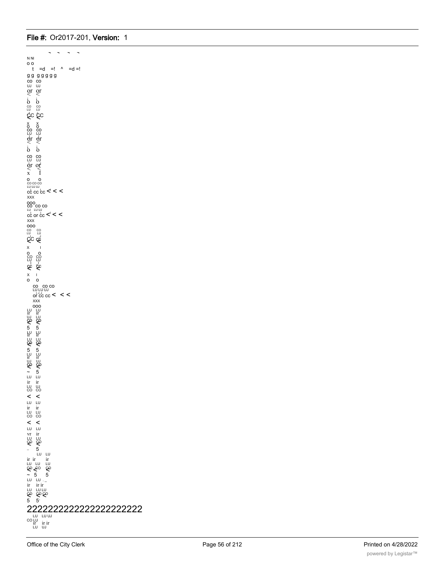```
\overline{\phantom{a}}\overline{\phantom{0}}\overline{\phantom{0}}\overline{\phantom{a}}N<sub>N</sub>
                                     00t =d =l ^ =d =!
                                      99999990. V<del>d E</del>8ox XX-E80. Vd E8<sup>1</sup><br>0. Vd E8ox XX-E80. Vd E8<sup>1</sup>
                                     CO CO<br>LU LU
                                     \frac{1}{x}<br>
\frac{1}{x}<br>
\frac{0}{x}<br>
\frac{0}{x}<br>
\frac{0}{x}<br>
\frac{0}{x}<br>
\frac{0}{x}XXX\frac{1000}{1000}<br>
\frac{1000}{1000}<br>
\frac{1000}{1000}<br>
\frac{1000}{1000}<br>
\frac{1000}{1000}\circ \times \mathcal{R} = 53 \circ \times \mathcal{R} = 53 \frac{8}{8} \frac{8}{8} \frac{8}{8} \frac{8}{8} \frac{8}{8} \frac{8}{8} \frac{8}{8} \frac{8}{8} \frac{8}{8} \frac{8}{8} \frac{8}{8}에 VS E 파 드 시 VS E 파<br>에 VS E 파 드 에 VS E 파 드 에 VS E 파 드 시 S<br>VS E 파 드 에 VS E 파 드<br>VS E 기 에 VS E 파 드
                                     2222222222222222222222
                                     CO LU LU UJ<br>CO LU LI II II<br>CO LU LU UJ
```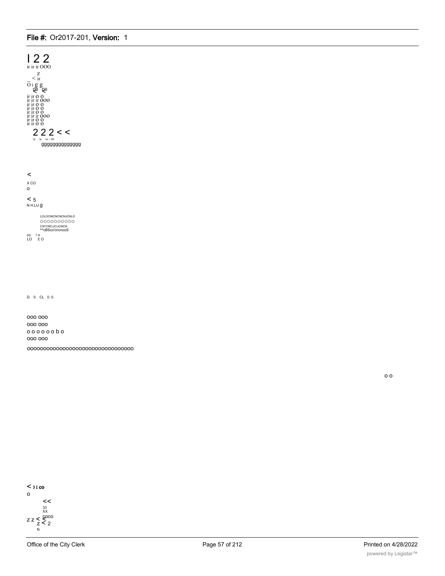

 $\circ$   $\circ$ 

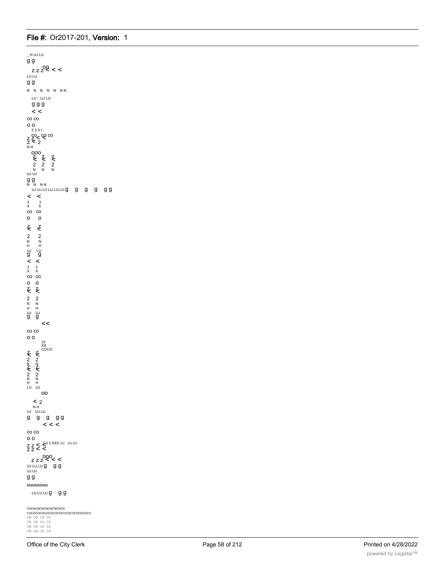\_ H UJ LU g g z z 2g < < LU LU g g N N N N N N N LU LU LU g g g  $\lt$ co co  $00 \atop 33 X1$  $Z \nmid Z \nmid Z \nmid Z$ ooo z z z < < < 2 2 2 N N N UJ UJ g g N N N N mmmmmmma a a a aa  $\langle \ \rangle$ 3 X 3 X co co o o  $\xi$   $\xi$ 2 2<br>
N N<br>UJ LU<br>**g** g  $\leq$   $\leq$ 3 3 X X co co o o  $\xi$   $\xi$ 2 2<br>H H H<br>UJ UJ<br>**g** g  $\lt$ co co o o 3 3XX COCO z z < < 2 2 N N z z < < 2 2 N N H H LU UJ o o < 2 N H UJ UJ LU g g g g g  $\alpha$   $\alpha$   $\alpha$ co co o o z z < <sup>333 xxx co coco<br>z z < <</sup>  $zz \frac{000}{5} <$ mm<br>mrnrn**g då** g g NNNNNNNN LU LU LU g g g

CNCNCNCNCNCNCNCNCN COCDCOCDCOCOCOCDCOCDCOCDCDCDCO CN CN CD CO CN CN CO CD CN CN CD CD CN CN CD CD CN CN CD CD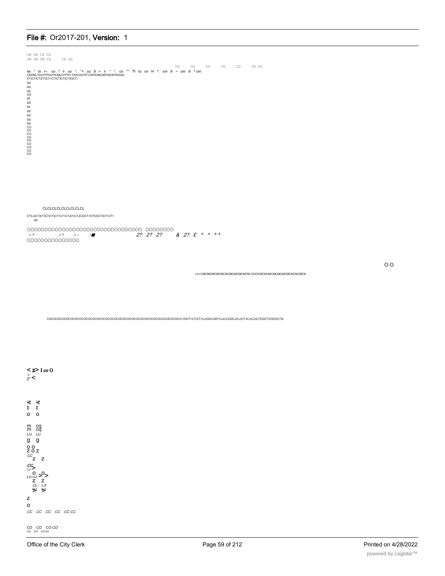

- $\mathsf z$  $\mathsf{o}$
- $cc$   $cc$   $cc$   $cc$   $cc$   $cc$   $cc$   $cc$

LD FD FD M<br>CO CO CO CO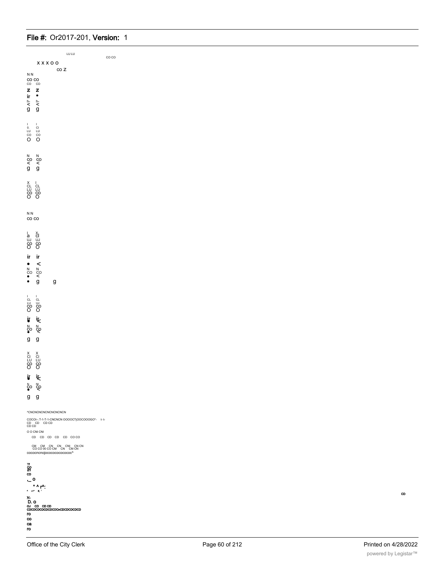| <b>XXXOO</b>                                                                                                                                                                                                                                                                                                                                                                                                               | ${\sf LU}$ ${\sf LU}$                            | $\cos$ |  |  |  |
|----------------------------------------------------------------------------------------------------------------------------------------------------------------------------------------------------------------------------------------------------------------------------------------------------------------------------------------------------------------------------------------------------------------------------|--------------------------------------------------|--------|--|--|--|
| $\rm{co}$ Z<br>$N\,N$                                                                                                                                                                                                                                                                                                                                                                                                      |                                                  |        |  |  |  |
| $\underset{\text{CO}}{\text{CO}}$ CO $\underset{\text{CO}}{\text{CO}}$                                                                                                                                                                                                                                                                                                                                                     |                                                  |        |  |  |  |
| $\begin{array}{cc} \mathbf{z} & \mathbf{z} \\ \mathbf{ir} & \ast \\ \mathbf{c} & \times \\ \mathbf{g} & \mathbf{g} \end{array}$                                                                                                                                                                                                                                                                                            |                                                  |        |  |  |  |
|                                                                                                                                                                                                                                                                                                                                                                                                                            |                                                  |        |  |  |  |
|                                                                                                                                                                                                                                                                                                                                                                                                                            |                                                  |        |  |  |  |
| $\begin{array}{ccc} 1 & 1 \\ 0 & 0 \\ 0 & 0 \\ 0 & 0 \\ 0 & 0 \end{array}$                                                                                                                                                                                                                                                                                                                                                 |                                                  |        |  |  |  |
|                                                                                                                                                                                                                                                                                                                                                                                                                            |                                                  |        |  |  |  |
|                                                                                                                                                                                                                                                                                                                                                                                                                            |                                                  |        |  |  |  |
| $\begin{array}{c}\n 0 \\  0 \\  0 \\  0\n \end{array}$                                                                                                                                                                                                                                                                                                                                                                     |                                                  |        |  |  |  |
|                                                                                                                                                                                                                                                                                                                                                                                                                            |                                                  |        |  |  |  |
| $\begin{array}{c}\n 0.75 \\  0.75 \\  0.75\n \end{array}$                                                                                                                                                                                                                                                                                                                                                                  |                                                  |        |  |  |  |
|                                                                                                                                                                                                                                                                                                                                                                                                                            |                                                  |        |  |  |  |
| ${\sf N}$ ${\sf N}$<br>$\cos$                                                                                                                                                                                                                                                                                                                                                                                              |                                                  |        |  |  |  |
|                                                                                                                                                                                                                                                                                                                                                                                                                            |                                                  |        |  |  |  |
| $\frac{1}{2}$<br>$\frac{1}{2}$<br>$\frac{1}{2}$<br>$\frac{1}{2}$                                                                                                                                                                                                                                                                                                                                                           |                                                  |        |  |  |  |
|                                                                                                                                                                                                                                                                                                                                                                                                                            |                                                  |        |  |  |  |
|                                                                                                                                                                                                                                                                                                                                                                                                                            |                                                  |        |  |  |  |
| $\begin{array}{cc} \text{if} & \text{if} \\ \bullet & < \\ \text{No} & < \\ \text{No} & < \\ \bullet & \text{No} \end{array}$                                                                                                                                                                                                                                                                                              |                                                  |        |  |  |  |
| g                                                                                                                                                                                                                                                                                                                                                                                                                          |                                                  |        |  |  |  |
| 0000                                                                                                                                                                                                                                                                                                                                                                                                                       |                                                  |        |  |  |  |
|                                                                                                                                                                                                                                                                                                                                                                                                                            |                                                  |        |  |  |  |
| $\frac{1}{2}$<br>$\frac{1}{2}$<br>$\frac{1}{2}$<br>$\frac{1}{2}$<br>$\frac{1}{2}$                                                                                                                                                                                                                                                                                                                                          |                                                  |        |  |  |  |
| $g$ $g$                                                                                                                                                                                                                                                                                                                                                                                                                    |                                                  |        |  |  |  |
|                                                                                                                                                                                                                                                                                                                                                                                                                            |                                                  |        |  |  |  |
| OSEN<br>OSEN<br>OSEN                                                                                                                                                                                                                                                                                                                                                                                                       |                                                  |        |  |  |  |
| $\begin{array}{cc} \mathbf{if} & \mathbf{if} \end{array}$                                                                                                                                                                                                                                                                                                                                                                  |                                                  |        |  |  |  |
| င္မီ၀ ငို့၀                                                                                                                                                                                                                                                                                                                                                                                                                |                                                  |        |  |  |  |
| $g$ $g$                                                                                                                                                                                                                                                                                                                                                                                                                    |                                                  |        |  |  |  |
| ^CNCNCNCNCNCNCNCNCNCN                                                                                                                                                                                                                                                                                                                                                                                                      |                                                  |        |  |  |  |
| CD CD CD CD<br>CD CD CD CD                                                                                                                                                                                                                                                                                                                                                                                                 | COCOI -- . T-1-T-1-CNCNCN OOOOCTJOOCOOOGO*- t-t- |        |  |  |  |
| O O CNI CNI<br>CD CD CD CD CD COCO                                                                                                                                                                                                                                                                                                                                                                                         |                                                  |        |  |  |  |
| CM CM CN CN CN CN CN CN<br>COCO00COCM CN CM CN<br>cococncnojocococococococ^                                                                                                                                                                                                                                                                                                                                                |                                                  |        |  |  |  |
|                                                                                                                                                                                                                                                                                                                                                                                                                            |                                                  |        |  |  |  |
| $\frac{7}{60}$<br>$\sim$ 0                                                                                                                                                                                                                                                                                                                                                                                                 |                                                  |        |  |  |  |
| $\begin{array}{c}\n\bullet & \bullet & \bullet \\ \bullet & \bullet & \bullet\n\end{array}$                                                                                                                                                                                                                                                                                                                                |                                                  |        |  |  |  |
| $\overset{N\text{-}}{D}\text{-}O$                                                                                                                                                                                                                                                                                                                                                                                          |                                                  |        |  |  |  |
| $\begin{array}{ll} \text{OJ} & \text{C} \text{D} & \text{C} \text{D} \\ \text{C} \text{D} \text{C} \text{D} \text{C} \text{D} \text{C} \text{D} \text{C} \text{D} \text{C} \text{D} \text{C} \text{D} \text{C} \text{D} \text{C} \text{D} \text{C} \text{D} \text{C} \text{D} \text{C} \text{D} \text{C} \text{D} \text{C} \text{D} \text{C} \text{D} \text{C} \text{D} \text{C} \text{D} \text{C} \text{D} \text{C$<br>ro |                                                  |        |  |  |  |
| $\infty$<br>ca                                                                                                                                                                                                                                                                                                                                                                                                             |                                                  |        |  |  |  |
| ro                                                                                                                                                                                                                                                                                                                                                                                                                         |                                                  |        |  |  |  |

CD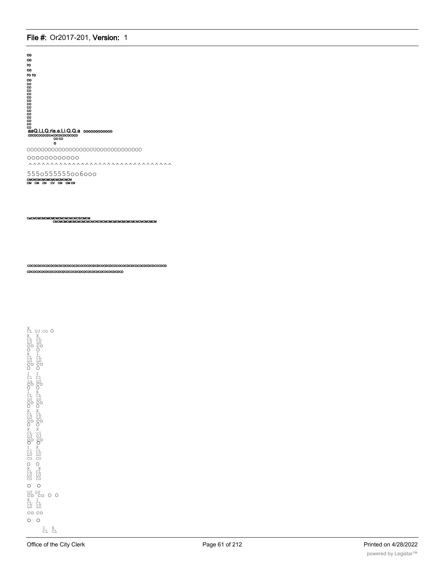

555o555555oo6ooo CMCNCMCMCMCMCMCMCMCM CM CM CN CV CM CM CN

CslCMCMCMCMCMCMCMCMCMCMCSICMCM CMCMCMCMCMCMCMCMCMCNCMCMCMCMCMCMCMCMCMCMCMCMCM

CDCDCDCOCDCDCDCDCDCDCOCDCOCDCDCDCDCOCDCDCDCOCOCDCDCDCDCDCDCDCDCDCD CDCDCDCDCDCDCDCDCDCDCDCDCDCDCDCDCDCDCDCDCDCDCD

0<br>CC CO CO CO<br>X X V V U<br>CL UJ CO<br>X X V V CO<br>CL UJ CO O<br>X X V V U<br>CL UJ CO O I I Cl Cl lu LU co co O O I X CL CL LU LU co co O O X X CL CL LU LU co co O O X X CL cl LU UJ co co o o I X Cl CL LU LU CO CO O O<br>X X<br>CL CL<br>CL CL<br>CO CO  $\begin{array}{lcl} \texttt{O} & \texttt{O} \\ \texttt{O} & \texttt{CO} \\ \texttt{CO} & \texttt{CO} \end{array} \hspace{0.2cm} \texttt{O} \hspace{0.2cm} \texttt{O} \\ \texttt{O} \\ \texttt{C} & \texttt{C} \\ \texttt{C} & \texttt{C} \\ \texttt{C} & \texttt{C} \\ \texttt{C} & \texttt{C} \\ \texttt{C} & \texttt{C} \\ \texttt{C} & \texttt{C} \\ \texttt{C} & \texttt{C} \\ \texttt{C} & \texttt{C} \\ \texttt{C} & \texttt{C} \\ \texttt$ co co o o  $\rm _{CL}^{\rm I}$   $\rm _{CL}^{\rm X}$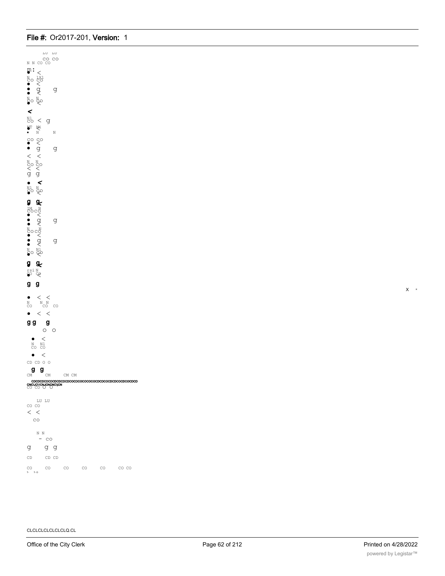| g g                                                                                                                      |                  |             |             |             |       |  |  |  |  |  |  | $X \rightarrow$ |
|--------------------------------------------------------------------------------------------------------------------------|------------------|-------------|-------------|-------------|-------|--|--|--|--|--|--|-----------------|
|                                                                                                                          |                  |             |             |             |       |  |  |  |  |  |  |                 |
|                                                                                                                          |                  |             |             |             |       |  |  |  |  |  |  |                 |
| $\begin{array}{cc} \bullet & < \\ \mathbb{N} & \mathbb{N} \mathbb{1} \\ \mathbb{C} \circ & \mathbb{C} \circ \end{array}$ |                  |             |             |             |       |  |  |  |  |  |  |                 |
| $\begin{array}{c}\n\bullet < \\ \text{CD CD 0 0}\n\end{array}$<br>g g                                                    |                  |             |             |             |       |  |  |  |  |  |  |                 |
| CM                                                                                                                       | CM               | CM CM       |             |             |       |  |  |  |  |  |  |                 |
| CO CO<br>$\,<\,$ $\,<$<br>$_{\rm CO}$                                                                                    | LU LU            |             |             |             |       |  |  |  |  |  |  |                 |
| $\,$ N $\,$ N                                                                                                            | $ co$            |             |             |             |       |  |  |  |  |  |  |                 |
| $\hbox{g}$<br>$_{\rm CD}$                                                                                                | g g<br>$CD$ $CD$ |             |             |             |       |  |  |  |  |  |  |                 |
| $_{\rm CO}$<br>$\mathsf{T}_2 \qquad \mathsf{T}_2 \bullet \mathsf{O}$                                                     | CO               | $_{\rm CO}$ | $_{\rm CO}$ | $_{\rm CO}$ | CO CO |  |  |  |  |  |  |                 |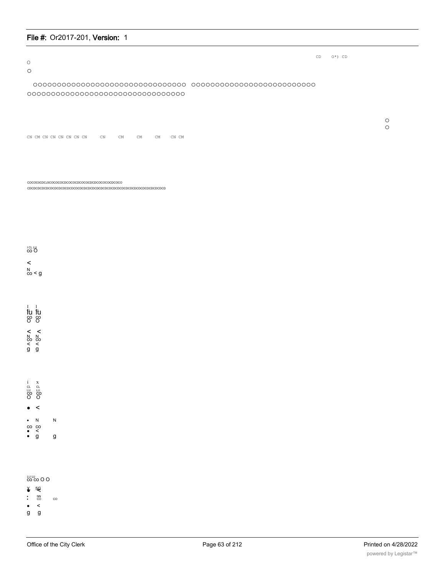$\circ$ 

#### $\circ$

 $\begin{array}{lllllll} \text{CN} & \text{CN} & \text{CN} & \text{CN} & \text{CN} & \text{CN} & \text{CN} & \text{CN} \end{array}$  $\mathbb{C}\mathbb{M}$  $\mathbb{C}\mathbb{M}$   $\qquad \mathbb{C}\mathbb{N}$   $\mathbb{C}\mathbb{M}$ 

 $\,<$  $_{\text{co}}^{\text{N}}$  < g  $\begin{array}{cc} \n\frac{1}{2} & \frac{1}{2} \\
\frac{1}{2} & \frac{1}{2} \\
\frac{1}{2} & \frac{1}{2} \\
\frac{1}{2} & \frac{1}{2} \\
\frac{1}{2} & \frac{1}{2} \\
\frac{1}{2} & \frac{1}{2} \\
\frac{1}{2} & \frac{1}{2} \\
\frac{1}{2} & \frac{1}{2} \\
\frac{1}{2} & \frac{1}{2} \\
\frac{1}{2} & \frac{1}{2} \\
\frac{1}{2} & \frac{1}{2} \\
\frac{1}{2} & \frac{1}{2} \\
\frac{1}{2} & \frac{1}{2} \\
\frac{$  $V$  25 v or<br>  $V$  25 v or  $rac{1}{200}$  $\sum_{i=1}^{N}$  $\prec$  $\bullet$  ${\sf N}$  ${\sf N}$  $\bullet$  $\begin{array}{ccc} 0 & 0 & 0 \\ 0 & 0 & 0 \\ 0 & 0 & 0 \end{array}$  $\boldsymbol{\mathsf{g}}$ 

**CO** D

 $\frac{1000}{1000}$  O O

 $\frac{1}{2}$  5 $\epsilon$ 

 $_{\rm CO}^{\rm NN}$  $\ddot{\phantom{a}}$  $_{\rm co}$ 

 $\,<$  $\bullet$ 

g g  $CD$   $O^*$ )  $CD$ 

 $\circ$  $\circ$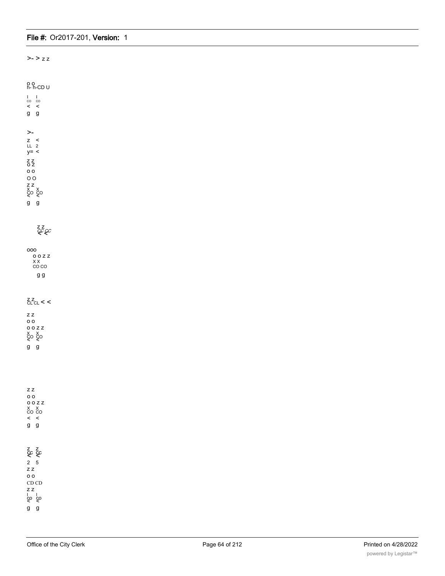| $>$ $>$ $z$ $z$                                                                                                                                                                                                                     |  |  |  |
|-------------------------------------------------------------------------------------------------------------------------------------------------------------------------------------------------------------------------------------|--|--|--|
| $00h$ -CDU<br>$\begin{array}{ccc} I & I \\ \text{co} & \text{co} \\ < & < \end{array}$<br>$g$ $g$                                                                                                                                   |  |  |  |
| $\mathord{>}$ -<br>$Z <$<br>LL 2<br>$y=$ <<br>$\frac{z}{6}\frac{z}{z}$                                                                                                                                                              |  |  |  |
| $\overset{\text{Z} \, \text{Z}}{\mathscr{C}} \mathscr{C}$                                                                                                                                                                           |  |  |  |
| 000<br>0 0 Z Z<br>X X<br>CO CO<br>$\mathfrak g$ g                                                                                                                                                                                   |  |  |  |
| $\zeta_L^Z c_L <$                                                                                                                                                                                                                   |  |  |  |
| $\mathsf{z}\,\mathsf{z}$<br>$\circ$ $\circ$<br>$\begin{array}{c} 0 & 0 & 0 \\ 0 & 0 & 0 \\ 0 & 0 & 0 \\ 0 & 0 & 0 \end{array}$                                                                                                      |  |  |  |
| $\mathsf{Z}\ \mathsf{Z}$<br>$\,$ o $\,$<br>$00zz$<br>$X$ $X$<br>$CO$ $CO$<br>$50$<br>$50$<br>$50$<br>$50$<br>$50$<br>$50$<br>$50$<br>$50$                                                                                           |  |  |  |
| $\begin{array}{c} Z_{\text{C}} \\ \text{C}} \\ 2 & 5 \end{array}$<br>$\mathsf{z}\ \mathsf{z}$<br>$\circ$ $\circ$<br>$CD$ $CD$<br>$\begin{array}{c} z z \\ \downarrow 0 \\ \downarrow 0 \\ \downarrow 0 \\ \downarrow 0 \end{array}$ |  |  |  |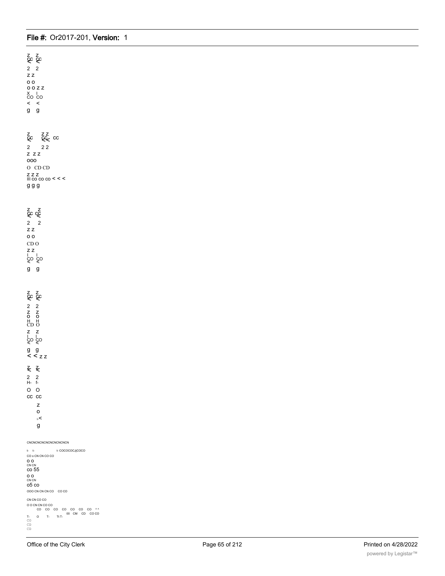| $rac{z}{\xi}$ c<br>2 2<br>$\mathsf{Z}\ \mathsf{Z}$<br>$22$<br>$00$<br>$00$<br>$22$<br>$00$<br>$00$<br>$00$<br>$00$<br>$00$<br>$00$<br>$00$                                                                                                                                                                                                                                                                                                                                                                                                                                                                                                                              |  |
|-------------------------------------------------------------------------------------------------------------------------------------------------------------------------------------------------------------------------------------------------------------------------------------------------------------------------------------------------------------------------------------------------------------------------------------------------------------------------------------------------------------------------------------------------------------------------------------------------------------------------------------------------------------------------|--|
| $\overline{\mathcal{L}}$ cc<br>$\frac{z}{\mathbf{c}}$<br>$2\,2$<br>$\overline{2}$<br>$Z$ $Z$ $Z$<br>000<br>$O$ CD CD<br>$Z$ $Z$ $Z$<br>III co co co < < <<br>g g g                                                                                                                                                                                                                                                                                                                                                                                                                                                                                                      |  |
| $\begin{array}{ccc}\nZ & Z & & \\ & & & \downarrow & \\ & & & 2 & \\ & & & 2 & \\ & & & 2 & \\ & & & 2 & \\ & & & 0 & \\ & & & & 0\n\end{array}$<br>CDO                                                                                                                                                                                                                                                                                                                                                                                                                                                                                                                 |  |
| RAN DISON<br>PONDIDISON<br>PONDIDISON<br>$\frac{g}{2}$ $\frac{g}{2}$                                                                                                                                                                                                                                                                                                                                                                                                                                                                                                                                                                                                    |  |
| $\begin{array}{cc} \xi & \xi \\ 2 & 2 \end{array}$<br>$H - f -$<br>$O$ $O$<br>$cc$ $cc$<br>z<br>$\mathsf{o}$<br>$\mathbf{R}$<br>g                                                                                                                                                                                                                                                                                                                                                                                                                                                                                                                                       |  |
| CNCNCNCNCNCNCNCNCNCN<br>t- t- t- t- COCOCOCJjCOCO<br>CO o CN CN CO CO<br>0 <sub>0</sub><br>CN CN<br>co 55<br>0 <sub>0</sub><br>CN CN<br>o5 co<br>000 CN CN CN CO CO CO<br>CN CN CO CO<br>O O CN CN CO CO<br>CO CO CO CO CO CO CO ^^<br>$T-$ 0 $T Tt$ $T$ -<br>$T$ -<br>$T$ -<br>$T$ -<br>$T$ -<br>$T$ -<br>$T$ -<br>$T$ -<br>$T$ -<br>$T$ -<br>$T$ -<br>$T$ -<br>$T$ -<br>$T$ -<br>$T$ -<br>$T$ -<br>$T$ -<br>$T$ -<br>$T$ -<br>$T$ -<br>$T$ -<br>$T$ -<br>$T$ -<br>$T$ -<br>$T$ -<br>$T$ -<br>$T$ -<br>$T$ -<br>$T$ -<br>$T$ -<br>$T$ -<br><br><br><br><br><br><br><br><br><br><br><br><br><br><br><br><br><br><br><br><br>CO<br>$_{\rm CD}$<br>$\mathbb{C}\mathbb{D}$ |  |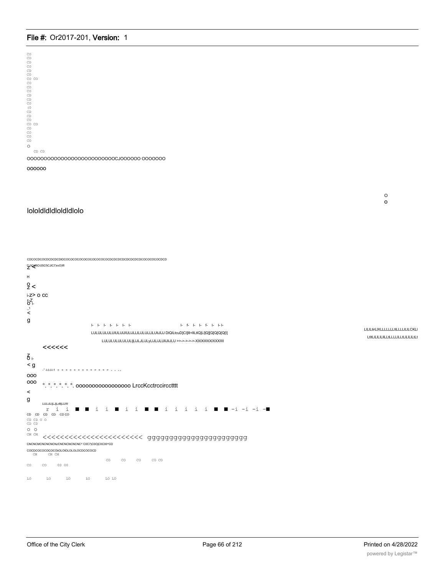

lololdldldloldldlolo

CJ)CHffiO;05Cf)CJIC7)roO)ffl  $\overline{\mathsf{H}}$  $\frac{9}{2}$  $i-Z$   $>$   $0$   $CC$  $6^{7}$  $\frac{1}{\leq}$ g  $\left\| \mathbf{1}_{\mathbf{1}_{\mathbf{1}}} \right\| \left\| \mathbf{1}_{\mathbf{1}_{\mathbf{1}}} \right\| \left\| \mathbf{1}_{\mathbf{1}_{\mathbf{1}}} \right\| \left\| \mathbf{1}_{\mathbf{1}_{\mathbf{1}}} \right\| \left\| \mathbf{1}_{\mathbf{1}_{\mathbf{1}}} \right\| \left\| \mathbf{1}_{\mathbf{1}_{\mathbf{1}}} \right\| \left\| \mathbf{1}_{\mathbf{1}_{\mathbf{1}}} \right\| \left\| \mathbf{1}_{\mathbf{1}_{\mathbf{1}}} \right\| \left\| \mathbf{1}_{\math$  $\| \varphi - \varphi \|_2 = \| \varphi - \varphi \|_2 = \| \varphi - \varphi \|_2 = \| \varphi \|_2.$ **LILILtirLIXLLLLLLLLtlLLLLILILCKLI** LULULULULUULIJJJULIJLLILIJLULLILUIJJJ DIQILtcuDJCIJIIKILtIQJLIJQJ[Q[Q[Q[Q[]] LtitLiLiLiLiLLtLLLLLLLtLlLlLlLtLtLt LULULULULULULULIJLIJLIJLIJLYLIJLIJLUIIJIJLU >>->->->->-XXIXIIIXXIXXXIIII  $\prec << << <$  $\overline{6}$  i- $\leq$  g  $\mathcal{A}_{\text{ABH}}$  and a mass in the mass of the mass of the set of the mass of the mass of the mass of the mass of the mass of the mass of the mass of the mass of the mass of the mass of the mass of the mass of the mass of t 000 000 °. °. °. °. °. 00000000000000000 LrccKcctrccircctttt  $\,<$ g LULiJLIjLJjLdIIjLIJW  $r-i-i$  $\begin{array}{l} \texttt{CD} \texttt{ CD} \texttt{ O} \\ \texttt{CD} \texttt{ CD} \end{array}$  $\circ\hspace{0.15cm}\circ$ CM CM CNCNCMCNCNCNCNCNCNCNCNCNCNC<sup>A</sup> C0C7)C0OjC0C00<sup>A</sup>CD  ${\tt COCDCOCOCOCOCOIOLOLOLOLOLO CDCOCOCOD} \hspace{2.5mm} \begin{array}{ll} {\tt COCDCCOCOCOCOIOIOLOLOLOLOLO CDCOCOCOD} \hspace{2.5mm} \hspace{2.5mm} {\tt CM} \hspace{2.5mm} {\tt CM} \end{array}$  $\begin{array}{ccccccccc} \text{co} && \text{co} && \text{co} && \text{co} && \text{co} \end{array}$  $CO$  00 00  $_{\rm CO}$  $\begin{tabular}{lllll} \multicolumn{2}{c|}{\text{LO}} & \multicolumn{2}{c|}{\text{LO}} \\ \multicolumn{2}{c|}{\text{LO}} & \multicolumn{2}{c|}{\text{LO}} & \multicolumn{2}{c|}{\text{LO}} \\ \multicolumn{2}{c|}{\text{LO}} & \multicolumn{2}{c|}{\text{LO}} & \multicolumn{2}{c|}{\text{LO}} \\ \multicolumn{2}{c|}{\text{LO}} & \multicolumn{2}{c|}{\text{LO}} & \multicolumn{2}{c|}{\text{LO}} \\ \multicolumn{2}{c|}{\text{LO}} & \multicolumn{2}{c|}{\text{LO}} & \mult$ LO LO LO

 $\circ$  $\mathsf{o}\xspace$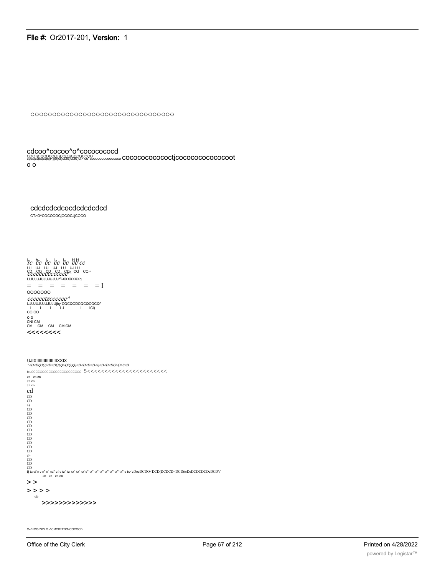$\mathsf{o}\,\mathsf{o}$ 

LLIUJUJUJUJUJUJ<sup>\*5</sup>-XXXXXXXg 0000000  $\begin{array}{cccc}\n & \vdots & \vdots & \vdots \\
 & \vdots & \vdots & \vdots \\
 & \text{CO} & \text{CO}\n\end{array}$  $\sim 1$ OO<br>CNICM<br>CM CM CM CMCM  $<<<<<<$ 

cdcdcdcdcocdcdcdcdcd CT>0^COCOCOCjOCOCJjCOCO



Cn'^^OO^^P^LO r^CMCD^TTCMCOCOCD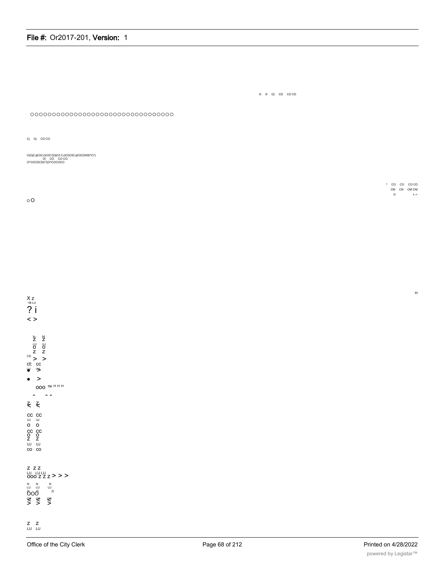$\circ$   $\circ$  Q) CD CD CD

#### 

 $Cj$   $Oj$   $CO CO$ 

0)0jcJjc0cJjc0c7j0jc0 cJjc0c0cJjc0cD000^C7)<br>0| CO CO CO<br>0^COCDCDCTj0^COCOCO

|           |  |  |         | ^ CO CO COCO |
|-----------|--|--|---------|--------------|
|           |  |  |         | CM CN CM CNI |
|           |  |  | $\circ$ | $t-r-$       |
| $\circ$ O |  |  |         |              |



 $Z$   $Z$   $Z$  $_{000}^{LU}$   $_{ZZ}^{LULU}$   $_{Z}$   $>$   $>$   $>$  $\begin{array}{ccc} \text{N} & \text{N} & \text{N} \\ \text{LU} & \text{LU} & \text{LU} \\ \text{Z} & \text{ZI} \end{array}$  $888$ 

 $\begin{bmatrix} z & z \\ w & w \end{bmatrix}$ 

 $\bar{H}$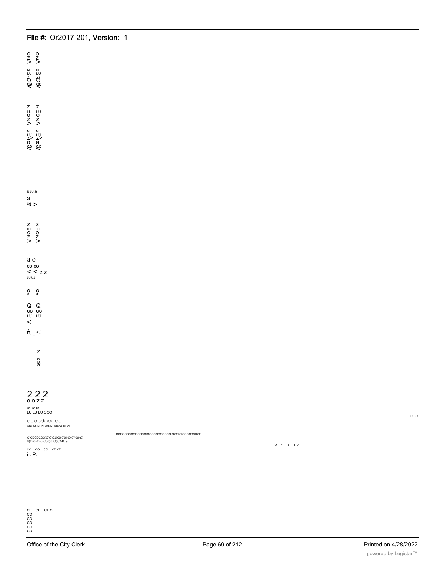| File #: Or2017-201, Version: 1                                                                                   |                                                    |       |
|------------------------------------------------------------------------------------------------------------------|----------------------------------------------------|-------|
| $\begin{array}{c} 0 \\ \zeta \\ > \end{array}$                                                                   |                                                    |       |
| $\begin{array}{c} Z & Z \\ U & U \\ 0 & Z \\ Z & Z \\ Z & Z \end{array}$<br>ro NE <sup>z</sup><br>ro a Nez<br>19 |                                                    |       |
| N LU Zt<br>a<br>e >                                                                                              |                                                    |       |
| $\begin{array}{c} Z \\ 0 \\ 0 \\ Z \end{array}$                                                                  |                                                    |       |
| a o<br>$\cos$<br>z < z z<br>LU UJ                                                                                |                                                    |       |
| $\begin{array}{cc} 0 & 0 \\ 0 & 0 \end{array}$                                                                   |                                                    |       |
| $\begin{array}{cc} \text{Q} & \text{Q} \\ \text{cc} & \text{cc} \\ \text{LU} & \text{LU} \end{array}$<br>$\,<$   |                                                    |       |
| $\ensuremath{\underline{\mathsf{Z}}}_{\ensuremath{\mathrm{U}}\, \underline{\mathrm{J}}} <$                       |                                                    |       |
| $\mathbf{Z}$<br>$\stackrel{\textit{in}}{\mathtt{a}}$                                                             |                                                    |       |
| 222<br>$\begin{array}{c} \hbox{\it{tn th}} \\ \hbox{\it{LU LU LU 000}} \end{array}$                              |                                                    |       |
| oooodooooo<br>CNCNCNCNCMCNCMCNCMCN                                                                               |                                                    | CD CD |
| 0)CDCDCD0)0)0)CJ)C0 0)0100)0)^0)0)0)<br>0)O)0)O)0)O)0)0)O)CMCS <br>$CO$ $CO$ $CO$ $CD$ $CD$<br>$i$ -: P.         | $0 \quad \  \  \sim \quad \  t \quad \  t \cdot 0$ |       |
|                                                                                                                  |                                                    |       |

CL CL CL CL<br>CO<br>CO<br>CO<br>CO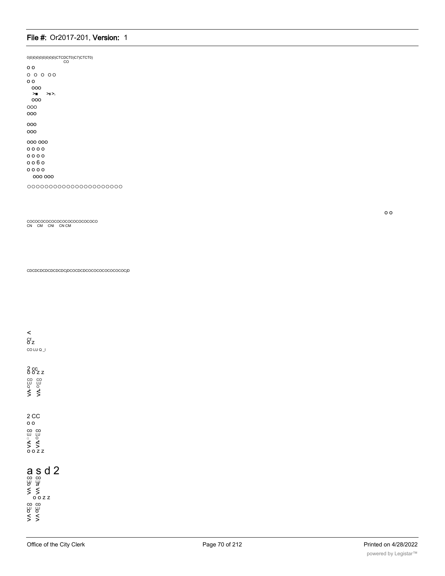| 0)0)0)0)0)0)0)0)0)CTCDCT0)C7)CTCT0)<br>CO |
|-------------------------------------------|
| o o<br>$0\,0\,0\,00$<br>o o               |
| 000<br>$\geq$<br>>s>.<br>000              |
| 000<br>000                                |
| 000<br>000                                |
| 000 000<br>0000                           |
| 0000<br>оо6о<br>0000                      |
| 000 000                                   |
| 000000000000000000000                     |

COCOCOCOCOCOCOCOCOCOCOCOCO<br>CN CM CNI CN CM

 ${\tt COCCDCCDCCDCCDCCDCCOCCOCOCOCOCOCOCOCOC}$ 

 $\xi$ <br> $\delta^{\text{f}}$ z  $CO$  LU Q  $\overline{\phantom{a}}$ 

 $2$  cc<br> $0$   $2$   $z$ 

WAPE8<br>WAPE8

 $2$  CC  $\circ$   $\circ$  $\begin{array}{c}\n 0 \\
 0 \\
 0 \\
 0 \\
 0 \\
 0 \\
 0 \\
 0\n\end{array}$ 

a s d 2<br>  $888$ <br>  $588$ <br>  $582$ <br>  $582$ <br>  $582$ <br>  $582$ <br>  $582$ <br>  $582$ 

 $\circ$   $\circ$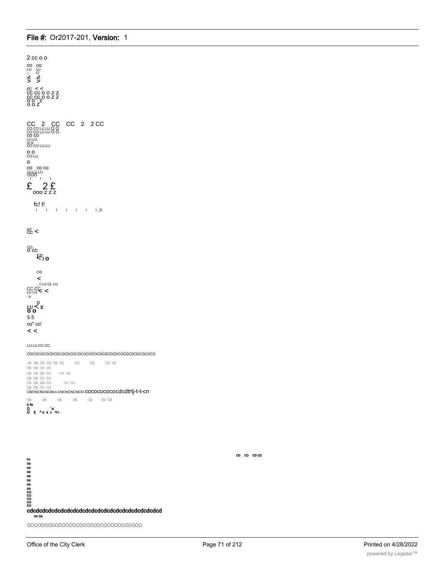$2cc00$ MAPES rc < <<br>cc cc o o z z<br>cc cc o o z z<br>o o \_z<br>o o z င္လင္ 2 CC<br>အထိ ပါး ျပဳ<br>အထိ ပါး ျပဳ<br>အထိ ေက်း ၁၀<br>တိုက္တင္ 2 CC<br>ေ 2 CC CC 2 2 CC  $00$ <br>COLU  $\circ$  $\overset{\circ}{E}_{\text{000 Z Z Z}}^{\overset{\circ}{\phantom{\circ}}\phantom{\circ}}\overset{\circ}{E}_{\text{2}}$  $\begin{array}{ccc} \text{fc! t!} & & & \\ \text{-} & \text{-} & \text{-} & \text{-} & \text{-} & \text{-} & \text{-} \end{array}$  $C_{\rm C}$  <  $6^{\circ}$ cc  $\mathbf{w}_{\mathbf{10}}$  $_{\rm CO}$  $\begin{array}{c}\n&0\\
&0\\
&0\\
&5\\
&5\n\end{array}$ co" co'  $\,<$   $<$ LU LU CC CC CN CN CO CO<br>CN CN CN CO  $CO CO$ CN CN CO CO<br>CN CN CN CO  $CO CO$  $_{\rm CN}$ CN CN CN CN CN CN CN oto<br>O tj^o di-π⊩<br>O tj^o di-π⊩ 58888888885  $\boldsymbol{\infty}$   $\boldsymbol{\infty}$ 

CD CD CDCD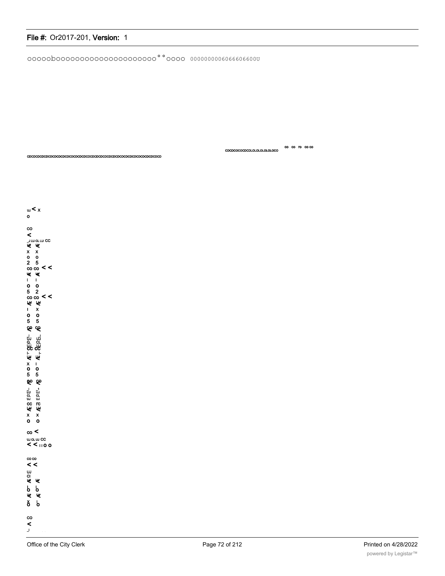$\infty$   $\infty$  ro $\infty$ CDCDCOCOCDCDLOLOLOLOLOCO

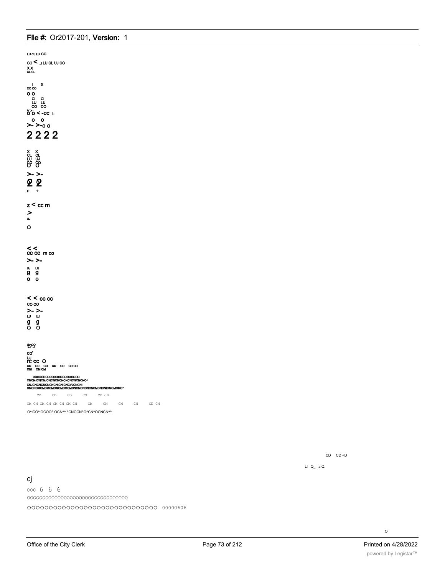| <b>LUCLLUCC</b>                                                                             |    |    |       |
|---------------------------------------------------------------------------------------------|----|----|-------|
| co< juduucc<br>XX<br>ala                                                                    |    |    |       |
| $\boldsymbol{\mathsf{x}}$<br>$\frac{1}{\cos \alpha}$<br>o o<br>85<br>Sc<br>a<br>τυ<br>co    |    |    |       |
| ∛`o < -cc ⊦                                                                                 |    |    |       |
| 。。。<br>>- >-。。                                                                              |    |    |       |
| 2222                                                                                        |    |    |       |
| <b>OBERX</b><br><b>OBERX</b>                                                                |    |    |       |
|                                                                                             |    |    |       |
| >-<br>ହ<br>$\mathbf 2$<br>$1-$                                                              |    |    |       |
| $z <$ cc m<br>>                                                                             |    |    |       |
| w                                                                                           |    |    |       |
| $\circ$                                                                                     |    |    |       |
| $\prec$<br><<br>CC CC m co<br>$> - > -$                                                     |    |    |       |
| ιu<br>w<br>g<br>g<br>$\bullet$<br>$\circ$                                                   |    |    |       |
|                                                                                             |    |    |       |
| $\cos$                                                                                      |    |    |       |
| $> - > -$<br>LU W                                                                           |    |    |       |
| g<br>O<br>$\frac{g}{O}$                                                                     |    |    |       |
|                                                                                             |    |    |       |
| $\mathcal{O}^{\circ}$                                                                       |    |    |       |
| co'<br>ပ္လို<br>ICCCO<br>လူ ထူ ထူ ထု ထု ထု ထု ထု<br>လူ ထူ လူ လူ                             |    |    |       |
| CDCDCDCDCDCDCOCOCOCOCD<br>CNCNJCNCNJCNCNCNCNCNCNCNCNCNCNCNC<br>CNJCNCNCNCNCNCNCNICNCVJCNCNI |    |    |       |
| CD<br>$_{\rm CD}$<br>$_{\rm CO}$<br>$_{\rm CO}$<br>CO CD                                    |    |    |       |
| CM CM CM CM CM CM CM CM<br>CM<br>$\mathbb{C}\mathbb{M}$                                     | CM | CM | CN CM |
| ONCONOCOOA.OCNAA ACNOCNAOACNAOCNCNAA                                                        |    |    |       |
|                                                                                             |    |    |       |

CD CD <D

 $LI$  Q<sub>\_</sub> a Q.

cj <sup>000</sup> 6 6 6

OOOOOOOOOOOOOOOOOOOOOOOOOOOOOOOOO

oooooooooooooooooooooooooooooo <sup>00000606</sup>

O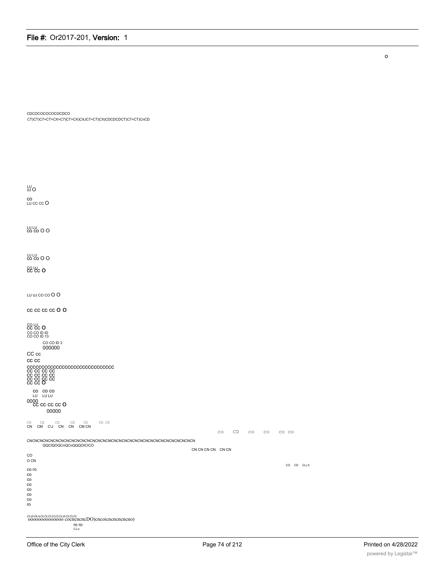CDCOCOCOCOCOCDCO CT)CT)C7>CT>CX>C7)CT>CX)CXJC7>CT)CX)CDCDCDCT)C7>CT)CnCD

LU 03 O co LU CC CC O LU LU co co O O UJ LU co co O O  $\cos\theta$  o LU UJ CO CO O O cc cc cc cc o o CO LU cc cc o CO CO ID ID CO CO ID 13 CO CO ID 3 000000 CC cc cc cc cccccccccccccccccccccccccccccc cc cc cc cc cc cc cc cc cc cc cc cc cc cc o co co co LU LU LU  $\frac{0000}{c}$  cc cc cc O 00000 CD CD CD CD CD CD CD CN CM C\J CN CN CM CN co CD co co co co CNCNCNCNCNCNCNCNCNCNCNCNCNCNCNCMCNCNCNCNCNCNCNCNCNCNCNCNCNCNCNCN QQClQOQCnQCnQQQOICICO CN CN CN CN CN CN CO O CN CO CD CL) 0 co ro co co co co co co ro CLQ-OLrLCLCLCLCLCLCLQ-CLCLCL oooooooooooooo cocncncncDO)cncoicncncncncno)

o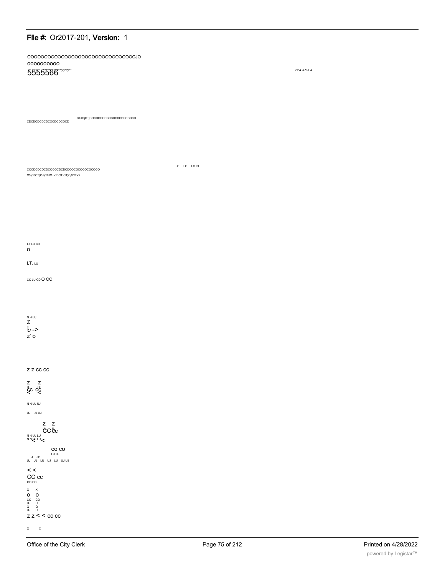OOOOOOOOOOOOOOOOOOOOOOOOOOOOOOOCJO oooooooooo  $555566$   $^{\circ}$   $^{\circ}$   $^{\circ}$   $^{\circ}$   $^{\circ}$   $^{\circ}$   $^{\circ}$   $^{\circ}$   $^{\circ}$   $^{\circ}$   $^{\circ}$   $^{\circ}$   $^{\circ}$   $^{\circ}$   $^{\circ}$   $^{\circ}$   $^{\circ}$   $^{\circ}$   $^{\circ}$   $^{\circ}$   $^{\circ}$   $^{\circ}$   $^{\circ}$   $^{\circ}$   $^{\circ}$   $^{\circ}$   $^{\circ}$   $^{\circ}$   $^{\circ}$   $^{\circ}$   $^$ 

CTJOjCTjCOCDCOCDCDCDCDCDCDCDCD CDCDCDCDCDCOCDCDCOCD

COCDCDCDCDCOCOCDCDCDCOCOCOCOCOCOCO

LO LO LO lO

C3)C0CT)CJ)CTJCJ)CDCT)CT)Cj0CT)O

LT LU CD o

LT. LU

CC LU CD O CC

N H LU Z I o -> z' o

z z cc cc

z z ge cg

N N UJ UJ

UJ UJ UJ

z z **UNERITING**<br>N UN UN LU C C CC<br>C C C

<mark>co co</mark><br>ເທພ J J D UJ UJ LU UJ LU UJ UJ

 $\,<$ 

CC cc<br><sub>co co</sub>

 $\begin{array}{c}\nX & X \\
0 & 0 \\
\infty & \infty \\
0 & \infty \\
\infty & \infty \\
\infty & \infty\n\end{array}$ <br>  $\begin{array}{c}\nX & X \\
\infty & \infty \\
\infty & \infty \\
\infty & \infty\n\end{array}$ 

 $\mathbf{x} = -\mathbf{x}$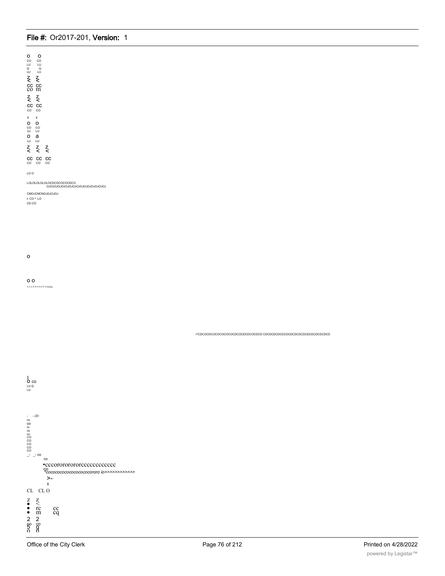o o CO CO LU LU Q Q UJ LU z z < < cc cc co m z<br>CC CC<br><sub>co CO</sub> X<br>
0 CO<br>
0 CO<br>
2 Z<br>
<<br>
<<br>
< cc cc cc<br>co co co

LO O

#### LOLOLOLOLOLOCDCDCOCOCDCO OJOJOJOJOJOJOJOJOJOJOJOJOJOJOJOJ

CMOJCNCNOJOJOJOJ t- CO ^. LO CD CO

o

o o

T-1-1-T-T-T-T-T-T-T-OJOJ



r^CDCOCDCOCOCOCOCOCDCOCDCDCOCDCD CDCDCDCDCDCDCDCDCDCDCDCDCDCDCDCD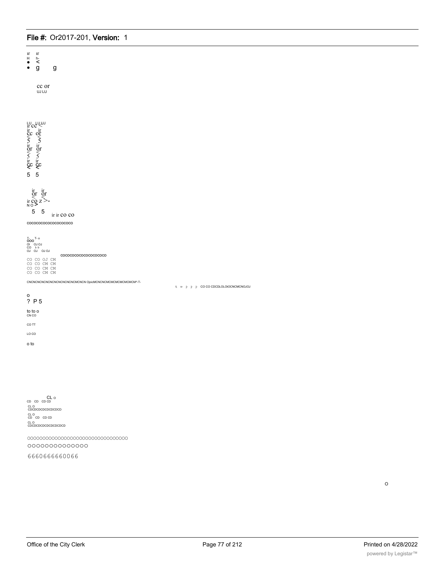| $1\Gamma$<br>$1\Gamma$<br>н<br>$\zeta$<br>$\bullet$                                                                                                                                                                                                                                                                                                                                                                               |                                           |  |
|-----------------------------------------------------------------------------------------------------------------------------------------------------------------------------------------------------------------------------------------------------------------------------------------------------------------------------------------------------------------------------------------------------------------------------------|-------------------------------------------|--|
| $\boldsymbol{g}$<br>g<br>$\bullet$                                                                                                                                                                                                                                                                                                                                                                                                |                                           |  |
| cc or<br>UJ LU                                                                                                                                                                                                                                                                                                                                                                                                                    |                                           |  |
|                                                                                                                                                                                                                                                                                                                                                                                                                                   |                                           |  |
| $\begin{array}{l} \exists \, \sum\limits_{i=1}^{n} \sum\limits_{i=1}^{n} \sum\limits_{j=1}^{n} \sum\limits_{i=1}^{n} \sum\limits_{i=1}^{n} \sum\limits_{i=1}^{n} \sum\limits_{j=1}^{n} \sum\limits_{i=1}^{n} \sum\limits_{j=1}^{n} \sum\limits_{i=1}^{n} \sum\limits_{i=1}^{n} \sum\limits_{i=1}^{n} \sum\limits_{i=1}^{n} \sum\limits_{i=1}^{n} \sum\limits_{i=1}^{n} \sum\limits_{i=1}^{n} \sum\limits_{i=1}^{n} \sum\limits_{$ |                                           |  |
|                                                                                                                                                                                                                                                                                                                                                                                                                                   |                                           |  |
|                                                                                                                                                                                                                                                                                                                                                                                                                                   |                                           |  |
| $\frac{ir}{2}$<br>$\overline{5}$<br>$\overrightarrow{C}$<br>Z<br>5<br>5<br>ir ir co co                                                                                                                                                                                                                                                                                                                                            |                                           |  |
| cocococococococococococo                                                                                                                                                                                                                                                                                                                                                                                                          |                                           |  |
| $\begin{array}{ll} \text{0.01} & \text{0.01} \\ \text{0.01} & \text{0.01} \\ \text{0.01} & \text{0.01} \\ \text{0.01} & \text{0.01} \\ \text{0.01} & \text{0.01} \end{array}$<br>${\tt cococococococococococococ}$                                                                                                                                                                                                                |                                           |  |
| CO CO OJ CM<br>CO CO CM CM<br>CO CO CM CM<br>CO CO CM CM                                                                                                                                                                                                                                                                                                                                                                          |                                           |  |
| CNCNCNCNCNCNCNCNCNCNCNCMCMCNCN OjoicMCNCNCMCMCMCMCMCMCM^-T-                                                                                                                                                                                                                                                                                                                                                                       | t; v- j- j- j- CO CO CDCDLOLOtOCNCMCNOJOJ |  |
| $\mathsf{o}$<br>? P 5                                                                                                                                                                                                                                                                                                                                                                                                             |                                           |  |
| to to o<br>CN CO                                                                                                                                                                                                                                                                                                                                                                                                                  |                                           |  |
| CO TT                                                                                                                                                                                                                                                                                                                                                                                                                             |                                           |  |
| LO CO                                                                                                                                                                                                                                                                                                                                                                                                                             |                                           |  |
| o to                                                                                                                                                                                                                                                                                                                                                                                                                              |                                           |  |
|                                                                                                                                                                                                                                                                                                                                                                                                                                   |                                           |  |
|                                                                                                                                                                                                                                                                                                                                                                                                                                   |                                           |  |
|                                                                                                                                                                                                                                                                                                                                                                                                                                   |                                           |  |

 $\begin{array}{c} \text{CL} \, \circ \\ \text{CD} \, \, \text{CD} \, \, \text{CD} \, \text{CD} \end{array}$  ${\tt CLO}$   ${\tt COCCDCDCDCDCDCDCD}$ CLO<br>CD CD CD CD<br>CLO<br>CLO<br>CDCDCDCDCDCDCDCDCD

0000000000000

6660666660066

 $\circ$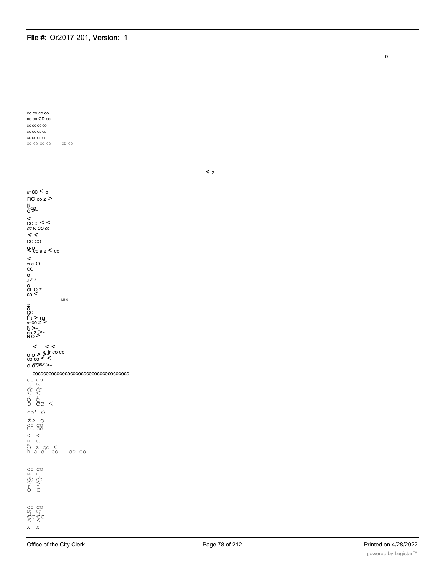| co co co co<br>co co CD co                                                                                                                                                                                                                                                                                                                                                                                                                                                                   |          |
|----------------------------------------------------------------------------------------------------------------------------------------------------------------------------------------------------------------------------------------------------------------------------------------------------------------------------------------------------------------------------------------------------------------------------------------------------------------------------------------------|----------|
| CO CO CO CO<br>CO CO CD CO                                                                                                                                                                                                                                                                                                                                                                                                                                                                   |          |
| $\mathop{\rm CO}$ CO $\mathop{\rm CD}$ CD<br>CO CO CO CD<br>$CD$ $CD$                                                                                                                                                                                                                                                                                                                                                                                                                        |          |
|                                                                                                                                                                                                                                                                                                                                                                                                                                                                                              |          |
|                                                                                                                                                                                                                                                                                                                                                                                                                                                                                              | $\leq$ z |
| $_{NT}$ cc $\leq$ 5                                                                                                                                                                                                                                                                                                                                                                                                                                                                          |          |
| $nc$ co $z$ >-<br>$\frac{N}{0}$ cg_                                                                                                                                                                                                                                                                                                                                                                                                                                                          |          |
| $\frac{6}{\text{CC C}}$ ct $\leq$<br>nc v; CC cc                                                                                                                                                                                                                                                                                                                                                                                                                                             |          |
| $\,<$ $<$<br>CO CO                                                                                                                                                                                                                                                                                                                                                                                                                                                                           |          |
| $Q^0_{cc\,az} <$ co                                                                                                                                                                                                                                                                                                                                                                                                                                                                          |          |
| $<$ <sub>CL CL</sub> O<br>$_{\rm CO}$                                                                                                                                                                                                                                                                                                                                                                                                                                                        |          |
| $O_{\_ZD}$<br>$_{\rm CO}^{\rm O}$ $\gtrsim$ $z$                                                                                                                                                                                                                                                                                                                                                                                                                                              |          |
| LU X                                                                                                                                                                                                                                                                                                                                                                                                                                                                                         |          |
| $\frac{2}{50}$<br>$\frac{1}{50}$<br>$\frac{1}{50}$<br>$\frac{1}{50}$<br>$\frac{1}{50}$                                                                                                                                                                                                                                                                                                                                                                                                       |          |
| 8>-<br>802>-<br>807                                                                                                                                                                                                                                                                                                                                                                                                                                                                          |          |
| $\lt$ $\lt$ $\lt$<br>$0.0 > \frac{V}{C}$ ir co co                                                                                                                                                                                                                                                                                                                                                                                                                                            |          |
| 0 8°SQ22>-                                                                                                                                                                                                                                                                                                                                                                                                                                                                                   |          |
| ${\tt COCOCO COCO COCO CO CO CO CO CO CO CO CO CO CO CO}$                                                                                                                                                                                                                                                                                                                                                                                                                                    |          |
| <b>OOK AS-450</b>                                                                                                                                                                                                                                                                                                                                                                                                                                                                            |          |
| $CO1$ $O$                                                                                                                                                                                                                                                                                                                                                                                                                                                                                    |          |
| $\frac{1}{2}$ $>$ 0<br>$\frac{1}{2}$ 0<br>$\frac{1}{2}$ 0<br>$\frac{1}{2}$ 0                                                                                                                                                                                                                                                                                                                                                                                                                 |          |
| $\begin{array}{c} < \\ \textrm{LU} \\ \textrm{U} \\ \textrm{C} \\ \textrm{A} \\ \textrm{C} \\ \textrm{A} \\ \textrm{C} \\ \textrm{D} \\ \textrm{A} \\ \textrm{C} \\ \textrm{A} \\ \textrm{C} \\ \textrm{D} \\ \textrm{C} \\ \textrm{D} \\ \textrm{D} \\ \textrm{D} \\ \textrm{D} \\ \textrm{D} \\ \textrm{D} \\ \textrm{D} \\ \textrm{D} \\ \textrm{D} \\ \textrm{D} \\ \textrm{D} \\ \textrm{D} \\ \tex$                                                                                    |          |
| COCO                                                                                                                                                                                                                                                                                                                                                                                                                                                                                         |          |
| $\begin{array}{c} 0 & 0 \\ \text{no} \\ \text{no} \\ \text{on} \\ \text{on} \\ \text{on} \\ \text{on} \\ \text{on} \\ \text{on} \\ \text{on} \\ \text{on} \\ \text{on} \\ \text{on} \\ \text{on} \\ \text{on} \\ \text{on} \\ \text{on} \\ \text{on} \\ \text{on} \\ \text{on} \\ \text{on} \\ \text{on} \\ \text{on} \\ \text{on} \\ \text{on} \\ \text{on} \\ \text{on} \\ \text{on} \\ \text{on} \\ \text{on} \\ \text{on} \\ \text{on} \\ \text{on} \\ \text{on} \\ \text{on} \\ \text{$ |          |
|                                                                                                                                                                                                                                                                                                                                                                                                                                                                                              |          |
|                                                                                                                                                                                                                                                                                                                                                                                                                                                                                              |          |
| $\begin{matrix} 6 & 6 & 6 \ 6 & 6 & 6 \ 6 & 6 & 6 \end{matrix}$<br>$\mathbf{X}=\mathbf{X}$                                                                                                                                                                                                                                                                                                                                                                                                   |          |

 $\circ$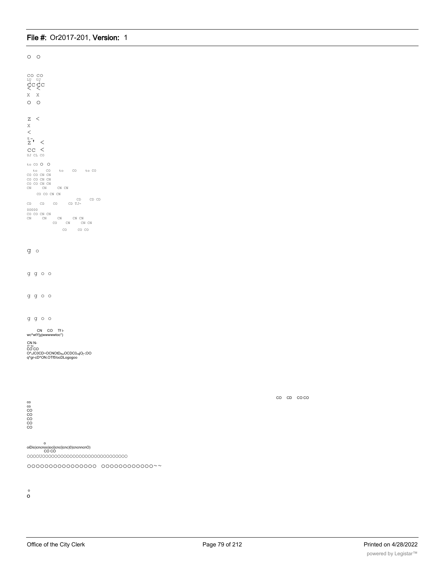| $O$ $O$                                                                                                                                                                                                                                                                                                                                                                                                                                                                                                                                                                                                                                                                                                  |            |
|----------------------------------------------------------------------------------------------------------------------------------------------------------------------------------------------------------------------------------------------------------------------------------------------------------------------------------------------------------------------------------------------------------------------------------------------------------------------------------------------------------------------------------------------------------------------------------------------------------------------------------------------------------------------------------------------------------|------------|
| $\begin{array}{c} \overset{\text{co}}{\leq} \overset{\text{co}}{\leq} \overset{\text{co}}{\leq} \overset{\text{co}}{\leq} \overset{\text{co}}{\leq} \end{array}$                                                                                                                                                                                                                                                                                                                                                                                                                                                                                                                                         |            |
|                                                                                                                                                                                                                                                                                                                                                                                                                                                                                                                                                                                                                                                                                                          |            |
| $\mathbf X-\mathbf X$<br>$O$ $O$                                                                                                                                                                                                                                                                                                                                                                                                                                                                                                                                                                                                                                                                         |            |
| Z <<br>$\mathbf X$<br>$\,<$<br>$^{\rm t-}_{\rm Z}$ $<$<br>cc <<br>$\mathtt{UJ}$ CL CO                                                                                                                                                                                                                                                                                                                                                                                                                                                                                                                                                                                                                    |            |
| to COOOO                                                                                                                                                                                                                                                                                                                                                                                                                                                                                                                                                                                                                                                                                                 |            |
| CO<br>to CO to CO<br>to<br>$CO$ $CO$ $CN$ $CN$<br>CO CO CN $CN$<br>CO CO CN CN<br>$\begin{tabular}{llll} \multicolumn{2}{c}{\text{CN}} & \multicolumn{2}{c}{\text{CN}} & \multicolumn{2}{c}{\text{CN}} & \multicolumn{2}{c}{\text{CN}} \\ \multicolumn{2}{c}{\text{CN}} & \multicolumn{2}{c}{\text{CN}} & \multicolumn{2}{c}{\text{CN}} & \multicolumn{2}{c}{\text{CN}} \\ \multicolumn{2}{c}{\text{CN}} & \multicolumn{2}{c}{\text{CN}} & \multicolumn{2}{c}{\text{CN}} & \multicolumn{2}{c}{\text{CN}} \\ \multicolumn{2}{c}{\text{CN}} & \multicolumn{2}{c}{\text{CN}} & \$<br>CO CO CN CN<br>CD<br>CD CD<br>$\text{CD} \qquad \text{CD} \qquad \text{CO} \qquad \text{CD} \quad \text{TJ}-$<br>00000 |            |
| $\rm CO$ $\rm CO$ $\rm CN$ $\rm CN$<br>$\begin{tabular}{lllllllllll} \multicolumn{3}{l}{{\bf CN}} & & & & {\bf CN} & & & {\bf CN} & {\bf CN} \end{tabular}$                                                                                                                                                                                                                                                                                                                                                                                                                                                                                                                                              |            |
| $\hspace{.1cm}$ CO $\hspace{.1cm}$ CN $\hspace{.1cm}$ CN $\hspace{.1cm}$ CN $\hspace{.1cm}$ CN<br>$CO$ $CO$ $CO$                                                                                                                                                                                                                                                                                                                                                                                                                                                                                                                                                                                         |            |
| g o                                                                                                                                                                                                                                                                                                                                                                                                                                                                                                                                                                                                                                                                                                      |            |
|                                                                                                                                                                                                                                                                                                                                                                                                                                                                                                                                                                                                                                                                                                          |            |
| q q o o                                                                                                                                                                                                                                                                                                                                                                                                                                                                                                                                                                                                                                                                                                  |            |
| $g g \circ \circ$                                                                                                                                                                                                                                                                                                                                                                                                                                                                                                                                                                                                                                                                                        |            |
|                                                                                                                                                                                                                                                                                                                                                                                                                                                                                                                                                                                                                                                                                                          |            |
| $g g \circ \circ$                                                                                                                                                                                                                                                                                                                                                                                                                                                                                                                                                                                                                                                                                        |            |
| CN CO Tfi-<br>wc^wtYjyjwwwwwtoc*)                                                                                                                                                                                                                                                                                                                                                                                                                                                                                                                                                                                                                                                                        |            |
| $\frac{CN}{T}$ Tf<br>CO CO<br>O^ <sub>N</sub> C0CD~OCNOtD <sub>fNJ</sub> OCDC0 <sub>fN</sub> jO <sub>[</sub> -;OO<br>q^gr-cD^ON.OTf5!ocDLogogoo                                                                                                                                                                                                                                                                                                                                                                                                                                                                                                                                                          |            |
|                                                                                                                                                                                                                                                                                                                                                                                                                                                                                                                                                                                                                                                                                                          |            |
|                                                                                                                                                                                                                                                                                                                                                                                                                                                                                                                                                                                                                                                                                                          |            |
| $_{\rm CO}$                                                                                                                                                                                                                                                                                                                                                                                                                                                                                                                                                                                                                                                                                              | CO CD COCO |
|                                                                                                                                                                                                                                                                                                                                                                                                                                                                                                                                                                                                                                                                                                          |            |
|                                                                                                                                                                                                                                                                                                                                                                                                                                                                                                                                                                                                                                                                                                          |            |
| 88888                                                                                                                                                                                                                                                                                                                                                                                                                                                                                                                                                                                                                                                                                                    |            |
|                                                                                                                                                                                                                                                                                                                                                                                                                                                                                                                                                                                                                                                                                                          |            |
| $\circ$                                                                                                                                                                                                                                                                                                                                                                                                                                                                                                                                                                                                                                                                                                  |            |
| oiDio)cncnoo)oci}cnci}cnc)0)cncnncnO)<br>CO CO                                                                                                                                                                                                                                                                                                                                                                                                                                                                                                                                                                                                                                                           |            |
|                                                                                                                                                                                                                                                                                                                                                                                                                                                                                                                                                                                                                                                                                                          |            |
|                                                                                                                                                                                                                                                                                                                                                                                                                                                                                                                                                                                                                                                                                                          |            |
|                                                                                                                                                                                                                                                                                                                                                                                                                                                                                                                                                                                                                                                                                                          |            |
|                                                                                                                                                                                                                                                                                                                                                                                                                                                                                                                                                                                                                                                                                                          |            |

o o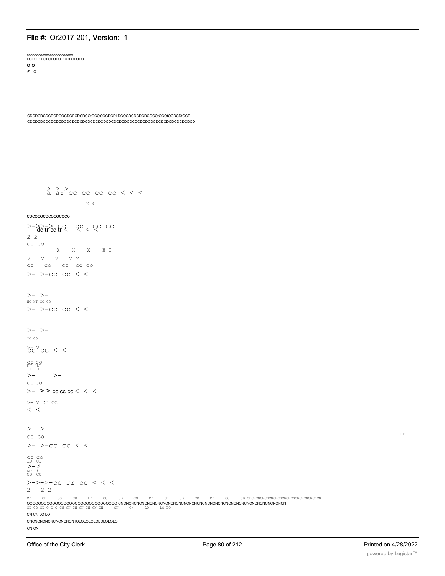cocococococococococococo LOLOLOLOLOLOLOLOiOLOLOLO o o >. o

CDCDCDCDCDCDCOCDCDCDCDCOtOCOCOCDCDLDCOCDCDCDCDCOCOtOCOtOCDCDtOCD CDCDCDCDCDCDCDCDCDCDCDCDCDCDCDCDCDCDCDCDCDCDCDCDCDCDCDCDCDCDCDCD

```
>->->-
a a: cc cc cc cc < < <
                 \mathbf{X} \cdot \mathbf{X}
```
#### cocococococococo

```
>>\geq \geq \geq \geq \geq \geq \geq \geq \geq \geq \geq \geq \geq \geq \geq \geq \geq \geq \geq \geq \geq \geq \geq \geq \geq \geq \geq \geq \geq \geq \geq \geq \geq \geq \geq \geq \2 2
co co
            X X X X I
2 2 2 2 2
co co co co co
>- >-cc cc < <
>- >-
NC NT CO CO
>- >-cc cc < <
> - >-CO CO
\bar{c}c^{\vee}cc \leq c\begin{smallmatrix}1&&1\&0\end{smallmatrix}>- >- co co
> - > > > \alpha cc cc cc < < <>- V CC CC
\langle \langle> - > ir co co
>- >-cc cc < <
co co<br>
LU UJ<br>
LU UJ<br>
LU UJ<br>
LU UJ<br>
LU UJ<br>
LO CO CO
>->->-cc rr cc < < <
2 2 2
CD CD CO CD tD CO CD CO CD tD CD CD CD CO tD CDCNCNCNCNCNCNCNCNCNCNCNCNCNCNCNCN
OOOOOOOOOOOOOOOOOOOOOOOOOOOOOOOO CNCNCNCNCNCNCNCNCNCNCNCNCNCNCNCNCNCNCNCNCNCNCNCNCNCNCNCNCNCNCNCN
CD CD CD O O O CN CN CN CN CN CN CN CN CN LO LO LO
CN CN LO LO
CNCNCNCNCNCNCNCNCN IOLOLOLOLOLOLOLOLO
CN CN
```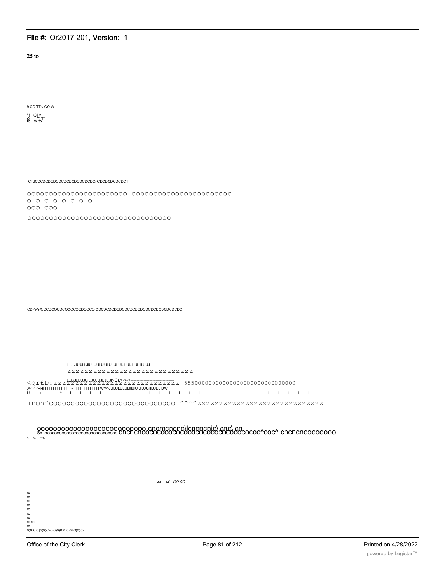$25$ io

9 CD TT v CO W "!  $Oi^{\wedge}$ <br> $Oi^{\wedge}$  T" Tf

 $0 0 0 0 0 0 0 0 0$ 000 000 

LLJINIUULLJIULUULUIULULULUIULUIULUILILUUJ 

 $<\!\!\texttt{qrED:zzzzzzzzzzzzzzzzzzzzzzzzzzzzz}$ 

 $\circ$ TCT.

|       | co <d coco<="" th=""></d> |
|-------|---------------------------|
| ro    |                           |
| ro    |                           |
| ro    |                           |
| ro    |                           |
| ro    |                           |
| ro    |                           |
| ro    |                           |
| ro ro |                           |
| ro    |                           |
|       |                           |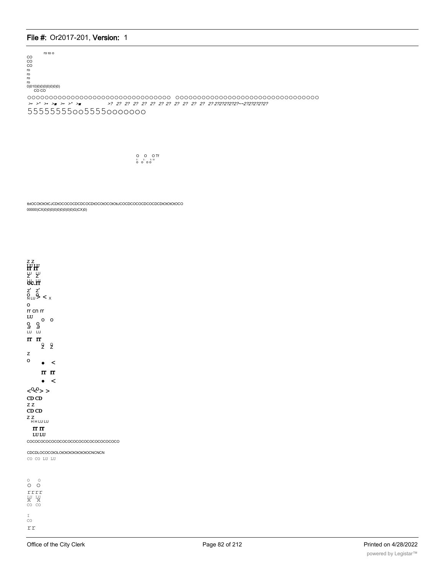ro to o<br>CO<br>CO<br>ro<br>no<br>0)010)0)0)0)0)0)0)0)<br>CO CO ooooooooooooooooooooooooooooooooo ooooooooooooooooooooooooooooooooo >• >\* >• >■ >• >\* >■ >? 2? 2? 2? 2? 2? 2? 2? 2? 2? 2? 2? 2? 2?2?2?2?2?~~2?2?2?2?2? 55555555oo5555ooooooo

> O O O Tf T- T- T- T-<br>O O O O

tbtOCOtOtOtCJCDtOCOCOCDCDCOCDtOCOtOCOtOtiJCOCDCOCOCDCOCDCDtOtOtOtOCO

00000)CX)0)0)0)0)0)0)0)0)0)G)CX)0)



COCOCOCOCOCOCOCOCOCOCOCOCOCOCOCOCO

CDCDLOCOCOtOLOtOtOtOtOtOtOtOCNCNCN CO CO LU LU

 $\begin{matrix} 0 & 0 \\ 0 & 0 \end{matrix}$ rrrr<br>LU LU<br>CO CO I CO rr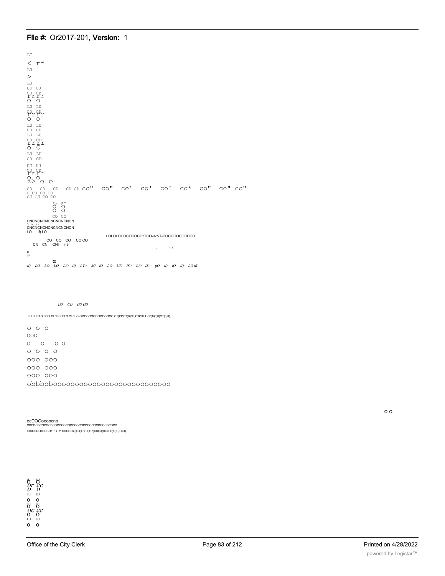| LT                                                  |                 |                                          |                 |                                                                                                                                                                                                                                |                 |               |               |
|-----------------------------------------------------|-----------------|------------------------------------------|-----------------|--------------------------------------------------------------------------------------------------------------------------------------------------------------------------------------------------------------------------------|-----------------|---------------|---------------|
| $\langle$ rf                                        |                 |                                          |                 |                                                                                                                                                                                                                                |                 |               |               |
| LU<br>$\geq$                                        |                 |                                          |                 |                                                                                                                                                                                                                                |                 |               |               |
| LU                                                  |                 |                                          |                 |                                                                                                                                                                                                                                |                 |               |               |
| UJ UJ<br>rrrr                                       |                 |                                          |                 |                                                                                                                                                                                                                                |                 |               |               |
| $O$ $O$                                             |                 |                                          |                 |                                                                                                                                                                                                                                |                 |               |               |
| LU LU<br><b>PrPr</b>                                |                 |                                          |                 |                                                                                                                                                                                                                                |                 |               |               |
| $O$ $O$                                             |                 |                                          |                 |                                                                                                                                                                                                                                |                 |               |               |
| LU LU<br>CD CD                                      |                 |                                          |                 |                                                                                                                                                                                                                                |                 |               |               |
| LU LU<br><sup>CD</sup> r <sup>CD</sup> r            |                 |                                          |                 |                                                                                                                                                                                                                                |                 |               |               |
| O<br>$\circ$                                        |                 |                                          |                 |                                                                                                                                                                                                                                |                 |               |               |
| LU LU<br>CD CD                                      |                 |                                          |                 |                                                                                                                                                                                                                                |                 |               |               |
| UJ UJ<br><b>PrPr</b>                                |                 |                                          |                 |                                                                                                                                                                                                                                |                 |               |               |
| $2^{\circ}$<br>$\Omega$                             |                 |                                          |                 |                                                                                                                                                                                                                                |                 |               |               |
| CD CD CO"<br>CD<br>CD<br>CD                         | $\circ \circ$ " | $\circ$ .                                | $\circ$ $\circ$ | $\circ$ $\circ$                                                                                                                                                                                                                | $\circ \circ^*$ | $_{\rm CO}$ " | $co''$ $co''$ |
| O CJ CO CO<br>CJ CJ CO CO                           |                 |                                          |                 |                                                                                                                                                                                                                                |                 |               |               |
| $\frac{2}{3}$<br>장<br>이                             |                 |                                          |                 |                                                                                                                                                                                                                                |                 |               |               |
| CO CO                                               |                 |                                          |                 |                                                                                                                                                                                                                                |                 |               |               |
| CNCNCNCNCNCNCNCNCN<br>$0 + t$<br>CNCNCNCNCNCNCNCNCN |                 |                                          |                 |                                                                                                                                                                                                                                |                 |               |               |
| LO<br>If) LO                                        |                 | LOLOLOCOCOCOCOtOCO -<- ^- T-COCOCOCOCDCD |                 |                                                                                                                                                                                                                                |                 |               |               |
| CO <sub>CO</sub><br>CO CO CO<br>CN CN CNI i-t-      |                 |                                          |                 | $\circ$<br>T- T-T-                                                                                                                                                                                                             |                 |               |               |
| $\circ$<br>Tf                                       |                 |                                          |                 |                                                                                                                                                                                                                                |                 |               |               |
| to<br>. .<br>$\sim$ $-$<br>$ -$                     | $\sim$ $\sim$   | $\sim$ $\sim$<br>$\sim$                  | $\sim$ $\sim$   | the state that the state of the state of the state of the state of the state of the state of the state of the state of the state of the state of the state of the state of the state of the state of the state of the state of |                 |               |               |

 $\emph{if) LO LO LO LP} \emph{if) } \emph{LT} > \emph{Mi} \emph{IO} \emph{LO LT}, \emph{if} > \emph{Lf} > \emph{if} > \emph{ij} \\ \emph{O} \emph{if) } \emph{io} \emph{if) } \emph{LO} \emph{if} \\ \emph{I} \emph{O} \emph{if) } \emph{I} > \emph{O} \emph{if} \emph{I} > \emph{O} \emph{if} \emph{I} > \emph{O} \emph{if} \emph{I} > \emph{O} \emph{if} \emph{I} > \emph{O}$ 

 ${\cal CO}$   ${\cal CO}$   ${\cal CO}$   ${\cal CO}$   ${\cal CO}$ 

 $0 0 0$ 000  $\circ$  $0 0 0$  $\circ\;\circ\;\circ\;\circ$ 000 000 000 000 000 000 

 $\circ$   $\circ$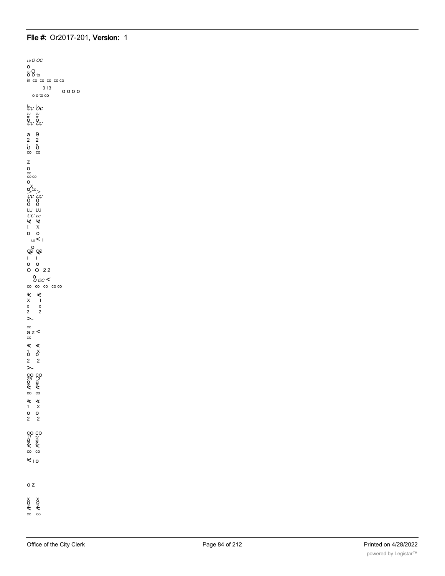| $\iota\upsilon$ O OC                                                                                                                                    |
|---------------------------------------------------------------------------------------------------------------------------------------------------------|
| $\mathsf{o}\,$<br>60 <sub>to</sub><br>in $\cos$ co $\cos$ co $\cos$                                                                                     |
| 3 1 3<br>0000<br>o o to co                                                                                                                              |
| $\begin{array}{c} \n\frac{1}{2}c & \frac{1}{2}c \\ \n\frac{10}{2} & \frac{10}{2}c \\ \n\frac{10}{2} & \frac{1}{2}c \end{array}$                         |
| $\begin{array}{ccc} a & 9 \\ 2 & 2 \\ \dot{b} & \delta \\ \infty & \infty \end{array}$                                                                  |
| $\mathsf z$<br>$\frac{0}{\cos \theta}$<br>$\frac{6}{9}$<br>$\frac{6}{9}$<br>$\frac{6}{9}$<br>$\frac{6}{9}$<br>$\frac{6}{9}$<br>LU LU<br>$CC\ cc$<br>尾 座 |
| $\mathbf{I}-\mathbf{X}$<br>$0$ 0<br>$_{\textrm{\tiny LU}}<$ $_{\textrm{\tiny I}}$                                                                       |
| දුම් දග<br>$\Gamma = \Gamma$<br>$0$ 0<br>0 0 2 2                                                                                                        |
| 200<<br>co co co co co                                                                                                                                  |
| $\epsilon$<br>史<br>$\boldsymbol{\mathsf{X}}$<br>$\mathbf{I}$<br>$\mathsf{o}$<br>$\circ$<br>$\mathbf 2$<br>$\overline{c}$<br>$>$ -                       |
| $_{\rm CO}$<br>az <<br>$_{\rm CO}$                                                                                                                      |
| 废 废<br>$\begin{matrix} 1 & X \\ 0 & 0 \\ 2 & 2 \end{matrix}$<br>$\mathbf{L}$                                                                            |
| $25000$<br>$2513$<br>$2500$<br>$2500$                                                                                                                   |
| ₩<br>1 X<br>0 O<br>2 2                                                                                                                                  |
| $\frac{13}{4}$<br>$\frac{13}{4}$<br>$\frac{13}{4}$<br>$\frac{13}{4}$<br>$\frac{13}{4}$<br>$\frac{13}{4}$<br>$\leq 10$                                   |
| $\mathsf{o}\ \mathsf{z}$                                                                                                                                |
| $\begin{matrix} 0 & 0 \\ 0 & 0 \\ 0 & 0 \end{matrix}$                                                                                                   |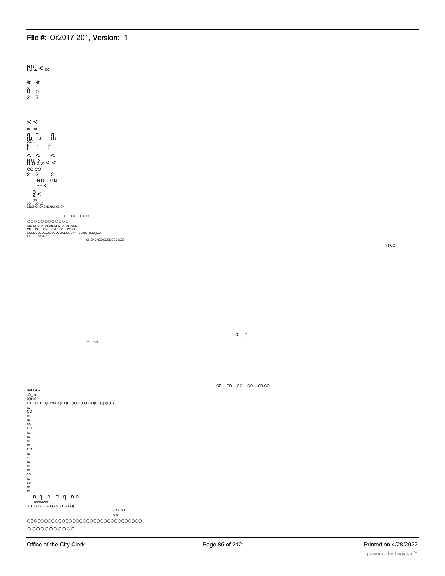| $N_{\rm tot}$ $<$ $_{\rm co}$<br>足 足<br>$\delta$ $\circ$<br>2 <sub>2</sub>                                                                                                                                                                                                                                                                                                                                  |                                                      |       |
|-------------------------------------------------------------------------------------------------------------------------------------------------------------------------------------------------------------------------------------------------------------------------------------------------------------------------------------------------------------------------------------------------------------|------------------------------------------------------|-------|
| $\,<$ $<$<br>$_{\rm CO}$ $_{\rm CO}$<br>$\begin{array}{ccc} \overline{\mathsf{I}}^{\mathsf{S}} & \mathsf{I}^{\mathsf{S}} \\ \overline{\mathsf{I}}^{\mathsf{S}} & \mathsf{I}^{\mathsf{S}} \end{array}$<br>g,<br>þ.<br>$\,<\,$ $\,<$<br>$\,<$<br>8822 <<br>$\cos$<br>2 <sub>2</sub><br>$\overline{c}$<br>N N UJ UJ<br>$\sim$ $\times$<br>2 <<br>$_{\rm CO}$<br>LO LO LO<br>CNCNCNCNCNCNCNCNCNCN<br>LO LO LOLO |                                                      |       |
| 00000000000<br>CNCNCNCDCDCDCOCOCO                                                                                                                                                                                                                                                                                                                                                                           | $\alpha$ , $\alpha$ , $\alpha$ , $\alpha$ , $\alpha$ | Tf CO |
|                                                                                                                                                                                                                                                                                                                                                                                                             |                                                      |       |
| $\mathsf{T}^* = \mathsf{T} \text{-} \mathsf{T} \text{f}$                                                                                                                                                                                                                                                                                                                                                    | $\circ$ , $\cdot$                                    |       |
| $0 - 0.0 - 0 -$<br>$Q_o$<br>0)010<br>CTCXCTCJ)CxraCT)CT)CT)0)CT)D)CJ)0)CJ)0)0)0)0)<br>ro<br>$_{\rm CO}$<br>${\sf ro}$<br>${\sf ro}$<br>$_{\rm CO}$<br>CO<br>ro<br>$\mathop{\rm ro}\nolimits$<br>${\sf ro}$<br>ro<br>$_{\rm CO}$                                                                                                                                                                             | CD CD CO CO CD CO                                    |       |

ro<br>
ro<br>
ro<br>
ro<br>
ro<br>
coooooo<br>
coooooo<br>
coooooo<br>
coooooo

0000000<br>CTJCT)CT)CT)CXjCT)CT)0)

CO CO o o

OOOOOOOOOOOOOOOOOOOOOOOOOOOOOOOOO ooooooooooo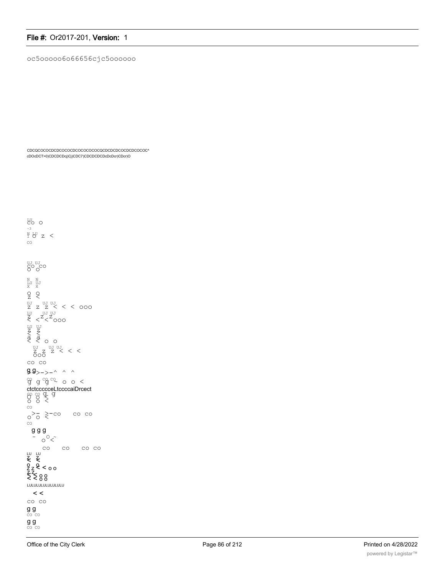0c5000006066656cjc5000000

cDOcDCT>0)CDCDCDcj)Cj)CDC7)CDCDCDCDcDcDcr)CDcr)O

```
\begin{array}{ccc}\n\text{LO} & \text{O} \\
\text{CO} & \text{O} \\
\hline\n\text{O} & \text{O} \\
\text{N} & \text{IU} & \text{Z} & \text{C}\n\end{array}\circ\overset{\text{co}}{\text{Co}}\overset{\text{co}}{\text{Co}}\begin{array}{cc} \mathbf{N} & \mathbf{N} \\ \mathbf{L} \mathbf{U} & \mathbf{U} \mathbf{J} \\ \mathbf{X} & \mathbf{X} \end{array}\begin{array}{l} \mathcal{L}_{\mathrm{X}} \cong \mathcal{L}_{\mathrm{X}} \cong \mathcal{L}_{\mathrm{X}} \cong \mathcal{L}_{\mathrm{X}} \cong \mathcal{L}_{\mathrm{X}} \cong \mathcal{L}_{\mathrm{X}} \cong \mathcal{L}_{\mathrm{X}} \cong \mathcal{L}_{\mathrm{X}} \cong \mathcal{L}_{\mathrm{X}} \cong \mathcal{L}_{\mathrm{X}} \cong \mathcal{L}_{\mathrm{X}} \cong \mathcal{L}_{\mathrm{X}} \cong \mathcal{L}_{\mathrm{X}} \cong \mathcal{L}_{\mathrm{X}} \cong \mathcal{L}_{\mathrm{X}} \cong \mathcalco co99 ->-^ ^ ^ ^
   26a_6 and 6a_7eterceceeltecceaiDreet
                                               \geq -\infty\circ<sup>></sup>
                                                                                                                                    CO CO_{\rm CO}g g g
                \frac{1}{2} \frac{1}{2} \frac{1}{2} \frac{1}{2} \frac{1}{2} \frac{1}{2} \frac{1}{2} \frac{1}{2} \frac{1}{2} \frac{1}{2} \frac{1}{2} \frac{1}{2} \frac{1}{2} \frac{1}{2} \frac{1}{2} \frac{1}{2} \frac{1}{2} \frac{1}{2} \frac{1}{2} \frac{1}{2} \frac{1}{2} \frac{1}{2} _{\rm CO}_{\rm CO}CO CO\begin{array}{c}\n\epsilon_{1} & \epsilon_{2} & \epsilon_{3} \\
\epsilon_{2} & \epsilon_{3} & \epsilon_{4} \\
\epsilon_{5} & \epsilon_{6} & \epsilon_{7} \\
\epsilon_{7} & \epsilon_{8} & \epsilon_{8} \\
\epsilon_{8} & \epsilon_{9} & \epsilon_{10} \\
\epsilon_{11} & \epsilon_{12} & \epsilon_{13} \\
\epsilon_{13} & \epsilon_{14} & \epsilon_{15} \\
\epsilon_{15} & \epsilon_{16} & \epsilon_{17} \\
\epsilon_{17} & \epsilon_{18} & \epsilon_{19} \\
\epsilon_{19} & \epsilon_{10} & \epsilon_{17} \\
\epsilon_{10} & \epsilon_{17} & \epsilonLULULULULULULULU
                     \ltco co\underset{\text{co}}{g} gg g
```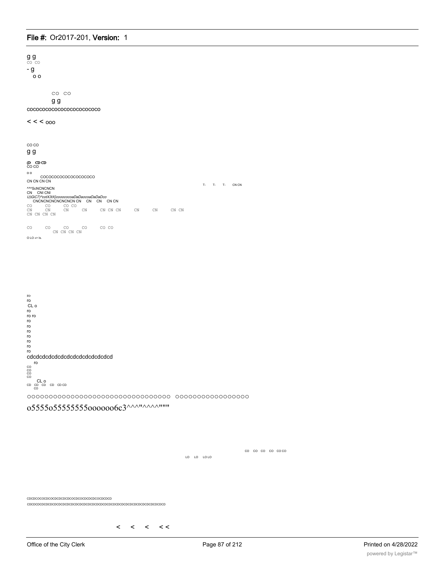| g g<br>CO CO<br>- g<br>0 <sub>o</sub>                                                                                                                                                                                                                                                                                                                                                                                                                    |
|----------------------------------------------------------------------------------------------------------------------------------------------------------------------------------------------------------------------------------------------------------------------------------------------------------------------------------------------------------------------------------------------------------------------------------------------------------|
| CO CO<br>g g<br>COCOCOCOCOCOCOCOCOCOCOCO                                                                                                                                                                                                                                                                                                                                                                                                                 |
| $<<$ $<$ 000                                                                                                                                                                                                                                                                                                                                                                                                                                             |
| CO CO<br>g g                                                                                                                                                                                                                                                                                                                                                                                                                                             |
| $(D$ $CDCD$<br>CO CO                                                                                                                                                                                                                                                                                                                                                                                                                                     |
| 0 <sub>0</sub><br>COCOCOCOCOCOCOCOCOCO<br>CN CN CN CN<br>T- T- T- CN CN<br>AMSCNCNCNCN<br>CN CNI CNI<br>U)GiC7)^cotX3tX}cooococoaDaDaocoaDaDaDco<br>CNCNCNCNCNCNCNCN CN CN CN CN CN<br>CO<br>CO CO<br>CO<br>$\mathbb{C}\mathbb{N}$<br>$\mathbb{C}\mathbb{N}$<br>$\mathbb{C}\mathbb{N}$<br>${\cal C}{\cal N}$ ${\cal C}{\cal N}$ ${\cal C}{\cal N}$<br>$\mathbb{C}\mathbb{N}$<br>$\mathbb{C}\mathbb{N}$<br>$\mathbb{C}\mathbb{N}$<br>CN CN<br>CN CN CN CN |
| CO<br>$CO$ $CO$<br>CO CO<br>CO<br>CN CN CN CN                                                                                                                                                                                                                                                                                                                                                                                                            |
| $O$ LO $\kappa$ > Is.<br>ro<br>ro<br>CL o<br>ro<br>ro ro<br>ro<br>ro<br>ro<br>ro<br>ro<br>ro<br>ro<br>cdcdcdcdcdcdcdcdcdcdcdcdcdcdcd<br>ro<br>$_{\rm CO}$<br>$\frac{1}{100}$<br>$_{\rm CO}$                                                                                                                                                                                                                                                              |
| 055550555555550000006c3^^^"^^^^"""                                                                                                                                                                                                                                                                                                                                                                                                                       |
| co co co co co co                                                                                                                                                                                                                                                                                                                                                                                                                                        |
| TO TO TOTO                                                                                                                                                                                                                                                                                                                                                                                                                                               |
| CDCDCOCOCDCOCDCDCDCDCOCDCOCDCDCDCOCDCDCD                                                                                                                                                                                                                                                                                                                                                                                                                 |
| $\lt$<br>$\lt$<br>$\lt$<br>$\,<\,$                                                                                                                                                                                                                                                                                                                                                                                                                       |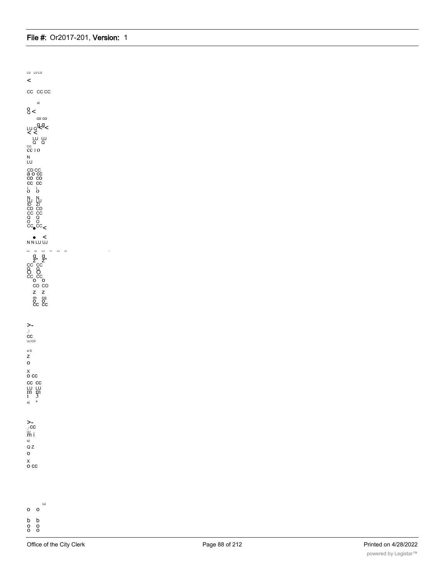co co

LU LU LU  $\,<$ CC CC CC

- rn dfa<
- cc 10<br>CO O<br>CO O<br>CC 10
- 
- N LU
- CD CC<br>a o cc<br>co co<br>cc cc<br>i o o

**File #: Or2017-201, Version: 1** 

- 
- N N<br>D ZI<br>CD CD
	-
- 
- 
- CC CC Q Q O O CC CC · <
- · <sup>&</sup>lt; N N LU UJ
- 
- 
- U<br>US U UJ UJ UJ UJ UJ UJ UJ<br>CO CC<br>CO CO CO<br>Z Z
	-
- m<br>O oq<br>CC cc
- >-  $\perp$ cc UJ CO
- si D<br>Z<br>O zo<br>x
- o cc
- cc cc
- LU LU<br>1 3<br>si \*
- >- \_i cc
- $\stackrel{\scriptscriptstyle{{\sf W}}}{\sf m}$  i si Q Z
- o<br>x<br>o cc
- 
- UJ o o
- b b o o o o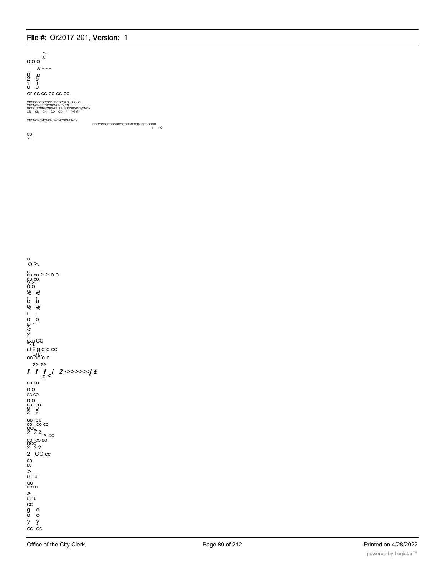$000 \times$  $a \begin{matrix}0&0\\ 2&5\\ 1&0\\ 0&0\end{matrix}$ or cc cc cc cc cc

CDCDCOCDCOCDCDCDCDLOLOLOLO<br>CNCNCNCNCNCNCNCNCNCN<br>COCOCOCNt-CNCNCN CNCNCNCNOCgCNCN<br>CN CN CN CO CD ^ "~? !?

CNCNCNCMCNCNCNCNCNCNCNCN

 ${\tt COCOCDCDCOCCOCDCDCDCDCDCDCD} \begin{tabular}{ccccc} t & t & 0 \\ \hline & t & t & 0 \\ \end{tabular}$ 

 $CD$ <sub>TIT</sub>

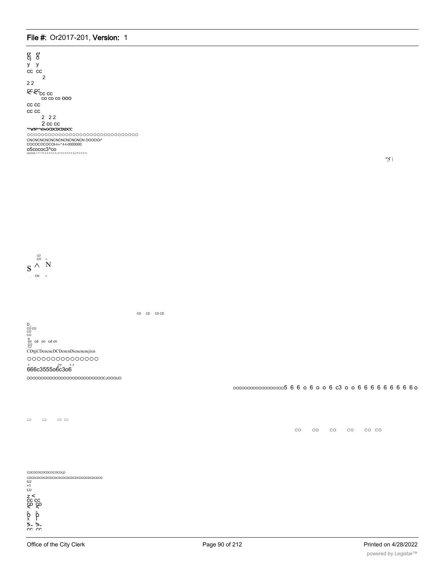$\begin{bmatrix} Q & Q \\ C & 0 \end{bmatrix}$  $\begin{array}{c} y \\ y \\ c \end{array}$  y  $\overline{2}$  $22$  $\frac{1}{2}$  $cc$   $cc$  $2 \quad 2 \quad 2$ 2 CC CC<br>2 CC CC<br>""stN" tovoCDCDCDcDCC CRONCRONCRONCRONCRONCRONCROOOOO

 $"5|$ 



 $CD$   $CD$   $CD$   $CD$ 

CDtjjCDcncncDCDcncnDicncncncjicn 00000000000000

### $666c355506c306$

LO LO CO IO

> $CO$   $CO$   $CO$   $CO$ co co

 ${\tt COCOCOCOCOCO CO COCO LD}$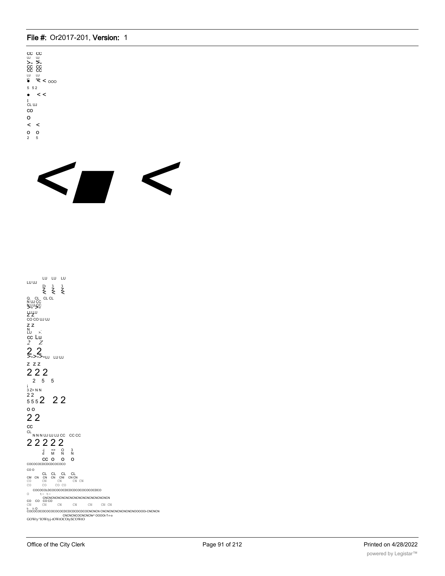



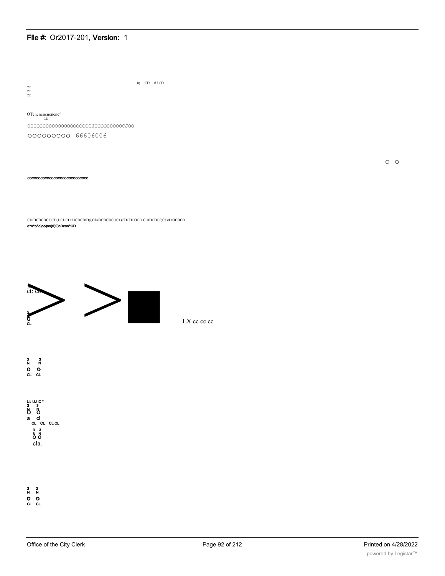$\begin{array}{c} {\rm CD}\\ {\rm CD}\\ {\rm CD}\\ {\rm CD} \end{array}$ 

0) CD tU CD

 ${OTrenenenenene}^{\wedge}$   $\textcolor{orange}{\bigcirc} \textcolor{orange}{\circ}$ 

000000000 66606006

 ${\tt COCOCOCOCOCOCOCOCOCOCOCOCOCO}$ 

 $O$   $O$ 

 $\texttt{CDtDCDCDCE}(\texttt{DCDCDCE3CDCDtD(i)CD}(\texttt{OCDCDCDCC2})\texttt{CDCDCOCE}\texttt{>CODCDCE}(E)\texttt{tDtOCDC0}$ o^o^o^o)oo)oo)0)0)cDcno^CD



LX cc cc cc

 $\begin{array}{ccc} 3 & 3 \\ N & N \\ O & O \\ C L & C L \end{array}$ 



 $\begin{array}{ccc} 3 & 3 \\ N & N \\ O & O \\ O & C L \end{array}$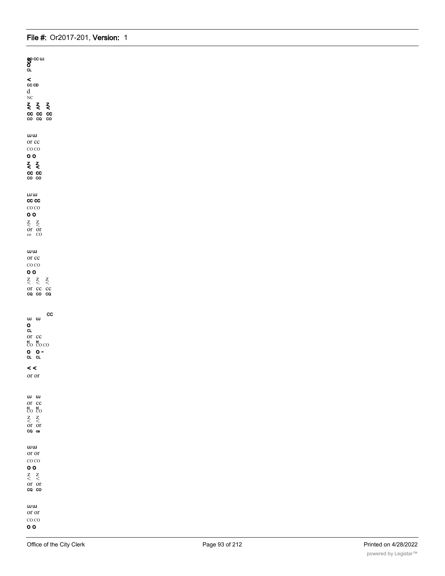| ရွိ<br>စိုးကေ                                                                                                                                                                                                     |  |  |  |
|-------------------------------------------------------------------------------------------------------------------------------------------------------------------------------------------------------------------|--|--|--|
| $\frac{2}{\cos \omega}$<br>$\mathbf d$<br>$_{\mathrm{NC}}$<br>$\frac{1}{2}$<br>$\frac{1}{2}$<br>$\frac{1}{2}$<br>$\frac{1}{2}$<br>$\frac{1}{2}$<br>$\frac{1}{2}$<br>$\frac{1}{2}$                                 |  |  |  |
| ທ ທ<br>$\,$ or $\,$ cc $\,$<br>$_{\rm CO}$ $_{\rm CO}$<br>00<br>2<br>00<br>00<br>00                                                                                                                               |  |  |  |
| LU UJ<br>$cc$ $cc$<br>$_{\rm CO\ CO}$<br>$\mathbf{o}$ o<br>$\begin{array}{ccc} Z & Z \\ \infty & \infty \\ \text{or} & \text{or} \\ \infty & \text{co} \end{array}$                                               |  |  |  |
| ພພ<br>$\;$ or $\;$ cc $\;$<br>$_{\rm CO\ CO}$<br>$\mathbf{o}\,\mathbf{o}$<br>$\begin{array}{cc} Z & Z & Z \\ < & < \\ \text{or } \text{cc} & \text{cc} \\ \text{ca } \text{co } \text{co } \text{ca} \end{array}$ |  |  |  |
| $_{\rm cc}$<br>or $\begin{bmatrix} 1 & 0 \\ 0 & 0 \\ 0 & 0 \end{bmatrix}$<br>$\begin{matrix} 0 & 0 \\ c & c \end{matrix}$                                                                                         |  |  |  |
| $\,<$<br>or or                                                                                                                                                                                                    |  |  |  |
| $UJ - UJ$<br>or cc<br>$H_{CO}$ co<br>$Z \leq$<br>or or<br>cq ca                                                                                                                                                   |  |  |  |
| UJ UJ<br>or or<br>$_{\rm CO}$ $_{\rm CO}$<br>$\mathbf{o} \; \mathbf{o}$<br>$\stackrel{\text{Z}}{<}\stackrel{\text{Z}}{<}$<br>or or<br>$ca$ $co$                                                                   |  |  |  |
| นง นง<br>or or<br>$_{\rm CO}$ $_{\rm CO}$<br>$\mathbf{o}$ o                                                                                                                                                       |  |  |  |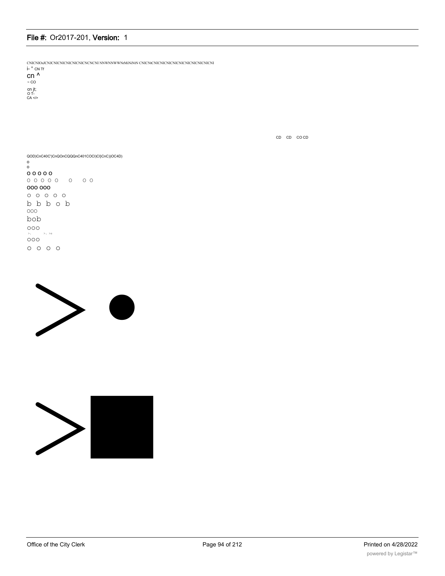CNICNIOsJCNJCNICNICNICNlCNICNCNCNI NNWNNWWNrMiNiNtN CNICNtCNICNICNICNICNICNICNICNICNICNI i- ° CN Tf cn ^  $\sim$  CO  $\,$ cn jt; O T-CA </>

CD CD CO CD

QOD)CnC40C')CnQOnCQQQnC401COCI)CI}CnC))OC4D) o o o o o o o O O O O O O O O ooo ooo o o o o o b b b o b OOO bob ooo  $\rightarrow$ .  $\rightarrow$ s ooo o o o o



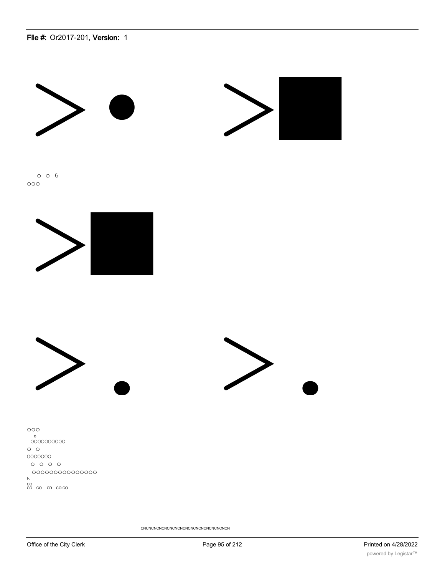

o o 6 ooo







oooo OOOOOOOOOO o o OOOOOOO o o o o ooooooooooooooo f-. CO CO CO CD CO CO

CNCNCNCNCNCNCNCNCNCNCNCNCNCNCNCNCN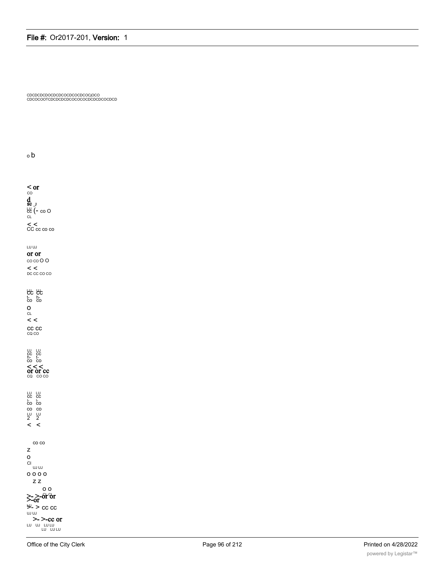$\leq$  or  $\frac{d}{d}$ <br> $\frac{d}{d}$ <br> $\frac{d}{d}$ <br> $\frac{d}{d}$ <br> $\frac{d}{d}$ <br> $\frac{d}{d}$  $<<$ CC cc co co

 $\circ b$ 

LU UJ or or co co O O  $\,<$ 

DC CC CO CO

 $\begin{array}{c} \frac{\mu}{\mu} \\ \frac{\mu}{\mu} \\ \frac{\mu}{\mu} \\ \frac{\mu}{\mu} \\ \frac{\mu}{\mu} \end{array}$  $\circ$  $C<sub>L</sub>$  $\frac{\text{cc cc}}{\text{ca cc}}$ 

 $\begin{array}{ll} 1 & 0 \\ 0 & 0 \\ 0 & 0 \\ 0 & 0 \\ 0 & 0 \\ \end{array}$  $\xi$ <br>
or or cc<br>  $\alpha$  coco

 $\langle \ \rangle$  $\cos$  $\mathsf{z}$  $\circ$  $\mathsf{Cl}% _{C}\left( \mathbb{Z}^{\left( 1\right) }% ,\mathbb{Z}^{\left( 2\right) }\right)$ '<br>UJ UJ  $0000$  $ZZ$  $\circ$   $\circ$  $\geq$   $\frac{1}{2}$  or  $\frac{1}{2}$  $\frac{1}{2}$  > cc cc UJ UJ

 $\sum_{\text{LU}}$   $\sum_{\text{LU LU}}$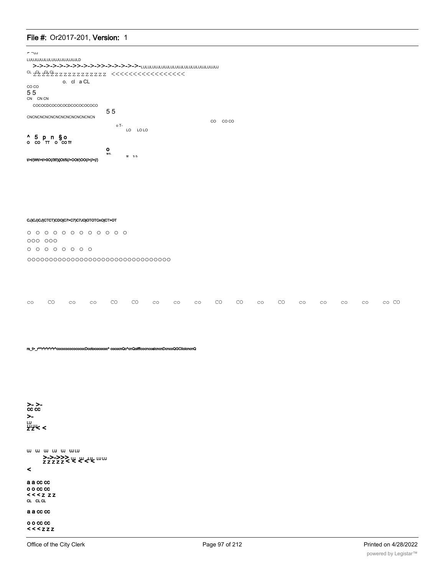

#### CJ)CJ)CJ)CTCT)CDOJC7>C7)C7JOJOTOTCnOJCT>OT

 $0 0 0 0 0 0 0 0 0 0 0 0 0$ 000 000  $0 0 0 0 0 0 0 0 0$ 

|  |  |  |  |  |  |  |  | co CO co co CO CO co co co CO CO co CO co co co co co coCO |  |
|--|--|--|--|--|--|--|--|------------------------------------------------------------|--|

rs\_t>\_r^^r^r^r^r^cocococococococDcotocococo<sup>^</sup> cococnQc^cnQolfficocncoaicncnDcncoQGCiioicncnQ

 $\frac{>}{\text{cc}}$   $\frac{>}{\text{cc}}$  $\mathbf{L}$ پیپر د

*m m m m m m m m* **>->->>>** 4 4 2 2 3 mm  $\,<$ 

a a cc cc  $00000$  $<<$ zz  $CL$   $CL$   $CL$ a a cc cc

 $\circ \circ \text{cc} \text{cc}$  $<<$   $<$   $z$   $z$   $z$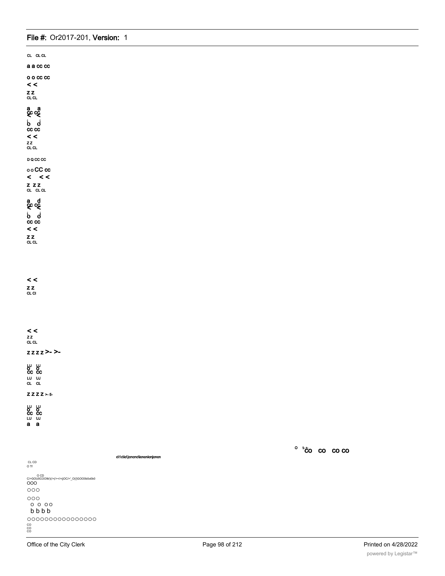| CL CLCL                                                                                                         |                              |                        |  |
|-----------------------------------------------------------------------------------------------------------------|------------------------------|------------------------|--|
| a a cc cc                                                                                                       |                              |                        |  |
| 00000                                                                                                           |                              |                        |  |
| $\,<$                                                                                                           |                              |                        |  |
| $\frac{z}{c}$ . $\frac{z}{c}$                                                                                   |                              |                        |  |
| <b>Bea</b><br>b d                                                                                               |                              |                        |  |
|                                                                                                                 |                              |                        |  |
| $cc$ $cc$<br>$\,<$ $<$                                                                                          |                              |                        |  |
| $_{CL}^{zz}$                                                                                                    |                              |                        |  |
| ${\tt D}$ Q CC CC                                                                                               |                              |                        |  |
| $\circ\circ\texttt{CC}\;\texttt{cc}$                                                                            |                              |                        |  |
| $\lt$ $\lt$                                                                                                     |                              |                        |  |
| z z z<br>c   c   c   c   c                                                                                      |                              |                        |  |
| 80 ASA<br>80 ASA                                                                                                |                              |                        |  |
|                                                                                                                 |                              |                        |  |
| $\,<$ $<$                                                                                                       |                              |                        |  |
| $ZZ$<br>CLCL                                                                                                    |                              |                        |  |
|                                                                                                                 |                              |                        |  |
|                                                                                                                 |                              |                        |  |
|                                                                                                                 |                              |                        |  |
| $\,<$ $<$<br>$\frac{z}{c}$                                                                                      |                              |                        |  |
|                                                                                                                 |                              |                        |  |
|                                                                                                                 |                              |                        |  |
|                                                                                                                 |                              |                        |  |
| $\,<$                                                                                                           |                              |                        |  |
| $_{\rm cl~cl}^{\rm zz}$                                                                                         |                              |                        |  |
| $zzzz \rightarrow -$                                                                                            |                              |                        |  |
| $86\atop 86$                                                                                                    |                              |                        |  |
| LU UJ                                                                                                           |                              |                        |  |
| $CL$ $CL$<br>$ZZZZ$ $\sim$ 5-                                                                                   |                              |                        |  |
|                                                                                                                 |                              |                        |  |
| $\begin{array}{c} \mathbb{E} \, \text{Soc} \\ \mathbb{E} \, \text{Soc} \\ \mathbb{E} \, \text{Soc} \end{array}$ |                              |                        |  |
| a a                                                                                                             |                              |                        |  |
|                                                                                                                 |                              |                        |  |
|                                                                                                                 |                              | $^{\circ}$ to co co co |  |
| $\mathsf{CL}$ $\mathsf{CD}$                                                                                     | c\1c\ic\)cncnc\icncnicnjcncn |                        |  |
| O Tf                                                                                                            |                              |                        |  |
| 0.00<br>C/>GOU0COO9U)(/>(/>{ OC/>'_O{/}GOO0b0o0b0<br>OOO                                                        |                              |                        |  |
| $_{\circ}$<br>$\circ \circ \circ$                                                                               |                              |                        |  |
| 0000<br>bbbb                                                                                                    |                              |                        |  |
| 000000000000000                                                                                                 |                              |                        |  |
| $\frac{1}{20}$                                                                                                  |                              |                        |  |
|                                                                                                                 |                              |                        |  |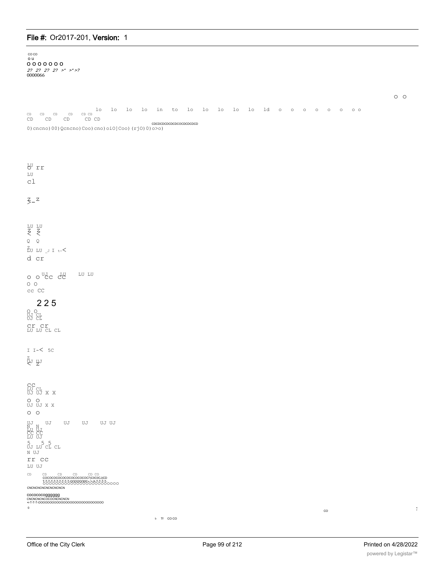0000<br>
0 **0 0 0 0 0 0 0**<br>
27 27 27 27 >\* >\*>?<br>
0000066

|                                                                                                                                                                                                                                  |                                                                                  |          |       |          |          |          |          |          |      |                          |           |         |         |         | $O$ $O$ |
|----------------------------------------------------------------------------------------------------------------------------------------------------------------------------------------------------------------------------------|----------------------------------------------------------------------------------|----------|-------|----------|----------|----------|----------|----------|------|--------------------------|-----------|---------|---------|---------|---------|
| $_{\rm CD}$<br>$_{\text{CD}}$<br>CD<br>$_{\rm CD}$<br>$\mathbb{C}\mathbb{D}$<br>CD <sub>1</sub><br>CD                                                                                                                            | lo<br>$\mathbb{C}\mathbb{D}$ $\mathbb{C}\mathbb{D}$<br>$\mathsf{CD}~\mathsf{CD}$ | $1\circ$ | lo lo | in to lo | $1\circ$ | $1\circ$ | $1\circ$ | $1\circ$ | ld o | $\circ$ $\qquad$ $\circ$ | $\bullet$ | $\circ$ | $\circ$ | $O$ $O$ |         |
| 0) cncno) 00) Qcncno) Coo) cno) oi0] Coo) (rj0) 0) o>o)                                                                                                                                                                          |                                                                                  |          |       |          |          |          |          |          |      |                          |           |         |         |         |         |
|                                                                                                                                                                                                                                  |                                                                                  |          |       |          |          |          |          |          |      |                          |           |         |         |         |         |
| $b^{\text{\tiny U}}$ rr<br>${\rm LU}$<br>${\tt c1}$                                                                                                                                                                              |                                                                                  |          |       |          |          |          |          |          |      |                          |           |         |         |         |         |
| $\xi$ <sup>z</sup>                                                                                                                                                                                                               |                                                                                  |          |       |          |          |          |          |          |      |                          |           |         |         |         |         |
| $\overset{\text{\tiny{LU}}}{\xi} \overset{\text{\tiny{LU}}}{\xi}$                                                                                                                                                                |                                                                                  |          |       |          |          |          |          |          |      |                          |           |         |         |         |         |
| $\mathbb Q$ $\quad \mathbb Q$<br>$\rm \stackrel{Z}{\sim}$ $\rm _{\rm U}$ $\rm _{\rm LU}$ $\rm _{\rm U}$ $\rm _{\rm U}$ $\rm _{\rm U}$ $\rm _{\rm U}$ $\rm <$<br>d cr                                                             |                                                                                  |          |       |          |          |          |          |          |      |                          |           |         |         |         |         |
| $O$ $O$ $U$ <sub><math>C</math></sub> $C$ $C$ $U$<br>$O$ $O$                                                                                                                                                                     | LU LU                                                                            |          |       |          |          |          |          |          |      |                          |           |         |         |         |         |
| $cc$ $CC$<br>225                                                                                                                                                                                                                 |                                                                                  |          |       |          |          |          |          |          |      |                          |           |         |         |         |         |
| $\begin{smallmatrix} 01 & \text{CF} \\ 01 & \text{CF} \\ 01 & \text{CF} \end{smallmatrix}$<br>$\begin{array}{ll} \mathtt{C}\mathtt{r} & \mathtt{c}\mathtt{r} \\ \mathtt{LU} & \mathtt{LU} & \mathtt{CL} \mathtt{CL} \end{array}$ |                                                                                  |          |       |          |          |          |          |          |      |                          |           |         |         |         |         |
|                                                                                                                                                                                                                                  |                                                                                  |          |       |          |          |          |          |          |      |                          |           |         |         |         |         |
| $I I - < 5C$<br>g<br>And the fille                                                                                                                                                                                               |                                                                                  |          |       |          |          |          |          |          |      |                          |           |         |         |         |         |
| CC<br>LU CL<br>UJ UJ X X                                                                                                                                                                                                         |                                                                                  |          |       |          |          |          |          |          |      |                          |           |         |         |         |         |
| $\begin{matrix} 0 & 0 \\ 0 & 0 \\ 0 & 0 \end{matrix}$                                                                                                                                                                            |                                                                                  |          |       |          |          |          |          |          |      |                          |           |         |         |         |         |
| $O$ $O$<br>UJ                                                                                                                                                                                                                    | UJ                                                                               | UJ UJ    |       |          |          |          |          |          |      |                          |           |         |         |         |         |
| N 01<br>01 PM CF<br>20 CF<br>50 CF<br>50 M<br>20 M<br>20 A1<br>20 A1                                                                                                                                                             |                                                                                  |          |       |          |          |          |          |          |      |                          |           |         |         |         |         |
| rr cc<br>LU UJ                                                                                                                                                                                                                   |                                                                                  |          |       |          |          |          |          |          |      |                          |           |         |         |         |         |
| $_{\rm CD}$<br>CNCNCNCNCNCNCNCNCN                                                                                                                                                                                                |                                                                                  |          |       |          |          |          |          |          |      |                          |           |         |         |         |         |
| COCOCOCOGJGJGJGJ<br>CNCNCNCOCOCNCNCNCN<br>+r-T-T-T-000000000000000000000000000000                                                                                                                                                |                                                                                  |          |       |          |          |          |          |          |      |                          |           |         |         |         |         |

 $\mathfrak o$ 

 $t$ - Tf COCO

 $_{\rm CO}$ 

 $\tilde{\mathbb{E}}$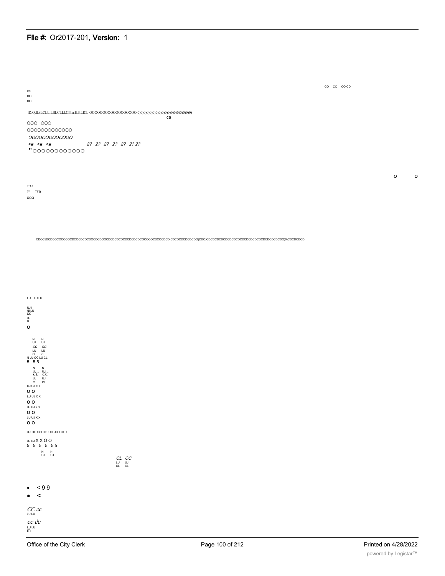ca co co

lD.Q.IL(LCLLlLlILCLLl.Clll.a.ll.ll.LlCL OOOOOOOOOOOOOOOOOO 0)0)0)0)0)0)0)0)0)0)0)0)0)0)0)0)0)0) ca

OOO OOO OOOOOOOOOOOOO OOOOOOOOOOOOO >■ >■ >■ 2? 2? 2? 2? 2? 2? 2? "oooooooooooo

Tf o Tf  $T$  Tf Tf

ooo

CDOCJDCDCOCOCOCOCDCOCDCDCDOCDCDOOCDCDCDCDCDCDCDCDCOCOCOCDCOCDCD CDCDCDCDCDCDO)CDO)CDCDCDCDCDCDCDCDCDCDCDCDCDCDCDCDCDCDO)0)CDCDCDCD



#### $• < 99$

- $\bullet$  <
- CC cc LU LU
- cc cc LU LU m

CO CO CO CD

o o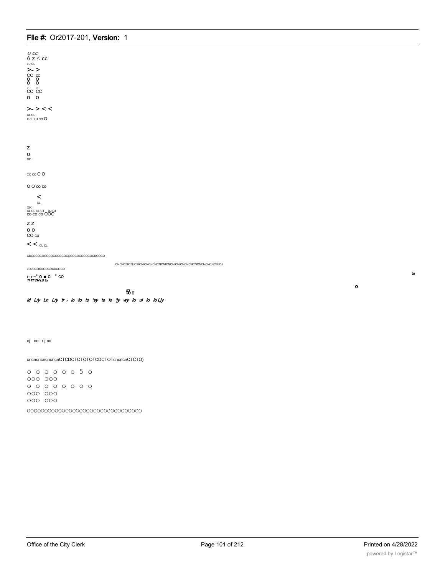| OCC<br>6z < cc<br>LU CL<br>$>->$<br>$\begin{smallmatrix} 0 & 0 \ 0 & 0 \ 0 & 0 \end{smallmatrix}$<br>cc cc<br>$\mathsf{o}$<br>o |  |
|---------------------------------------------------------------------------------------------------------------------------------|--|
| $> - > <$<br>CL CL<br>X CL LU CO O                                                                                              |  |
| z<br>$\circ$<br>$_{\rm CO}$                                                                                                     |  |
| cocoOO                                                                                                                          |  |
| O O co co                                                                                                                       |  |
| <<br>CL<br>XIX<br>co co co OOO                                                                                                  |  |
| ZZ<br>0 <sub>0</sub><br>$CO$ $co$                                                                                               |  |
| $<$ $<$ $<$ $<$ $<$ $<$ $<$ $<$ $<$ $<$                                                                                         |  |
| CDCOCOCOCOCOCOCOCOCOCOCOCOCOCOCOCOCOCO                                                                                          |  |
| LOLOCOCOCOCDCDCOCO                                                                                                              |  |

 $r-r-<sup>*</sup>$  0  $\equiv$  d  $\circ$  co<br>  $\pi\pi$  cM Loty

 $Br$ Id Lly Ln Lly  $tr_t$  lo to to 'sy to lo 'jy wy lo ui lo lo Ljy

oj co njco

cncncncncncncnCTCDCTOTOTOTCDCTOTcncncnCTCTO)

 $0 0 0 0 0 0 5 0$ 000 000  $0 0 0 0 0 0 0 0$ 000 000 000 000

 $\mathbf{t}$ 

 $\mathbf{o}$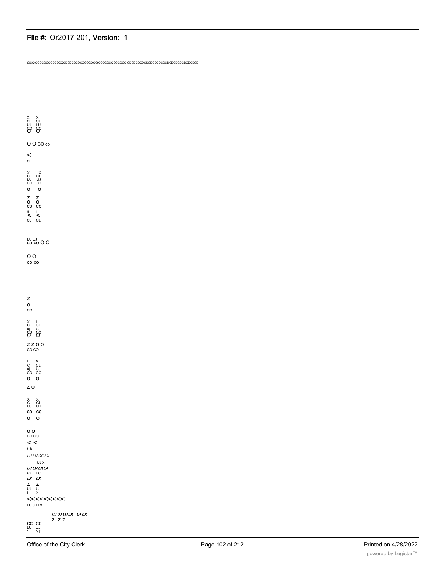| <b>OBERX</b><br>OSEN<br>OSEN                                                    |
|---------------------------------------------------------------------------------|
| O O CO co                                                                       |
| $CL$                                                                            |
| $rac{R}{C}$<br>SCL<br>SCL<br>SC<br>$\circ$                                      |
| Z<br>O<br>CO<br>$\frac{z}{0}$<br>$\zeta$<br>$\overline{\mathbf{z}}$<br>CL<br>CL |
|                                                                                 |
| οо<br>co co                                                                     |
|                                                                                 |
| Z<br>$\frac{0}{C}$                                                              |
| Ogun<br>O<br>ı<br>OSCI-                                                         |
| ZZO0<br>CO CO                                                                   |
| i<br>Cl<br>CO<br>$X$ <sub>CL</sub><br>UJ<br>CO<br>o<br>o<br>z o                 |
| X<br>CL<br>UJ<br>X<br>CL<br>UJ<br>co<br>CO<br>o<br>o                            |
| o o<br>CO CO<br>$\,<$<br>$t - h -$<br>LU LU CC LX                               |
| UJ X<br>LULULXLX                                                                |
| UJ LU<br>ux ux<br>z<br>Z<br>UJ<br>X<br>UJ<br>L                                  |
| <<<<<<<<<br>LU UJ I X                                                           |
| WWLULX LXLX                                                                     |
| Z Z Z<br>СC<br>СC<br>׆ׇ֦֛<br>׆<br>UJ<br>NT                                      |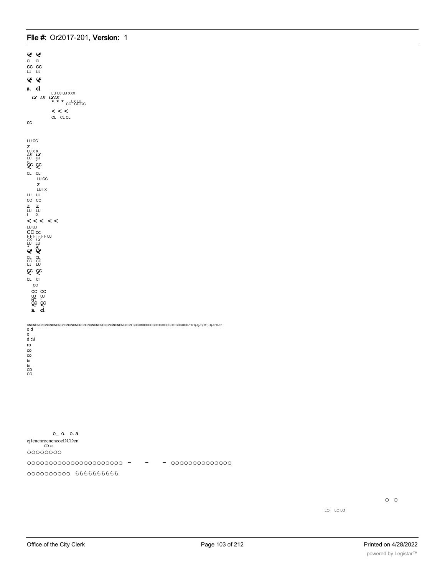

 $\circ$   $\circ$ 

LO LOLO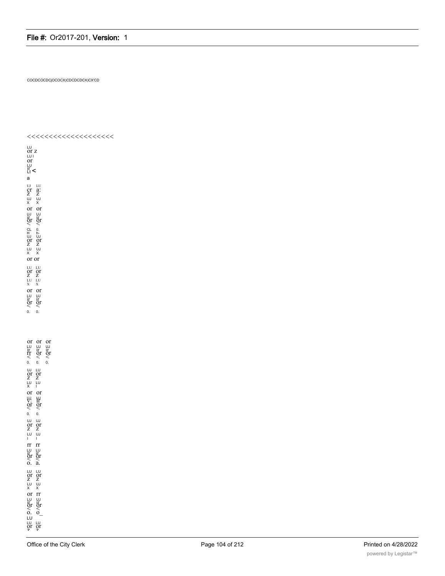cocpcocpcjococx)cpcpcpcx)cx'cp

xEndere Versie ×Ewis<br>x<br>xerse xensie × Mersen<br>xerse xensie or or or or or  $\begin{array}{c}\n\cup \\
\cup \\
\cup \\
\cup \\
\cup \\
\cup\n\end{array}$  $0.$  0.<br>  $0.$  0.<br>  $0.$  0.<br>  $0.$  0.<br>  $0.$  0.<br>  $0.$  0.<br>  $0.$  0.<br>  $0.$  0.<br>  $0.$  0.<br>  $0.$  0.<br>  $0.$  0.<br>  $0.$  0.<br>  $0.$  0.<br>  $0.$  0.<br>  $0.$  0.<br>  $0.$  0.<br>  $0.$  0.<br>  $0.$  0.<br>  $0.$  0.<br>  $0.$  0.<br>  $0.$  0.<br>  $0.$  0.<br>  $0.$  0.<br>  $0.$  0.<br>  $0.$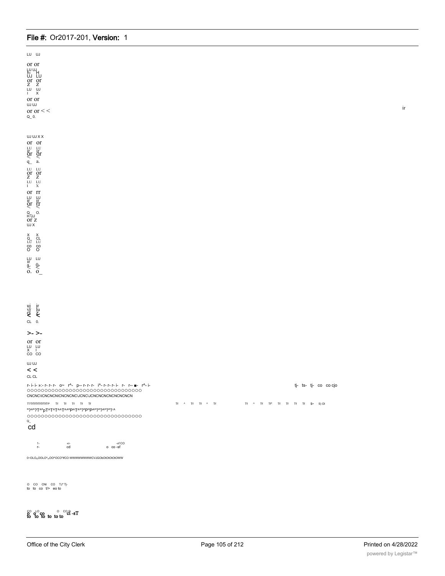| LU UJ                                                                                                                                                                                                                                                                                                                                                                                                                                                                                                                                                               |                       |    |
|---------------------------------------------------------------------------------------------------------------------------------------------------------------------------------------------------------------------------------------------------------------------------------------------------------------------------------------------------------------------------------------------------------------------------------------------------------------------------------------------------------------------------------------------------------------------|-----------------------|----|
| or or<br>  U U U<br>Or or<br>Z Z<br>LU U U<br>  X<br>  X<br>or or<br>UJ UJ<br>or or $<<$ q_0.                                                                                                                                                                                                                                                                                                                                                                                                                                                                       |                       | ir |
| UJ UJ X X<br>FACTO CONTROL THE CONTROL OF SURVEY AND THE CONTROL OF SURVEY OF THE CONTROL OF SURVEY OF THE CONTROL OF THE CONTROL OF THE CONTROL OF THE CONTROL OF THE CONTROL OF THE CONTROL OF THE CONTROL OF THE CONTROL OF THE CONTROL                                                                                                                                                                                                                                                                                                                          |                       |    |
| OS EL <sup>OX</sup><br>O <sub>O</sub><br>OO<br>O<br>$\begin{array}{ccc} \text{LU} & \text{LU} \\ \text{ir} & \text{OL} \\ \text{a} & \text{O} \\ \text{c} & \text{O} \end{array}$                                                                                                                                                                                                                                                                                                                                                                                   |                       |    |
| $\begin{array}{ll} \mbox{u j} & \mbox{ir} \\ \mbox{v r} & \mbox{lu} \\ \mbox{c l} & \mbox{c} \\ \mbox{c l} & \mbox{0.} \end{array}$                                                                                                                                                                                                                                                                                                                                                                                                                                 |                       |    |
| $>->->$<br>or or<br>$\cup_{\substack{U \ 0 \ 0}}$<br>$\cup_{\substack{U \ 0 \ 0}}$                                                                                                                                                                                                                                                                                                                                                                                                                                                                                  |                       |    |
| UJ UJ<br>$\,<$ $<$<br>$\mathtt{CL}$ $\mathtt{CL}$<br>$\mathsf{r}\text{-}\mathsf{i}\text{-}\mathsf{i}\text{-}\mathsf{y}\text{-}\mathsf{r}\text{-}\mathsf{r}\text{-}\mathsf{r}\text{-}\mathsf{r}\text{-}\mathsf{r}\text{-}\mathsf{0}\sim\mathsf{r}^{\mathsf{A}}\text{-}\mathsf{p}\text{-}\mathsf{r}\text{-}\mathsf{r}\text{-}\mathsf{r}\text{-}\mathsf{r}\text{-}\mathsf{1}\text{-}\mathsf{1}\mathsf{0}\text{-}\mathsf{1}\text{-}\mathsf{1}\text{-}\mathsf{1}\text{-}\mathsf{1}\text{-}\mathsf{1}\text{-}\mathsf{1}\text{-}\mathsf{1}\text{-}\mathsf{1}\text{-}\math$ | tj- ts- tj- co co cjo |    |
|                                                                                                                                                                                                                                                                                                                                                                                                                                                                                                                                                                     |                       |    |
| T?TfTfTfTfTfTff* Tf Tf Tf Tf Tf<br>"?^"?T^"pT^T^T^^T^^"P^T^"?"P"P^"?"?"?"?"?"<br>$Q_{\perp}$<br>cd                                                                                                                                                                                                                                                                                                                                                                                                                                                                  |                       |    |
| $1-$<br>-vf CO<br>$\alpha$ r-<br>$\Gamma^-$<br>cd<br>o co-sf<br>0~OLO»OOLO^mOO^OCO"tfCO WWWWWWWWCVJGObOtOtOtOtOWW                                                                                                                                                                                                                                                                                                                                                                                                                                                   |                       |    |
| O CO CNI CO TJ"Tj-<br>to to co t/> eo to                                                                                                                                                                                                                                                                                                                                                                                                                                                                                                                            |                       |    |

 $\stackrel{\sim}{{\mathfrak{g}}^0}{\mathfrak{g}}\stackrel{\sim}{{\mathfrak{g}}^0}{\mathfrak{g}}\stackrel{\sim}{{\mathfrak{g}}^0}{\mathfrak{g}}\stackrel{\sim}{{\mathfrak{g}}^0}{\mathfrak{g}}\stackrel{\sim}{{\mathfrak{g}}^0}{\mathfrak{g}}\stackrel{\sim}{{\mathfrak{g}}}^0$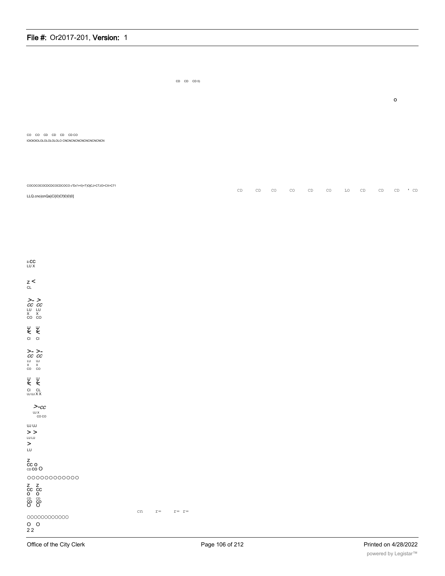|                                                                        | CD CD CD 0) |         |
|------------------------------------------------------------------------|-------------|---------|
|                                                                        |             | $\circ$ |
|                                                                        |             |         |
| CO CO CD CD CD CD CO CO<br>IOIOIOIOLOLOLOLOLOLO CNCNCNCNCNCNCNCNCNCNCN |             |         |
|                                                                        |             |         |

CD CD CO CO CD CO LO CD CD CD ' CD

#### COCOCOCOCDCDCOCDCOCO c"Dc"r>0)<T)OjCJ>CTJO>CX>C71

#### LLQ.cno)cnQa}Ci}0)Cf)0)0)0]

| $i$ i-CC<br>LU X                                                                                                                                                                                                                                                                                                                                                                                         |    |                    |  |  |
|----------------------------------------------------------------------------------------------------------------------------------------------------------------------------------------------------------------------------------------------------------------------------------------------------------------------------------------------------------------------------------------------------------|----|--------------------|--|--|
| $_{\rm Z}$ $<$<br>$\mathsf{CL}$                                                                                                                                                                                                                                                                                                                                                                          |    |                    |  |  |
| $\begin{array}{l} \textbf{1.7}\ \textbf{2.7}\ \textbf{2.8}\ \textbf{3.7}\ \textbf{4.8}\ \textbf{5.8}\ \textbf{6.8}\ \textbf{7.8}\ \textbf{8.8}\ \textbf{8.8}\ \textbf{8.8}\ \textbf{9.8}\ \textbf{1.8}\ \textbf{1.8}\ \textbf{1.8}\ \textbf{2.8}\ \textbf{3.8}\ \textbf{4.8}\ \textbf{5.8}\ \textbf{5.8}\ \textbf{6.8}\ \textbf{7.8}\ \textbf{8.8}\ \textbf{9.8}\ \textbf{1.8}\ \textbf{1.8}\ \textbf{1$ |    |                    |  |  |
| そ そ<br>$CI$ $CI$                                                                                                                                                                                                                                                                                                                                                                                         |    |                    |  |  |
| $\mathrel{>_{cc}}\mathrel{>_{cc}}\mathrel{_{cc}}$<br>$LU$ $ UJ$<br>$\begin{matrix} x & x \\ c_0 & c_0 \end{matrix}$                                                                                                                                                                                                                                                                                      |    |                    |  |  |
| そ そ<br>$\begin{array}{cc} \text{Cl} & \text{CL} \\ \text{ULU} & \text{XX} \end{array}$                                                                                                                                                                                                                                                                                                                   |    |                    |  |  |
| $>$ -cc<br>UJ X<br>CO CO                                                                                                                                                                                                                                                                                                                                                                                 |    |                    |  |  |
| UJ UJ<br>$>$ $>$<br>$L\cup L\cup$<br>$\, >$<br>LU                                                                                                                                                                                                                                                                                                                                                        |    |                    |  |  |
| $\frac{z}{\cos 0}$                                                                                                                                                                                                                                                                                                                                                                                       |    |                    |  |  |
| 00000000000                                                                                                                                                                                                                                                                                                                                                                                              |    |                    |  |  |
| 000000000000<br>$O$ $O$<br>$22$                                                                                                                                                                                                                                                                                                                                                                          | cn | $r =$<br>$r = r =$ |  |  |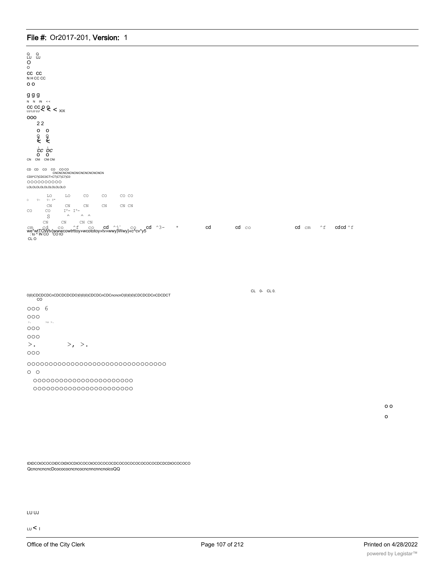| $_{\rm LU}^{\rm Q}$<br>o<br>UJ<br>$\circ$<br>$\circ$<br>cc cc<br>NHCCCC<br>0 <sub>0</sub>                         |    |                         |         |    |           |                                           |         |
|-------------------------------------------------------------------------------------------------------------------|----|-------------------------|---------|----|-----------|-------------------------------------------|---------|
| g g g<br>$N$ $N$ $IN$ $<<$<br>$CCCCQQ < x_{XIX}$                                                                  |    |                         |         |    |           |                                           |         |
| 000                                                                                                               |    |                         |         |    |           |                                           |         |
| 22                                                                                                                |    |                         |         |    |           |                                           |         |
| $\mathsf{o}$<br>o                                                                                                 |    |                         |         |    |           |                                           |         |
| ट्टै<br>$\frac{9}{5}$                                                                                             |    |                         |         |    |           |                                           |         |
| $\overline{c}c\overline{c}c$<br>$\circ$<br>o<br>CN CNI CNI CNI                                                    |    |                         |         |    |           |                                           |         |
| CD CD CO CO COCO<br>CNCNCNCNCNCNICNCNCNCNCNCN                                                                     |    |                         |         |    |           |                                           |         |
| CD0^C7)CDC0CT>CT)CT)C7)C0<br>0000000000                                                                           |    |                         |         |    |           |                                           |         |
| LOLOLOLOLOLOLOLOLOLO                                                                                              |    |                         |         |    |           |                                           |         |
| $\rm CO$<br>LO<br>LO<br>$T = T''$<br>$T-$<br>$\circ$                                                              | CO | CO CO                   |         |    |           |                                           |         |
| CN<br>$\mathbb{C}\mathbb{N}$<br>$_{\rm CN}$                                                                       | CN | ${\rm CN\ }$ ${\rm CN}$ |         |    |           |                                           |         |
| $Is - Is -$<br>CO<br>CO<br>S<br>$\wedge$<br>$\wedge\quad\wedge$                                                   |    |                         |         |    |           |                                           |         |
| $\mathbb{C}\mathbb{N}$<br>$\mathbb{C}\mathbb{N}$<br>CN CN                                                         |    |                         |         |    |           |                                           |         |
| cm cd co ^f co <b>cd</b> ^j co <b>c</b><br>we*wtTOWtv}www.cowtrttoy»wcototoy»tv»wwy)Wwy}«c^cv*y5<br>:to^INCO C010 |    | $cd \land 3-$           | $\star$ | cd | $cd$ $co$ | $\mathrel{\wedge} \mathtt{f}$<br>cd<br>cm | cdcd ^f |
| CL O                                                                                                              |    |                         |         |    |           |                                           |         |

0)0)CDCDCDCDCDCDCDCDO)0)0)0)CDCDCnCDCncncnO)0)0)0)CDCDCDCDCnCDCDCT<br>CO  $0006$  ${\circ}{\circ}{\circ}$  $\rightarrow$ s  $\rightarrow$ .  $\circ \circ \circ$  $000$  $>$ .  $\rightarrow$ ,  $\rightarrow$ .  $000$  $O$   $O$ 0000000000000000000000 0000000000000000000000

> $0<sub>0</sub>$  $\mathsf{o}$

 ${\small \texttt{tD} \texttt{tD} \texttt{C} \texttt{O} \texttt{tO} \texttt{C} \texttt{O} \texttt{tD} \texttt{C} \texttt{O} \texttt{C} \texttt{D} \texttt{tO} \texttt{C} \texttt{O} \texttt{C} \texttt{O} \texttt{C} \texttt{O} \texttt{C} \texttt{O} \texttt{C} \texttt{O} \texttt{C} \texttt{O} \texttt{C} \texttt{O} \texttt{C} \texttt{O} \texttt{C} \texttt{O} \texttt{C} \texttt{O}} \texttt{C} \texttt{O} \texttt$ QcncncncncDcocococncncocncnncnncnoicoQQ

LU UJ

 $_{\rm LU}$   $<$   $_{\rm I}$ 

 $CL$  0-  $CL$  0.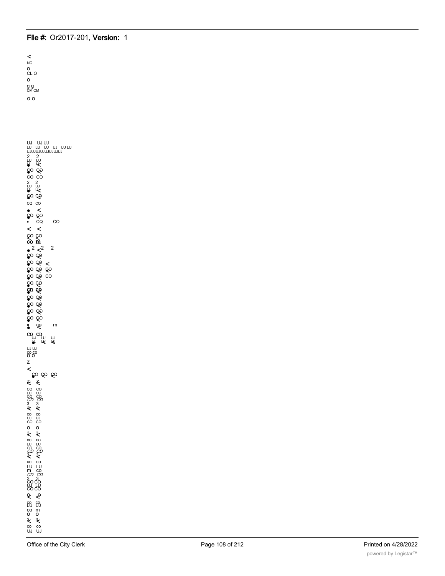$<sub>NC</sub>$ </sub>  $_{CLO}^{O}$  $\mathsf{o}$ g g<br>CM CM

 $\circ$   $\circ$ 

 $3 \times 8.3$   $\sqrt{8.3}$   $\sqrt{8.3}$   $\sqrt{8.3}$   $\sqrt{8.3}$   $\sqrt{8.3}$   $\sqrt{8.3}$   $\sqrt{8.3}$   $\sqrt{8.3}$   $\sqrt{8.3}$   $\sqrt{8.3}$   $\sqrt{8.3}$   $\sqrt{8.3}$   $\sqrt{8.3}$   $\sqrt{8.3}$   $\sqrt{8.3}$   $\sqrt{8.3}$   $\sqrt{8.3}$   $\sqrt{8.3}$   $\sqrt{8.3}$   $\sqrt{8.3}$   $\sqrt{8.3}$   $_{\rm CO}$  $\sqrt{2}$  ${\sf m}$  $\overset{\text{co}}{\underset{\longleftarrow}{\Downarrow}}\overset{\text{co}}{\underset{\longleftarrow}{\Downarrow}}$ ليا<br>په **S**<br>0000<br>0000 &<br>SES was 8 as a a sas compage a ges was<br>V was 8 as 8 a was a sas was a ges was was different and was a same as was a was a was a was a was a was a was م به 18380 % 0 3 3<br>280 % 0 3 3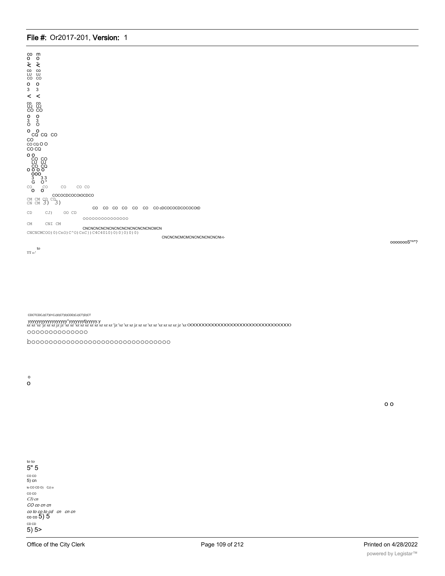| CO<br>m<br>O<br>О<br>₹<br>₹<br>$_{\rm CO}$<br>LU<br>CO.<br>o<br>$\circ$<br>3<br>3<br>$\lt$ $\lt$<br>CO<br>CO<br>co<br>$\frac{0}{3}$<br>o<br>$\overline{3}$ | $_{\rm co}$<br>UJ<br>CO<br>UJ<br>CO<br>$^{\circ}$ co co co |                  |                                                        |             |  |                        |
|------------------------------------------------------------------------------------------------------------------------------------------------------------|------------------------------------------------------------|------------------|--------------------------------------------------------|-------------|--|------------------------|
| CO                                                                                                                                                         |                                                            |                  |                                                        |             |  |                        |
| $CO CO$ O O<br>CO CQ                                                                                                                                       |                                                            |                  |                                                        |             |  |                        |
| 0 <sub>0</sub>                                                                                                                                             |                                                            |                  |                                                        |             |  |                        |
|                                                                                                                                                            | co co                                                      |                  |                                                        |             |  |                        |
| CO.<br>0000                                                                                                                                                | ŬJ<br>CQ                                                   |                  |                                                        |             |  |                        |
| 000                                                                                                                                                        |                                                            |                  |                                                        |             |  |                        |
| 3<br>G                                                                                                                                                     | $3^{3}_{0}$                                                |                  |                                                        |             |  |                        |
| CO<br>o                                                                                                                                                    | <b>CO</b><br>o                                             | CO               | CO CO                                                  |             |  |                        |
|                                                                                                                                                            |                                                            | COCOCDCOCOtOCDCO |                                                        |             |  |                        |
|                                                                                                                                                            | CM CM $\mathbb{S}$ CD <sub>3</sub> )                       |                  | CO                                                     | CO CO CO CO |  | CO CO cDCOCOCDCOCOCOtD |
| CD                                                                                                                                                         | CJ)                                                        | OO CD            |                                                        |             |  |                        |
|                                                                                                                                                            |                                                            |                  | 00000000000000                                         |             |  |                        |
| <b>CM</b>                                                                                                                                                  | CNI CM                                                     |                  | CNCNCNCNCNCNCNCNCNCNCNCNCNCNCMCN                       |             |  |                        |
|                                                                                                                                                            |                                                            |                  | CNCNCMCOO) 0) CnO) C^O) CnC} ) C4C4010) 0) 0} 0) 0) 0) |             |  |                        |

CNCNCNCMCMCNCNCNCNCNCNt-t-



CDCTCDCJ)CT)01CJ)0)CT)0)CDD)CJ)CT)D)CT 0000000000000

 $\circ$  $\mathsf{o}$ 

 $\circ$   $\circ$ 

0000000S"^"?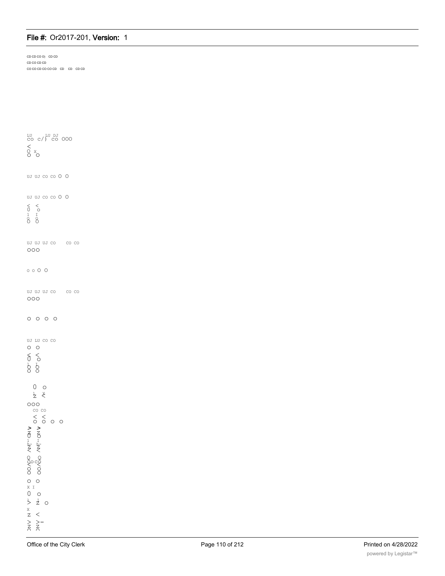$CD$   $CD$   $CO$   $O$ )  $CD$   $CD$ CD CO CD CD  $\begin{array}{ccc} \texttt{CO}\ \texttt{CO}\ \texttt{CO}\ \texttt{CO}\ \texttt{CO}\ \texttt{CO} & \texttt{CD} & \texttt{CD} & \texttt{CD}\ \texttt{CD} \end{array}$ 

 $\begin{smallmatrix} 10 & 0 \\ 0 & 0 \end{smallmatrix}$   $\begin{smallmatrix} 10 & 0 \\ 0 & 0 \end{smallmatrix}$  $\begin{matrix} 0 & 0 \\ 0 & 0 \\ 0 & 0 \end{matrix}$ UJ UJ CO CO O O  $\overline{u}$   $\overline{u}$   $\overline{u}$   $\overline{c}$   $\overline{c}$   $\overline{c}$   $\overline{c}$   $\overline{c}$   $\overline{c}$   $\overline{c}$   $\overline{c}$   $\overline{c}$   $\overline{c}$   $\overline{c}$   $\overline{c}$   $\overline{c}$   $\overline{c}$   $\overline{c}$   $\overline{c}$   $\overline{c}$   $\overline{c}$   $\overline{c}$   $\overline{c}$   $\overline{c}$   $\overline{$ nn nn nn co co co  $000$  $\begin{array}{ccc} \circ & \circ & \circ & \circ \end{array}$ nn nn nn co co co  $\circ \circ \circ$  $\circ \circ \circ \circ \circ$ UJ LU CO CO  $\circ$   $\circ$  $\delta~$   $\stackrel{<}{\circ}$  $rac{1}{6}$  $0$  o  $\frac{1}{2}$   $\xi$  $000$  $CO CO$  $\begin{array}{c} \texttt{<} \\ \texttt{0} \end{array}$  o o ANY A Y D YO OONGO WELDING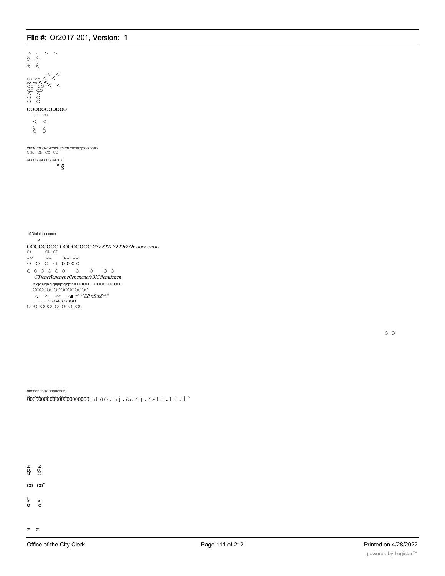| ∠<br>$\sqrt{2}$<br>$\sim$ $\sim$<br>$\begin{array}{ccc} \mathbf{x} & \mathbf{x} \\ \mathbf{r}^- & \mathbf{l}^- \\ \mathbf{\mathbb{K}} & \mathbf{\mathbb{K}} \end{array}$ |
|--------------------------------------------------------------------------------------------------------------------------------------------------------------------------|
| $\cos 25$                                                                                                                                                                |
| 00000000000                                                                                                                                                              |
| CO CO<br>$\langle \ \ \langle$                                                                                                                                           |
| $\delta$<br>$\delta$                                                                                                                                                     |
|                                                                                                                                                                          |
| CNCNJCNJCNCNCNCNJCNCN CDCDtD(OCO(D00tD<br>CNJ CN CO CD                                                                                                                   |
| COCOCOCOCOCOCOtOIO                                                                                                                                                       |
| ۰<br>§                                                                                                                                                                   |
|                                                                                                                                                                          |
|                                                                                                                                                                          |
|                                                                                                                                                                          |
|                                                                                                                                                                          |
|                                                                                                                                                                          |
|                                                                                                                                                                          |
| cfIDioioicncncocn                                                                                                                                                        |
| $\circ$<br>00000000 00000000 2?2?2?2?2?2r2r2r 00000000                                                                                                                   |
| CD CD<br>O                                                                                                                                                               |
| ro<br>CO<br>ro ro<br>$\circ \circ \circ \circ \circ \circ \circ \circ \circ$                                                                                             |
| 00000000<br>0 0 0                                                                                                                                                        |
| CTicncficncncncjicncncncftOiCficnuicncn                                                                                                                                  |
| !cjcjcjzjcjnjcjcj=j=jcjcjnjcjnj= 000000000000000<br>000000000000000                                                                                                      |
| $\qquad \qquad \geq, \quad \geq, \quad \geq \hspace{-1.5mm} \blacksquare \stackrel{\wedge\wedge\wedge\wedge Zll'X S'X Z^{\prime\wedge ?}}\hspace{-1.5mm}$                |
| ------ - "00CJ000000<br>000000000000000                                                                                                                                  |

 $\circ$   $\circ$ 



CDCDCDCDCIOCDCDCDCD

co co"

 $\frac{1}{2}$   $\frac{1}{2}$ 

 $Z$   $Z$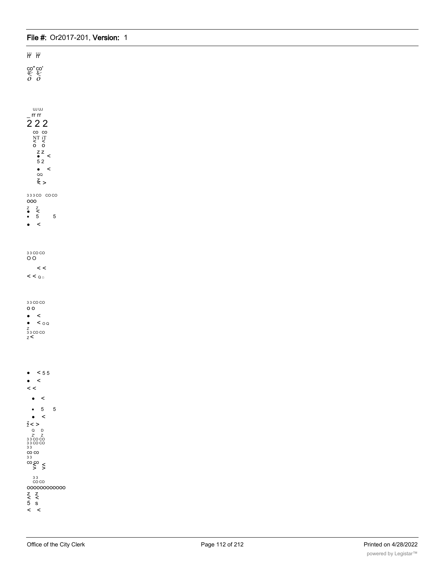| W W                                                                                                                                                                                                                                                                                                                                    |  |  |  |
|----------------------------------------------------------------------------------------------------------------------------------------------------------------------------------------------------------------------------------------------------------------------------------------------------------------------------------------|--|--|--|
| $\begin{array}{c} \begin{array}{c} \text{CO}^{\text{u}} \text{CO}^{\text{t}} \\ \text{IC} \end{array} \\ \begin{array}{c} \text{CO}^{\text{u}} \end{array} \\ \begin{array}{c} \text{CO}^{\text{u}} \end{array} \\ \begin{array}{c} \text{CO}^{\text{u}} \end{array} \\ \begin{array}{c} \text{CO}^{\text{u}} \end{array} \end{array}$ |  |  |  |
|                                                                                                                                                                                                                                                                                                                                        |  |  |  |
|                                                                                                                                                                                                                                                                                                                                        |  |  |  |
|                                                                                                                                                                                                                                                                                                                                        |  |  |  |
| UJ UJ                                                                                                                                                                                                                                                                                                                                  |  |  |  |
| $\frac{1}{2}$                                                                                                                                                                                                                                                                                                                          |  |  |  |
|                                                                                                                                                                                                                                                                                                                                        |  |  |  |
| $\begin{array}{cc} \text{co} & \text{co} \\ \text{NT} & \text{i} \\ \text{c} & \text{c} \\ \text{O} & \text{O} \end{array}$                                                                                                                                                                                                            |  |  |  |
| $\frac{zz}{52}$ <                                                                                                                                                                                                                                                                                                                      |  |  |  |
|                                                                                                                                                                                                                                                                                                                                        |  |  |  |
| $\bullet \quad <$<br>$_{\sf QQ}$                                                                                                                                                                                                                                                                                                       |  |  |  |
| $\xi >$                                                                                                                                                                                                                                                                                                                                |  |  |  |
| 333 CO CO CO                                                                                                                                                                                                                                                                                                                           |  |  |  |
| 000                                                                                                                                                                                                                                                                                                                                    |  |  |  |
| $\begin{array}{cc} \frac{z}{\bullet} & \frac{z}{5} \\ \bullet & 5 \end{array}$<br>$\sqrt{5}$                                                                                                                                                                                                                                           |  |  |  |
| $\bullet \quad <$                                                                                                                                                                                                                                                                                                                      |  |  |  |
|                                                                                                                                                                                                                                                                                                                                        |  |  |  |
|                                                                                                                                                                                                                                                                                                                                        |  |  |  |
| 33COCO<br>OO                                                                                                                                                                                                                                                                                                                           |  |  |  |
| $\,<$ $<$                                                                                                                                                                                                                                                                                                                              |  |  |  |
| $<$ $<$ $_{\mathrm{Q\,{\scriptscriptstyle\parallel}}}$                                                                                                                                                                                                                                                                                 |  |  |  |
|                                                                                                                                                                                                                                                                                                                                        |  |  |  |
| 3 3 CO CO                                                                                                                                                                                                                                                                                                                              |  |  |  |
| 0 <sub>0</sub>                                                                                                                                                                                                                                                                                                                         |  |  |  |
| $\bullet \quad <$                                                                                                                                                                                                                                                                                                                      |  |  |  |
| $\xi$ < o a<br>$\xi$<br>$330000$<br>$z <$                                                                                                                                                                                                                                                                                              |  |  |  |
|                                                                                                                                                                                                                                                                                                                                        |  |  |  |
|                                                                                                                                                                                                                                                                                                                                        |  |  |  |
|                                                                                                                                                                                                                                                                                                                                        |  |  |  |
| $\bullet \quad 55$                                                                                                                                                                                                                                                                                                                     |  |  |  |
| $\prec$<br>$\bullet$                                                                                                                                                                                                                                                                                                                   |  |  |  |
| $\,<\,$ $<$                                                                                                                                                                                                                                                                                                                            |  |  |  |
| $\,<$<br>$\bullet$<br>$\sqrt{5}$                                                                                                                                                                                                                                                                                                       |  |  |  |
| $\sqrt{5}$<br>$\bullet$<br>$\,<$<br>$\bullet$                                                                                                                                                                                                                                                                                          |  |  |  |
| $\frac{7}{2}$ < ><br>$\hbox{\tt Q}$ $\hbox{\tt D}$                                                                                                                                                                                                                                                                                     |  |  |  |
|                                                                                                                                                                                                                                                                                                                                        |  |  |  |
| $Z - Z$<br>33COCO<br>33COCO<br>33                                                                                                                                                                                                                                                                                                      |  |  |  |
| $\frac{CO}{33}$                                                                                                                                                                                                                                                                                                                        |  |  |  |
| $\frac{1}{2}$ $\approx$                                                                                                                                                                                                                                                                                                                |  |  |  |
| $\frac{33}{0000}$                                                                                                                                                                                                                                                                                                                      |  |  |  |
| 000000000000                                                                                                                                                                                                                                                                                                                           |  |  |  |
| $\frac{z}{5}$ < s <                                                                                                                                                                                                                                                                                                                    |  |  |  |
|                                                                                                                                                                                                                                                                                                                                        |  |  |  |
|                                                                                                                                                                                                                                                                                                                                        |  |  |  |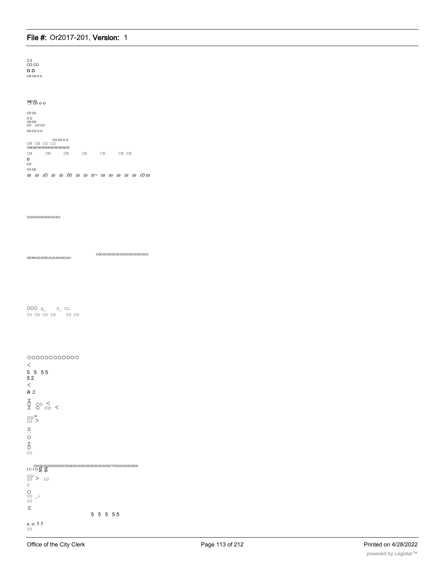3 3 CO CO o o CN CN O O

CM CM ?5 co o o

CD CD O O CN CN CO CO CO CD CO O O CO CO O O CM CN CO CO CMCMCNCNCNCNCNCNCNCN CM CM CN CN CN CN CN o CO

CO CD

tn m if) in in Hi in in tr> tn m in in in if) tn

OJOJOJOJOJOJOJOJOJ

OICNOJOJCNOJOJOJOJOIOJOJ

COCOCOCOCOCOCOCOCOCOCOCO

OOO Q\_ 0\_ CL CO CD CO CD CD CD

oooooooooooo  $\lt$ 5 5 5 5 5 2  $\,<$ a z z o co < z o co < co" LU > z o z o  $\overline{c}$ CDCDCDCDCDCDCDCDCDCDCDCDCDCDCDCDCDCDCTCDCDCDCDCDCD CU CD g g  $_{\text{LU}}^{\text{CO}}$  >  $_{\text{LU}}$  $\,$  $\begin{bmatrix} 0 & 1 \\ 0 & -1 \end{bmatrix}$ z 5 5 5 5 5 a. o. 5 5 CO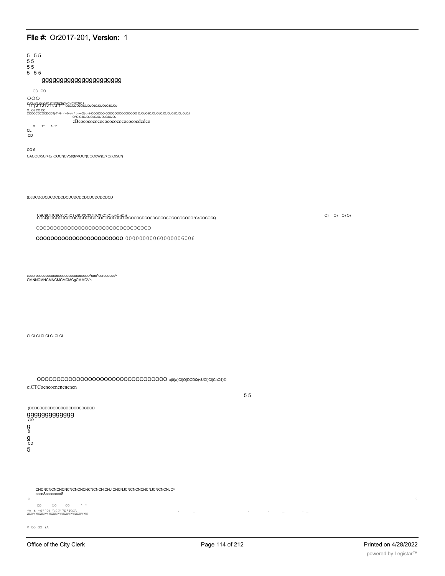5 5 5 5 5 5 5 5 5 5 gggggggggggggggggggggg CO CO ooo OJOJ^OJOJOJOJCNCNCNCNCNCNCNOJ "f"f"j'J\*f'J'l'J'f"t"J"f^^ OJOJOJOJOJOJOJOJOJOJOJOJOJOJ OJ OJ CO CO COCOCDCOCDCDTj-T-N-r-r>-N-r^r^ t-t-v-Ot-t-t-t-OOOOOO OOOOOOOOOOOOOO OJOJOJOJOJOJOJOJOJOJOJOJOJOJ O^OIOJOJOJOJOJOJOJOJOJOJ cBcococococococococococococdcdco O T" 1- T" CL CD CO £ CACOC/5C/>C/)COC/)CV5t/)t/>tOC/)COC/)W)C/>C/)C/5C/)

(DcDCDcDCDCDCDCDCDCDCDCDCDCDCDCDCD

C))C))CT)C))C7JC))CT)0)CX)C))CT)CX)C))C))0>C))C)) O) O) O) O) COCQCOCOCOCOCOCDCOCOCDCOCOCOCOCOCaCOCOCDCOCDCOCOCOCOCOCOCO 'CaCOCOCQ

OOOOOOOOOOOOOOOOOOOOOOOOOOOOOOOOO

oooooooooooooooooooooooo 00000000060000006006

cocorococococococococococococococ^coc^corocococ^ CMNNCMNCMNCMCMCMCgCMMCVn

CLCLCLCLCLCLCLCL

OOOOOOOOOOOOOOOOOOOOOOOOOOOOOOOOO a)0)a)Cl)O(DCDQ)<UCl)Cl)Cl)C4)©

oiCTCocncocncncncncn

(DCDCDCDCDCDCDCDCDCDCDCDCD

ggggggggggggg CO g 0 g<br>5<br>5

CNCNCNCNCNCNCNCNCNCNCNCNCNiCNJ CNCNJCNCNCNCNCNJCNCNCNJC^ cocnScocococoS <sup>J</sup> CO LO CO ^ ^

^t-t-^0"^0)'\0J'7N'TOC\ . \_ - - . . \_ . \_ WWWWWWWWWWWWWWWWWWWWWWWWWWWW

V CO GO (A

C

5 5

 $\bar{\zeta}$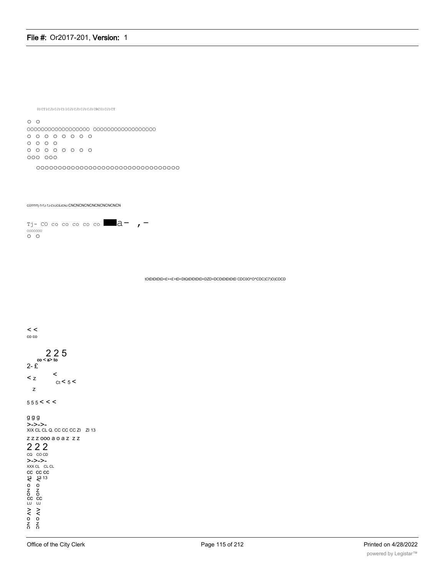

tOtDtDtDtD<E><E>tD<DtQtDlDtDtD<DZD<DCDtDtDtDtD CDC00^O^CDC)C7)O)CDCD

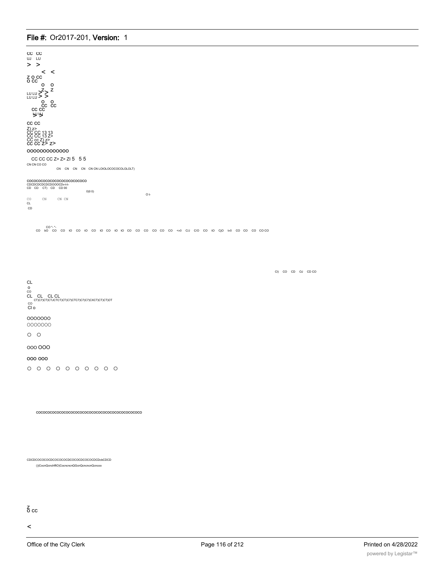

CDCDCOCOCOCOCOCOCOCOCOCOCOCOCOCOCDCDcbCDCD ())CocnQcnchffiO)CocncncnQGcnQcncncnQcncoo

 $rac{z}{0}$  cc

 $\,<$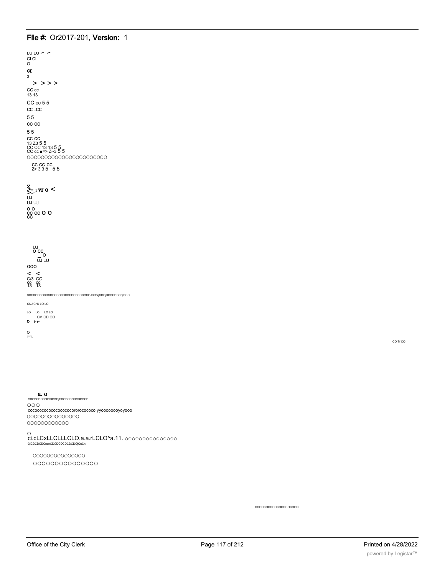LU LU  $\sim$   $\sim$  $_{\rm O}^{\rm Cl}$  CL  $cr$  $\ensuremath{\mathsf{3}}$  $>$  > > > CC cc<br>13 13  $CC$   $cc$   $5$   $5$  $cc$ . $cc$ 55  $cc$   $cc$  $5\;5$ CC CC<br>13 Z3 5 5<br>CC CC 13 13 5 5<br>CC cc = > Z~3 5 5 0000000000000000000000  $CC CC CC$ <br>  $Z > 335555$  $\sum_{\substack{0,1 \text{ odd} \\ 0,1}}$  and  $\sim$  $\frac{00}{c}$  cc 0 0  $6<sup>6</sup>$ ้นิโม 000  $\begin{array}{c} 64.4 \ \ \, 64.4 \ \ \, 64.4 \ \ \, 64.4 \ \ \, 64.4 \ \ \, 64.4 \ \ \, 64.4 \ \ \, 64.4 \ \ \, 64.4 \ \ \, 64.4 \ \ \, 64.4 \ \ \, 64.4 \ \ \, 64.4 \ \ \, 64.4 \ \ \, 64.4 \ \ \, 64.4 \ \ \, 64.4 \ \ \, 64.4 \ \ \, 64.4 \ \ \, 64.$  ${\tt CDCDCCDCCDCCDCCDCCDCCDCCCCCDcrjCDCjCCDCCCjDCD}$ CNJ CNJ LO LO  $\begin{array}{ccccc}\n\text{LO} & \text{LO} & \text{LOLO} \\
\text{CM CD CO} & & \\
\text{O} & & & \\
\text{C} & & & \\
\end{array}$ O<br>Tf T-

CO Tf CO

 ${\color{red} \mathbf{a}}{\color{red} .} \, {\color{red} \mathbf{0}} {\color{red} \mathbf{0}} {\color{red} \mathbf{0}} {\color{red} \mathbf{0}} {\color{red} \mathbf{0}} {\color{red} \mathbf{0}} {\color{red} \mathbf{0}} {\color{red} \mathbf{0}} {\color{red} \mathbf{0}} {\color{red} \mathbf{0}} {\color{red} \mathbf{0}} {\color{red} \mathbf{0}} {\color{red} \mathbf{0}} {\color{red} \mathbf{0}} {\color{red} \mathbf{0}} {\color{red} \mathbf{0}} {\color{red} \mathbf{0}} {\color{red} \mathbf{0}} {\color$ 

 $\circ \circ \circ$ cocococococococococororocococo yyoooooooyoyooo 00000000000000 000000000000

ci.cLCxLLCLLLCLO.a.a.rLCLO^a.11. 0000000000000000 OjCDCDCDCncnCDCDCDCDCDCDCDOjCnCn

00000000000000 00000000000000

 $cocococococococococococo$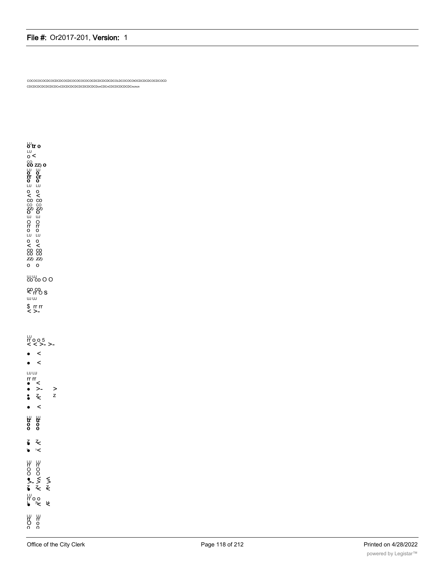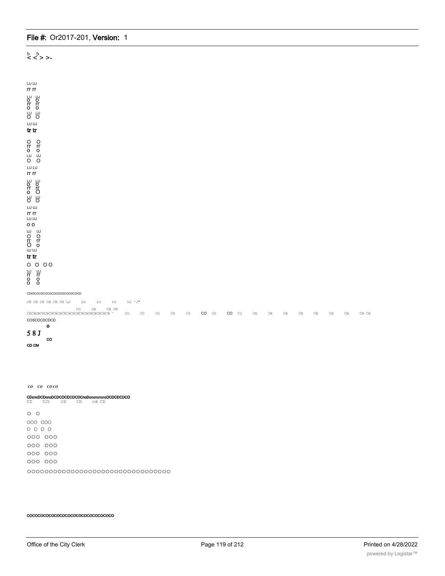| LU UJ<br>rr rr<br>50<br>0<br>0<br>0<br>0<br>8 R<br>LU UJ<br>tr tr             |                                                                                                                                         |                    |             |    |             |           |           |                        |             |                        |             |             |             |             |                                               |
|-------------------------------------------------------------------------------|-----------------------------------------------------------------------------------------------------------------------------------------|--------------------|-------------|----|-------------|-----------|-----------|------------------------|-------------|------------------------|-------------|-------------|-------------|-------------|-----------------------------------------------|
| $O$ $O$<br>$rr$ $rr$<br>$0$ 0<br>LU UJ<br>$O$ $O$<br>LU LU<br>$rr$ $rr$       |                                                                                                                                         |                    |             |    |             |           |           |                        |             |                        |             |             |             |             |                                               |
| $\begin{array}{c} 5\,0\,\\ 0\,\\ 0\,\\ 0\,\\ 0\, \end{array}$<br>8 R<br>LU UJ |                                                                                                                                         |                    |             |    |             |           |           |                        |             |                        |             |             |             |             |                                               |
| rr rr<br>LU UJ<br>0 <sub>0</sub><br>UJ UJ                                     |                                                                                                                                         |                    |             |    |             |           |           |                        |             |                        |             |             |             |             |                                               |
| $\begin{matrix} 0 & 0 \\ 0 & 0 \\ 0 & 0 \end{matrix}$<br>UJ UJ<br>tr tr       |                                                                                                                                         |                    |             |    |             |           |           |                        |             |                        |             |             |             |             |                                               |
| 0000<br>χ<br>γ γ<br>$0$ 0                                                     |                                                                                                                                         |                    |             |    |             |           |           |                        |             |                        |             |             |             |             |                                               |
|                                                                               | CDtOCOCOCOCDCOCDCDCOCDCOCD                                                                                                              |                    |             |    |             |           |           |                        |             |                        |             |             |             |             |                                               |
| COSCDCDCDCD                                                                   | LO<br>CN CN CN CN CN CN LO<br>LO<br>to<br>$_{\rm CD}$<br>$\mathrm{CN}$<br>$\mathbb{C}\mathbb{N}$ $\mathbb{C}\mathbb{N}$<br>$\mathbf{o}$ | LO ^J"<br>CO<br>CO | $_{\rm CO}$ | CO | $_{\rm CO}$ | $CO$ $CO$ | $CO$ $CO$ | $\mathbb{C}\mathbf{N}$ | $_{\rm CN}$ | $\mathbb{C}\mathbb{N}$ | $_{\rm CN}$ | $_{\rm CN}$ | $_{\rm CN}$ | $_{\rm CN}$ | $\mathbb{C}\mathbb{N}$ $\mathbb{C}\mathbb{N}$ |
| 58J<br>CD CM                                                                  | co                                                                                                                                      |                    |             |    |             |           |           |                        |             |                        |             |             |             |             |                                               |

*CO CO CO CO*

### CDcncDCDcncDCDCDCDCDCDCncDcncncncncDCDCDCDCD CD CJ) CD CD cd CD

o o OOO OOO O O O O ooo ooo ooo ooo ooo ooo ooo ooo ooooooooooooooooooooooooooooooooo

#### COCOCOCOCOCOCOCOCOCOCOCOCOCOCOCO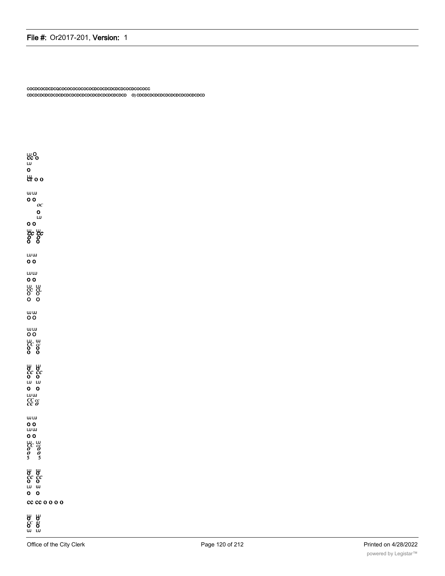COCDCOCDCDCQCOCOCOCOCOCOCDCOCDCDCDCDCOCDCOCOCC CDCDCDCDCDCDCDCDCDCDCDCDCDCDCDCDCDCDCD O) CDCDCDCDCDCDCDCDCDCDCDCDCD

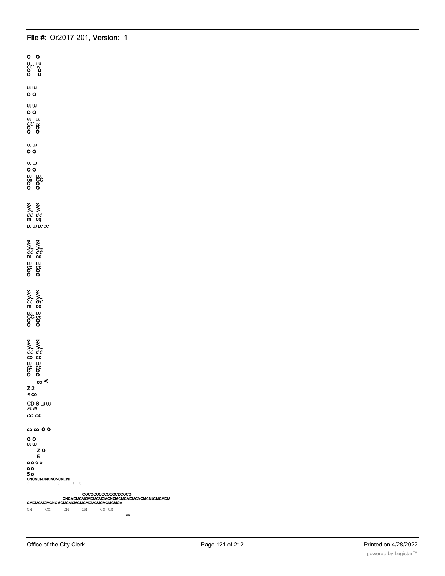| $\begin{array}{c} 0 & 0 \\ 8 & 0 \\ 8 & 0 \end{array}$                                                                                                                                                                      |
|-----------------------------------------------------------------------------------------------------------------------------------------------------------------------------------------------------------------------------|
| mm<br>$\circ$ $\circ$                                                                                                                                                                                                       |
| <b>UJUJ</b><br>$\frac{1}{2}$                                                                                                                                                                                                |
| นมน<br>$\mathbf{o}$                                                                                                                                                                                                         |
| ၁၁၁၁<br>၁၁ ၁၁<br>၁၁ ၁၁၀                                                                                                                                                                                                     |
|                                                                                                                                                                                                                             |
| OORE BRYKK                                                                                                                                                                                                                  |
| MASE BOOD<br>OOSE BOOD                                                                                                                                                                                                      |
| OORE 8 SWN<br>OORE 8 SWN<br>$_{\rm cc}$ <<br>Z <sub>2</sub><br>$<$ $\infty$<br><b>CD S LUW</b><br>NC HI<br>cc cc                                                                                                            |
| co co 00                                                                                                                                                                                                                    |
| 0 <sub>0</sub><br><b>UJUJ</b><br>Z <sub>0</sub><br>5<br>0000<br>0 <sub>0</sub><br>5о<br>CNCNCNCNCNCNCNCNI<br>$\mathbf{r} \sim \qquad \mathbf{i} - \qquad \mathbf{t} - \qquad \mathbf{t} - \qquad \mathbf{t} - \mathbf{t} -$ |
| COCOCOCOCOCOCDCOCO<br>CNCMCMCMCMCMCMCMCMCMCMCMCMCNCMCNJCMCMCM<br>смсмсмсмсмсмсмсмсмсмсмсмсмсмсмсмсм<br>CM CM<br>$\mathbb{C}\mathbb{M}$<br>$\mathbb{C}\mathbb{M}$<br>$\mathbb{C}\mathbb{M}$<br>CM<br>$_{\rm co}$             |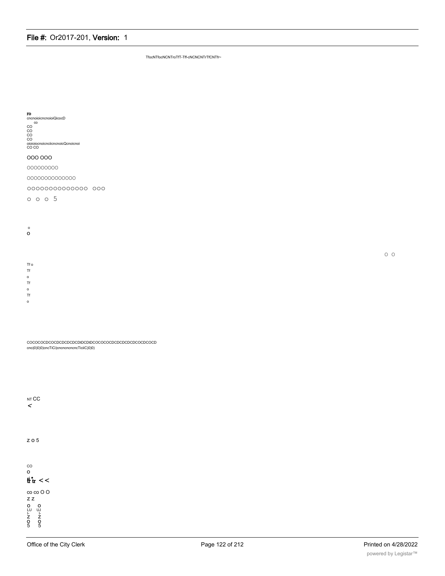TfocNTfocNCNTroTfT-Tff-cNCNCNTrTfCNTfr~

| ro<br>CO<br>CO<br>CO<br>CO | cncnoioicncnoioiQicocD<br>c <sub>O</sub><br>oioioiocnoicnciicncnoicQcnoicnoi<br>CO CO |  |  |  |                    |  |  |  |  |
|----------------------------|---------------------------------------------------------------------------------------|--|--|--|--------------------|--|--|--|--|
|                            | 000 000                                                                               |  |  |  |                    |  |  |  |  |
|                            |                                                                                       |  |  |  |                    |  |  |  |  |
|                            | 00000000000000                                                                        |  |  |  |                    |  |  |  |  |
|                            |                                                                                       |  |  |  | 00000000000000 000 |  |  |  |  |
|                            | ооо 5                                                                                 |  |  |  |                    |  |  |  |  |

 $\circ\hspace{0.15cm}\circ$ 

cno)0)0)0)cncTiCi)cncncncncncTiciiC)0)0)

 $NT$   $CC$  $\,<$ 

 $\overset{\circ}{\mathsf{o}}$ 

Tf o<br>Tf  $rac{1}{T}$  $rac{0}{T}$  $\circ$ 

 $z$  o 5

 $\frac{1}{\sqrt{2}}$  $\mathbf{\ddot{t}\, \ddot{t}\, \mathbf{r}} <<$ 

 $\cos$   $\cos$   $\cos$  $\mathsf{Z}\ \mathsf{Z}$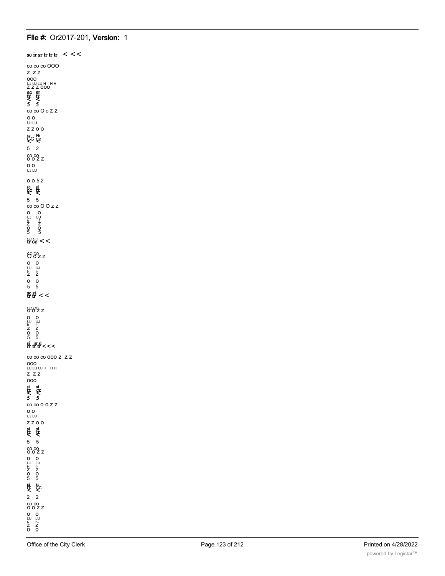| $\mathrm{sc}\,\mathrm{ir}\,\mathrm{sr}\,\mathrm{tr}\,\mathrm{tr}\,\mathrm{tr}~<\,$                                                                                                                                                               |  |  |
|--------------------------------------------------------------------------------------------------------------------------------------------------------------------------------------------------------------------------------------------------|--|--|
| co co co OOO<br>Z Z Z                                                                                                                                                                                                                            |  |  |
| 000<br>ШИЈЦН НН<br>Z Z Z 000                                                                                                                                                                                                                     |  |  |
| $\frac{1}{3}$<br>$\frac{1}{3}$<br>$\frac{1}{3}$<br>$\frac{1}{3}$<br>$\frac{1}{3}$                                                                                                                                                                |  |  |
| ${\rm co}$ co O o ${\rm z}$ z<br>0 <sub>0</sub><br>UJ LU                                                                                                                                                                                         |  |  |
| ZZ00<br><b>EC</b> Ri                                                                                                                                                                                                                             |  |  |
| $5\quad 2$                                                                                                                                                                                                                                       |  |  |
| $_{0}^{\rm co\,co}$ z<br>$\circ$ $\circ$<br>UJ LU                                                                                                                                                                                                |  |  |
| o o 52<br>路<br>空                                                                                                                                                                                                                                 |  |  |
| $5\quad 5$<br>${\rm co}$ co O O z z                                                                                                                                                                                                              |  |  |
| $0$<br>$25$<br>$25$<br>$25$<br>$25$<br>$25$<br>$25$<br>$25$<br>$25$                                                                                                                                                                              |  |  |
| $\frac{\rm SC}{\rm tr}$ and $\rm SC$                                                                                                                                                                                                             |  |  |
| 682z<br>$0$ 0                                                                                                                                                                                                                                    |  |  |
| E<br>E<br>E<br>E<br>$0$ 0                                                                                                                                                                                                                        |  |  |
| $5 \frac{\text{sc si}}{\text{tr ft}} <$                                                                                                                                                                                                          |  |  |
| $8082$ z                                                                                                                                                                                                                                         |  |  |
|                                                                                                                                                                                                                                                  |  |  |
| $\overset{si}{\text{rr}}\, \overset{sr}{\text{tr}} \overset{si}{\text{tr}} <<$                                                                                                                                                                   |  |  |
| CO CO CO 000 Z Z Z<br>000                                                                                                                                                                                                                        |  |  |
| LULUUJH HH<br>Z Z Z                                                                                                                                                                                                                              |  |  |
| 000<br><b>si</b> si<br><del>L</del><br>5<br>5<br>5                                                                                                                                                                                               |  |  |
| $\cos$ $\cos$ $\cos$ $\cos$ $\cos$<br>$\circ$ $\circ$                                                                                                                                                                                            |  |  |
| UJ LU                                                                                                                                                                                                                                            |  |  |
|                                                                                                                                                                                                                                                  |  |  |
|                                                                                                                                                                                                                                                  |  |  |
|                                                                                                                                                                                                                                                  |  |  |
| New Section 2014<br>2000<br>2000<br>2000<br>2000<br>2000<br>2000<br>2000<br>2000<br>2000<br>2000<br>2000<br>2000<br>2000<br>2000<br>2000<br>2000<br>2000<br>2000<br>2000<br>2000<br>2000<br>2000<br>2000<br>2000<br>2000<br>2000<br>2000<br>2000 |  |  |
|                                                                                                                                                                                                                                                  |  |  |
|                                                                                                                                                                                                                                                  |  |  |
| $2500$<br>$2500$<br>$2500$                                                                                                                                                                                                                       |  |  |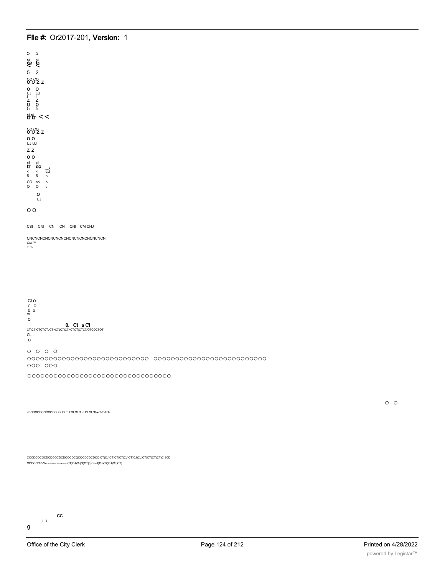

| CI O<br>CL O<br>0.0<br>CL<br>ο<br>$0.$ Cl $a$ Cl<br>CT)C7)CTCTCTJCT>C7JC7)C7>CTCT)CTC7/OTCDCTOT<br><b>CL</b><br>o |  |
|-------------------------------------------------------------------------------------------------------------------|--|
| o o o                                                                                                             |  |

oooooooooooooooooooooooooooo oooooooooooooooooooooooooo ooo ooo

ooooooooooooooooooooooooooooooooo

aDCOCOCOCOCOCOLOLOLTJLOLOLO ~LOLOLOt-x-T-T-T-T-

COCDCDCOCDCDCOCDCDCOCDCQCQCDCDCDCO CT)CJ)CT)CT)C7)CJ)CT)CJ)CJ)CT)CT)CT)CT)Cr3CD COCOCOi^r^h-r»-r~r~r~r--r~r~ CT)CJ)Cr)G)CT)0)CncJ)CJ)C7)CJ)CJ)CT)



o o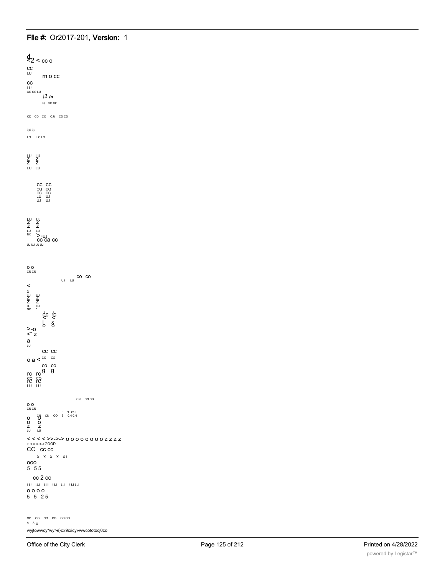

wyjtowwcy\*wy>e}c»9c/icy»wwcototocj0co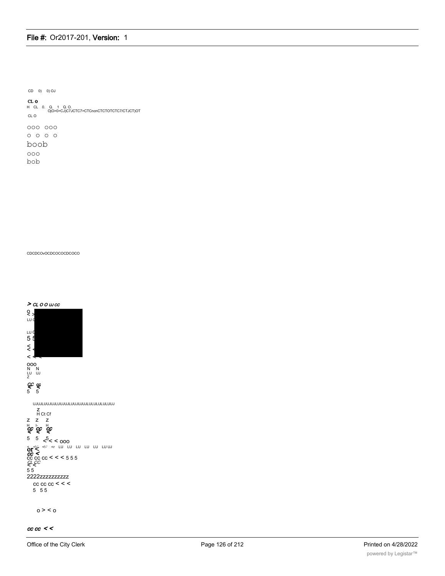$CD$  0) 0) OJ

 $\mathtt{CL}$  o H CL 0. Q. 1 Q. O.<br>OjO>0>CJ)C7JCTC7>CTCncnCTCTOTCTC7/CTJCTJOT CL O  $0000000$  $\circ \hspace{0.2cm} \circ \hspace{0.2cm} \circ \hspace{0.2cm} \circ \hspace{0.2cm} \circ$ boob  $000$ bob

CDCDCOVOCDCOCOCDCOCO



 $0 > 0$ 

#### $cc$   $cc$   $<<$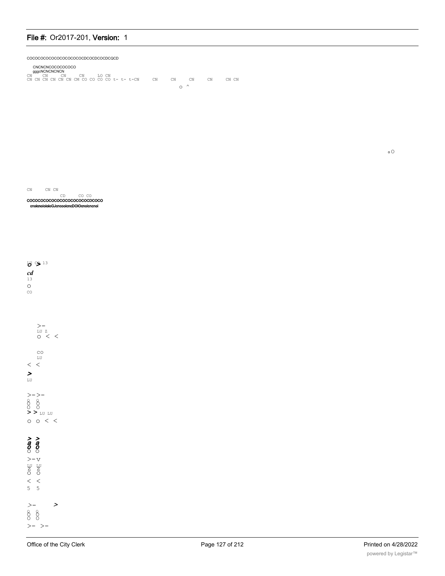COCOCOCOCOCOCOCOCOCOCDCOCDCOCDCQCD

CNCNCNCOCOCOCOCO gggcNCNCNCNCN

CN CN CN CN LO CN CN CN CN CN CN CN CM CO CO CO CO t- t- t-CN CN CN CN CN CN CN  $\circ$  ^

<sup>o</sup> O

CN CN CN

CD CO CO<br>**COCOCOCOCOCOCOCOCOCOCOCOCOCOCOCO**<br>cnoicnoioioioGJcncooicncDOiOcnoicncnoi

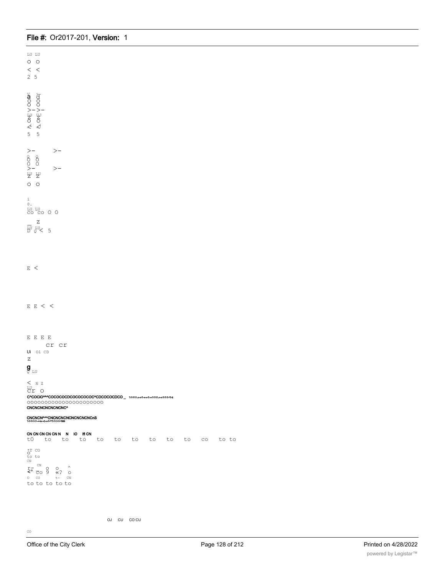| ${\rm LU}~{\rm LU}$<br>$\circ$ $\circ$<br>$\,<\,$ $\,<$<br>$2\,$ 5                                                                                                                                                                                                                                                                                                                                                                                                                                                                                                                                       |
|----------------------------------------------------------------------------------------------------------------------------------------------------------------------------------------------------------------------------------------------------------------------------------------------------------------------------------------------------------------------------------------------------------------------------------------------------------------------------------------------------------------------------------------------------------------------------------------------------------|
| on A. ONE YOODS                                                                                                                                                                                                                                                                                                                                                                                                                                                                                                                                                                                          |
| $>$ $-$<br>$>$ $\!-$                                                                                                                                                                                                                                                                                                                                                                                                                                                                                                                                                                                     |
| i<br>0.<br>LU LU<br>CO CO O O<br>$\begin{array}{ccc}\n & z \\ \overline{b}^U & \overline{b}^U & 5\n\end{array}$                                                                                                                                                                                                                                                                                                                                                                                                                                                                                          |
| $_{\rm E}$ $<$                                                                                                                                                                                                                                                                                                                                                                                                                                                                                                                                                                                           |
|                                                                                                                                                                                                                                                                                                                                                                                                                                                                                                                                                                                                          |
| $\mathbf{E} \parallel \mathbf{E} \parallel \mathbf{E} \parallel \mathbf{E} \parallel$<br>$cr$ $cr$<br>$\textsf{Ui}$ of $\texttt{CD}$<br>$\,$ Z<br>$\mathbf{g}$ $_{\text{\tiny LU}}$                                                                                                                                                                                                                                                                                                                                                                                                                      |
| $<~_\mathrm{N}$ $_\mathrm{Z}$<br>Ur o<br>000000000000000000000<br>CNCNCNCNCNCNCNC^                                                                                                                                                                                                                                                                                                                                                                                                                                                                                                                       |
| CNCNCN^^^CNCNCNCNCNCNCNCNCNCnS<br>T-T-T-T-444-C-4-T-MT-T-T-T-4000                                                                                                                                                                                                                                                                                                                                                                                                                                                                                                                                        |
| CN CN CN CN CN N N IO IfiCN<br>t0 to<br>to<br>to<br>to<br>to<br>to<br>to<br>to<br>to to<br>to<br>$\circ$<br>$_{\bigcirc}^{*{\rm T}}$ co<br>to to<br>$\mathbb{C}\mathbf{N}$<br>$\mathbb{C}\mathbf{N}$<br>$\zeta^{\circ}$ $\overline{C}$ 0 $\overline{S}$ 0 $\overline{S}$ 0 $\overline{S}$ 0 $\overline{S}$ 0 $\overline{S}$ 0 $\overline{S}$ 0 $\overline{S}$ 0 $\overline{S}$ 0 $\overline{S}$ 0 $\overline{S}$ 0 $\overline{S}$ 0 $\overline{S}$ 0 $\overline{S}$ 0 $\overline{S}$ 0 $\overline{S}$ 0 $\overline{S}$ 0 $\overline{S}$ 0 $\overline{S}$ 0 $\$<br>$0$ $CO$<br>$t - CN$<br>to to to to to |
|                                                                                                                                                                                                                                                                                                                                                                                                                                                                                                                                                                                                          |

OJ CU COCU

 $_{\rm CO}$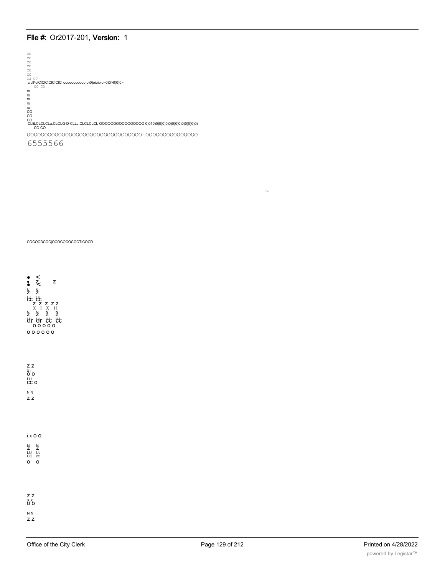CO<br>CO<br>CO<br>CO<br>CO CO<br>CO CO<br>CO<br>CO<br>CO CO<br>CO<br>CO CO<br>CO CO<br>CO CO<br>CO CO<br>CO CO OOOOOOOOOOOOOOOOOOOOOOOOOOOOOOOOO OOOOOOOOOOOOOOO 6555566

COCOCDCOCjOCOCOCOCOCTICOCD



z z<br>o o LU cc o

N N  $\overline{z}$  z

i x o o cc cc<br>N<br>N<br>N<br>N

o o

z z<br>xx<br>o`o

N N z z

Office of the City Clerk **Page 129 of 212** Printed on 4/28/2022 Printed on 4/28/2022

^™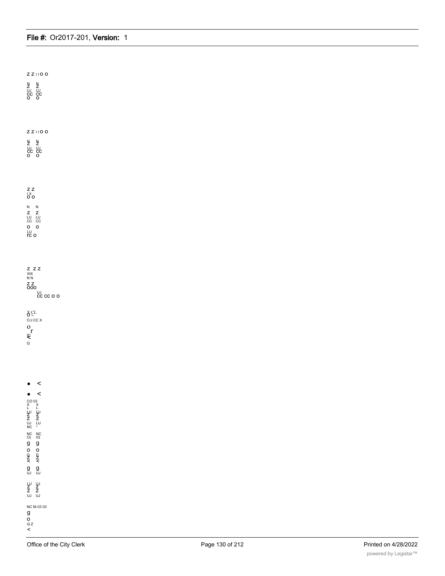| ZZ  00<br>$\begin{array}{c}\n 8 \\  10 \\  10 \\  10 \\  10 \\  10 \\  10 \\  10 \\  10\n\end{array}$                                                                                                                                                                                             |  |  |  |
|---------------------------------------------------------------------------------------------------------------------------------------------------------------------------------------------------------------------------------------------------------------------------------------------------|--|--|--|
| ZZ  00<br>$\begin{array}{c} 0 \\ 0 \\ 0 \\ 0 \\ \end{array} \begin{array}{c} \mathbb{R} \\ \mathbb{R} \\ \mathbb{R} \\ \mathbb{R} \end{array}$                                                                                                                                                    |  |  |  |
| $\mathop \text{EX}_\text{LO}^\text{ZZ}$<br>$\begin{array}{c} \nN & N \\ Z & Z \\ U & U \\ C & C \\ C & C \\ O & O \\ U & O \\ V & O\n\end{array}$                                                                                                                                                 |  |  |  |
| $\begin{array}{lcl} Z & Z & Z \\ XIX & \\ N& N \end{array}$<br>$\frac{1}{2}$<br>$\frac{1}{2}$<br>$\frac{1}{2}$<br>$\frac{1}{2}$<br>$\frac{1}{2}$<br>$\frac{1}{2}$<br>$\frac{1}{2}$<br>$\delta_{\text{L}}^{\text{CL}}$ c/J cc x<br>$\begin{smallmatrix} 0\\ \kappa\\ \kappa\\ 0 \end{smallmatrix}$ |  |  |  |
| $\bullet \quad \leq$<br>$\bullet \quad \leq$<br>$\begin{array}{c}\n0.03 \\ X \\ Y \\ Y \\ Y \\ Y \\ Y \\ Y \\ Y\n\end{array}$<br>Fe vno o e sk<br>Fe vno o e sk<br>NC Ni 03 03<br>$\frac{1}{\sqrt{2}}$                                                                                            |  |  |  |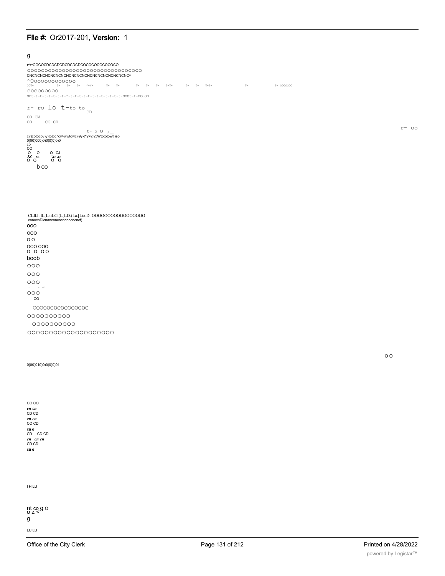| g                                                                                                                                                                                                                                                                                                                                                                                                                                                                                                                                                                                                                                                                                                                                                                                                          |         |
|------------------------------------------------------------------------------------------------------------------------------------------------------------------------------------------------------------------------------------------------------------------------------------------------------------------------------------------------------------------------------------------------------------------------------------------------------------------------------------------------------------------------------------------------------------------------------------------------------------------------------------------------------------------------------------------------------------------------------------------------------------------------------------------------------------|---------|
| r^r^COCOCDCDCDCDCDCDCDCDCOCOCOCOCOCOCO                                                                                                                                                                                                                                                                                                                                                                                                                                                                                                                                                                                                                                                                                                                                                                     |         |
|                                                                                                                                                                                                                                                                                                                                                                                                                                                                                                                                                                                                                                                                                                                                                                                                            |         |
|                                                                                                                                                                                                                                                                                                                                                                                                                                                                                                                                                                                                                                                                                                                                                                                                            |         |
| $^{\wedge}$ 0000000000000                                                                                                                                                                                                                                                                                                                                                                                                                                                                                                                                                                                                                                                                                                                                                                                  |         |
| $OOT-$<br>$\mathbb{T}^{\perp} \hspace{0.1in} \mathbb{T}^{\perp} \hspace{0.1in} \mathbb{T}^{\perp} \hspace{0.1in} \mathbb{T}^{\perp} \hspace{0.1in} \mathbb{T}^{\perp} \hspace{0.1in} \mathbb{N}^{\perp} \hspace{0.1in} \mathbb{N}^{\perp}$<br>$\mathbb{T}^{m} \hspace{2.05in} \qquad \qquad \mathbb{T}^{m} \hspace{2.05in}$<br>$\mathbb{T}^{\mathbb{H}} \hspace{0.5cm} \mathbb{T}^{\mathbb{H}} \hspace{0.5cm} \mathbb{T}^{\mathbb{H}} \hspace{0.5cm} \mathbb{T}^{\mathbb{H}} \hspace{0.5cm} \mathbb{T}^{\mathbb{H}} \hspace{0.5cm} \mathbb{T}^{\mathbb{H}} \hspace{0.5cm} \mathbb{T}^{\mathbb{H}}$<br>$\mathbb{T}-$<br>T- 0000000<br>$\mathbb{T}^{\mathstrut} = \qquad \mathbb{T}^{\mathstrut} = \qquad \mathbb{T}^{\mathstrut} = \qquad \mathbb{T}^{\mathstrut} = \mathbb{T}^{\mathstrut} =$<br>COCOOOOOO |         |
|                                                                                                                                                                                                                                                                                                                                                                                                                                                                                                                                                                                                                                                                                                                                                                                                            |         |
|                                                                                                                                                                                                                                                                                                                                                                                                                                                                                                                                                                                                                                                                                                                                                                                                            |         |
| $r$ - ro lo $t$ -to to $_{CD}$                                                                                                                                                                                                                                                                                                                                                                                                                                                                                                                                                                                                                                                                                                                                                                             |         |
| CO CM                                                                                                                                                                                                                                                                                                                                                                                                                                                                                                                                                                                                                                                                                                                                                                                                      |         |
| CO<br>CO CO                                                                                                                                                                                                                                                                                                                                                                                                                                                                                                                                                                                                                                                                                                                                                                                                |         |
|                                                                                                                                                                                                                                                                                                                                                                                                                                                                                                                                                                                                                                                                                                                                                                                                            | $r-$ 00 |
| $t - 0$ 0 $\prime$<br>c7)cotocov)y)totoc^cy>wwtowc»9y}t^y>y)y5Wtototowtf)eo                                                                                                                                                                                                                                                                                                                                                                                                                                                                                                                                                                                                                                                                                                                                |         |
| 0)00)000)0)0)0)0)0)0                                                                                                                                                                                                                                                                                                                                                                                                                                                                                                                                                                                                                                                                                                                                                                                       |         |
| $_{\rm co}$<br>$_{\rm CO}$                                                                                                                                                                                                                                                                                                                                                                                                                                                                                                                                                                                                                                                                                                                                                                                 |         |
| $\int_{\mathbb{Z}}^{0}$ $\int_{s}^{0}$<br>Q CJ                                                                                                                                                                                                                                                                                                                                                                                                                                                                                                                                                                                                                                                                                                                                                             |         |
| $xz$ $\overline{0}$<br>$0\sigma$                                                                                                                                                                                                                                                                                                                                                                                                                                                                                                                                                                                                                                                                                                                                                                           |         |
| b oo                                                                                                                                                                                                                                                                                                                                                                                                                                                                                                                                                                                                                                                                                                                                                                                                       |         |
|                                                                                                                                                                                                                                                                                                                                                                                                                                                                                                                                                                                                                                                                                                                                                                                                            |         |
|                                                                                                                                                                                                                                                                                                                                                                                                                                                                                                                                                                                                                                                                                                                                                                                                            |         |
|                                                                                                                                                                                                                                                                                                                                                                                                                                                                                                                                                                                                                                                                                                                                                                                                            |         |
|                                                                                                                                                                                                                                                                                                                                                                                                                                                                                                                                                                                                                                                                                                                                                                                                            |         |
|                                                                                                                                                                                                                                                                                                                                                                                                                                                                                                                                                                                                                                                                                                                                                                                                            |         |
|                                                                                                                                                                                                                                                                                                                                                                                                                                                                                                                                                                                                                                                                                                                                                                                                            |         |
| CLII.II.IL[LaiLCl(L[LD.(I.a.[Lia.D. 00000000000000000                                                                                                                                                                                                                                                                                                                                                                                                                                                                                                                                                                                                                                                                                                                                                      |         |
| cnnocnDicnancnncncncnocncncf)                                                                                                                                                                                                                                                                                                                                                                                                                                                                                                                                                                                                                                                                                                                                                                              |         |
| 000                                                                                                                                                                                                                                                                                                                                                                                                                                                                                                                                                                                                                                                                                                                                                                                                        |         |
| 000                                                                                                                                                                                                                                                                                                                                                                                                                                                                                                                                                                                                                                                                                                                                                                                                        |         |
| 0 <sub>0</sub>                                                                                                                                                                                                                                                                                                                                                                                                                                                                                                                                                                                                                                                                                                                                                                                             |         |
| 000 000                                                                                                                                                                                                                                                                                                                                                                                                                                                                                                                                                                                                                                                                                                                                                                                                    |         |
| 0000<br>boob                                                                                                                                                                                                                                                                                                                                                                                                                                                                                                                                                                                                                                                                                                                                                                                               |         |
|                                                                                                                                                                                                                                                                                                                                                                                                                                                                                                                                                                                                                                                                                                                                                                                                            |         |
| 000                                                                                                                                                                                                                                                                                                                                                                                                                                                                                                                                                                                                                                                                                                                                                                                                        |         |
| 000                                                                                                                                                                                                                                                                                                                                                                                                                                                                                                                                                                                                                                                                                                                                                                                                        |         |
| 000                                                                                                                                                                                                                                                                                                                                                                                                                                                                                                                                                                                                                                                                                                                                                                                                        |         |
|                                                                                                                                                                                                                                                                                                                                                                                                                                                                                                                                                                                                                                                                                                                                                                                                            |         |
| 000                                                                                                                                                                                                                                                                                                                                                                                                                                                                                                                                                                                                                                                                                                                                                                                                        |         |
| $_{\rm CO}$                                                                                                                                                                                                                                                                                                                                                                                                                                                                                                                                                                                                                                                                                                                                                                                                |         |
| 000000000000000                                                                                                                                                                                                                                                                                                                                                                                                                                                                                                                                                                                                                                                                                                                                                                                            |         |
| 0000000000                                                                                                                                                                                                                                                                                                                                                                                                                                                                                                                                                                                                                                                                                                                                                                                                 |         |
| 0000000000                                                                                                                                                                                                                                                                                                                                                                                                                                                                                                                                                                                                                                                                                                                                                                                                 |         |
|                                                                                                                                                                                                                                                                                                                                                                                                                                                                                                                                                                                                                                                                                                                                                                                                            |         |
| 0000000000000000000                                                                                                                                                                                                                                                                                                                                                                                                                                                                                                                                                                                                                                                                                                                                                                                        |         |
|                                                                                                                                                                                                                                                                                                                                                                                                                                                                                                                                                                                                                                                                                                                                                                                                            |         |

 $\cos$  $cn \, cn$ <br>CD CD  $\frac{CD}{CD}$ <br>CD CD<br>CO CD  $\begin{array}{cc}\n\text{cn o} \\
\text{CD} & \text{CD CD}\n\end{array}$ cn cn cn<br>CD CD  $_{\rm cn}$ o

TH LU

 $\underset{\text{O Z}}{\text{nt}}\underset{\text{C}}{\text{co}}\text{g}\:\text{o}% \underset{\text{C}}{\text{C}}\otimes\underset{\text{D}}{\text{C}}\otimes\underset{\text{D}}{\text{C}}\otimes\underset{\text{D}}{\text{C}}\otimes\underset{\text{D}}{\text{D}}\otimes\underset{\text{D}}{\text{D}}\otimes\underset{\text{D}}{\text{D}}\otimes\underset{\text{D}}{\text{D}}\otimes\underset{\text{D}}{\text{D}}\otimes\underset{\text{D}}{\text{D}}\otimes\underset{\text{D}}{\text{D}}\otimes\underset{\text{D}}$  $\boldsymbol{g}$ LU LU

 $\overline{O}$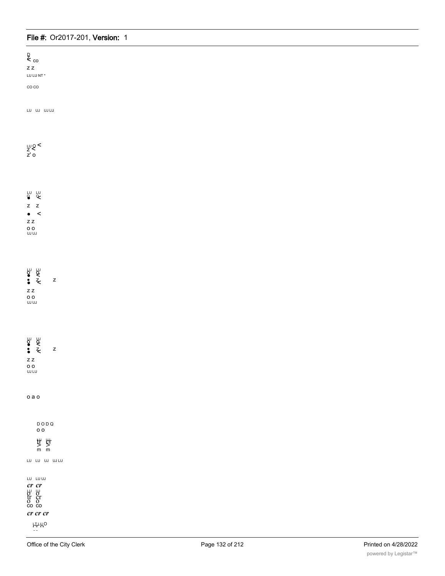| $\xi_{\rm co}$<br>$\mathsf{z}\,\mathsf{z}$                                                                                                                                 |  |  |  |
|----------------------------------------------------------------------------------------------------------------------------------------------------------------------------|--|--|--|
| $\textsf{LU} \textsf{LU} \textsf{NT}$ *<br>$\cos$                                                                                                                          |  |  |  |
| LU UJ UJLU                                                                                                                                                                 |  |  |  |
| $\frac{100}{2}$ kg $\frac{20}{2}$                                                                                                                                          |  |  |  |
| $\frac{10}{9}$ in<br>$Z$ $Z$<br>$\bullet \quad \leq$<br>$\mathsf{z}\,\mathsf{z}$<br>$\begin{smallmatrix} 01 & 01 \\ 0 & 0 \end{smallmatrix}$                               |  |  |  |
| $\begin{array}{c} \bullet \bullet \bullet \varepsilon \\ \bullet \bullet \bullet \varepsilon \end{array}$<br>$\mathsf z$<br>$\begin{array}{c} 2 Z \\ 0 0 \\ 0 \end{array}$ |  |  |  |
| $rac{1}{2}$<br>$rac{1}{2}$<br>$\mathsf z$<br>$\begin{array}{c} \mathsf{Z} \ \mathsf{Z} \\ \mathsf{O} \ \mathsf{O} \\ \mathsf{UJ}\ \mathsf{LU} \end{array}$                 |  |  |  |
| $\mathsf{o}\ \mathsf{a}\ \mathsf{o}$                                                                                                                                       |  |  |  |
| $D$ $O$ $D$ $Q$<br>$\circ$ $\circ$<br>世<br>m m                                                                                                                             |  |  |  |
| LU LU UJ UJLU                                                                                                                                                              |  |  |  |
| LU LU UJ<br>$\begin{array}{cc} cr & cr \\ \downarrow & \downarrow \\ \uparrow r & cr \\ 0 & 0 \\ \downarrow c & 0 \end{array}$<br>cr cr cr<br>LTLUO                        |  |  |  |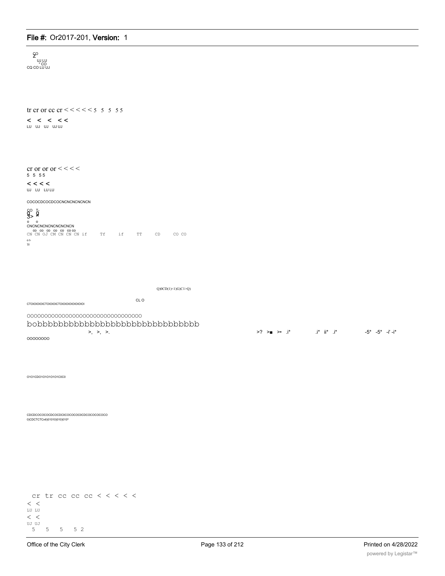$5^{\circ}$ co co rn m<br>Co<br>Co co rn m tr cr or cc cr <<<<<< <  $5$  5 5 5 5 6 7  $5$  $\langle$   $\langle$   $\langle$   $\langle$   $\langle$ LU UJ UJ UJUJ cr or or or  $<<$ 5 5 5 5  $\,<\,$   $\,<\,$   $\,<$ UJ LU LULU COCOCDCOCDCOCNCNCNCNCNCN  $\S^{\circ}_{>}$ ğ O<br>
CNCNCNCNCNCNCNCNCN<br>
CO CO CO CO CO CO<br>
CN CN OJ CM CN CN CN if Tf if TT CD COCO o t-<br>Tf  $Q)0CD(1) < 1)G$  $C1 > Q$ )  $CLO$ CTOIOIOIOICTOIOIOICTOIOIOIOIOIOIOIOI ddddddddddddddddddddddddddod  $\mathbf{i}^*$   $\mathbf{ii}^*$   $\mathbf{i}^*$  $>?$   $>$   $\bullet$   $i^*$  $-5^*$   $-5^*$   $-i'$   $-i^*$  $\Rightarrow, \Rightarrow, \Rightarrow$ 00000000 0101CD0101010101C0C0 

0)CDCTCTCn6)01010)010)010^

cr tr cc cc cc < < < < <  $\,<\,$   $\,<$ LU LU  $\,<\,$   $\,<$ UJ UJ  $5 \quad 5 \quad 5 \quad 2$  $5<sub>1</sub>$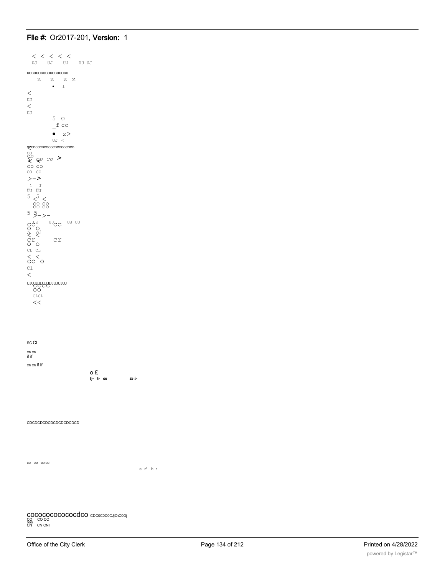| $\zeta$ $\zeta$ $\zeta$<br>$\,<\,$<br>$\prec$                                                |
|----------------------------------------------------------------------------------------------|
| UJ<br>UJ<br>UJ<br>UJ UJ                                                                      |
| cococococococococo                                                                           |
| Ζ<br>Z Z<br>Ζ<br>Ī                                                                           |
|                                                                                              |
| <                                                                                            |
| $\lt$                                                                                        |
| ŪJ<br>5 <sub>o</sub>                                                                         |
| $f$ cc                                                                                       |
| z>                                                                                           |
| UJ<br>$\,<$                                                                                  |
| cocococococococococo                                                                         |
| $\rightarrow$<br>CO<br>Ç0                                                                    |
| co co                                                                                        |
| $\cos$ $\cos$                                                                                |
| $> -$<br>$\,$ $\,$ $\,$<br>$\mathbf{J}$                                                      |
| <u>nh nh</u>                                                                                 |
|                                                                                              |
|                                                                                              |
|                                                                                              |
| 2000 - 00000 - 0000<br>2000 - 00000 - 0000<br>2000 - 00000 - 0000<br>$U_{\text{C}}$<br>UJ UJ |
|                                                                                              |
| cr                                                                                           |
|                                                                                              |
|                                                                                              |
|                                                                                              |
|                                                                                              |
| กากที่กำกับที่ทำกากากา                                                                       |
| ŏŏ                                                                                           |
| <b>CLCL</b>                                                                                  |
| <<                                                                                           |
|                                                                                              |
|                                                                                              |
|                                                                                              |
| sc Cl                                                                                        |
|                                                                                              |
| CN CN<br>if if                                                                               |
|                                                                                              |

CN CN If If

o£<br>tj-t-co  $\mathbf{D}$  i-

 ${\tt COCDCDCDCDCDCDCDCDCD}$ 

 $\cos$  00  $\cos$ 

o  $\mathsf{r}^*$  -  $\mathsf{h}\text{-}\mathsf{r}$  -

COCOCOCOCOCOCICO CDC0COCOCIJOJC00j<br>CO COCO<br>CR CN CN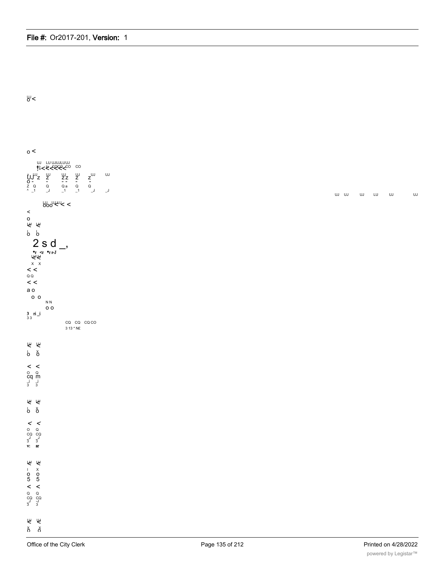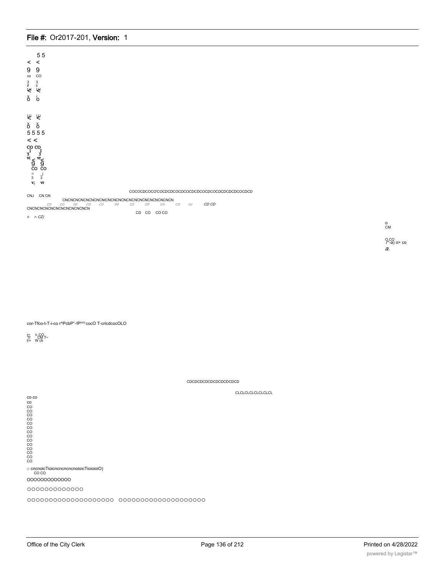| 55<br>$\checkmark$<br>$\,<\,$<br>9<br>9<br>$_{\rm CO}$<br>$_{\rm co}$<br>$\frac{3}{1}$<br>$\frac{3}{11}$<br>6<br>₩<br>ð<br>b                                                                                                                |
|---------------------------------------------------------------------------------------------------------------------------------------------------------------------------------------------------------------------------------------------|
| ₩<br>₩<br>š<br>ð<br>5555<br>$\lt$ $\lt$<br>$\frac{1}{3}$<br>$\frac{1}{3}$<br>$\frac{1}{3}$<br>$\frac{1}{3}$<br>$\frac{1}{3}$<br>$\frac{1}{3}$<br>$\frac{1}{3}$<br>$\frac{1}{3}$<br>$\frac{1}{3}$<br>v;<br>vr                                |
|                                                                                                                                                                                                                                             |
| CN CN<br>CNJ<br>CD CD<br>${\cal CO}$<br>${\mathcal{O}}{\mathcal{O}}$<br>${\cal CO}$<br>${\mathcal{O}}{\mathcal{O}}$<br>00<br>CO<br>$_{CO}$<br>$_{CO}$<br>${\cal CO}$<br>O<br>CO<br>CNCNCNCNCNCNCNCNCNCNCNCN<br>CD CO COCO<br>$t - r - CZ$ ) |

o<br>CM  $O_{r^* = a}^{O_{cO}}$  o> co  $\overline{a}$ .

cor-Tfco-t-T-i-co r^PcbP<sup><\_</sup>!P<sup>oco</sup> cocO T-cricdcocOLO



 ${\tt COCCDCDCDCDCDCDCDCD}$ 

**CLCLCLCLCLCLCLCL** 

 $\Box\,\, \text{cncnoiCTioicncncncncoioicTioioiO)}\,\, \text{CO CO}$ 0000000000000 000000000000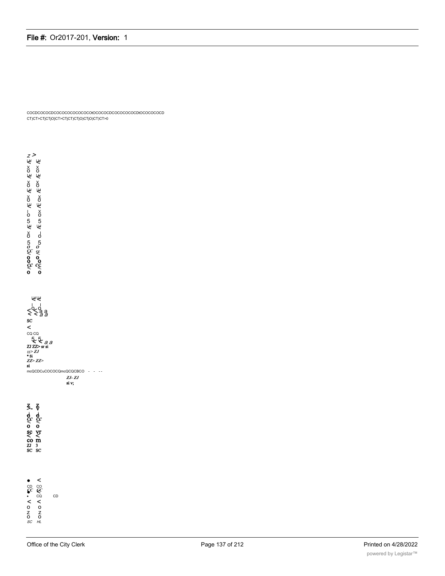CT)CT>CTjCTjO}CT>CTjCT)CTjO)CTjO)CT)CT>0

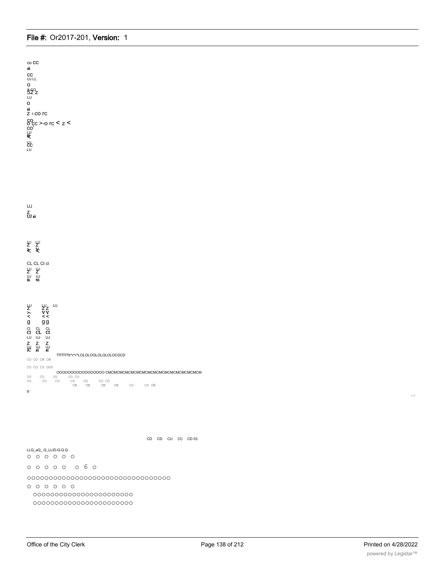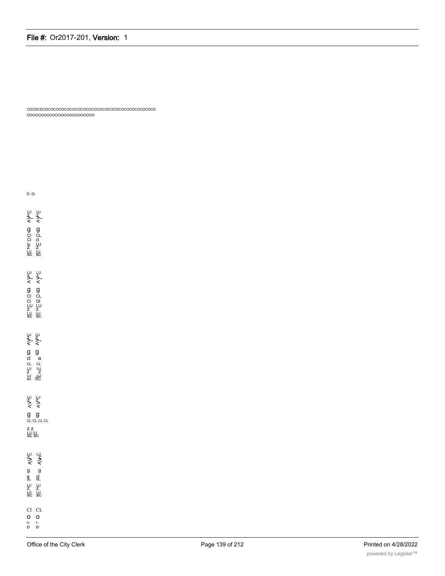CDCDCDCDCOCOCDCOCOCOCOCOCOCOCOCOCOCOCOCDCOCDCDCD OOOOOOOOOOOOOOOOOOOOOOOO

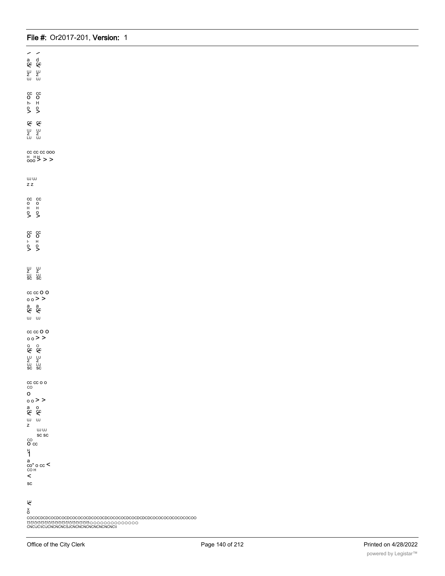| ene Veo<br>En∈ Veo<br>En∈ Veo                                                                                                                                                                                                                                                                                                                                                                                                                                                         |  |  |  |
|---------------------------------------------------------------------------------------------------------------------------------------------------------------------------------------------------------------------------------------------------------------------------------------------------------------------------------------------------------------------------------------------------------------------------------------------------------------------------------------|--|--|--|
| $66 + 66$<br>$24 - 66$                                                                                                                                                                                                                                                                                                                                                                                                                                                                |  |  |  |
| $\begin{array}{llll} \mathbb{E} & \mathbb{E} & \mathbb{E} \\ & \mathbb{E} & \mathbb{E} \\ & \mathbb{E} & \mathbb{E} \\ & \mathbb{E} & \mathbb{E} \end{array}$                                                                                                                                                                                                                                                                                                                         |  |  |  |
| $_{000}^{\text{H H H}} >$ > >                                                                                                                                                                                                                                                                                                                                                                                                                                                         |  |  |  |
| UJ UJ<br>$\mathsf{Z}\ \mathsf{Z}$                                                                                                                                                                                                                                                                                                                                                                                                                                                     |  |  |  |
| $\begin{array}{c} 0 \text{ or } \\ 0 \text{ or } \\ 0 \text{ or } \\ 0 \text{ or } \\ 0 \text{ or } \\ 0 \text{ or } \\ 0 \text{ or } \\ 0 \text{ or } \\ 0 \text{ or } \\ 0 \text{ or } \\ 0 \text{ or } \\ 0 \text{ or } \\ 0 \text{ or } \\ 0 \text{ or } \\ 0 \text{ or } \\ 0 \text{ or } \\ 0 \text{ or } \\ 0 \text{ or } \\ 0 \text{ or } \\ 0 \text{ or } \\ 0 \text{ or } \\ 0 \text{ or } \\ 0 \text{ or } \\ 0 \text{ or } \\ 0 \text{ or } \\ 0 \text{ or } \\ 0 \text{$ |  |  |  |
| $66 = 60$<br>$20 = 00$                                                                                                                                                                                                                                                                                                                                                                                                                                                                |  |  |  |
| SC SC<br>SC SC                                                                                                                                                                                                                                                                                                                                                                                                                                                                        |  |  |  |
| $\frac{\text{cc}\, \text{cc}\, \text{O}\, \text{O}}{\text{O}\, \text{O}}$<br>a a<br>Çe çe<br>UJ UJ                                                                                                                                                                                                                                                                                                                                                                                    |  |  |  |
| $\frac{\text{cc}\, \text{cc}\, 0\, 0}{\text{0}\, 0}$<br>SENE KOO                                                                                                                                                                                                                                                                                                                                                                                                                      |  |  |  |
| o o o e a su a su conseguente de la conseguente de la conseguente de la conseguente de la conseguente de la conseguente de la conseguente de la conseguente de la conseguente de la conseguente de la conseguente de la conse<br>$\operatorname{\textsf{sc}}$                                                                                                                                                                                                                         |  |  |  |
| ≫ xc                                                                                                                                                                                                                                                                                                                                                                                                                                                                                  |  |  |  |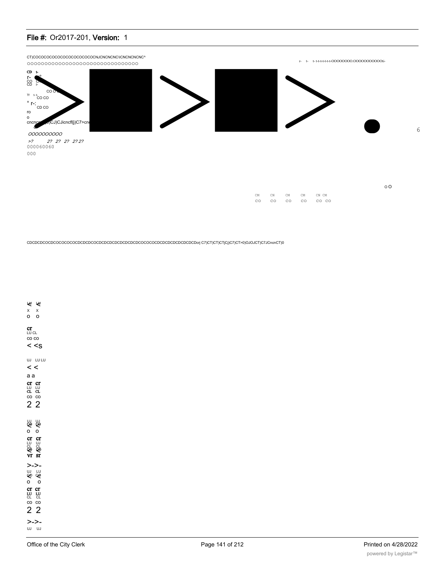

 ${\tt COCOCOCO COCO COCO COCO COCO COCO COCO COCO CO COCO CO COCO CO COCO CO COCO CO COCO~J (7) C T (7) C T (7) C T (7) C T (8) O O O C T (7) O O O C T (10) O H (10) O H (10) O H (10) O H (10) O H (10) O H (10) O H (10) O H (10) O H (10) O H (10) O H (10) O H (10) O H (10) O H (10) O H (10) O H (10) O H (10) O H (10) O H (10) O H (10) O H (10) O H (10) O H (10) O H (10$ 

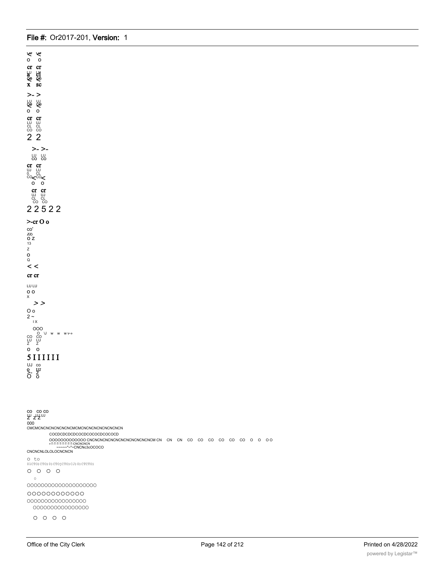ری ری

 $\overline{0}$   $\overline{0}$ cr cr<br>avel<br>x sc  $>->$  $0$   $0$  $\begin{array}{cc}\n\mathbf{cr} & \mathbf{cr} \\
U & UJ \\
C1 & C1 \\
C2 & C2\n\end{array}$  $2<sub>2</sub>$  $>->$ LU LU<br>CO CO  $\begin{array}{ccc}\n & \text{or} & \text{or} & \text{or} & \text{or} & \text{or} & \text{or} & \text{or} & \text{or} & \text{or} & \text{or} & \text{or} & \text{or} & \text{or} & \text{or} & \text{or} & \text{or} & \text{or} & \text{or} & \text{or} & \text{or} & \text{or} & \text{or} & \text{or} & \text{or} & \text{or} & \text{or} & \text{or} & \text{or} & \text{or} & \text{or} & \text{or} & \text{or} & \text{or} & \text{or} & \text{or} & \$  $\begin{array}{cc} cr & cr\\ \cup\limits_{\mathcal{C}\mathcal{L}} & \cup\limits_{\mathcal{C}\mathcal{L}}\\ \mathcal{C}\circ \mathcal{C}\circ \end{array}$ 22522  $>$ -cr O o  $co'$  $\frac{zz}{0}$  $13$  $\mathsf Z$  $\rm _Q^O$  $\lt$ cr cr LU LU  $\circ$   $\circ$  $\pmb{\times}$  $>$  $\hbox{O}$  o  $2\sim$  $1\times$ 000  $\begin{matrix} 0 \\ 0 \\ 1 \\ 2 \end{matrix}$  $\backslash \mathsf{J} \quad \mathsf{w} \quad \mathsf{w} \quad \mathsf{w} \quad \mathsf{w} \quad \mathsf{v} \text{-} \mathsf{w}$  $0$  0  $5IIIIII$ 

co co co<br>په کلي<br>co co co  $o$  to  $01 {\tt CTO}) {\tt CTO}) \; 0) \; {\tt CTOj} {\tt CTO)} \; {\tt CJ)} \; 0) \; {\tt CTCTO)}$  $\circ \circ \circ \circ \circ$  $\circ$ 0000000000000000000 00000000000

0000000000000000 000000000000000

 $\circ \circ \circ \circ \circ$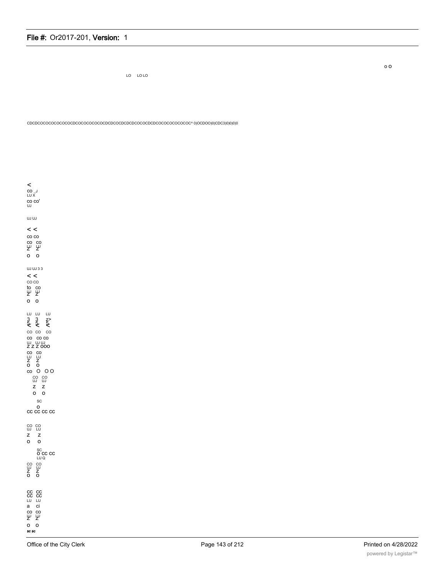LO LO LO

 $\begin{array}{c}\n\text{C}\n\text{C}\n\text{C}\n\text{C}\n\text{C}\n\text{C}\n\text{C}\n\text{C}\n\text{C}\n\text{C}\n\text{C}\n\text{C}\n\text{C}\n\text{C}\n\text{C}\n\text{C}\n\text{C}\n\text{C}\n\text{C}\n\text{C}\n\text{C}\n\text{C}\n\text{C}\n\text{C}\n\text{C}\n\text{C}\n\text{C}\n\text{C}\n\text{C}\n\text{C}\n\text{C}\n\text{C}\n\text{C}\n\text{C}\n\text{C}\n\text$ UJ UJ  $\lt$  $\cos$  $\frac{2}{5}$  $0$  0 UJ UJ 33  $\,<$   $<$  $\cos$  $sc$  $\overset{\text{\normalsize o}}{\text{\normalsize cc}}$  cc cc cc CO CO<br>UJ LU<br>Z Z  $\circ$  $\circ$ SC<br>O CC CC<br>LU Q 00<br>2<br>2<br>0<br>0<br>0 

 $\circ$   $\circ$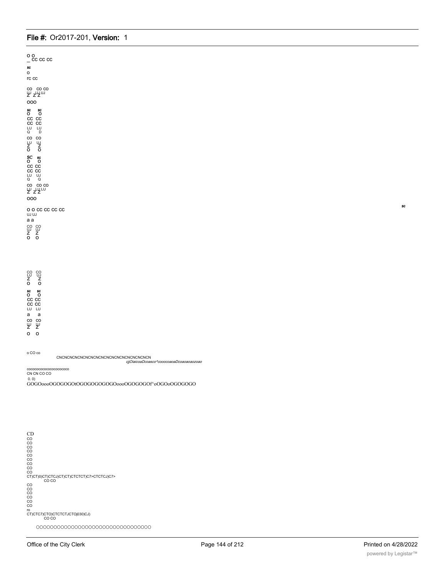| ${\rm _o\,oc\,cc\,cc\,cc}$<br>${\bf s} {\bf c}$<br>$\mathsf{o}\,$<br>rc cc                                                                                    |
|---------------------------------------------------------------------------------------------------------------------------------------------------------------|
| En Engra<br>co co co<br>000                                                                                                                                   |
| $_{\rm O}^{\rm sc}$<br>sc<br>O<br>$\begin{array}{ccc} \hbox{co} & \hbox{co} \\ \hbox{C} & \hbox{C} \\ \hbox{C} & \hbox{C} \\ \hbox{D} & \hbox{D} \end{array}$ |
| SC<br>O<br>CC CC<br>CC CC<br>CC CC<br>$Q$ $Q$<br>co co co<br>반 <del>간</del> 인<br>000                                                                          |
| $\bf{sc}$<br>$o$ $o$ $cc$ $cc$ $cc$ $cc$<br>UJ UJ<br>a a<br>0<br>2<br>2<br>2<br>0<br>0<br>0                                                                   |
| $\begin{array}{ccc} {\rm CO} & {\rm CO} \\ {\rm Z} & {\rm U} \\ {\rm Z} & {\rm Z} \\ {\rm O} & {\rm O} \end{array}$                                           |
| $\begin{matrix} 8c & 8c \\ 0 & 0 \end{matrix}$<br>$cc$ $cc$<br>$cc$ $cc$<br>LU LU<br>a<br>a<br>co co<br>Y Y<br>$0$ 0                                          |
| o CO co<br>CNCNCNCNCNCNCNCNCNCNCNCNCNCNCNCNCNCNCN<br>cjjOiaicoaDcoasco^cooocoaoaDcoaoaoaozoao                                                                 |
| ${\tt COCOCO CO CO CO CO CO CO CO CO}$<br>CN CN CO CO<br>0.0)                                                                                                 |
|                                                                                                                                                               |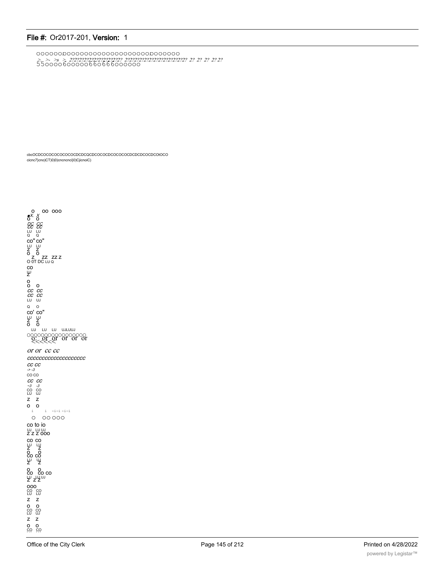55000060000066066000000<br>55000060000066066000000

cicnc7}cno)CT)0)0)cncncnci}0)CjicnoiC)

 $\begin{array}{l} {\mathbf{0}}\\ \bullet^{\mathbf{z}}\\ \bullet^{\mathbf{z}}\\ \bullet^{\mathbf{z}}\\ \bullet^{\mathbf{z}}\\ \bullet^{\mathbf{z}}\\ \bullet^{\mathbf{z}}\\ \bullet^{\mathbf{z}}\\ \bullet^{\mathbf{z}}\\ \bullet^{\mathbf{z}}\\ \bullet^{\mathbf{z}}\\ \bullet^{\mathbf{z}}\\ \bullet^{\mathbf{z}}\\ \bullet^{\mathbf{z}}\\ \bullet^{\mathbf{z}}\\ \bullet^{\mathbf{z}}\\ \bullet^{\mathbf{z}}\\ \bullet^{\mathbf{z}}\\ \bullet^{\mathbf{z}}\\ \bullet^{\mathbf{z}}\\ \bullet^{\mathbf{z}}\\ \bullet^{\mathbf$ Foo Foo<br>Foo Foo<br>Foo Foo Foo  $\frac{1}{2}$   $\frac{1}{2}$   $\frac{1}{2}$ or or  $cc$   $cc$  $cc$   $cc$  $-5 - 3$ <br>COCO  $\frac{cc}{C}$   $\frac{cc}{3}$   $\frac{3}{2}$ <br>  $\frac{10}{20}$   $\frac{10}{20}$  $Z$   $Z$  $\mathbf{o}_{\mathbf{n}}$  o  $\mathtt{i}$  -i-i-i-i  $0 00000$ co to io  $\frac{10}{2}$   $\frac{10}{2}$   $\frac{10}{2}$   $\frac{10}{2}$ 8<br>8 35MB 9 05 3 N 5 83 N 5 83<br>8 35MB 9 93 N 5 82 N 5 83<br>8 35MB 9 8 93 N 5 82 N 5 83 0 0 0<br>CO 0 0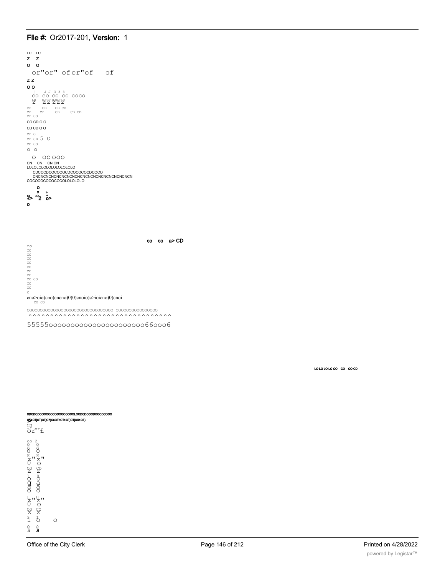

|  |  | LOLOLOLOCO CD COCD |  |
|--|--|--------------------|--|
|  |  |                    |  |

|                                                                                                                                                                                                                                                                                                                                                                                                                                                                                                                   |                                                        | суст]ст]ст]сл)спст>ст>ст]ст]сх>ст] |
|-------------------------------------------------------------------------------------------------------------------------------------------------------------------------------------------------------------------------------------------------------------------------------------------------------------------------------------------------------------------------------------------------------------------------------------------------------------------------------------------------------------------|--------------------------------------------------------|------------------------------------|
| qr <sub>at</sub> £                                                                                                                                                                                                                                                                                                                                                                                                                                                                                                |                                                        |                                    |
| SOORNO SOORNO                                                                                                                                                                                                                                                                                                                                                                                                                                                                                                     | OALU 'V =<br>OADOX NG ON <sup>H</sup> OOO <sup>N</sup> |                                    |
| 日209410日<br>$\begin{array}{c}\n\blacksquare \mathbf{Z} \\ \triangleright \mathbf{Z} \\ \triangleright \mathbf{Z} \\ \triangleright \mathbf{Z} \\ \triangleright \mathbf{Z} \\ \upsilon \downarrow \mathbf{Z} \\ \mathbf{Z} \\ \mathbf{Z} \\ \mathbf{Z} \\ \mathbf{Z} \\ \mathbf{Z} \\ \mathbf{Z} \\ \mathbf{Z} \\ \mathbf{Z} \\ \mathbf{Z} \\ \mathbf{Z} \\ \mathbf{Z} \\ \mathbf{Z} \\ \mathbf{Z} \\ \mathbf{Z} \\ \mathbf{Z} \\ \mathbf{Z} \\ \mathbf{Z} \\ \mathbf{Z} \\ \mathbf{Z} \\ \mathbf{Z} \\ \mathbf{$ |                                                        |                                    |
|                                                                                                                                                                                                                                                                                                                                                                                                                                                                                                                   |                                                        | O                                  |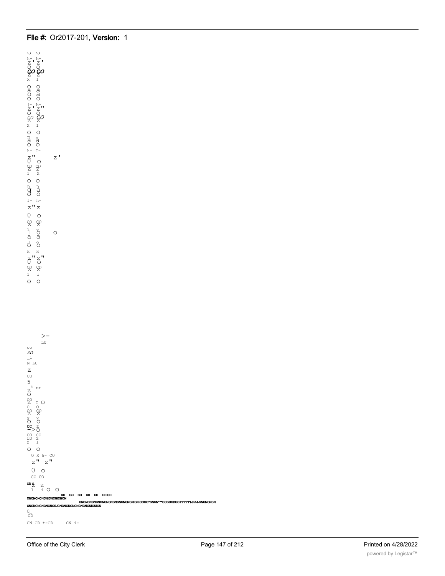

CN CD  $t$ -CD CN  $i$ -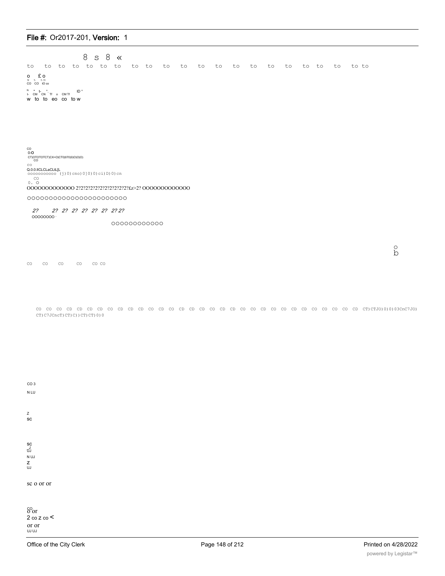8 s 8 « to £o  $\circ$  $\begin{array}{lll} \mathbb{H} & \mathbb{T} & \mathbb{T} \cdot \mathbb{T} \mathbb{H} \\ \mathbb{C} \mathbb{O} & \mathbb{C} \mathbb{O} & \mathbb{t} \mathbb{O} \text{ co} \end{array}$  $\begin{array}{ccccccccc} \texttt{N} & \texttt{M} & \texttt{t} & \texttt{C} & \texttt{M} & \texttt{I} & \texttt{I} & \texttt{I} & \texttt{I} & \texttt{I} \\ \texttt{t} & \texttt{C} & \texttt{C} & \texttt{N} & \texttt{I} & \texttt{I} & \texttt{O} & \texttt{C} & \texttt{M} & \texttt{I} & \texttt{I} & \texttt{I} & \texttt{I} \\ \texttt{W} & \texttt{t} & \texttt{t} & \texttt{t} & \texttt{t} & \texttt{e} & \texttt{c} & \$ 

 $_{\rm CO}$ 0-0<br>CT)OTOTOTCT)CX>O)CT0)070)0)O)O)O)<br>CO  $\sim$ Q.0.0.IICLCLaCLtL[L 

 ${\tt 0000000000000} {\tt 2?2?2?2?2?2?2?2?2?2?2?2?2?2.2$ 

0000000000000000000000

2? 2? 2? 2? 2? 2? 2? 2? 2? 2? 00000000

00000000000

 $CO$   $CO$   $CO$   $CO$   $CO$   $CO$  $CO$ 

> CT) C7JCncT) CT) C)  $)$  CT) CT) 0) 0

 $CO<sub>3</sub>$ 

**NLU** 

z sc

 $\overset{\text{sc}}{\underset{\text{UJ}}{\mathbb{U}}}$ N UJ

 $\mathsf z$  $\overline{u}$ 

sc o or or

 $8^\circ$ or 2 co z co  $<$ or or UJ UJ

 $\delta$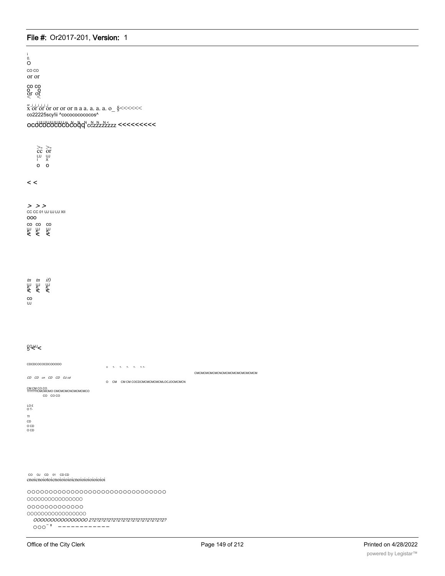| j.<br>0.<br>O<br>CO CO<br>or or                                          |                                                                                                      |                            |
|--------------------------------------------------------------------------|------------------------------------------------------------------------------------------------------|----------------------------|
| $\begin{array}{c} 0 \\ 0 \\ 0 \\ 0 \\ \end{array}$ or                    |                                                                                                      |                            |
|                                                                          |                                                                                                      |                            |
| ococococococodd'cczzzzzzz <<<<<<<<                                       |                                                                                                      |                            |
| $\frac{>}{cc} > c$<br>LU UJ<br>I X<br>$\circ$<br>$\circ$                 |                                                                                                      |                            |
| $\,<$                                                                    |                                                                                                      |                            |
| $>$ $>$ $>$<br>CC CC 01 UJ UJ LU XII<br>000<br>co co co<br>ጅ ጅ<br>የ<br>Æ |                                                                                                      |                            |
| $tn$ $tn$ $if)$<br>ي سي<br><b>گا</b> گا گا<br>co<br>UJ                   |                                                                                                      |                            |
| $60 + 16$                                                                |                                                                                                      |                            |
| CDCDCOCOCDCOOOOO<br>CD CD cn CD CD OJ cd                                 | $\mathbf{0} = \mathbf{T}_1 = \mathbf{T}_2 = \mathbf{T}_3 = \mathbf{T}_4 = \mathbf{T}_5 \mathbf{T}_5$ | смемемемемемемемемемемемем |
| CM CM CO CO<br>TITITITICMCMO CMCMCMCMCMCMCMCO<br>CO COCO                 | O CM CM CM COCDCMCMCMCMCMLOCJOCMCMCN                                                                 |                            |
| LO £<br>OT-<br>Tf<br>CD<br>O CD<br>O CD                                  |                                                                                                      |                            |
|                                                                          |                                                                                                      |                            |

CO OJ CD 01 CD CD  $\emph{cno}$ iconoiotoicnoioioi<br/>oioioioioioioioioi

000000000000000 000000000000 0000000000000000  $000^{-1}$  ------------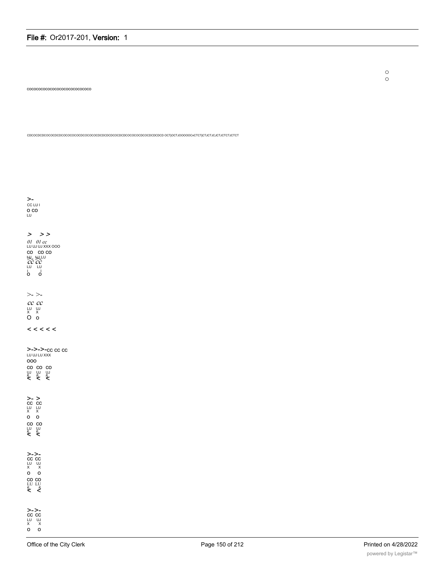${\tt cococococococococococococococococo}$ 

 $\sum$ <sub>CC LU I</sub>  $_{\rm LU}^{\rm O}$  CO

 $>$  >>  $\begin{array}{l} 01 \;\; 01 \;\text{cc} \\ \text{LU}\; \text{UJ}\; \text{UJ}\; \text{XXX}\; \text{OOO} \end{array}$  $\frac{1}{2}$ <br>  $\frac{1}{2}$ <br>  $\frac{1}{2}$ <br>  $\frac{1}{2}$ <br>  $\frac{1}{2}$ <br>  $\frac{1}{2}$ <br>  $\frac{1}{2}$ <br>  $\frac{1}{2}$ <br>  $\frac{1}{2}$ <br>  $\frac{1}{2}$ <br>  $\frac{1}{2}$ <br>  $\frac{1}{2}$ <br>  $\frac{1}{2}$ <br>  $\frac{1}{2}$ <br>  $\frac{1}{2}$ <br>  $\frac{1}{2}$ <br>  $\frac{1}{2}$ <br>  $\frac{1}{2}$ <br>  $\frac{1}{2}$ <br>  $\frac{1}{2}$ <br>

 $>->$ 

 $\begin{array}{ccc} cc & cc\\ \downarrow \cup & \cup\limits \times & \times\\ X & X\\ O & O \end{array}$ 

 $\lt$  < <  $\lt$  <  $\lt$ 

 $>>->-cc$  cc cc cc LU UJ LU XXX 000 se se se<br>co co co<br>co co co  $\Lambda$ 8 $\exists \times$  o 8 $\exists$ a $\mathcal{N}$ <br>Ab $\exists \times$  o 8  $\begin{array}{ccc} \mathsf{A}\circ \mathsf{B} & \mathsf{B}\circ \mathsf{B}\circ \mathsf{B}\circ \mathsf{B}\circ \mathsf{B}\circ \mathsf{B}\circ \mathsf{B}\circ \mathsf{B}\circ \mathsf{B}\circ \mathsf{B}\circ \mathsf{B}\circ \mathsf{B}\circ \mathsf{B}\circ \mathsf{B}\circ \mathsf{B}\circ \mathsf{B}\circ \mathsf{B}\circ \mathsf{B}\circ \mathsf{B}\circ \mathsf{B}\circ \mathsf{B}\circ \mathsf{B}\circ \mathsf{B}\circ \mathsf{B}\circ \mathsf{B}\circ \mathsf{B}\circ \mathsf{B}\circ \mathsf{B}\circ \mathsf$  $\begin{array}{ccc}\n\sum_{\mathbf{C}}\sum_{\mathbf{C}}\mathbf{C} & \mathbf{C} & \mathbf{C} \\
\mathbf{C} & \mathbf{C} & \mathbf{C} & \mathbf{C} \\
\mathbf{C} & \mathbf{C} & \mathbf{C} & \mathbf{C} \\
\mathbf{C} & \mathbf{C} & \mathbf{C} & \mathbf{C} \\
\mathbf{C} & \mathbf{C} & \mathbf{C} & \mathbf{C} \\
\mathbf{C} & \mathbf{C} & \mathbf{C} & \mathbf{C} \\
\mathbf{C} & \mathbf{C} & \mathbf{C} & \mathbf{C} \\
\mathbf{C$ 

 $\circ$  $\circ$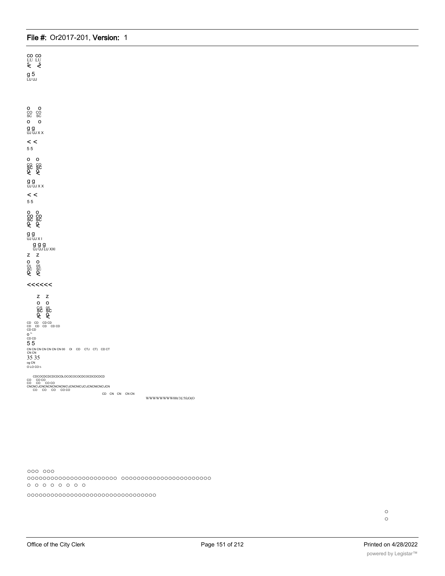| $\begin{array}{l} \begin{array}{c} \text{CO} \text{ } \text{CO} \\ \text{LU} \text{ } \text{ } \text{LU} \end{array} \\ \text{\LARGE $\xi$} \end{array}$                        |
|---------------------------------------------------------------------------------------------------------------------------------------------------------------------------------|
| $g_{UU}$                                                                                                                                                                        |
|                                                                                                                                                                                 |
|                                                                                                                                                                                 |
| $\underset{\begin{array}{c} \text{CO} \\ \text{SC} \end{array}}{\begin{array}{c} \text{O} \\ \text{CO} \end{array}}$                                                            |
| $0$ 0                                                                                                                                                                           |
| $\underset{\cup \cup \cup \times X}{\mathfrak{g}}$                                                                                                                              |
| $\,<$ $<$<br>$5\,5$                                                                                                                                                             |
|                                                                                                                                                                                 |
| ၀<br>၁<br>၁<br>၁<br>၁<br>၁                                                                                                                                                      |
| $\underset{\cup \cup \cup \times \times}{\mathfrak{g}}$                                                                                                                         |
| $\,<$ $<$                                                                                                                                                                       |
| 55                                                                                                                                                                              |
| $\rho_{\rm 950}^{\rm 950}$                                                                                                                                                      |
|                                                                                                                                                                                 |
| mmxı                                                                                                                                                                            |
| nn men xxi<br>$Z$ $Z$                                                                                                                                                           |
| <b>PEC 0</b><br>PEC 0<br>PEC 0                                                                                                                                                  |
|                                                                                                                                                                                 |
| <<<<                                                                                                                                                                            |
| $Z$ $Z$                                                                                                                                                                         |
| 0<br>0000<br>0000<br>0000                                                                                                                                                       |
|                                                                                                                                                                                 |
| $\begin{array}{l} \texttt{CD} \texttt{CD} \texttt{CD} \\ \texttt{CD} \texttt{CD} \texttt{CD} \\ \texttt{CD} \texttt{CD} \\ \texttt{O}^+ \\ \texttt{OD} \texttt{CD} \end{array}$ |
| 55<br>$\begin{array}{ccccccccc} \text{CN CN CN CN CN CN CN CO & 01 & \text{CD} & \text{CTJ} & \text{CTJ} & \text{CD} & \text{CTT} \end{array}$                                  |
| ${\sf CN}$ ${\sf CN}$<br>35 35                                                                                                                                                  |
| og CN<br>O LO CO t-                                                                                                                                                             |
|                                                                                                                                                                                 |
| CD CN CN CN CN                                                                                                                                                                  |
| WWWWWWW00t/3£/5fcO(O                                                                                                                                                            |

ooo ooo ooooooooooooooooooooooo ooooooooooooooooooooooo o o o o o o o o

ooooooooooooooooooooooooooooooooo

o o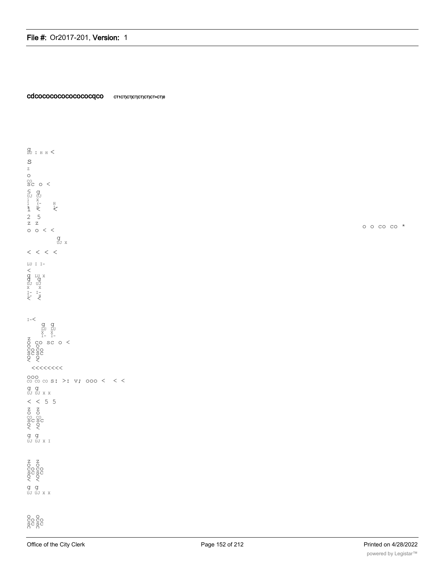cdcocococococococqco стистустустустуст>стуо



 $0 0 CO CO *$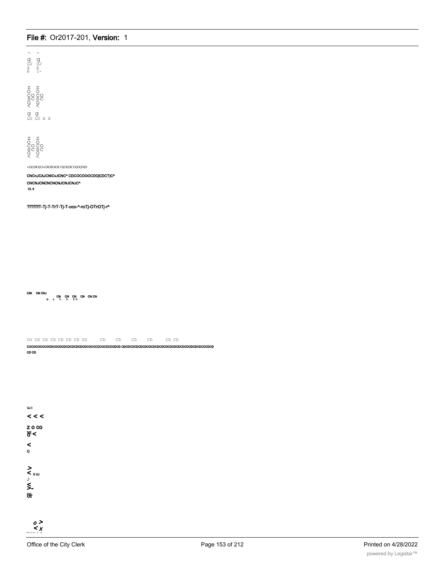| $\overline{\phantom{1}}$<br>$\begin{matrix} H&I\\ X&X\\ Y&0\\ \end{matrix}$                                                                                             |
|-------------------------------------------------------------------------------------------------------------------------------------------------------------------------|
| NOROCO<br>NOROCO<br>COROCO                                                                                                                                              |
| rn rn x x                                                                                                                                                               |
| $\begin{array}{l} \mathsf{Z} \\ \mathsf{O} \\ \mathsf{O} \\ \mathsf{O} \\ \mathsf{O} \\ \mathsf{O} \\ \mathsf{O} \\ \mathsf{O} \\ \mathsf{O} \\ \mathsf{O} \end{array}$ |
| vO(OlO(OvOlOlOtOCO(D(DCO(D(DtD                                                                                                                                          |
| CNCrJCAJCNICVJCNC^ CDCOCOOOCDOjCDCT)C^                                                                                                                                  |
| CNCNJCNCNCNCNJCNJCNJC^                                                                                                                                                  |

CL 0

TfTfTfT-Tj-T-TrT-Tj-T-oco-^-roTj-OTrOTj-r^

CNI CN CNJ 。 . 아 댄 앤 앤 *C*N CN CNCN

|  |  |  | CO CD CD CD CD CD CD CD | CD. | CD. | CD. | CD. | CD CD |  |  |
|--|--|--|-------------------------|-----|-----|-----|-----|-------|--|--|
|  |  |  |                         |     |     |     |     |       |  |  |

CD CD

UJ I  $\lt$   $\lt$ z o co N£o <

< Q

><br>< <sub>x w</sub><br>≶-

 $^{\rm a}$ 

 $\begin{array}{c} 0 > \\ 5x \end{array}$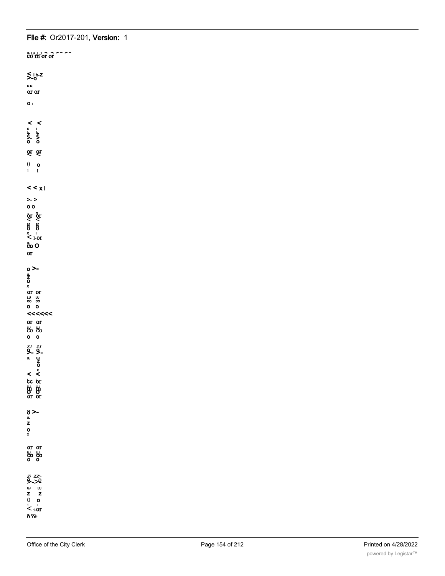| comor or ---                                                                                              |  |
|-----------------------------------------------------------------------------------------------------------|--|
| $\sum_{0}^{1} h^{-1}$                                                                                     |  |
| QQ<br>or or                                                                                               |  |
| $\mathbf{o}$ ,                                                                                            |  |
|                                                                                                           |  |
| gr gr                                                                                                     |  |
| $\begin{matrix} 0 & \mathbf{0} \\ 1 & \mathbf{I} \end{matrix}$                                            |  |
| $\leq$ $\times$ $\times$ $\mid$                                                                           |  |
| $>$ $>$<br>$\circ$<br>$\mathbf{or}$                                                                       |  |
| $\frac{1}{\frac{2}{x}}$<br>or or<br>$\underset{\infty}{\text{m}}$<br>$0$ 0<br>$\prec\prec\prec\prec\prec$ |  |
| $\begin{array}{c} 0r & 0r \\ 80 & 80 \\ 0 & 0 \end{array}$                                                |  |
| <b>SOFTER A SEPPE</b><br>SOFTER A SEPPE                                                                   |  |
| &<br>3<br>2<br>2<br>2<br>x                                                                                |  |
| $\overset{\text{or}}{\overset{\text{w}}{\text{co}}} \overset{\text{w}}{\overset{\text{c}}{\text{o}}}$     |  |
|                                                                                                           |  |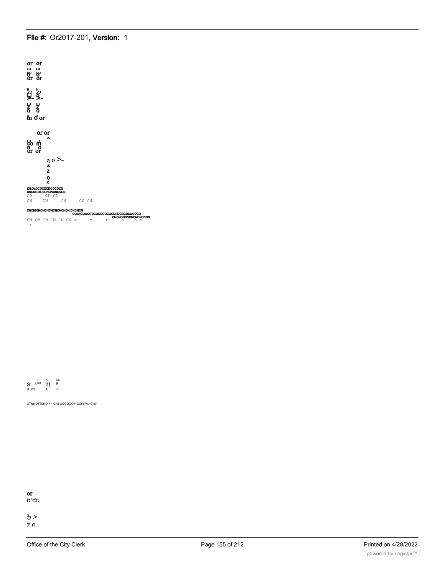

 $\begin{matrix} S & \xrightarrow{\iota} \circ P & \xrightarrow{\iota} & \xrightarrow{\iota} \\ H & 00 & 1. & \xrightarrow{\iota} & \xrightarrow{\iota} \end{matrix}$ 

OTrcNOTTCNO-<-\*-CNJ GOOOOO0/>GO0/)(/>(/>0)00

or<br>UCc

 $\delta$ ツoi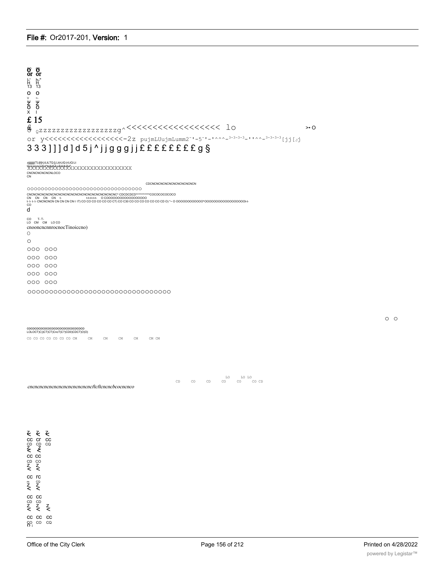|                | $\begin{matrix} 0 \\ or \end{matrix}$ or                                                                                                        |                        |
|----------------|-------------------------------------------------------------------------------------------------------------------------------------------------|------------------------|
| 岳岳             |                                                                                                                                                 |                        |
| 0 <sub>0</sub> |                                                                                                                                                 |                        |
| žě<br>$X \cup$ |                                                                                                                                                 |                        |
|                | £15                                                                                                                                             |                        |
|                |                                                                                                                                                 | $\rightarrow$ $\Omega$ |
|                | or y<<<<<<<<<<<<<<<<<<<<<<<<<<<<<<<<<<< p>pmLUujmLumm2 <sup>-</sup> '-5 <sup>-</sup> '-'^^- <sup>3-3-3-3</sup> -''^^- <sup>3-3-3-3</sup> [jj[Jj |                        |
|                | $333$ ]]]d]d5j^jjgggjj££££££££g§                                                                                                                |                        |

ziiiiiiiiii (TLtftfrLtLtLTQ:fi.Lt(rLtQ:(rLtQ:Lt XXXXXXXXXXXXXXXXXXXXXXXXXXXXX CNCNCNCNCNCNLOCO

CDCNCNCNCNCNCNCNCNCNCNCN

 $\overline{\mathsf{d}}$ CO T-T-<br>LO CM CM LOCO cnooncnennrocnocTinoiccno)  $\circ$  $\circ$ 000 000 000 000 000 000 000 000 000 000 

cocococococococococococococococo<br>LOLOCT)C))CT)CT)CncT)C?)CD0)CDCT)O)O)

CO CO CO CO CO CO CM CM  $CM$  $CM$  $CM$ CM CM

 $\label{thm:non-enc}encencencencencencencenc}$ 

 $O$   $O$ 

 $\begin{tabular}{lllllllll} & & & \text{LO} & & \text{LO} & \text{LO} & \text{LO} \\ \text{CD} & \text{CO} & \text{CD} & \text{CO} & \text{CO} & \text{CO} & \text{CO} \\ \end{tabular}$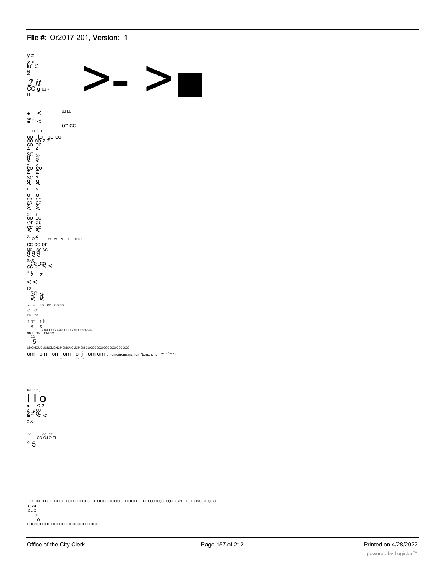

 $\begin{array}{c} 1 & 0 \\ 1 & 0 \\ \frac{2}{9} & \frac{2}{9} \\ \frac{2}{9} & \frac{2}{9} \\ \frac{2}{9} & \frac{2}{9} \end{array}$  $\mathsf{X} \mathsf{I} \mathsf{X}$ 

 $UJ = 111j$ 

 $CLO$ <br> $CLO$ <br> $CLO$ <br> $D.$ O<br>CDCDCDCJJCDCDCDCJICXCDOIOICD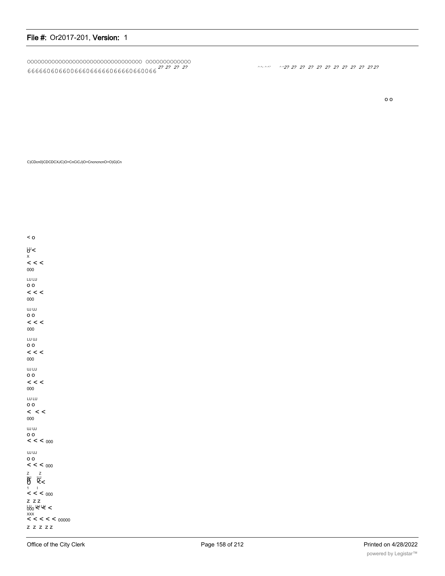AAAA> 4427 27 27 27 27 27 27 27 27 27 27 27 27

 $\circ$ 

C)CDcn0}CDCDCXJC)O>CnCiCJ)O>CncncncnO>O)G)Cn

 $\leq$  0  $\uptheta <$  $\mathsf X$  $\,<\,$   $\,<$ 000 LU LU  $\circ$   $\circ$  $\lt$   $\lt$ 000 UJ UJ  $\circ$   $\circ$  $\,<\,$   $\,<$ 000 LU UJ  $\circ$   $\circ$  $\,<\,$   $<$ 000 **UJ LU**  $\circ$   $\circ$  $\lt$   $\lt$ 000 LU LU  $\circ$   $\circ$  $\lt$   $\lt$ 000 UJ UJ  $0<sub>0</sub>$  $<$   $<$   $<$   $_{\rm 000}$ UJ UJ  $\circ$   $\circ$  $<$   $<$   $<$   $_{\rm 000}$  $\begin{array}{ccc}\n & \sum\limits_{0}^{7} & \sum\limits_{0}^{7} \\
 & \sum\limits_{1}^{7} & \sum\limits_{1}^{7} \\
 & & \sum\limits_{1}^{7} & \sum\limits_{1}^{7} \\
 & & & \sum\limits_{1}^{7} & \sum\limits_{1}^{7} \\
 & & & & \sum\limits_{1}^{7} & \sum\limits_{1}^{7} \\
 & & & & & \sum\limits_{1}^{7} & \sum\limits_{1}^{7} \\
 & & & & & \sum\limits_{1}^{7} & \sum\limits_{1}^{7} \\
 & & & & & \sum\limits_{1}^{7} & \sum\limits_{1}^{7} & \sum\limits_{1}^{7}$  $Z$   $Z$   $Z$  $606$  44  $<$  $\frac{200000}{500000}$ Z Z Z Z Z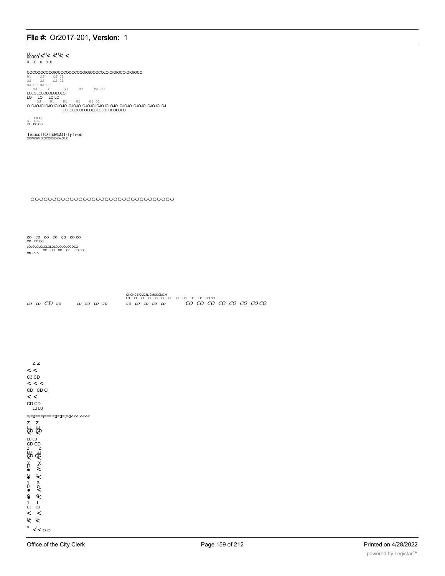68004504 44< x x x x x  $\begin{array}{lllllllllll} & \textit{O} & \textit{O} & \textit{O} & \textit{O} & \textit{O} & \textit{O} & \textit{O} & \textit{O} \\ \textit{O} & \textit{O} & \textit{O} & \textit{O} & \textit{O} & \textit{O} & \textit{O} & \textit{O} \\ \textit{I} & \textit{O} & \textit{I} & \textit{O} & \textit{O} & \textit{O} & \textit{O} & \textit{O} \\ \textit{I} & \textit{O} & \textit{I} & \textit{O} & \textit{O} & \textit{$ LOLOLOLOLOLOLOLOLOLOLOLOLO LO Tf

 $\begin{array}{ll} \scriptstyle\mathrm{II} & \scriptstyle\mathrm{T}\sim\mathrm{T}\sim \\ \scriptstyle\mathrm{IO} & \scriptstyle\mathrm{CO}\,\mathrm{CO} \end{array}$ 

TrcocoTfOTrcMcOT-Tj-Ti-oo<br>cowtowtotocototototcotco

eo co co co co co co co<br>co co co co co co CD CD CO<br>CO CD CO CD CD CD CD<br>CN i. \*. \*.

 $co$   $co$   $CT)$   $co$  $co\ co\ co\ co$ 

 $ZZ$  $\lt$   $\lt$ C<sub>3</sub> C<sub>D</sub>  $\,<\,$   $<$ CD CDO  $\,<\,$   $<$ CD CD LU LU  $=$ j=d===j===<sup>j</sup>=d=d=j=d<<<;<<<<  $Z$   $Z$  $\epsilon$  $\langle \ \ \times$ २ २  $x < 00$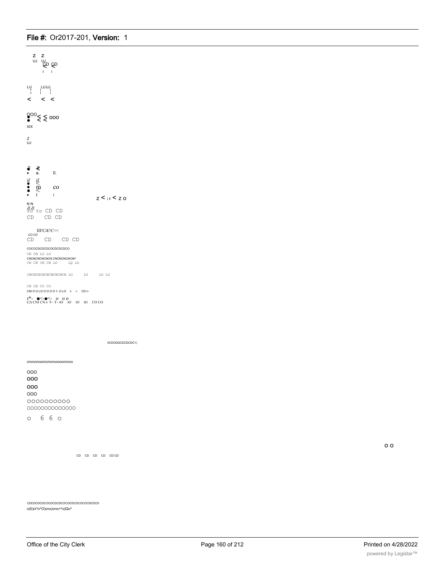$\begin{bmatrix} 2 & 2 \\ 2 & 2 \\ 2 & 2 \\ 2 & 2 \end{bmatrix}$  $\begin{array}{cc} \mathsf{LU} & \mathsf{LU}\mathsf{U} \end{array}$  $\,<$  $\langle \langle \rangle$  $\overset{\text{QOO}}{\bullet} \xi \lessgtr \text{ooo}$ XIX Z<br>UJ  $\frac{z}{a}$  $\ddot{\bullet}$  $\mathbf{0}.$  $\frac{if}{\bullet}$  $\mathfrak{i}\mathfrak{f}$  $\mathbf{p}$  $_{\rm co}$  $\Gamma$  $\mathbf{i}$  $z < i f < z$ o  $N N$  $\frac{ZZ}{YQ}$  to CD CD CD CD CD  $\begin{array}{lll} & \textrm{III:CEIC} < \\ \text{\textit{co co}} & \\ \textrm{CD} & \textrm{CD} & \textrm{CD} & \textrm{CD} \\ \end{array}$  ${\tt COCOCDCDCOCDCDCDCDCOC}$ CN CN LO LO<br>CNCNCNCNCNCN CNCNCNCNCNM<br>CN CN CN CN LO LQ LO  ${\tt CNCNCNCNCNCNCNCNCN\_LO} \qquad {\tt LO} \qquad {\tt LO} \qquad {\tt LO}$  $\begin{array}{ccc} \textrm{CN} & \textrm{CN} & \textrm{CO} & \textrm{CO} \end{array}$  $\text{CNI}\, \text{O}\, \text{O}\, \text{L}\, \text{O}\, \text{O}\, \text{O}\, \text{O}\, \text{O}\, \text{O}\, \text{1-}\, \text{O}\, \text{L}\text{O} \quad \text{t-}\quad \text{i-}\quad \text{CD}\, \text{t-}$  $\begin{array}{lllllll} & \text{if}^* - \text{I\hspace{-1.2mm}I\hspace{-1.2mm}I \hspace{-1.2mm}I} & \text{if} & \text{if} & \text{if} & \text{if} \\ & \text{if} & \text{if} & \text{if} & \text{if} & \text{if} \\ & \text{if} & \text{if} & \text{if} & \text{if} & \text{if} \\ & \text{if} & \text{if} & \text{if} & \text{if} & \text{if} \\ \end{array}$ 

0CDCDQCDCDCDC1)

cncncncocncncncococncnco

000 000 000 000 0000000000 0000000000000

 $0 660$ 

 $CD \quad CD \quad CD \quad CD \quad CD \quad CD \quad CD$ 

o)0)ci^o^O)cno)cno>^o)Qo^

 $\circ$   $\circ$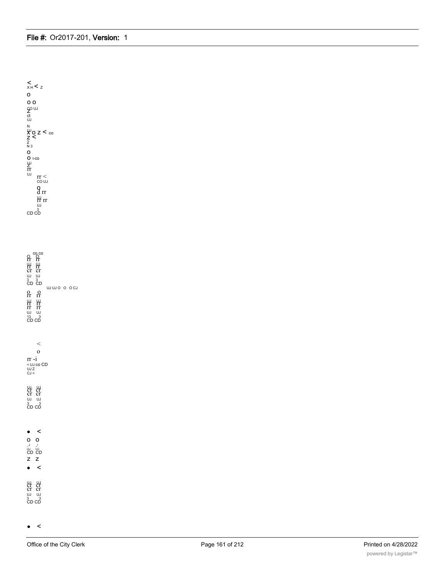

 $\bullet$  < o o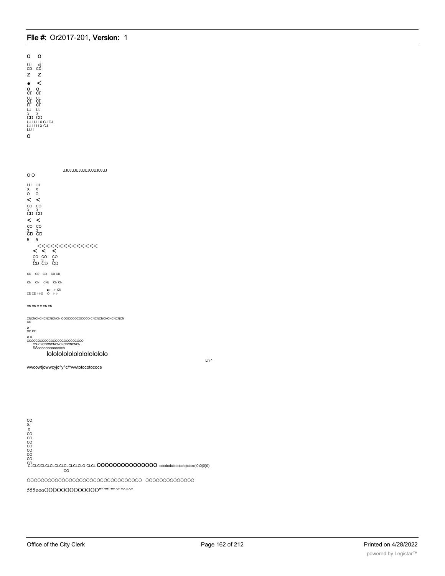

555000OOOOOOOOOOOOO """"""""""""^^^"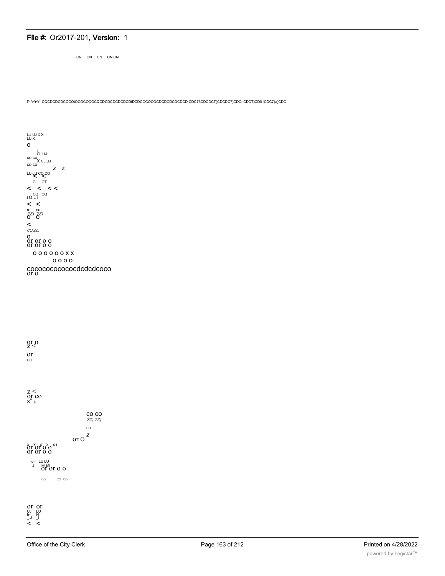CN CN CN CN CN

LU X<br>UJ UJ X X  $\overline{0}$  $\frac{1}{\cos \theta}$ <br>  $\frac{1}{\cos \theta}$  $Z$   $Z$  $\frac{C}{C}$  or  $C = C$  $10^{10}_{10}$  co  $\langle \ \rangle$  $\begin{array}{c} m \\ Z^{(2)} \\ 0 \end{array}$  and  $\begin{array}{c} 2 \\ Z^{(2)} \\ 0 \end{array}$  $<$ <br> $<$   $CQ ZZ$ )  $\begin{smallmatrix} 0\\ \text{or} \text{ or} \text{ o} \text{ o}\\ \text{or} \text{ or} \text{ o} \text{ o} \end{smallmatrix}$  $0000000X$  $0000$  ${\rm c}o$ cococococococdcdcdcoco



or or<br>  $\begin{array}{ccc}\n & \text{or} \\
 & \text{or} \\
 & \text{or} \\
 & & \text{or} \\
 & & & \text{or} \\
 & & & & \text{or} \\
 & & & & \text{or} \\
 & & & & & \text{or} \\
 & & & & & \text{or} \\
 & & & & & \text{or} \\
 & & & & & & \text{or} \\
 & & & & & & \text{or} \\
 & & & & & & & \text{or} \\
 & & & & & & & \text{or} \\
 & & & & & & & & \text{or} \\
 & & & & & & & & \text{or} \\
 & & & & & & & & \text{or} \\
 & & & & & & & & & \text{or} \\
 & & & & & & &$ 

 $2^{\circ}$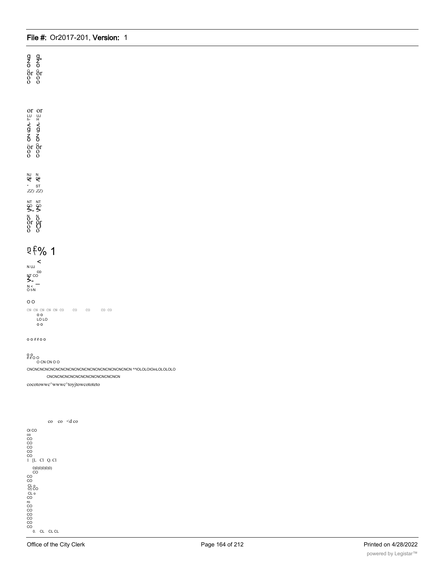| g<br>0<br>0<br>0<br>0     | o<br>8r<br>0         |  |
|---------------------------|----------------------|--|
| or ⊎<br>Por de Soro       | oo oko oko oo        |  |
| NJ<br>CO<br>*<br>ZZ)      | N<br>Ç0<br>ST<br>ZZ) |  |
| NT<br>ÇO<br>∑<br>∂or<br>١ | ⊠<br>9% ≫¤           |  |

**Q** F% 1

 $\frac{1}{2}$  $X = 0$ <br>  $X = 0$ <br>  $X = 0$ <br>  $X = 0$ <br>  $X = 0$ 

### $0<sub>0</sub>$

 $\begin{array}{ccc} \text{CN} & \text{CN} & \text{CN} & \text{CN} & \text{CO} & \text{CO} & \text{CO} \end{array}$  $CO CO$  $00$ <br> $LO$  LO LO  $00$ 

o o if if o o

00<br>
if if OO<br>
OCN CN OO CNCNCNCNCNCNCNCNCNCNCNCNCNCNCN

 ${\tt cocotowwc\char'wwwc\char'to}$ 

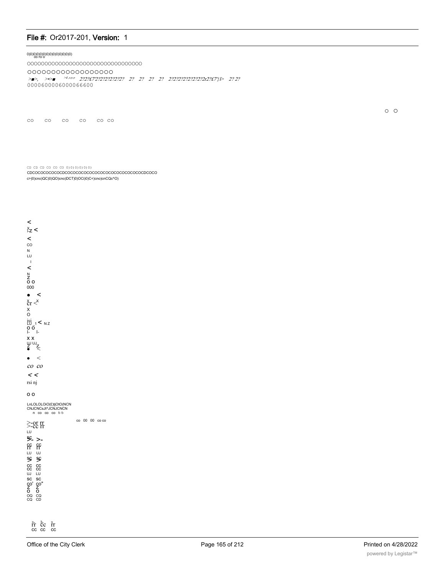$0)0)0)0)0)0)0)0)0)0)0)0)0)0)0)0)$ 

0000000000000000 0000600006000066600

 $_{\rm CO}$ co co co co co  $\circ$   $\circ$ 

### CD CD CD CO CO CO 0) 0) 0) 0) 0) 0)

c>)0)cno)QC)0)QO)cno)DCT)0)OCi)0)C<)cno)cnCQc^O)

 $\,<$  $X<$  $\,<$  $_{\rm CO}$  $\overline{N}$  $\overline{\mathsf{L}\mathsf{U}}$  $\overline{\phantom{a}}$  $rac{1}{2}$  ${\bf 000}$  $\bullet \quad \leq$  $\textrm{\v{c}} r <$  $\frac{x}{0}$  $\begin{array}{l} \mathop{\rm{isi}}\limits_{\mathop{\rm{LU}}\limits_{\mathop{\rm{I\hskip-1pt}\raisebox{0.5pt}{\rm{I}}}}\mathop{\rm{isi}}\limits_{\mathop{\rm{I\hskip-1pt}\raisebox{0.5pt}{\rm{I}}}}\mathop{\rm{<}}\;_{\mathop{\rm{N\hskip-1pt}\raisebox{0.5pt}{\rm{I}}}}\, \mathop{\rm{X}}\limits_{\mathop{\rm{I\hskip-1pt}\raisebox{0.5pt}{\rm{I}}}} \end{array}$  $x x$  $\sum_{n=1}^{\infty}$  $\bullet\hspace{1mm} <$  $co$   $co$  $\lt$ rsi nj  $0<sub>0</sub>$ LnLOLOLOiO(£)tjOtO(NCN CNJCNCsJt<sup>A</sup>JCNJCNCN<br>
n co co co t-t-

co 00 00 co co

 $\mathrel{{\geq_{\mathrm{-CC}}}}_{{\mathrm{LC}}} \mathop{\mathrm{rr}}\limits_{\mathrm{LU}}$ V 8≒ 3 \$\ 88 ∃ \$ 5<br>\$\ 8≒ 3 \$\ 88 ∃ \$ 5<br>\$\ 8± ∃ \$\ 88 3 \$ 5

 $\overline{\text{rr}}$   $\overline{\text{cc}}$   $\overline{\text{cc}}$   $\overline{\text{cr}}$   $\overline{\text{cc}}$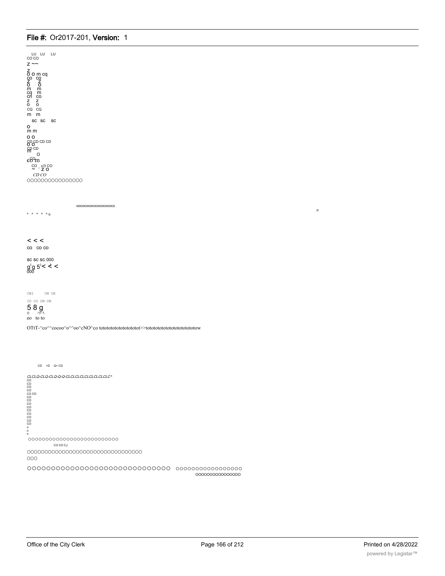

 $\circ$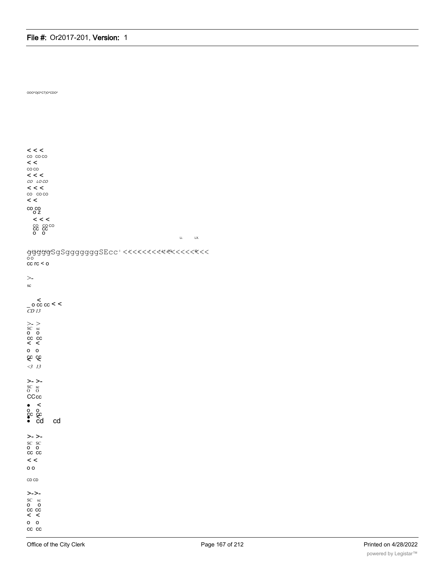| 000^0j0^CT)0^CDO^                                                                                                                                 |            |  |  |
|---------------------------------------------------------------------------------------------------------------------------------------------------|------------|--|--|
|                                                                                                                                                   |            |  |  |
|                                                                                                                                                   |            |  |  |
|                                                                                                                                                   |            |  |  |
| <<<br>CO CO CO                                                                                                                                    |            |  |  |
| $\lt$ $\lt$<br>$_{\rm CO}$ $_{\rm CO}$                                                                                                            |            |  |  |
| $\,<\,$ $\,<$<br>$CO$ $LO$ $CO$                                                                                                                   |            |  |  |
| $\lt$ $\lt$<br>CO COCO                                                                                                                            |            |  |  |
| $\lt$ $\lt$<br>$\mathop{\mathrm{co}}\nolimits_{\mathop{\mathrm{O}}\nolimits}^{\mathop{\mathrm{co}}\nolimits}$                                     |            |  |  |
| $\,<\,$ $\,<$                                                                                                                                     |            |  |  |
| $\underset{\mathbf{O}}{\overset{\mathbf{CO}}{\mathbf{C}\mathbf{C}}} \underset{\mathbf{O}}{\overset{\mathbf{CO}}{\mathbf{C}\mathbf{C}\mathbf{C}}}$ | LX.<br>Li. |  |  |
| ggggggggggggggggggecolsessessessessesses<br>and                                                                                                   |            |  |  |
| $cc$ rc $<$ o                                                                                                                                     |            |  |  |
| $>$ -                                                                                                                                             |            |  |  |
| ${\rm sc}$                                                                                                                                        |            |  |  |
| $\sim$ $\frac{6}{10}$ cc cc < <                                                                                                                   |            |  |  |
| $CD$ 13                                                                                                                                           |            |  |  |
| $>_{\mathrm{SC}}$ $>$<br>$0$ 0                                                                                                                    |            |  |  |
| $cc$ $cc$<br>$\lt$ $\lt$                                                                                                                          |            |  |  |
| $0$ 0<br>ණ රූ                                                                                                                                     |            |  |  |
| $\triangleleft$ 13                                                                                                                                |            |  |  |
| >- >-<br>$_{\rm O}^{\rm SC}$ $_{\rm O}^{\rm sc}$                                                                                                  |            |  |  |
| CCcc                                                                                                                                              |            |  |  |
| $\bullet \quad \lt$<br>$rac{6}{6}$ $rac{6}{6}$ $rac{6}{6}$                                                                                        |            |  |  |
| cd                                                                                                                                                |            |  |  |
| $>$ $>-$                                                                                                                                          |            |  |  |
| $\begin{array}{c} {\rm sc} \\ {\sf o} \\ {\sf cc} \end{array} \begin{array}{c} {\rm sc} \\ {\sf o} \\ {\sf cc} \end{array}$                       |            |  |  |
| $\,<$ $<$<br>$\circ$ $\circ$                                                                                                                      |            |  |  |
| $\mathsf{CD}$ $\mathsf{CD}$                                                                                                                       |            |  |  |
| $>\!\!->\!\!->\!\!-$                                                                                                                              |            |  |  |
| $SC$ sc<br>$0$ 0                                                                                                                                  |            |  |  |
| $\frac{1}{2}$<br>$0$ 0                                                                                                                            |            |  |  |
| $cc$ $cc$                                                                                                                                         |            |  |  |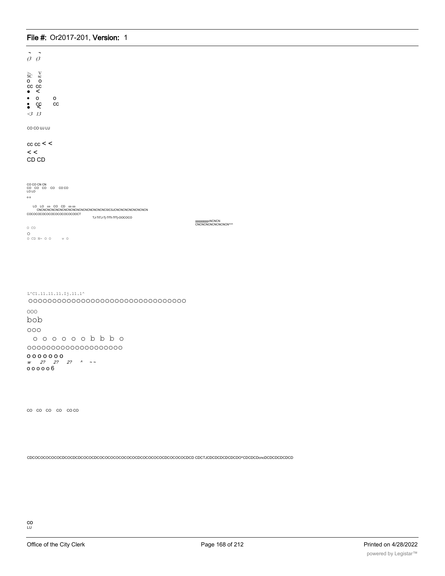| $\overline{3}$<br>$\beta$                                                                                                                                                                                                                                |                                       |
|----------------------------------------------------------------------------------------------------------------------------------------------------------------------------------------------------------------------------------------------------------|---------------------------------------|
| V<br>$\overline{\overline{\text{sc}}}$<br>sc<br>о<br>o<br>cc cc<br><<br>о<br>о<br>٠<br>CC<br>ç<br>3/13                                                                                                                                                   |                                       |
| CO CO UJ LU                                                                                                                                                                                                                                              |                                       |
| $\rm_{ccc}$ $\rm_{cc}$ $\rm_{<}$ $\rm_{<}$<br>$\lt$ $<$<br>CD CD                                                                                                                                                                                         |                                       |
| CO CO CN CN<br>co co co co co co<br>LO LO<br>$^{\circ}$<br>LO LO co CO CD co co<br>CNCNCNCNCNCNCNCNCNCNCNCNCNCNCNCNCNCSICSJCNCNCNCNCNCNCNCNCNCN<br>COCOCOCOCOCOCOCOCOCOCOOCT<br>TJ-TtTJ-Tj-TfTt-TfTj-OOCOCO<br>O CO<br>$\circ$<br>$O$ CD N- $O$ O<br>v 0 | ggggggggcNCNCN<br>CNCNCNCNCNCNCNCN^^^ |
| L^C1.11.11.11.1j.11.1^<br>000<br>bob<br>000<br>00000000000000<br>000000000000000000<br>0000000<br>2?<br>2?<br>$\boldsymbol{\Lambda}$<br>2?<br>$\sim$ $\sim$<br>w<br>000006                                                                               |                                       |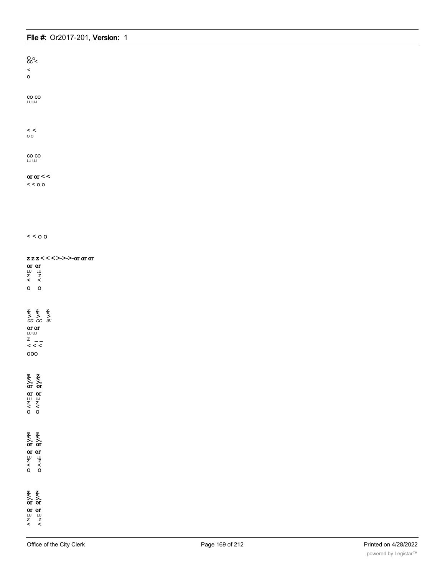| $_{\rm CC}^{\rm CO}$ $<$                                                                                                                                                                                                    |  |  |  |
|-----------------------------------------------------------------------------------------------------------------------------------------------------------------------------------------------------------------------------|--|--|--|
| $\,<$<br>$\mathsf{o}$                                                                                                                                                                                                       |  |  |  |
| $\rm{co}$ $\rm{co}$<br>LU UJ                                                                                                                                                                                                |  |  |  |
|                                                                                                                                                                                                                             |  |  |  |
| $\,<$ $<$<br>0 <sub>0</sub>                                                                                                                                                                                                 |  |  |  |
| co co<br>UJ UJ                                                                                                                                                                                                              |  |  |  |
| or or $<<$<br>$\leq$ $<$ 0 0 $\,$                                                                                                                                                                                           |  |  |  |
|                                                                                                                                                                                                                             |  |  |  |
|                                                                                                                                                                                                                             |  |  |  |
| $\leq$ 0 0                                                                                                                                                                                                                  |  |  |  |
| $z \, z \, z \, << \, >> \, >$ - $\alpha$ or or                                                                                                                                                                             |  |  |  |
| or or<br>$\begin{array}{ccc}\n\cup & \cup & \cup \\ Z & Z & \end{array}$<br>$0$ 0                                                                                                                                           |  |  |  |
|                                                                                                                                                                                                                             |  |  |  |
| $\begin{array}{c} 2 \leq 2 \leq 2 \leq 2 \leq 2c \text{ } c \text{ } c \text{ } c \text{ } a \text{.} \end{array}$<br>$\,$ or $\,$<br>LU UJ                                                                                 |  |  |  |
| $\frac{z}{\texttt{<<}}$<br>000                                                                                                                                                                                              |  |  |  |
|                                                                                                                                                                                                                             |  |  |  |
| $\begin{array}{c}\nZ \\ X \\ \searrow \rightharpoonup\n\cr\n\end{array}$                                                                                                                                                    |  |  |  |
|                                                                                                                                                                                                                             |  |  |  |
|                                                                                                                                                                                                                             |  |  |  |
| $\Sigma_{\text{tot}}$<br>$\text{or}$ or or<br>$\text{or}$ or $\text{or}$<br>$\text{or}$ $\text{or}$<br>$\text{or}$<br>$\text{or}$<br>$\text{or}$<br>$\text{or}$<br>$\text{or}$<br>$\text{or}$<br>$\text{or}$<br>$\text{or}$ |  |  |  |
|                                                                                                                                                                                                                             |  |  |  |
|                                                                                                                                                                                                                             |  |  |  |
| $\begin{array}{c}\nZ \\ \searrow \searrow \\ \text{or} \\ \text{or} \\ \downarrow \quad \downarrow \quad \nearrow \\ Z \\ \swarrow \quad \searrow\n\end{array}$                                                             |  |  |  |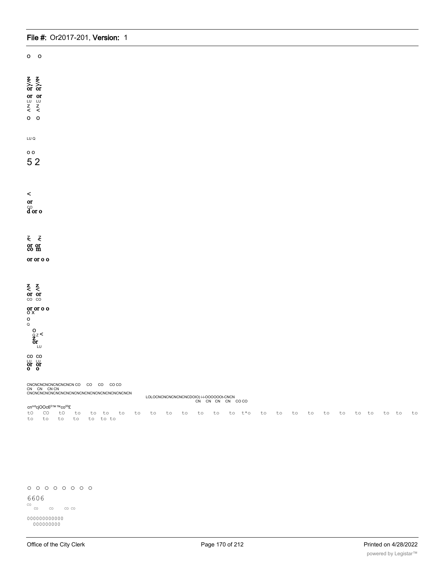| File #: Or2017-201, Version: 1                                                                                                                                 |                                                                |
|----------------------------------------------------------------------------------------------------------------------------------------------------------------|----------------------------------------------------------------|
| $0$ 0                                                                                                                                                          |                                                                |
| $\frac{z}{\text{or}} \sum_{\text{or}}^{\text{z}}$                                                                                                              |                                                                |
| or or<br>$\begin{array}{ccc}\n\cup & \cup & \cup \\ Z & Z & \end{array}$                                                                                       |                                                                |
| $0$ 0<br>LU Q                                                                                                                                                  |                                                                |
| $\circ$ $\circ$                                                                                                                                                |                                                                |
| 52                                                                                                                                                             |                                                                |
| $\,<$<br>or $_{\rm{G}^{\rm{O}}}$ or o                                                                                                                          |                                                                |
| $\xi$ $\xi$                                                                                                                                                    |                                                                |
| $_{\rm CO}^{\rm or}$ or                                                                                                                                        |                                                                |
| or or o ${\bf o}$                                                                                                                                              |                                                                |
| $z < z <$<br>or or<br>$\cos$                                                                                                                                   |                                                                |
| $\mathop{\rm or}_{\mathcal{O}}\mathop{\rm or}_{X}\mathop{\rm o}$ o o<br>$_{\circ}^{\circ}$<br>$\frac{Q}{Z}$<br>$\frac{Q}{Z}$<br>$\frac{Q}{Z}$<br>$\frac{Q}{Z}$ |                                                                |
| co co<br>$\mathop{\mathrm{or}}\limits^{\text{\tiny{[1]}}} \ \mathop{\mathrm{or}}\limits^{\text{\tiny{[1]}}} \ \mathop{\mathrm{or}}\limits^{\text{\tiny{[1]}}}$ |                                                                |
| CNCNCNCNCNCNCNCNCNCO CO CO CO CO CO<br>CN CN CN CN                                                                                                             | LOLOCNCNCNCNCNCNCDOIO) i-i-OOOOOOO-CNCN<br>CN CN CN CN CN COCO |
| $2000 \times 100 \times 100$ TM TM $\approx 000$                                                                                                               |                                                                |

cnootcjOOc60™™co00£ tO CO tO to to to to to to to to to to to t\*o to to to to to to to to to to to to to to to to to to

o o o o o o o o

6606 CO CO CO CO CO 000000000000 000000000

000000000000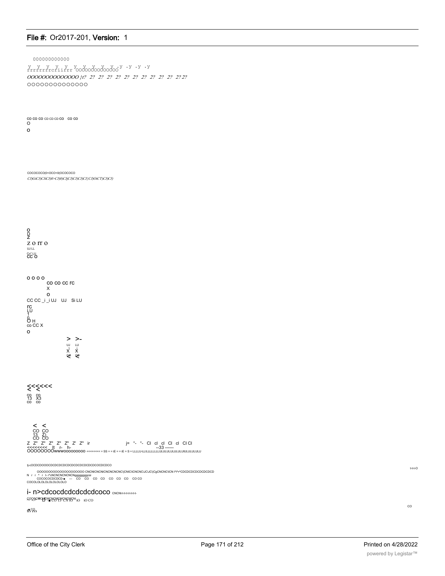000000000000  $\begin{array}{ccccc}\n Y & Y & Y & Y & Y & Y & Y & Y & Y & Y & Y & Y & Y & Y & Y \\
 \n 1 & Y & Y & Y & Y & Y & Y & Y & Y & Y & Y & Y\n \end{array}$ 00000000000000 }t? 2? 2? 2? 2? 2? 2? 2? 2? 2? 2? 2? 2? 0000000000000

co co co co co co co co co<br>O

 $\mathsf{o}$ 

COCOCOCO(0<OCO<0(OCOCOCOCO CJ)GiCJ)CJiCJ)0>CJ)0)CJjCJ)CJ)CJ)CJ}CJ)OiCT)CJ)CJ)



i- n>cdcocdcdcdcdcdcoco CNCNt-4444444

COCOCINGMENCHCMCMCNCMGNitOtOCO

 $i_0$ <sup>CO</sup><sub>c</sub>o

 $_{\rm co}$ 

 $t-t-t-0$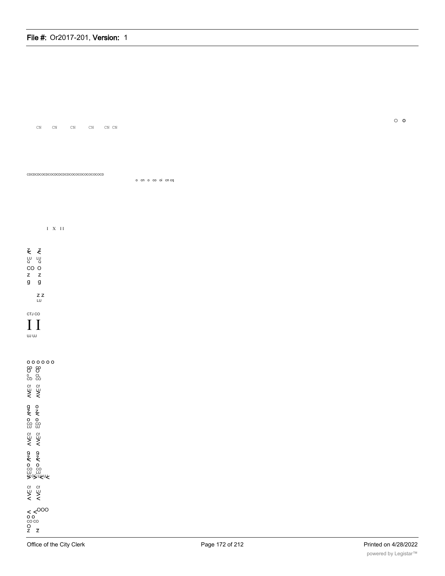$\rm CN$  $CN$  $CN$  $CN$  $\,$  CN  $\,$  CN  $\,$ 

 ${\tt COCOCO COCO COCO COCO CO CO CO CO CO CO}$ 

 $o$  cn  $o$  co  $oi$  cn  $cq$ 

### $\bar{I}$  –  $\bar{X}$  –  $\bar{I}\bar{I}$

 $Z$   $U$   $U$ <br> $Q$   $Q$ <br> $X$   $Z$  $g$   $g$  $\frac{z}{w}$ 

CTJ CO II UJ UJ

 $000000$ 80000  $\begin{array}{c} \text{NE} \\\text{NE} \\\text{NE} \\\text{N} \end{array}$  $\begin{array}{c} \text{VCE} \\\text{VSE} \\\text{VSE} \end{array}$ 

 $\circ$   $\circ$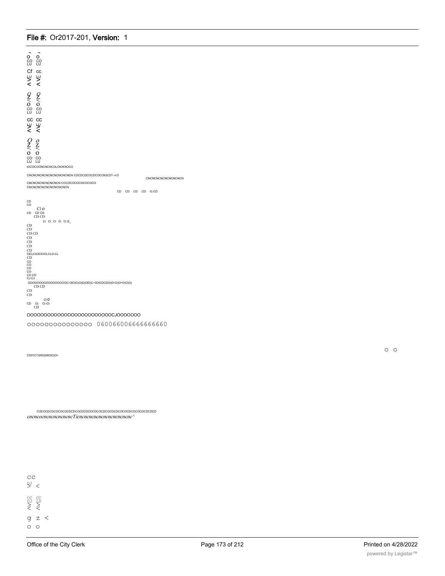| $\frac{0}{20}$<br>о<br>ČO<br>LU<br>Cf cc<br>$\zeta$<br>$\zeta$                                                                                                                                                                                                                                             |
|------------------------------------------------------------------------------------------------------------------------------------------------------------------------------------------------------------------------------------------------------------------------------------------------------------|
| cc cc<br>ξĒ<br>्रे                                                                                                                                                                                                                                                                                         |
| g<br>Z<br>$\frac{0}{2}$<br>$\overline{0}$<br>$\mathbf{o}$<br>CO<br>CO<br>LU<br>LU<br>tOCOCOCNCNCNCOLOtOtOtOCO                                                                                                                                                                                              |
| CNCNCNCNCNCNCNCNCNCNCN COCDCDCOCDCOCOCOCDT-t-O<br>CNCNCNCNCNCNCNCNCN                                                                                                                                                                                                                                       |
| CNCNCNCNCNCNCNCN COCOCOCOCOCOCOCO<br>CNCNCNCNCNCNCNCNCNCN<br>CD<br>CD<br>CD<br>CD<br>$0)$ CD                                                                                                                                                                                                               |
| CD<br>CO<br>Cl o<br>CD CD CD<br>CD CD<br>CI CI CI CI CI Q<br>CD<br>CD<br>CD CD<br>CD<br>CD<br>CD<br>CD<br>CICLCICICICICLCLD-CL<br>CD<br>CO<br>CO<br>CO<br>CO<br>CO CO<br>CJ CJ<br>000000000000000000 0l0)0)0)0l0)C~00lCDCD0)0>0)0>0)0)<br>CD CD<br>CD<br>CD<br>CI <sub>O</sub><br>CD<br>O<br>$O($ O)<br>CD |
|                                                                                                                                                                                                                                                                                                            |
| 000000000000000 060066006666666660                                                                                                                                                                                                                                                                         |

CD01C7)050)0503O)O>

 $\circ$   $\circ$ 

 $\label{thm:nonconc} concocencencencencencencencencencencencencenc} \vspace{-0.05cm} \vspace{-0.05cm} \vspace{-0.05cm} \vspace{-0.05cm} \vspace{-0.05cm} \vspace{-0.05cm} \vspace{-0.05cm} \vspace{-0.05cm} \vspace{-0.05cm} \vspace{-0.05cm} \vspace{-0.05cm} \vspace{-0.05cm} \vspace{-0.05cm} \vspace{-0.05cm} \vspace{-0.05cm} \vspace{-0.05cm} \vspace{-0.05cm} \vspace{-0.05cm} \vspace{-0.05cm} \vspace{-$ 

 $_{\rm CC}$  $\frac{1}{2}$  <  $\begin{array}{c} \bigotimes^{\mathbf{CC}}_{\mathbf{C}} \mathbf{C}^{\mathbf{C}}_{\mathbf{C}} \\ \bigotimes^{\mathbf{CC}}_{\mathbf{C}} \mathbf{C}^{\mathbf{C}}_{\mathbf{C}} \end{array}$  $g z <$  $O$   $O$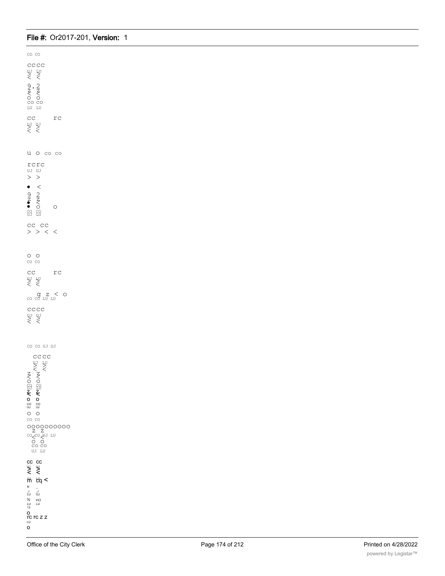| $_{\rm CO}$ $_{\rm CO}$                                                                                                                                                                                                                                                                                                                                                                                                                                                |               |  |
|------------------------------------------------------------------------------------------------------------------------------------------------------------------------------------------------------------------------------------------------------------------------------------------------------------------------------------------------------------------------------------------------------------------------------------------------------------------------|---------------|--|
| CCCC                                                                                                                                                                                                                                                                                                                                                                                                                                                                   |               |  |
|                                                                                                                                                                                                                                                                                                                                                                                                                                                                        |               |  |
|                                                                                                                                                                                                                                                                                                                                                                                                                                                                        |               |  |
|                                                                                                                                                                                                                                                                                                                                                                                                                                                                        |               |  |
| ESOVNO VVE                                                                                                                                                                                                                                                                                                                                                                                                                                                             |               |  |
|                                                                                                                                                                                                                                                                                                                                                                                                                                                                        | $\mathtt{rc}$ |  |
| $\begin{array}{c} {\rm CC} \\ {\rm NC} \\ {\rm NC} \\ {\rm NC} \end{array}$                                                                                                                                                                                                                                                                                                                                                                                            |               |  |
|                                                                                                                                                                                                                                                                                                                                                                                                                                                                        |               |  |
|                                                                                                                                                                                                                                                                                                                                                                                                                                                                        |               |  |
| u o co co                                                                                                                                                                                                                                                                                                                                                                                                                                                              |               |  |
| rcrc<br>$\begin{matrix} UJ & UJ \end{matrix}$                                                                                                                                                                                                                                                                                                                                                                                                                          |               |  |
| $> \; >$                                                                                                                                                                                                                                                                                                                                                                                                                                                               |               |  |
| $\begin{array}{c}\n 0 \\  0 \\  0 \\  0 \\  0\n \end{array}$                                                                                                                                                                                                                                                                                                                                                                                                           |               |  |
|                                                                                                                                                                                                                                                                                                                                                                                                                                                                        |               |  |
| $\circ$                                                                                                                                                                                                                                                                                                                                                                                                                                                                |               |  |
|                                                                                                                                                                                                                                                                                                                                                                                                                                                                        |               |  |
| $\begin{array}{l} {\rm cc} ~~ {\rm cc} \\ > \; > \; < \; < \end{array}$                                                                                                                                                                                                                                                                                                                                                                                                |               |  |
|                                                                                                                                                                                                                                                                                                                                                                                                                                                                        |               |  |
|                                                                                                                                                                                                                                                                                                                                                                                                                                                                        |               |  |
| $\circ$ $\circ$<br>CO CO                                                                                                                                                                                                                                                                                                                                                                                                                                               |               |  |
| $\mathtt{CC}$                                                                                                                                                                                                                                                                                                                                                                                                                                                          | $\mathtt{rc}$ |  |
| $\underset{\text{<}}{\sum}$                                                                                                                                                                                                                                                                                                                                                                                                                                            |               |  |
|                                                                                                                                                                                                                                                                                                                                                                                                                                                                        |               |  |
| $\begin{matrix} \text{C} & \text{C} & \text{C} & \text{C} \\ \text{C} & \text{C} & \text{C} & \text{C} \\ \text{C} & \text{C} & \text{C} & \text{C} \end{matrix} \quad \begin{matrix} \text{C} & \text{C} & \text{C} \\ \text{C} & \text{C} & \text{C} \\ \text{C} & \text{C} & \text{C} \end{matrix} \quad \begin{matrix} \text{C} & \text{C} & \text{C} \\ \text{C} & \text{C} & \text{C} \\ \text{C} & \text{C} & \text{C} \end{matrix} \quad \begin{matrix} \text$ |               |  |
| ccc                                                                                                                                                                                                                                                                                                                                                                                                                                                                    |               |  |
| $\begin{array}{c} \tilde{\lambda}_1 \\ \tilde{\lambda}_2 \\ \tilde{\lambda}_3 \end{array}$                                                                                                                                                                                                                                                                                                                                                                             |               |  |
|                                                                                                                                                                                                                                                                                                                                                                                                                                                                        |               |  |
| co co un un                                                                                                                                                                                                                                                                                                                                                                                                                                                            |               |  |
| CCCC                                                                                                                                                                                                                                                                                                                                                                                                                                                                   |               |  |
|                                                                                                                                                                                                                                                                                                                                                                                                                                                                        |               |  |
|                                                                                                                                                                                                                                                                                                                                                                                                                                                                        |               |  |
|                                                                                                                                                                                                                                                                                                                                                                                                                                                                        |               |  |
|                                                                                                                                                                                                                                                                                                                                                                                                                                                                        |               |  |
|                                                                                                                                                                                                                                                                                                                                                                                                                                                                        |               |  |
| $O$ $O$                                                                                                                                                                                                                                                                                                                                                                                                                                                                |               |  |
| CO CO                                                                                                                                                                                                                                                                                                                                                                                                                                                                  |               |  |
|                                                                                                                                                                                                                                                                                                                                                                                                                                                                        |               |  |
| $\begin{array}{l} \begin{array}{l} \mathbf{n} & \mathbf{n} \\ \mathbf{c} & \mathbf{c} \\ \mathbf{c} \\ \mathbf{c} \\ \mathbf{c} \\ \mathbf{c} \\ \mathbf{c} \\ \mathbf{c} \\ \mathbf{c} \\ \mathbf{c} \\ \mathbf{c} \\ \mathbf{c} \\ \mathbf{c} \\ \mathbf{c} \\ \mathbf{c} \\ \mathbf{c} \\ \mathbf{c} \\ \mathbf{c} \\ \mathbf{c} \\ \mathbf{c} \\ \mathbf{c} \\ \mathbf{c} \\ \mathbf{c} \\ \mathbf{c} \\ \mathbf{c} \\ \mathbf{c} \\ \mathbf{c} \\ \mathbf{c$      |               |  |
|                                                                                                                                                                                                                                                                                                                                                                                                                                                                        |               |  |
| $\frac{1}{2} \times 1$<br>$\frac{1}{2} \times 1$<br>$\frac{1}{2} \times 1$                                                                                                                                                                                                                                                                                                                                                                                             |               |  |
|                                                                                                                                                                                                                                                                                                                                                                                                                                                                        |               |  |
| $\begin{array}{ccc} N & & - \\ \frac{1}{LU} & \frac{-t}{UJ} \end{array}$                                                                                                                                                                                                                                                                                                                                                                                               |               |  |
|                                                                                                                                                                                                                                                                                                                                                                                                                                                                        |               |  |
| $\begin{array}{cc} N & \text{rs} \\ \text{LU} & \text{LU} \\ \text{13} & \end{array}$                                                                                                                                                                                                                                                                                                                                                                                  |               |  |
| $\int_{\mathbb{U}}^{0}$ rc z z                                                                                                                                                                                                                                                                                                                                                                                                                                         |               |  |
| $\mathsf{o}$                                                                                                                                                                                                                                                                                                                                                                                                                                                           |               |  |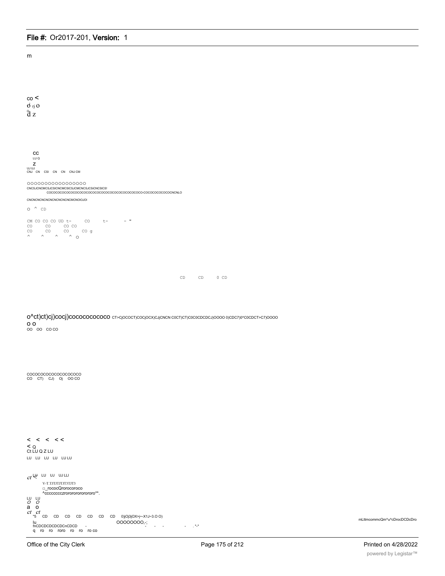| m                                                                                                                                    |           |  |  |
|--------------------------------------------------------------------------------------------------------------------------------------|-----------|--|--|
|                                                                                                                                      |           |  |  |
|                                                                                                                                      |           |  |  |
|                                                                                                                                      |           |  |  |
| $\rm{co}$ $\leq$                                                                                                                     |           |  |  |
| $\begin{array}{c} d\\d\\d\\z \end{array}$                                                                                            |           |  |  |
|                                                                                                                                      |           |  |  |
|                                                                                                                                      |           |  |  |
| CC                                                                                                                                   |           |  |  |
| LU Q<br>z                                                                                                                            |           |  |  |
| UJ UJ<br>CNJ CN CSI CN CN CNJ CM                                                                                                     |           |  |  |
| 0000000000000000<br>CNCSJCNCMCSJCSICNCMCSICSJCMCNCSJCSiCNCSICS!                                                                      |           |  |  |
| CNCNCNCNCNCNCNCNCNCNCMCNOIOJOI                                                                                                       |           |  |  |
| $O^{\wedge}$ CD                                                                                                                      |           |  |  |
| CM CO CO CO UD $t-$ CO $t-$ - "<br>CO CO CO CO                                                                                       |           |  |  |
| CO<br>co co co g<br>$\wedge$ $\wedge$ $\wedge$ 0<br>$\wedge$                                                                         |           |  |  |
|                                                                                                                                      |           |  |  |
|                                                                                                                                      |           |  |  |
|                                                                                                                                      |           |  |  |
|                                                                                                                                      | CD CD 0CD |  |  |
|                                                                                                                                      |           |  |  |
|                                                                                                                                      |           |  |  |
|                                                                                                                                      |           |  |  |
| O^ct)ct)cj)cocj)cocococococo cT>cjococTjcocjocxjcJjcNcN c0cTjcTjc0c0cDcDcJjoooo 0jcDc7j0^c0cDcT>c7joooo                              |           |  |  |
| 0 <sub>0</sub><br>00 00 COCO                                                                                                         |           |  |  |
|                                                                                                                                      |           |  |  |
|                                                                                                                                      |           |  |  |
|                                                                                                                                      |           |  |  |
| COCOCOCOCOCOCOCOCOCO                                                                                                                 |           |  |  |
| CO CT) CJ) Oj OO CO                                                                                                                  |           |  |  |
|                                                                                                                                      |           |  |  |
|                                                                                                                                      |           |  |  |
|                                                                                                                                      |           |  |  |
|                                                                                                                                      |           |  |  |
| $<$ < < <<<br>$<$ $\circ$                                                                                                            |           |  |  |
| Ct LU Q Z LU<br>LU LU LU LU LULU                                                                                                     |           |  |  |
|                                                                                                                                      |           |  |  |
| $ct \stackrel{\text{(i)}}{\leftarrow}$ LU UJ UJ LLI                                                                                  |           |  |  |
| $\it{V-T.TJTTJTJTJT3TJT3}$<br>□_rococQrorocoroco<br>^ccccccczrororororororor**.                                                      |           |  |  |
| LU LU                                                                                                                                |           |  |  |
| $\begin{smallmatrix} 0 & 0 \\ 0 & 0 \end{smallmatrix}$<br>$ct$ $ct$<br>"5 CD CD CD CD CD CD CD 0)jOj3jOX>j~-X1J~3.00)<br>00000000,-; |           |  |  |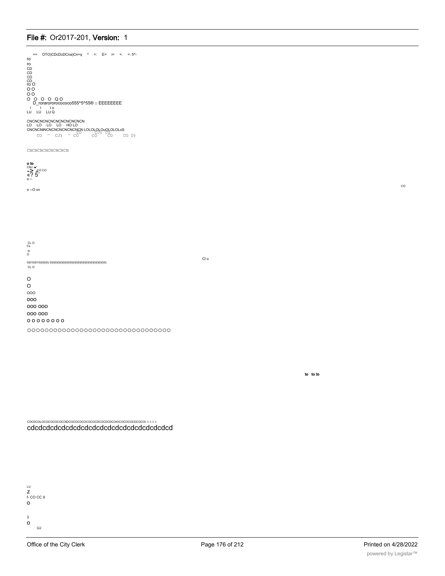$==$  OTO)CDcDcDCna)Cn=q ^ =: E= i= =: =: 5^-CNCNCNCNCNCNCNCNCNCNCN<br>LO LO LO HOLO CO - C1) - CO CO CO CO CO  $CO$   $O$ CNCNCNCNCNCNCNCN 0 to<br>
CNJ-a<br>  $-2$  COCO<br>  $\frac{600}{0}$ <br>  $-5$ <br>  $-6$ <br>  $-6$ <br>  $-6$ <br>  $-6$ <br>  $-6$ <br>  $-6$ <br>  $-6$ <br>  $-6$ <br>  $-6$ <br>  $-6$ <br>  $-6$ <br>  $-6$ <br>  $-6$ <br>  $-6$ <br>  $-6$ <br>  $-6$ <br>  $-6$ <br>  $-6$ <br>  $-6$ <br>  $-6$ <br>  $-6$ <br>  $-6$ <br>  $-6$ <br>  $-6$ <br>  $-6$ <br>  $-6$ <br>  $-6$ <br>  $-6$ <br>  $-6$ <br>  $-6$ o --O cn  $\begin{array}{c} \text{CL} \\ \text{CL} \\ \text{OL} \\ \text{OL} \end{array}$  $CLO$  $\circ$  $\circ$ 000 000 000 000 000 000  $000000000$ 

to to to

 $\overline{10}$  $Z$ <br>f-COCC X  $\mathsf{o}$  $\mathsf 3$  $\mathsf{o}$  $UJ$ 

 $Cl<sub>o</sub>$ 

 $_{\rm co}$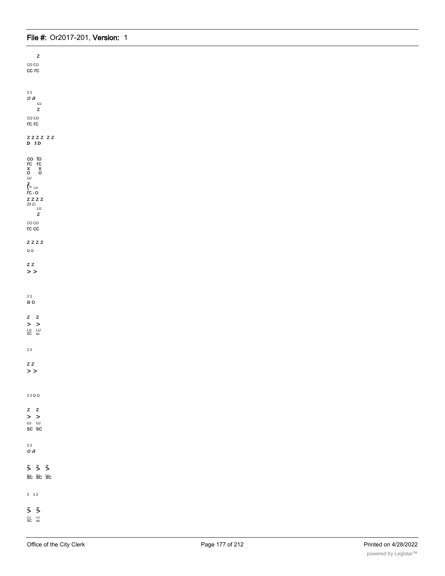| $\mathbb{Z}$                                                                                                                                                                                       |  |  |  |
|----------------------------------------------------------------------------------------------------------------------------------------------------------------------------------------------------|--|--|--|
|                                                                                                                                                                                                    |  |  |  |
|                                                                                                                                                                                                    |  |  |  |
| $\cos$                                                                                                                                                                                             |  |  |  |
| $\rm cc$ rc                                                                                                                                                                                        |  |  |  |
|                                                                                                                                                                                                    |  |  |  |
|                                                                                                                                                                                                    |  |  |  |
| 33                                                                                                                                                                                                 |  |  |  |
| o a                                                                                                                                                                                                |  |  |  |
| $\frac{U}{Z}$                                                                                                                                                                                      |  |  |  |
| $\mathsf z$                                                                                                                                                                                        |  |  |  |
|                                                                                                                                                                                                    |  |  |  |
| $_{\rm CO}$ $_{\rm CO}$                                                                                                                                                                            |  |  |  |
| $rc$ $rc$                                                                                                                                                                                          |  |  |  |
|                                                                                                                                                                                                    |  |  |  |
| Z Z Z Z Z Z                                                                                                                                                                                        |  |  |  |
| D 3D                                                                                                                                                                                               |  |  |  |
|                                                                                                                                                                                                    |  |  |  |
|                                                                                                                                                                                                    |  |  |  |
| $\circ$ to                                                                                                                                                                                         |  |  |  |
|                                                                                                                                                                                                    |  |  |  |
|                                                                                                                                                                                                    |  |  |  |
|                                                                                                                                                                                                    |  |  |  |
|                                                                                                                                                                                                    |  |  |  |
|                                                                                                                                                                                                    |  |  |  |
|                                                                                                                                                                                                    |  |  |  |
| $Z$ $Z$ $Z$ $Z$                                                                                                                                                                                    |  |  |  |
|                                                                                                                                                                                                    |  |  |  |
|                                                                                                                                                                                                    |  |  |  |
| $\frac{252}{25}$ $\frac{10}{2}$                                                                                                                                                                    |  |  |  |
| $_{\rm CO}$ $_{\rm CO}$                                                                                                                                                                            |  |  |  |
| $\mathop{\mathsf{rc}}\nolimits$ $\mathop{\mathsf{cc}}\nolimits$                                                                                                                                    |  |  |  |
|                                                                                                                                                                                                    |  |  |  |
|                                                                                                                                                                                                    |  |  |  |
| $Z$ $Z$ $Z$ $Z$                                                                                                                                                                                    |  |  |  |
| $\mathsf Q$ $\mathsf Q$                                                                                                                                                                            |  |  |  |
|                                                                                                                                                                                                    |  |  |  |
|                                                                                                                                                                                                    |  |  |  |
| $Z$ $Z$                                                                                                                                                                                            |  |  |  |
| $>$ $>$                                                                                                                                                                                            |  |  |  |
|                                                                                                                                                                                                    |  |  |  |
|                                                                                                                                                                                                    |  |  |  |
|                                                                                                                                                                                                    |  |  |  |
| $3\;3$                                                                                                                                                                                             |  |  |  |
|                                                                                                                                                                                                    |  |  |  |
| a o                                                                                                                                                                                                |  |  |  |
|                                                                                                                                                                                                    |  |  |  |
| $Z$ $Z$                                                                                                                                                                                            |  |  |  |
|                                                                                                                                                                                                    |  |  |  |
|                                                                                                                                                                                                    |  |  |  |
|                                                                                                                                                                                                    |  |  |  |
|                                                                                                                                                                                                    |  |  |  |
|                                                                                                                                                                                                    |  |  |  |
|                                                                                                                                                                                                    |  |  |  |
|                                                                                                                                                                                                    |  |  |  |
|                                                                                                                                                                                                    |  |  |  |
|                                                                                                                                                                                                    |  |  |  |
|                                                                                                                                                                                                    |  |  |  |
|                                                                                                                                                                                                    |  |  |  |
|                                                                                                                                                                                                    |  |  |  |
|                                                                                                                                                                                                    |  |  |  |
|                                                                                                                                                                                                    |  |  |  |
|                                                                                                                                                                                                    |  |  |  |
|                                                                                                                                                                                                    |  |  |  |
|                                                                                                                                                                                                    |  |  |  |
|                                                                                                                                                                                                    |  |  |  |
|                                                                                                                                                                                                    |  |  |  |
|                                                                                                                                                                                                    |  |  |  |
|                                                                                                                                                                                                    |  |  |  |
|                                                                                                                                                                                                    |  |  |  |
|                                                                                                                                                                                                    |  |  |  |
|                                                                                                                                                                                                    |  |  |  |
|                                                                                                                                                                                                    |  |  |  |
|                                                                                                                                                                                                    |  |  |  |
|                                                                                                                                                                                                    |  |  |  |
|                                                                                                                                                                                                    |  |  |  |
|                                                                                                                                                                                                    |  |  |  |
|                                                                                                                                                                                                    |  |  |  |
|                                                                                                                                                                                                    |  |  |  |
|                                                                                                                                                                                                    |  |  |  |
|                                                                                                                                                                                                    |  |  |  |
|                                                                                                                                                                                                    |  |  |  |
|                                                                                                                                                                                                    |  |  |  |
| $3\;3$<br>$Z$ $Z$<br>$>$ $>$<br>$33QQ$<br>$\begin{array}{ccc} z & z \\ > & > \end{array}$<br>UJ UJ<br>sc sc<br>$\overset{3}{\circ}$ a<br>$\begin{array}{cc} 3 & 3 \\ 3 \end{array}$<br>$5u$ se see |  |  |  |

3 3 O O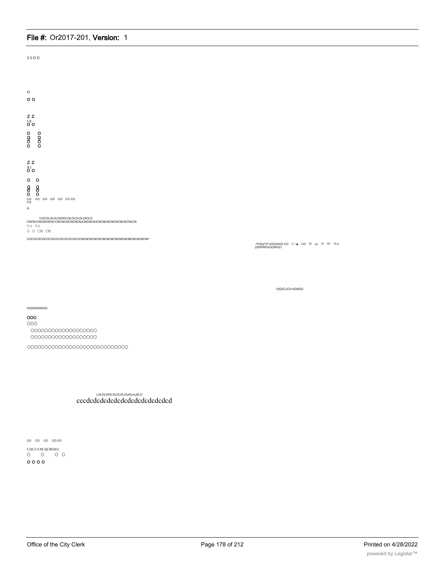| 3300                                                                                               |
|----------------------------------------------------------------------------------------------------|
|                                                                                                    |
|                                                                                                    |
| $\circ$<br>0 <sub>0</sub>                                                                          |
|                                                                                                    |
| Z Z<br>$_{0}^{1X}$ o                                                                               |
| $\begin{matrix} 0 \\ 0 \\ 0 \\ 0 \end{matrix}$                                                     |
|                                                                                                    |
| ZZ<br>$\delta^I_{\,\mathsf{O}}$                                                                    |
| $0$ 0                                                                                              |
| $\frac{g}{\sigma}$<br>$\frac{9}{6}$<br>$_{\rm CO}^{\rm CO}$<br>co co co co coco                    |
| $\circ$                                                                                            |
| COCOLOLOLOtOtOLOLOLOLOLOtOLO<br>CNCN1CNCNCNCN1CNCNCSICNCNCNJCNCNCNJCNCNCNCNCNCNCNCSICNJCN<br>to to |
| O O CM CM                                                                                          |
|                                                                                                    |

J^CDq^O^JOCDOCDCO r-"-■ CO Tf co Tf Tf" Tfd<br>y)tf)WWt/)U)i/)(flU)(/)

 $\langle$ ])Q)CL)Ci) $\langle$ l)Q)0}Q)

0)0)0)0)0)0)0)0)

### 000

 $_{\sf OOO}$ 0000000000000000000 0000000000000000000

LOLOLOIOLOLOLOLOIJOLnLjOLO 

 $\cos$   $\cos$   $\cos$   $\cos$  $\text{CJ} \text{)CJ}\text{>} \text{C} \text{0CJ} \text{jC} \text{0O} \text{)} \text{O)}$ 

 $\begin{array}{ccc} 0 & 0 & 0 \\ 0 & 0 & 0 \\ \end{array}$  $0000$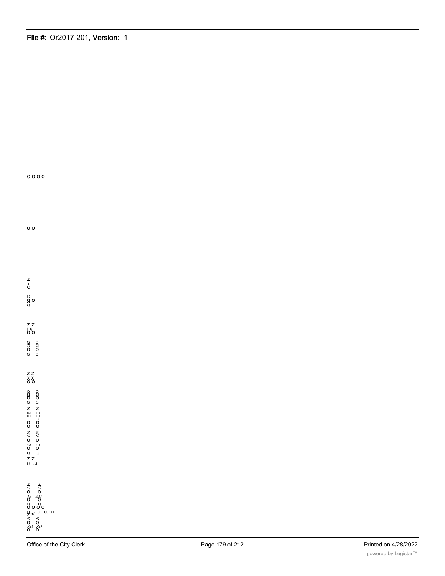o o o o

we ku ww<br>s <<br>o o<br>*a z*<br>*a z*<br>*b*<br>*z*<br>*b*<br>*z*<br>*b*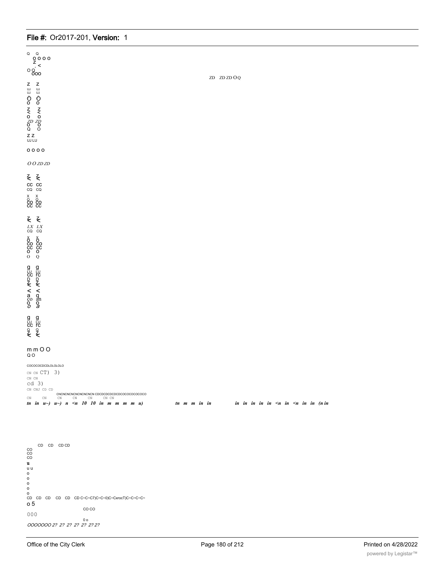| $0.0000$<br>$0.0000$                                                                                                               | ZD ZD ZD OQ                                                                              |
|------------------------------------------------------------------------------------------------------------------------------------|------------------------------------------------------------------------------------------|
| $\mathsf Z$ $\mathsf Z$<br>UJ LU                                                                                                   |                                                                                          |
| $0000$                                                                                                                             |                                                                                          |
| $O$ $O$ $ZD$ $ZD$<br>$\xi \xi$<br>cc cc                                                                                            |                                                                                          |
| $CQ$ $CQ$<br>$\mathop{\rm g\,}\limits^\times_{\rm QQ}\mathop{\rm g\,}\limits^\times_{\rm QQ}$                                      |                                                                                          |
| そそ<br>$\begin{array}{cc} LX & LX \\ \texttt{CQ} & \texttt{CQ} \end{array}$                                                         |                                                                                          |
| $\begin{matrix} 0 & 0 & 0 \ 0 & 0 & 0 \ 0 & 0 & 0 \end{matrix}$                                                                    |                                                                                          |
| oo32onV VaSoa<br>P⊃32oNV VaSoo                                                                                                     |                                                                                          |
|                                                                                                                                    |                                                                                          |
| $\frac{1}{2}$<br>$\frac{1}{2}$<br>$\frac{1}{2}$<br>$\frac{1}{2}$                                                                   |                                                                                          |
| m m O O<br>QO                                                                                                                      |                                                                                          |
| ${\tt COCOCOCDCDLOLOLOLOLO}$<br>CN CN $CT$ ) 3)<br>$\mathbb{C}\mathbf{N}$ $\mathbb{C}\mathbf{N}$                                   |                                                                                          |
| cd <sub>3</sub><br>CN CNJ CD CD<br>CNCNCNCNCNCNCNCNCN CDCDCDCDCDCDCOCOCOCOCOCO                                                     |                                                                                          |
| $\text{CN}$ $\qquad$ $\text{CN}$ $\qquad$ $\text{CN}$<br>CN CN CN CN<br>tn in $u \sim$ ) $u \sim$ ) n $\leq n$ 10 10 in m m m m u) | in in in in $\langle n \rangle$ in $\langle n \rangle$ in in $(n \rangle$ in<br>tnmminin |
| CD CD CD CD<br>$_{\rm CO}^{\rm CO}$<br>$_{\rm CO}$<br>$\mathbf u$<br>u u<br>$\circ$<br>$\circ$                                     |                                                                                          |
| $\mathsf{o}$<br>$\circ$<br>$\circ$                                                                                                 |                                                                                          |
| CD CD CD CD CD CD C-C-C7)C-C-0)C-CxrocT)C-C-C-C-<br>o 5<br>CO CO                                                                   |                                                                                          |
| nnn.                                                                                                                               |                                                                                          |

 $00000000272727272727272727$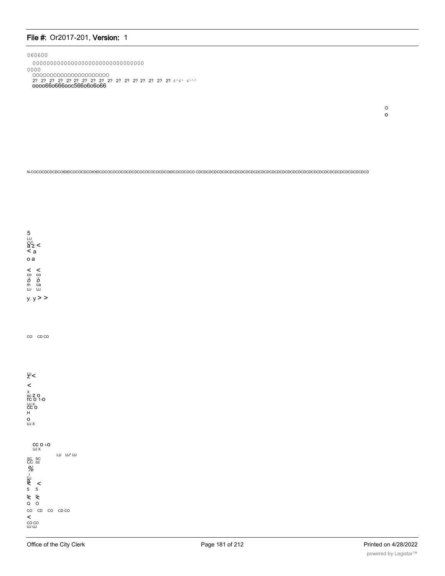060600 00000000000000000000000000000000 0000

OOOOOOOOOOOOOOOOOOOOOO 2? 2? 2? 2? 2? 2? 2? 2? 2? 2? 2? 2? 2? 2? 2? 2? 2? 4^4^ 4^^^ oooo66o666ooc566o6o6o66

O o

N-COCOCDCDCDCOtDtDCOCOCDCOtOtDCOCOCOCOCOCDCDCOCOCOCOCDCOtDCOCOCOCO CDCDCDCDCDCDCDCDCDCDCDCDCDCDCDCDCDCDCDCDCDCDCDCDCDCDCDCDCDCDCDCDCD

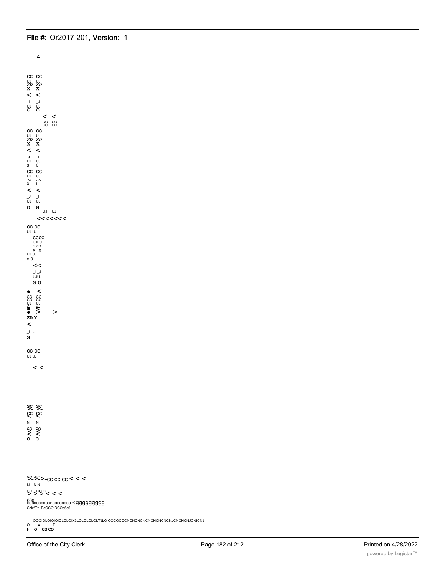

000<br>cococococoncocococo -;gggggggggg<br>cNr^T^~PcOCOtDCOc6c6

 $0$   $\overline{C}$   $\overline{C}$   $\overline{C}$   $\overline{C}$   $\overline{C}$   $\overline{C}$   $\overline{C}$   $\overline{C}$   $\overline{C}$   $\overline{C}$   $\overline{C}$   $\overline{C}$   $\overline{C}$   $\overline{C}$   $\overline{C}$   $\overline{C}$   $\overline{C}$   $\overline{C}$   $\overline{C}$   $\overline{C}$   $\overline{C}$   $\overline{C}$   $\overline{C}$   $\overline{C}$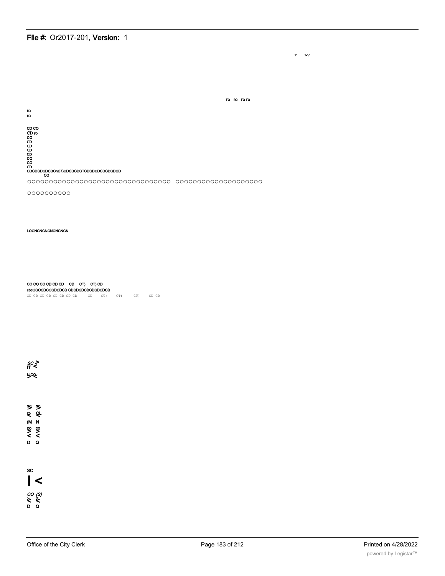

T" T-M"

oooooooooo

**LOCNCNCNCNCNCNCN** 

#### CO CO CO CD CD CD CD CT) CT) CD

cbcOCOCDCOCDCDCD CDCDCDCDCDCDCDCD CD CD CD CD CD CD CD CD CD CT) CT) CT) CD CD

sc><br>π< N CO > <

ss<br>R<br>Cl<br>(M N co ve<br>a<br>D Q

SC  $\mathsf{I}$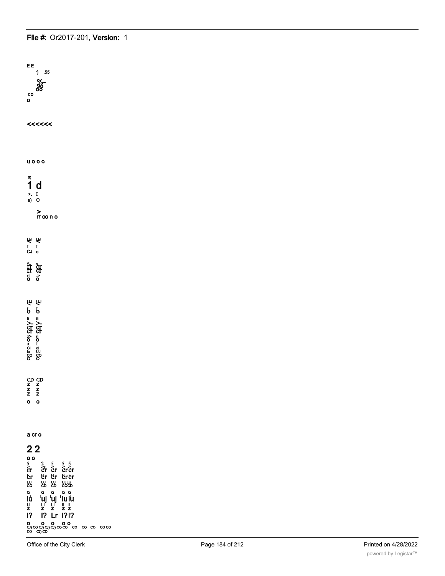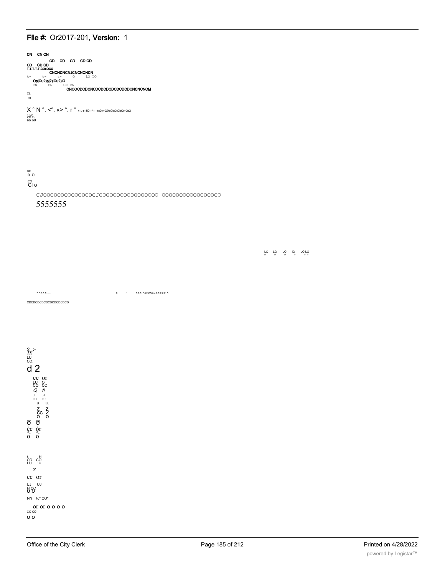CN CN CN  $t -$ TO TO  $\circ$ OpjOu?)pj?)iOu?)iO CN CN<br>CN CN<br>**CNCOCDCDCNCDCDCDCDCDCDCDCDCNCNCNCM** CL<br>HI  $\overset{\text{t-LO}}{\underset{\text{e0}}{\text{CD}}} \overset{\text{t-LO}}{\text{0}}$ 

# $_{0.0}^{\text{co}}$

# $\overset{\text{co}}{\text{Cl}}$  o

 $\tau_{\rm c} \qquad \qquad \mu \qquad \qquad \tau_{\rm r} \tau_{\rm r} \tau_{\rm r} \tau_{\rm C} \tau_{\rm J} {\cal C} \tau_{\rm i} {\cal C} n_{\rm f} \tau_{\rm r} \tau_{\rm r} \tau_{\rm r} \tau_{\rm r} \tau_{\rm r} \tau_{\rm r}$ 

## 5555555

 $\frac{10}{6}$   $\frac{10}{6}$   $\frac{10}{10}$   $\frac{10}{10}$   $\frac{1010}{100}$ 

CDCDCDCDCDCDCDCDCDCD

 $\mathcal{T}\text{-}\mathcal{T}\text{-}\mathcal{T}\text{-}\mathcal{T}\text{-}\mathcal{T}\text{-}\mathcal{T}\text{-}\text{...}$ 

 $\frac{2x^3}{x^2}$ <br>d 2 ೧೯<sub>ನೆ ರ</sub>ೋ<br>೧೯೯೯ - <sup>ನ</sup>್ನ ೧೮೬೩<br>೧೯೯೯ - ೧೯೯೯ t<br>Co co<br>Lu  $\mathbf{z}$ cc or 9.9<br>Hcc<br><sub>n1</sub> m NN to" CO" or or o o o o  $\frac{0}{\cos 0}$  $00$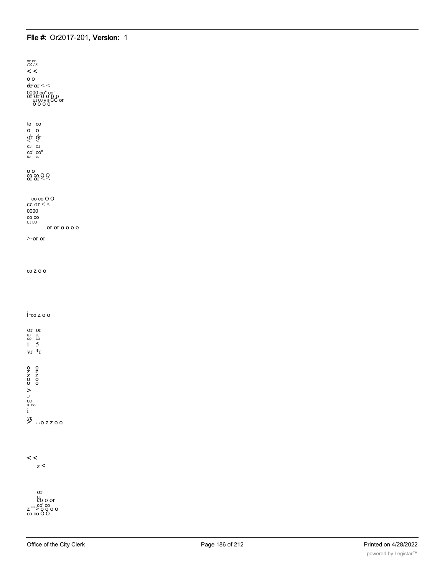| $_{\textit{CC LX}}^{\text{co co}}$<br>$\lt$ $<$<br>$\circ$ $\circ$<br>$\mathrm{d} \mathrm{r}^\mathrm{I} \mathrm{or} <<$<br>0000 co" co'<br>or or o o o o<br>uJuJH#CC or<br>o o o o |  |  |  |
|------------------------------------------------------------------------------------------------------------------------------------------------------------------------------------|--|--|--|
| to co<br>$0$ 0<br>$\delta \vec{r}$<br>CJ CJ<br>co' co"                                                                                                                             |  |  |  |
| $\mathsf{U}\mathsf{J}=\mathsf{L}\mathsf{U}$<br>0 <sub>0</sub>                                                                                                                      |  |  |  |
| co co O O<br>$cc$ or $<<$<br>0000<br>co co<br>UJ LU<br>or or o o o o<br>$>$ -or or                                                                                                 |  |  |  |
| COZOO                                                                                                                                                                              |  |  |  |
| $i$ -co z o o                                                                                                                                                                      |  |  |  |
| or or<br>$\frac{10}{1}$ $\frac{10}{5}$<br>$vr *r$                                                                                                                                  |  |  |  |
| <b>ONNOO</b><br><i>O</i> NNOO<br><i>O</i> NNOO<br><i>O</i> NNO                                                                                                                     |  |  |  |
| $\sum_{j=0}^{N}$ z z o o                                                                                                                                                           |  |  |  |
| $\,<$ $<$<br>z <<br>or<br>$800$ o or<br>z "">0000<br>co co 00                                                                                                                      |  |  |  |
|                                                                                                                                                                                    |  |  |  |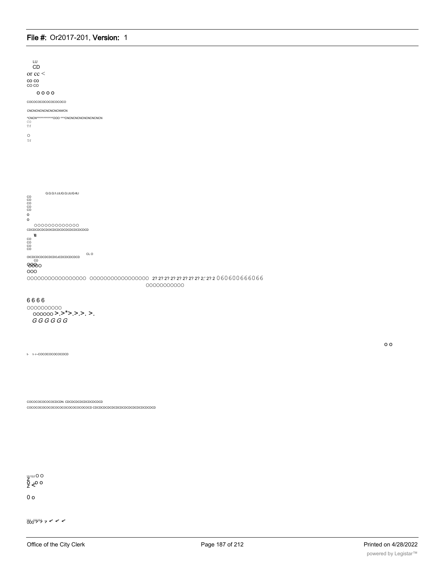

t- t- r--COCOCOCOCOCOCD

o o

COCOCOCOCOCOCDCDN. CDCDCDCDCDCDCDCDCD

COCOCOCOCOCOCOCOCOCOCOCOCOCOCD CDCDCDCDCDCDCDCDCDCDCDCDCDCDCD

ه مع<br>منابع<br>مسر

0 o

 $0009997222$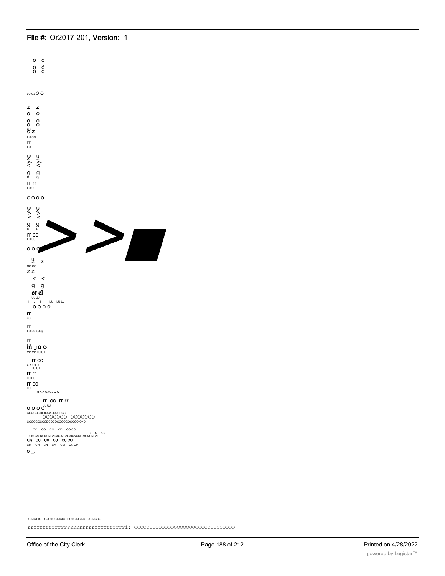

CTJCTJCTJC-IOTOCTJCDCTJOTCTJCTJCTJCTJCDCT

rrrrrrrrrrrrrrrrrrrrrrrrrrrrrrrri: OOOOOOOOOOOOOOOOOOOOOOOOOOOOOOOOO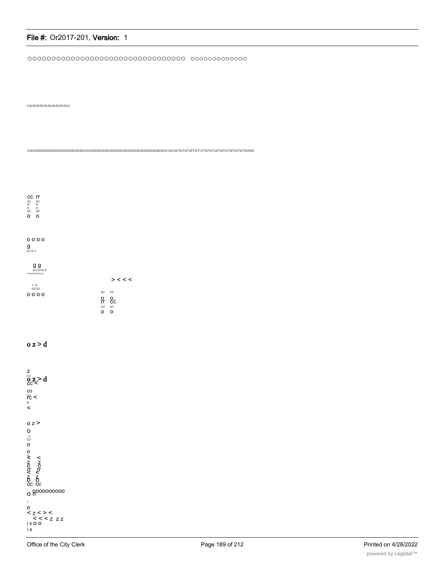${\tt0000000000000000000000000000000} {\scriptstyle\,\,00000000000000}$ 

**LOLOLOLOLOLOLOLOLOLO** 

 $\begin{array}{ll} \text{C} & \text{C} \\ \text{C} & \text{C} \\ \text{C} & \text{C} \\ \text{C} & \text{C} \\ \text{C} & \text{C} \end{array}$ 

 $0000$  $g_{\rm max}$ 

 $\underset{\scriptscriptstyle{\text{csc}}\scriptscriptstyle{\text{occ}}}{\mathbf{g}}\underset{\scriptscriptstyle{\text{UJ UJ X X}}}{\mathbf{g}}$  $>$   $<$   $<$   $<$  $>3-$  3- UJ UJ  $UJ - LU$  $0000$  $\frac{5}{9}$ <br>  $\frac{5}{9}$ <br>  $\frac{5}{9}$ <br>  $\frac{6}{9}$ 

 $o z > d$ 

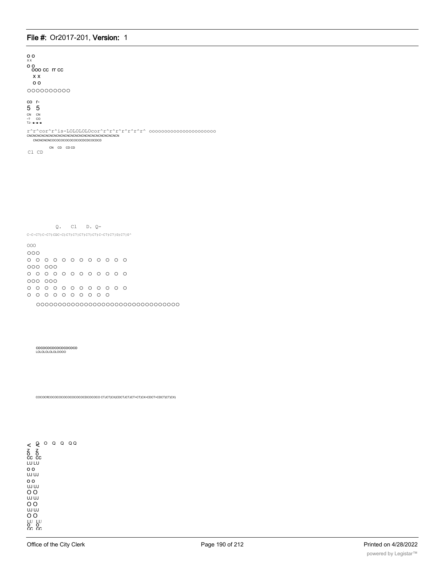| 0 <sub>o</sub><br><b>XX</b>                                          |
|----------------------------------------------------------------------|
| o o<br>000 CC IT CC                                                  |
| <b>XX</b>                                                            |
| 0 <sub>0</sub>                                                       |
| 0000000000                                                           |
| co r-<br>55<br>CN<br>CN<br><sub>CO</sub><br>$\sim$<br>Talk on one on |
| CNCNCNCNCOCOCOCOCOCOCOCDCDCOCDCD                                     |
| $\sim$ $\sim$ $\sim$ $\sim$ $\sim$                                   |

CN CD CD CD Cl CD

Q. Cl D. Q-C~C~C7)C~C7)CDC~C)C7)C7}C7)C7)C7)C~C7)C7}0)C7}0^

OOO ooo o o o o o o o o o o o o ooo ooo o o o o o o o o o o o o ooo ooo o o o o o o o o o o o o o o o o o o o o o o ooooooooooooooooooooooooooooooooo

 ${\tt COCOC}6{\tt COCOC}0{\tt COCOC}0{\tt COC}0{\tt COC}0{\tt COC}$ 

cococococococococo LOLOLOLOLOLOOOO

C Q O Q Q Q<br>Z Z<br>O O<br>CC CC<br>CC CC<br>C Q O Q Q Q Q o o UJ UJ o o UJ UJ O O UJ UJ  $00$ UJ UJ O O  $\begin{matrix} 0 & 0 \\ 0 & 0 \\ 0 & \cos \theta \end{matrix}$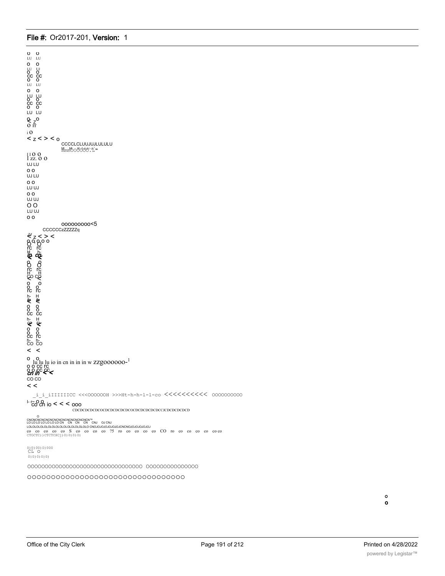

#### 

 $\circ$  $\circ$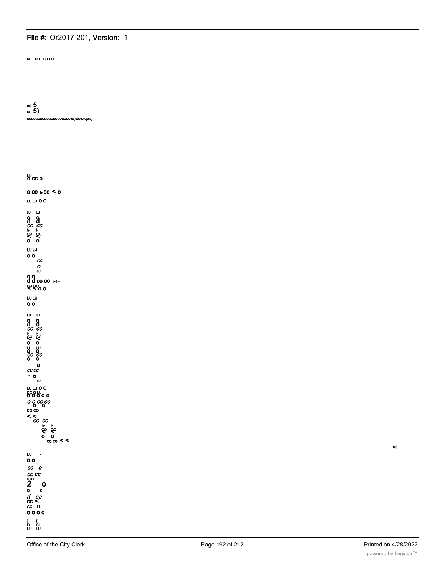$\infty$   $\infty$   $\infty$   $\infty$ 

 $\frac{\infty}{\infty}$  5) cocococococococococo 00)00000)0)0)0)

 $b^0$ cco

 $0 \text{ cc } \text{h-co} \leq 0$ **LULUOO** ၁ ရက္ပ <sup>န</sup> ၁ (၁<br>၁ ရက္ပ <sub>2</sub> (၁ )<br>၁ ရက်ပ ၁ LU UJ  $\circ$   $\circ$  $cc$  $\stackrel{\cal O}{\llcorner}$ 9<br>მძ∝cc ⊦⊩<br>ლ&<sup>0</sup> **LU LU**  $0<sub>0</sub>$ <sup>ခ</sup> တေပိ<sup>ု့ ပွ</sup>ပ ခဲလိပ<br>ခ တ<sup>ပ္သ</sup>ား <sup>ပွ</sup>ဝ ခဲလိပ  $rac{0}{\text{cc} \text{cc}}$  $cc$   $o$  $\mathbf{o}$  $\begin{bmatrix} I & I \\ D_{\Omega} & O_{\Omega} \end{bmatrix}$ 

co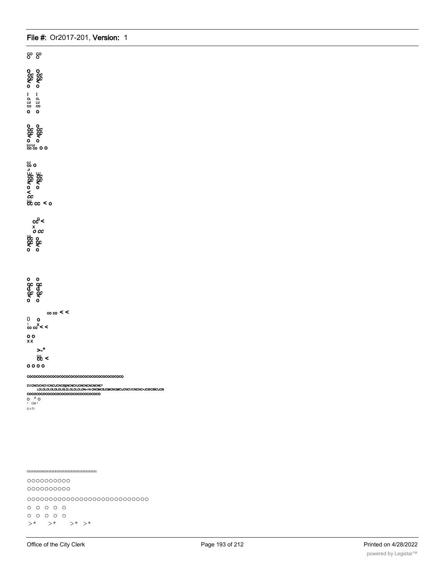| 80 80                                                                                                                                                                                   |
|-----------------------------------------------------------------------------------------------------------------------------------------------------------------------------------------|
| ဝေးရာ<br>ဝေးရာ<br>$\begin{array}{ccc} \text{I} & \text{I} \\ \text{a} & \text{a} \\ \text{w} & \text{w} \\ \text{o} & \text{co} \end{array}$<br>$\mathbf{o}$<br>$\overline{\mathbf{o}}$ |
| ႜ <sup>ႄႍႄ</sup> ၜၛႜႜႜႜ<br>ၜႜႜႝၜ<br>ၜ                                                                                                                                                   |
| ం<br>సికిళుం రీ<br><sub>38 7</sub> 380 0 v8 <u>38</u>                                                                                                                                   |
| ం ఇణ్యం<br>ఇం కం తుం<br>ఇం కు                                                                                                                                                           |
| ိ ဇုဒ္မဆုပ္<br>၁ ရာရာ                                                                                                                                                                   |
| $\cos \alpha$ < <<br>$0$ o<br>$\frac{1}{\cos \alpha}$ < <                                                                                                                               |
| $\mathbf{o}$<br>XX                                                                                                                                                                      |
| $>$ ."<br><b>&amp; &lt;</b>                                                                                                                                                             |
| 0000                                                                                                                                                                                    |
|                                                                                                                                                                                         |
| CVICNCVCNCVICNCVCNCS](NCNCVJCNCNCNCNCNCV<br>LOLOLOLOLOLOLOLOLOLOLOLON-r-N-CNCMCSJCMCNCMCWCNCNCNCNC>JCSICSICWCN<br>$0^{\circ}$ 0<br>$^\wedge$ $\,$ CM $^\wedge$                          |

^ CM ^ O t-Tf

0)0)0)0)0)0)0)0)0)0)0)0)0)0)0)0)0)0)0)0)0)0)0)0)0)0)0)

oooooooooo oooooooooo oooooooooooooooooooooooooooo o o o o o  $\begin{array}{ccccc} \circ & \circ & \circ & \circ & \circ \\ \circ \ast & \circ \ast & \end{array}$  $>\star$   $\quad$   $>\star$   $>\star$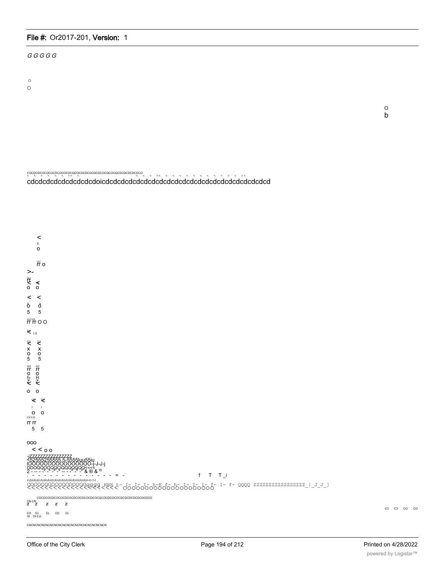#### $G G G G G$

 $\circ$  $\circ$ 



 $\circ$  $\mathsf{b}$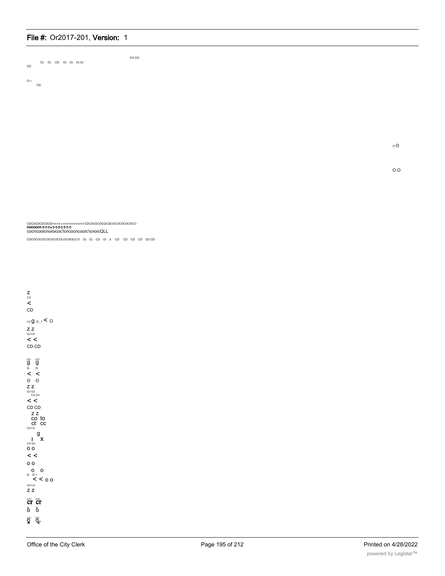$\cos$ 

 $0)$  0) CD 0) 0) 0) 0)  $CD$ Or-<br>CD

 $\circ$  O

 $0<sub>0</sub>$ 

 $\underset{\scriptscriptstyle{\text{LU}}}{{\mathsf{Z}}}$  $\,<$  $CD$  $_{\text{\tiny LU}}\text{g}$   $_{\text{\tiny Q\_1}}<$   $_\text{\tiny O}$  $\frac{Z}{U}$  $\,<$   $<$ CD CD  $\,<$   $<$  $CD$   $CD$  $ZZ$ <br>  $CO$  to<br>  $C$   $CC$  $\begin{smallmatrix}&&&g\\ &\mathbf{I}&&&\mathbf{J}\end{smallmatrix}$  $\mathbf{x}^{\mathsf{C}}$  $\circ$   $\circ$  $\,<$   $<$  $\circ$   $\circ$  $\begin{array}{c} 0 & 0 \\ 0 & 0 \\ < 0 & 0 \end{array}$ UJ LU<br>Z Z cr cr ð ð  $\mathbf{Q}$   $\mathbf{Q}$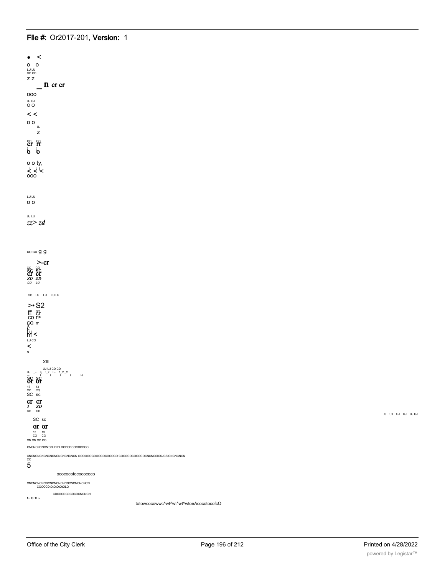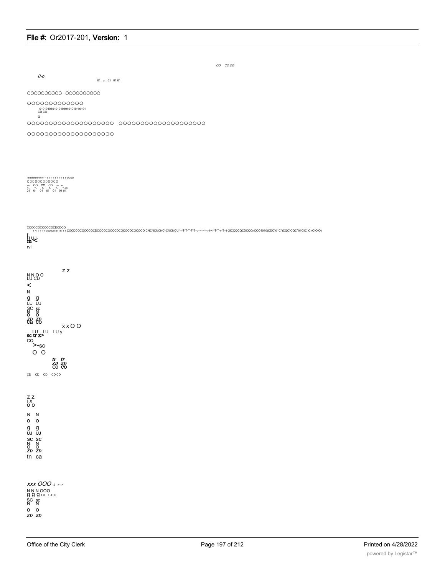$O$ -o

0000000000 0000000000

000000000000 010101010101010101010101101101101<br>CD CO<br>O

01 oi 01 01 01

0000000000000000000



 $co$   $co$   $co$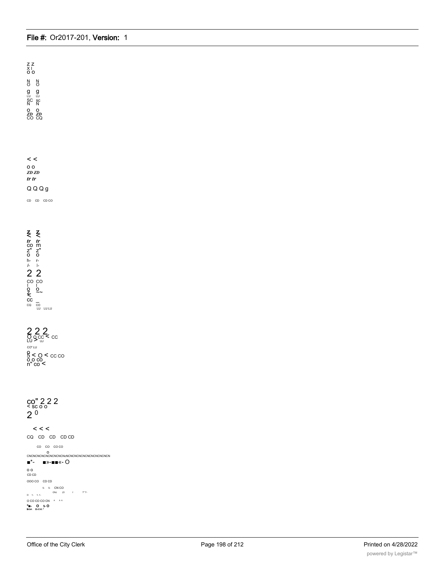| $\begin{array}{c} Z \\ X \, \vert \\ O \, \vert \\ O \end{array}$                                                      |  |
|------------------------------------------------------------------------------------------------------------------------|--|
| $\frac{56}{56}$<br>$\frac{56}{56}$<br>$\frac{56}{56}$<br>$\frac{56}{56}$                                               |  |
|                                                                                                                        |  |
|                                                                                                                        |  |
|                                                                                                                        |  |
| $\,<$ $<$                                                                                                              |  |
| $00$<br>ZD ZD                                                                                                          |  |
| $tr$ $tr$<br>$Q Q Q g$                                                                                                 |  |
| $\mathsf{CD} \quad \mathsf{CD} \quad \mathsf{CD} \ \mathsf{CO}$                                                        |  |
|                                                                                                                        |  |
|                                                                                                                        |  |
|                                                                                                                        |  |
|                                                                                                                        |  |
|                                                                                                                        |  |
| <b>88Wo-802020XB8</b><br>E81<br>E81 Mo-2020                                                                            |  |
|                                                                                                                        |  |
|                                                                                                                        |  |
| $8 < 0 < \csc 0$<br>$8 < 0 < \csc 0$<br>$0 < 0 < \csc 0$                                                               |  |
|                                                                                                                        |  |
|                                                                                                                        |  |
| $\underset{<\text{sc}\,0}{\text{co}}$ 222<br>$2^0$                                                                     |  |
| <<                                                                                                                     |  |
| CQ CD CD CD CD<br>co co co co                                                                                          |  |
| $\overline{\phantom{0}}$<br>$\blacksquare^*$ - $\blacksquare$ »- $\blacksquare$ «- $\bigcirc$                          |  |
| 00<br>$CD$ $CD$<br>000 CO CD CD                                                                                        |  |
| t- t- CN CO<br>$\overline{CNU}$ (0 f T*T-<br>0 1- 1-1-                                                                 |  |
| O CO CO CO CN ^ ^^<br>$\begin{array}{cc} \text{``\#} & 0 & t\text{-}0 \\ \text{H4} & \text{H4} & \text{H} \end{array}$ |  |
|                                                                                                                        |  |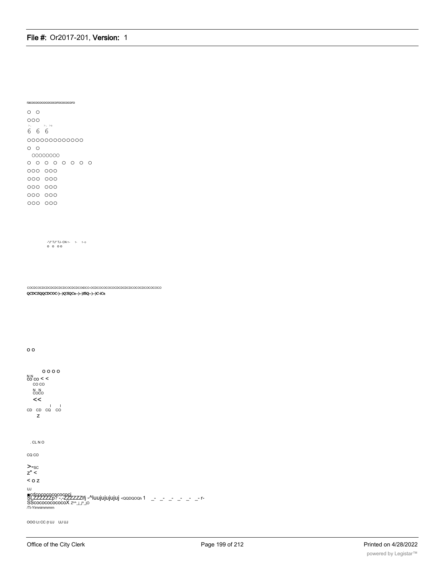|           |          |        | racocococococococorocococoro |   |  |
|-----------|----------|--------|------------------------------|---|--|
| Ω         | Ω        |        |                              |   |  |
| ೦೦೦<br>>. |          | > 5.28 |                              |   |  |
| 6         | 6        | - 6    |                              |   |  |
|           |          |        | 0000000000000                |   |  |
| Ω         | Ω        |        |                              |   |  |
|           | 00000000 |        |                              |   |  |
| Ω         | Ω        |        | $0\circ 0\circ$              | Ω |  |
| റററ       |          | - റററ  |                              |   |  |
|           | 000 000  |        |                              |   |  |
|           | ooo ooo  |        |                              |   |  |
|           |          |        |                              |   |  |
|           | 000 000  |        |                              |   |  |

-"J" TJ" TJ- CN T- T- T- 0<br>0 0 0 0

QCDCJIQQCDCOC-)-)Q'JIQCn--)-)ffiQ--)--)C-iCn

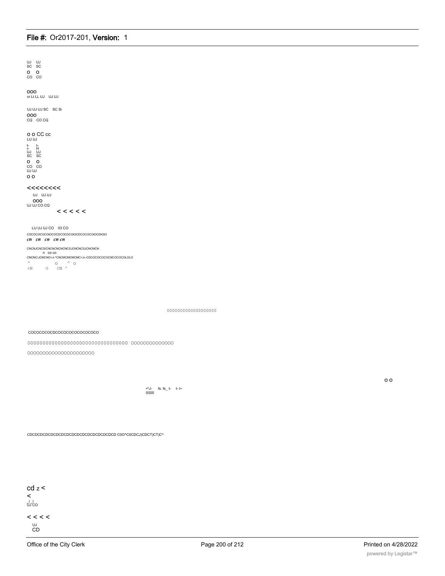000

cr Lt LL UJ UJ UJ

UJ UJ UJ SC SC Si 000<br>co co co

O O CC cc<br>Lu UJ

 $\circ$   $\circ$ 

 $<<<<<<$ 

UJ UJ UJ nn nn co cơ  $\lt$  < < < < <

LU UJ UJ CO 03 CO cn cn cn cn cn

 $\begin{array}{ll} \textsc{CNCMCINGICNCNCNCINGSICNCNCING} \textsc{Tr} & \multicolumn{2}{c}{\textsc{in}} & \multicolumn{2}{c}{\textsc{co}} \\ \textsc{Tr} & \multicolumn{2}{c}{\textsc{in}} & \multicolumn{2}{c}{\textsc{co}} \\ \textsc{CNCMCNCNCNCNCNCNCNCNCNCNCNC} \textsc{C} & \multicolumn{2}{c}{\textsc{in}} & \multicolumn{2}{c}{\textsc{co}} \\ \textsc{CNCMCNCNCNCNCNCNCNCNCNC} \textsc{C} & \multicolumn{2}{c}{\textsc{in}} & \multicolumn{2}{c}{\textsc{co}} \\ \text$  $\begin{matrix} & & & & & \\ & & \circ & & \wedge & \circ \\ & & & & \circ & \\ \circ & & & & \circ & \\ & & & & & \end{matrix}$  $\bar{\mathbf{A}}$  $<\!\!{\rm N}$ 

 ${\tt 000000000000000000}$ 

 ${\tt COCOCOCOCO COCO COCO CO COCO CO}$ 

0000000000000000000000

+^J- fs. fs\_t- t-t~<br>0000

CDCDCDCDCDCDCDCDCDCDCDCDCDCDCDCDCDCDCOCOCOCJ)CDCT)CT)C^

 $cd z <$  $\prec$  $\frac{1}{U}$ JCO  $\lt$   $\lt$   $\lt$ UJ<br>CD

 $\circ$   $\circ$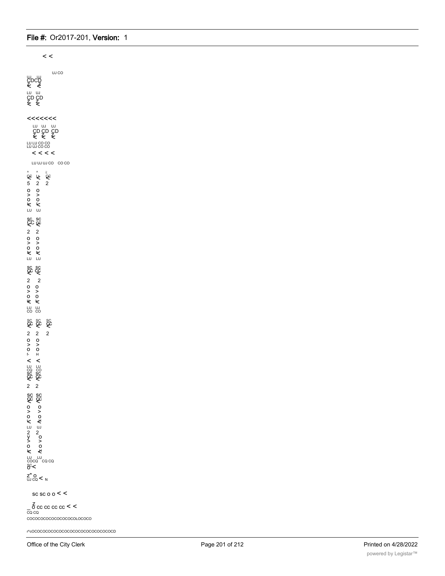| $\,<$ $<$                                                                                                                  |  |  |  |
|----------------------------------------------------------------------------------------------------------------------------|--|--|--|
| UJ CO<br>урсу<br>≹                                                                                                         |  |  |  |
|                                                                                                                            |  |  |  |
| <<<<<<<br>LU UJ UJ<br>$\overline{\xi}$ op $\overline{\xi}$ $\overline{\xi}$<br>LU UJ CO CO<br>LU LU CO CO<br>$\prec$ < < < |  |  |  |
| FN N1 N1 CO CO CO                                                                                                          |  |  |  |
|                                                                                                                            |  |  |  |
| EROVO ARES<br>EROVO ARES                                                                                                   |  |  |  |
| 85 Kovo ~ K88<br>85 Kovo ~ K88                                                                                             |  |  |  |
| ිදී දිරි<br>ද<br><b>gc</b><br>$\overline{2}$                                                                               |  |  |  |
| 1 988E ROVCNE ROVO ABRI<br>1 A SE Acovo <sup>N</sup> E Acovo ABRI<br>2 B                                                   |  |  |  |
| $\frac{Z''}{U} \frac{Q}{CQ} < N$                                                                                           |  |  |  |
| $\operatorname{sc}\operatorname{sc}\operatorname{o}\operatorname{o}$ $\lt$ $\lt$                                           |  |  |  |
| $\frac{7}{100}$ cc cc cc cc $\lt$<br>COCOCOCOCOCOCOCOCOLOCOCO                                                              |  |  |  |

 ${\scriptstyle \textsf{r}^{\mathsf{A}} \texttt{coCCOCOCOCOCOCOCOCOCOCOCOCOCOCOCDCDC}}$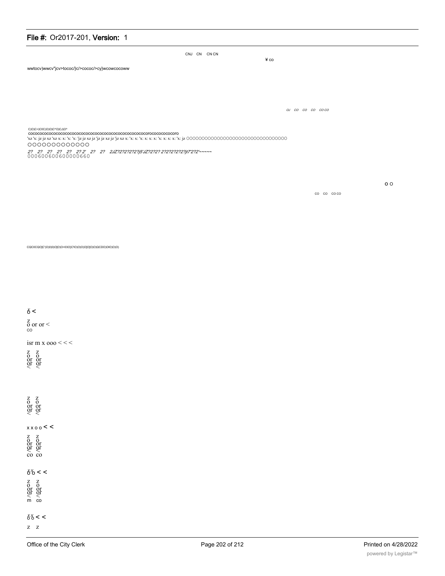CNJ CN CN CN

 $4$  co

wwtocv)wwcv"jcv>tococ/}c/>cococ/>cy}wcowcocoww

 $\texttt{CQC0CQO}|\texttt{C}'|O|0|0|0|O|O>03O|\texttt{C}'|O|O|O|O|O|O|O|O|O|O|O|O|O)$ 

 $\omega$  co co co coco

 ${\scriptstyle{\textcolor{blue}{\textcolor{blue}{\textcolor{blue}{\textcolor{blue}{\textcolor{blue}{\textcolor{blue}{\textcolor{blue}{\textcolor{blue}{\textcolor{blue}{\textcolor{blue}{\textcolor{blue}{\textcolor{blue}{\textcolor{blue}{\textcolor{blue}{\textcolor{blue}{\textcolor{blue}{\textcolor{blue}{\textcolor{blue}{\textcolor{blue}{\textcolor{blue}{\textcolor{blue}{\textcolor{blue}{\textcolor{blue}{\textcolor{blue}{\textcolor{blue}{\textcolor{blue}{\textcolor{blue}{\textcolor{blue}{\textcolor{blue}{\textcolor{blue}{\textcolor{blue}{\textcolor{blue}{\textcolor{blue}{\textcolor{blue}{\textcolor{blue}{\textcolor{blue}{\$ 

 $\circ$   $\circ$ 

 $\cos$  co  $\cos$ 

 $\frac{z}{0}$  or or  $<$  $_{\rm CO}$ isr m x ooo $<<$  $\begin{array}{ccc} Z & Z \\ 0 & 0 \\ 0r & 0r \\ Qr & Qr \end{array}$  $\begin{array}{c} Z \ 0 \ 0 \end{array}$  or or  $\begin{array}{c} Z \ 0 \end{array}$  $x \times 00 < 1$ 

 $\delta$  <

 $\begin{array}{c} 2 & 2 \\ 0 & 0 \\ 0 & 0 \\ 0 & 0 \\ 0 & 0 \end{array}$ <br>  $\begin{array}{c} 2 \\ 0 \\ 0 \\ 0 \\ 0 \end{array}$ 

 $\delta\delta$  < <

- $\begin{array}{cc} Z & Z \\ 0 & 0 \\ 0 & 0 \\ 0 & 0 \\ \end{array}$
- $m$  co
- $88 < 1$  $Z - Z$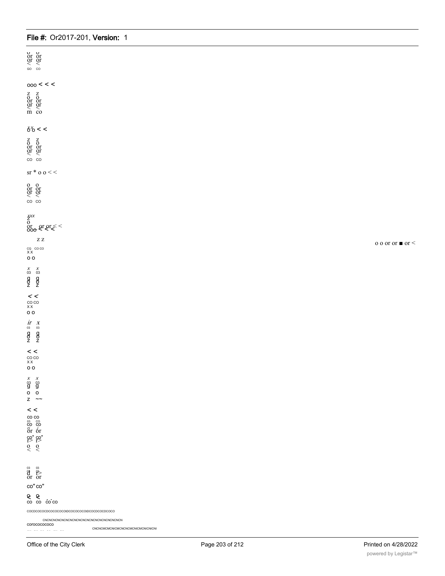| or or<br>or or<br>$\underset{\infty}{\circ}$                                                                                                                |                                 |
|-------------------------------------------------------------------------------------------------------------------------------------------------------------|---------------------------------|
| $_{\rm 000}$ $<$ $<$ $<$                                                                                                                                    |                                 |
| $\begin{array}{c} Z & Z \\ 0 & 0 \\ 0r & 0r \\ Q & Q \\ m & co \end{array}$                                                                                 |                                 |
|                                                                                                                                                             |                                 |
| $86 < 6$<br>$200$<br>or or<br>or or<br>$80$<br>co co                                                                                                        |                                 |
| $\mathrm{sr}$ * o o $<<$                                                                                                                                    |                                 |
| $\begin{array}{c} 0 & 0 \\ 0 & 0 \\ 0 & 0 \\ 0 & 0 \\ 0 & 0 \end{array}$                                                                                    |                                 |
|                                                                                                                                                             |                                 |
| $\mathbf{Z}$ $\mathbf{Z}$                                                                                                                                   | o o or or $\blacksquare$ or $<$ |
| ca_coco<br>XX<br>0 0                                                                                                                                        |                                 |
| $\begin{array}{ccc}\nx & x \\ \frac{1}{2} & 0 \\ 0 & 0 \\ 0 & 0 \\ 1 & 0\n\end{array}$                                                                      |                                 |
| $\,<$<br>$\frac{CO}{XX}$<br>$\circ$ $\circ$                                                                                                                 |                                 |
| $\begin{array}{ccc} \dot{I}\dot{r} & x\\ \omega_3 & \omega_3\\ g & g\\ Z & Z \end{array}$                                                                   |                                 |
| $\,<$ $<$<br>$\frac{CO}{XX}$<br>$\circ$ $\circ$                                                                                                             |                                 |
| $\begin{array}{ccc} x & x \\ 03 & 03 \\ 0 & 0 \\ 0 & 0 \end{array}$<br>$z \sim$                                                                             |                                 |
| $\,<$ $<$                                                                                                                                                   |                                 |
| $\mathop \odot \limits^{\scriptscriptstyle 03}_{\scriptscriptstyle \rm O1} \quad \mathop \odot \limits^{\scriptscriptstyle 03}_{\scriptscriptstyle \rm O1}$ |                                 |
| co" co"                                                                                                                                                     |                                 |
| $88$<br>$60$ $60$ $60$                                                                                                                                      |                                 |
|                                                                                                                                                             |                                 |
| corococococo                                                                                                                                                |                                 |

CNCNCMCMCNICMCNCNCMCNICMCNICNICNI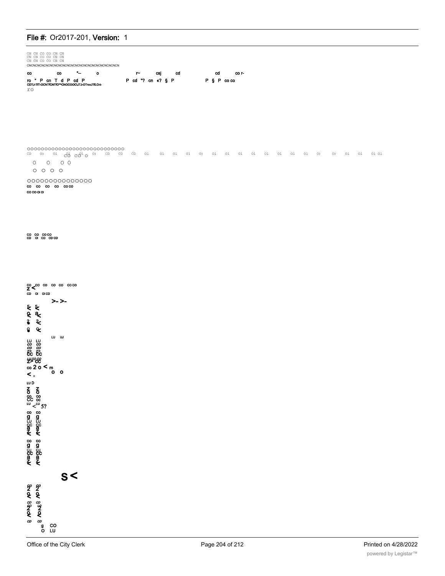

01 01 01 0) 01 01 01 01 01 01 01 01 0  $0)$   $01$   $01$   $01$   $01$  $\begin{array}{ccccccccc}\n0 & 0 & 0 & 0\n\end{array}$  $\circ\;\circ\;\circ\;\circ$ 

00000000000000 co co co co coco CO CO OI OI

co co coco<br>co o co coco

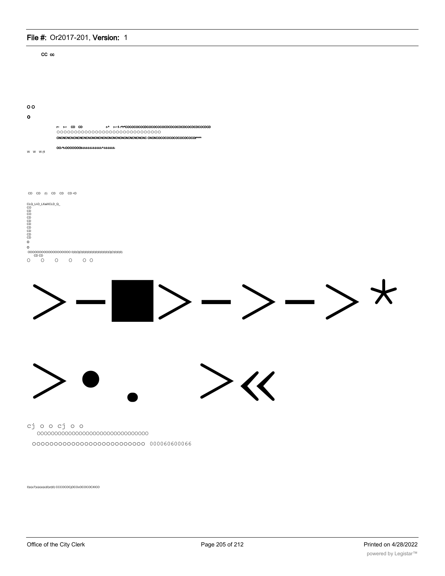

OOOOOOOOOOOOOOOOOOOOOOOOOOOOOOOO

oooooooooooooooooooooooooo 000060600066

0)o)c7)o)o)o)o)0)ct)0) CCCOCOCjOCOcOCOCOCXICO

o o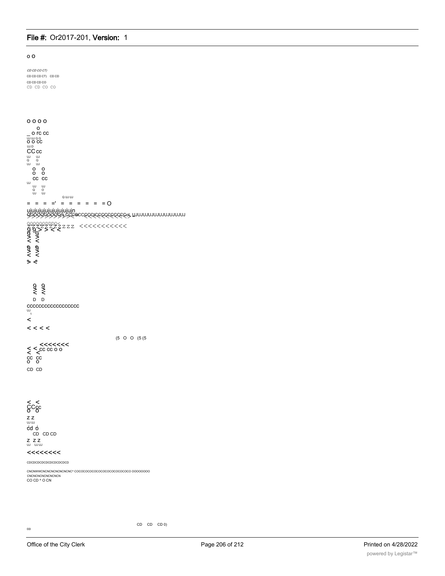| 0 O                                                                                                                                                                                                                                                                                                                                        |
|--------------------------------------------------------------------------------------------------------------------------------------------------------------------------------------------------------------------------------------------------------------------------------------------------------------------------------------------|
| CD CD CO CT)<br>CD CD CD CT) CD CD<br>CD CD CD CO<br>CD CD CO CO                                                                                                                                                                                                                                                                           |
| 0000<br>о<br>o rc cc<br>0000<br>UJ D<br>CCcc<br>UJ<br>UJ<br>Q<br>$\sf Q$<br>UJ<br><b>UJ</b><br>о<br>o<br>о<br>о<br>cc cc<br>UJ<br>UJ<br>UJ<br>$\circ$<br>Q<br>UJ<br>UJ<br>Q UJ UJ<br>≕'<br>$=  =  = 0$<br>$\equiv$<br>$\equiv$<br>Ξ<br>$=$<br>Ξ<br>aaddaaddalaaree ee Geefee Geele Geer miniminiminiminin<br>nininininininininini<br>zzezz |
| Veby on<br>१९<br>ల్లి<br>۾ و                                                                                                                                                                                                                                                                                                               |
| ११<br>D<br>D<br>CCCCCCCCCCCCCCCCC<br>$\frac{U}{1}$<br><<br>$<$ $<$ $<$ $<$                                                                                                                                                                                                                                                                 |
| (5 O O (5 (5<br><<<<<<<br>$\leq$ $\leq$ $\cos$ $\cos$<br>cccc<br>CD CD                                                                                                                                                                                                                                                                     |
| င္ဂ်င္ဂ်င<br><b>Z Z</b><br>ww<br>td o<br>CD CD CD<br>Z Z Z<br>UJ UJ UJ<br><<<<<<<                                                                                                                                                                                                                                                          |
| CDCDCDCDCDCDCDCDCDCD<br>CNCNWWCNCNCNCNCNCNCNC^ COCOCOCOCOCOCOCOCOCOCOCOCO 00000000<br>CNCNCNCNCNCNCNCN<br>CO CD ^ O CN                                                                                                                                                                                                                     |

 $_{\rm co}$ 

Office of the City Clerk

 $CD$   $CD$   $CD$  0)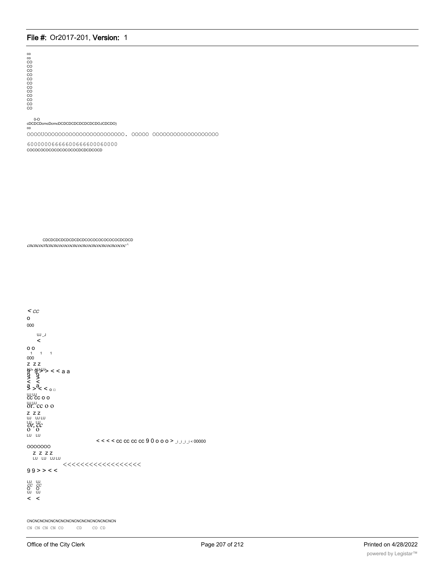888888888888

#### 0-0<br>cDCDCDcmcDcrncDCDCDCDCDCDCDCDCDCDCDO)  $_{\rm co}$

60000006666600666600060000  ${\tt COCOCOCOCOCOCOCOCOCDCDCOCOCO$ 

 ${\tt COCCDCCDCCDCCDCCOCOCOCOCOCOCDCDCDCD}$  $\label{thm:noncon} concocrten en cococoen coencoen coencoen coen cocococ}$ 



CN CN CN CO CD CO CD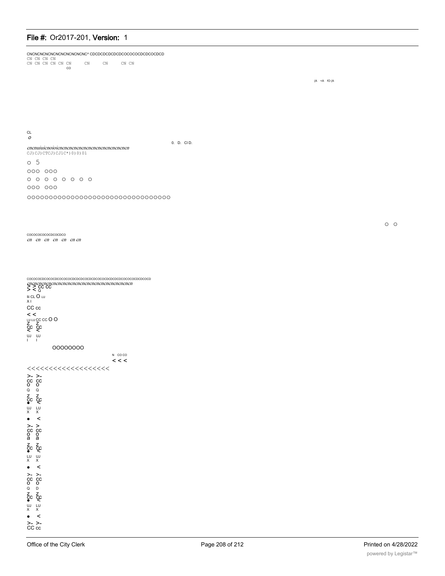|             |  |                   |    | CNCNCNCNCNCNCNCNCNCNCNCNC^ CDCDCDCDCDCDCOCOCOCDCDCOCDCD |    |       |  |  |
|-------------|--|-------------------|----|---------------------------------------------------------|----|-------|--|--|
| CN CN CN CN |  |                   |    |                                                         |    |       |  |  |
|             |  | CN CN CN CN CN CN |    | CΝ                                                      | CΝ | CN CN |  |  |
|             |  |                   | CO |                                                         |    |       |  |  |

 $(A \leq A)$  fO  $(A \leq A)$ 

 $CL$  $\boldsymbol{o}$ 

 $0.$  D. CID.

 $\begin{array}{l} \textit{c} \textit{n} \textit{c} \textit{m} \textit{u} \textit{u} \textit{c} \textit{n} \textit{o} \textit{i} \textit{c} \textit{n} \textit{c} \textit{n} \textit{c} \textit{n} \textit{c} \textit{n} \textit{c} \textit{n} \textit{c} \textit{n} \textit{c} \textit{n} \textit{c} \textit{b} \textit{c} \textit{b} \textit{c} \textit{d} \textit{c} \textit{b} \textit{c} \textit{b} \textit{c} \textit{b} \textit{$  $0<sub>5</sub>$ 000 000  $\begin{array}{cccccccccccccc} \circ & \circ & \circ & \circ & \circ & \circ & \circ & \circ & \circ \end{array}$ 000 000

 $\circ$   $\circ$ 

en en en en en en en

COCOCOCOCOCDCOCDCO

energie des considerations de la construction de la construction de la construction de la construction de la c<br>
de CC CC de la construction de la construction de la construction de la construction de la construction de la  $\overline{\mathsf{III}}$  CL  $\overline{\mathsf{O}}$  LU  $X<sub>1</sub>$  $CC$   $cc$  $\,<$   $<$ **Example 2018**<br>Thurscale 0.0<br>Control 2019  $\begin{bmatrix} 1 & 1 \\ 1 & 1 \end{bmatrix}$ 00000000  $N$  CO CO  $\lt$   $\lt$ N 80 a n8v ∃x v n 80α n8v 3x v 180 a n8v 3x v<br>N 80 a n8v 3x • N 80α n8v 3x • N 80 a n8v 3x •  $\sum_{CC}$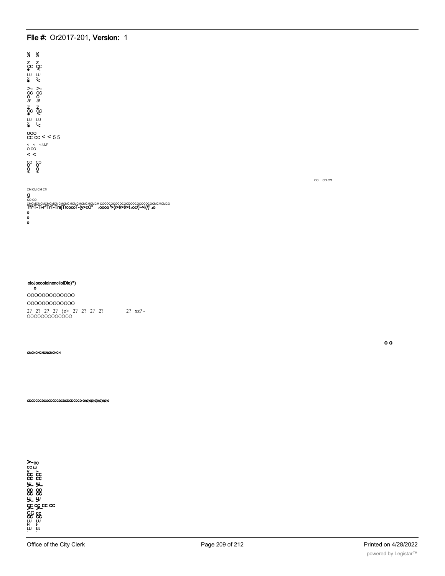| ă       | ă                                                                         |
|---------|---------------------------------------------------------------------------|
|         | $\frac{z}{c}c \overset{z}{\in}$                                           |
| X       | LU LU<br>ጅ                                                                |
|         | $>  > -$                                                                  |
|         | $\begin{smallmatrix} cc & CC\ 0 & 0\ 0 & 0\end{smallmatrix}$              |
|         |                                                                           |
|         | $\frac{z}{c}c \&$                                                         |
| $\leq$  | LU LU<br>'<                                                               |
|         | $000$<br>CC CC < < 5 5                                                    |
|         | $\langle \langle \langle \langle \langle \rangle \rangle \rangle \rangle$ |
|         | O CO<br>$\lt$ $\lt$                                                       |
|         | voos<br>$\frac{8}{6}$                                                     |
|         |                                                                           |
|         |                                                                           |
|         | CM CM CM CM                                                               |
|         | $g_{\rm coco}$                                                            |
| ۰       |                                                                           |
| ۰       |                                                                           |
| $\circ$ |                                                                           |

oicJocooioincnciioiDio)\*)<br>o

#### 0000000000000

0000000000000  $2?$   $xz?$ 

CNCNCNCNCNCNCNCN

 ${\tt CDCD CDCD CDCD CDCD CDCD CDCD (0)}\\ 0)\\ 0)\\ 0)\\ 0)\\ 0)\\ 0)\\ 0)\\ 0\\ 0$ 

 $\mathbf{o} \mathbf{o}$ 

 $\cos$   $\cos$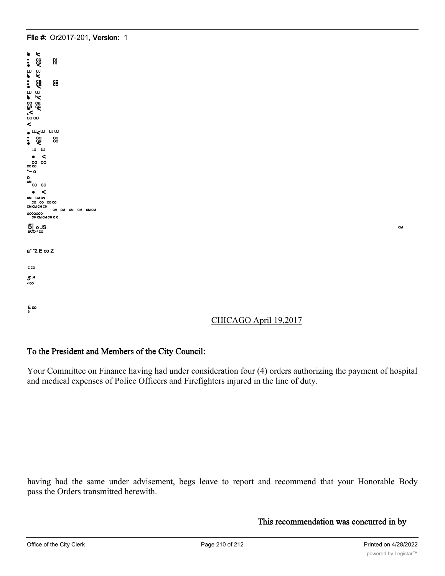ት<br>• v<br>• ይየ ጠ LU UJ t- I- · <sup>&</sup>lt; · ca co · ca co · <sup>&</sup>lt; LU UJ I- I- · < co ca ca co · < I-< CO CO < ັດ<br>• ແລັດ<br>• ແລັດ · ແລັດ<br>• ແລັດ · ແລັດ  $\bullet$   $\lt$ CO CO CO CO \*~ o o<br>™co co<br>● < CM CM CN CO CO CO CO CM CM CM CM CM CM CM CM CM CM OOOOOOO CM CM CM CM O O 5<u>|</u> o JS Самонов от Самонов от Самонов от Самонов от Самонов от Самонов от Самонов от Самонов от Самонов от Сам<br>В село в Самонов от Самонов от Самонов от Самонов от Самонов от Самонов от Самонов от Самонов от Самонов от  $5$  o JS a" "2 E co Z c co 5 ^<br><co E co 3

# CHICAGO April 19,2017

# To the President and Members of the City Council:

Your Committee on Finance having had under consideration four (4) orders authorizing the payment of hospital and medical expenses of Police Officers and Firefighters injured in the line of duty.

having had the same under advisement, begs leave to report and recommend that your Honorable Body pass the Orders transmitted herewith.

# This recommendation was concurred in by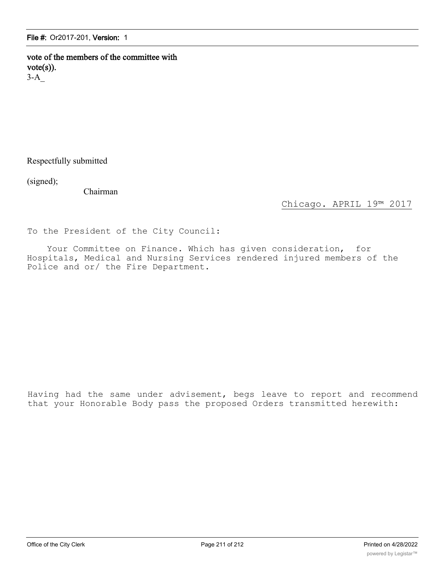vote of the members of the committee with vote(s)).  $3-A$ 

Respectfully submitted

(signed);

Chairman

Chicago. APRIL 19™ 2017

To the President of the City Council:

Your Committee on Finance. Which has given consideration, for Hospitals, Medical and Nursing Services rendered injured members of the Police and or/ the Fire Department.

Having had the same under advisement, begs leave to report and recommend that your Honorable Body pass the proposed Orders transmitted herewith: